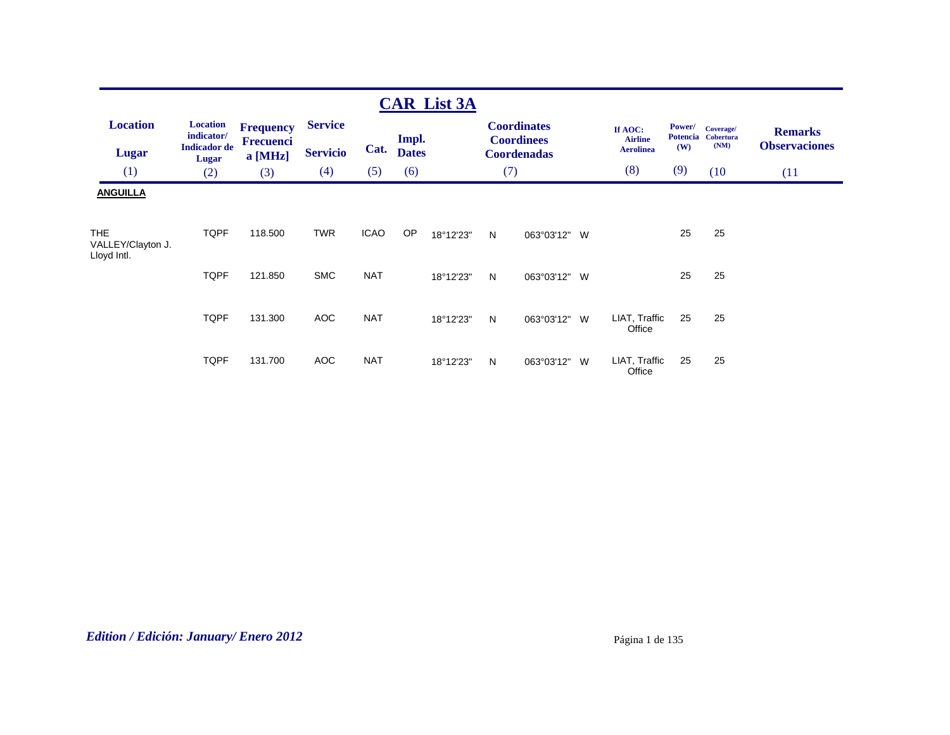|                                          |                                                               |                                            |                                   |             |                       | <b>CAR List 3A</b> |     |                                                               |   |                                               |               |                                         |                                        |
|------------------------------------------|---------------------------------------------------------------|--------------------------------------------|-----------------------------------|-------------|-----------------------|--------------------|-----|---------------------------------------------------------------|---|-----------------------------------------------|---------------|-----------------------------------------|----------------------------------------|
| <b>Location</b><br><b>Lugar</b>          | <b>Location</b><br>indicator/<br><b>Indicador</b> de<br>Lugar | <b>Frequency</b><br>Frecuenci<br>$a$ [MHz] | <b>Service</b><br><b>Servicio</b> | Cat.        | Impl.<br><b>Dates</b> |                    |     | <b>Coordinates</b><br><b>Coordinees</b><br><b>Coordenadas</b> |   | If AOC:<br><b>Airline</b><br><b>Aerolinea</b> | Power/<br>(W) | Coverage/<br>Potencia Cobertura<br>(NM) | <b>Remarks</b><br><b>Observaciones</b> |
| (1)                                      | (2)                                                           | (3)                                        | (4)                               | (5)         | (6)                   |                    | (7) |                                                               |   | (8)                                           | (9)           | (10)                                    | (11)                                   |
| <b>ANGUILLA</b>                          |                                                               |                                            |                                   |             |                       |                    |     |                                                               |   |                                               |               |                                         |                                        |
| THE.<br>VALLEY/Clayton J.<br>Lloyd Intl. | <b>TQPF</b>                                                   | 118.500                                    | <b>TWR</b>                        | <b>ICAO</b> | OP                    | 18°12'23"          | N   | 063°03'12" W                                                  |   |                                               | 25            | 25                                      |                                        |
|                                          | <b>TQPF</b>                                                   | 121.850                                    | <b>SMC</b>                        | <b>NAT</b>  |                       | 18°12'23"          | N   | 063°03'12" W                                                  |   |                                               | 25            | 25                                      |                                        |
|                                          | <b>TQPF</b>                                                   | 131.300                                    | <b>AOC</b>                        | <b>NAT</b>  |                       | 18°12'23"          | N   | 063°03'12" W                                                  |   | LIAT, Traffic<br>Office                       | 25            | 25                                      |                                        |
|                                          | <b>TQPF</b>                                                   | 131.700                                    | <b>AOC</b>                        | <b>NAT</b>  |                       | 18°12'23"          | N   | 063°03'12"                                                    | W | LIAT, Traffic<br>Office                       | 25            | 25                                      |                                        |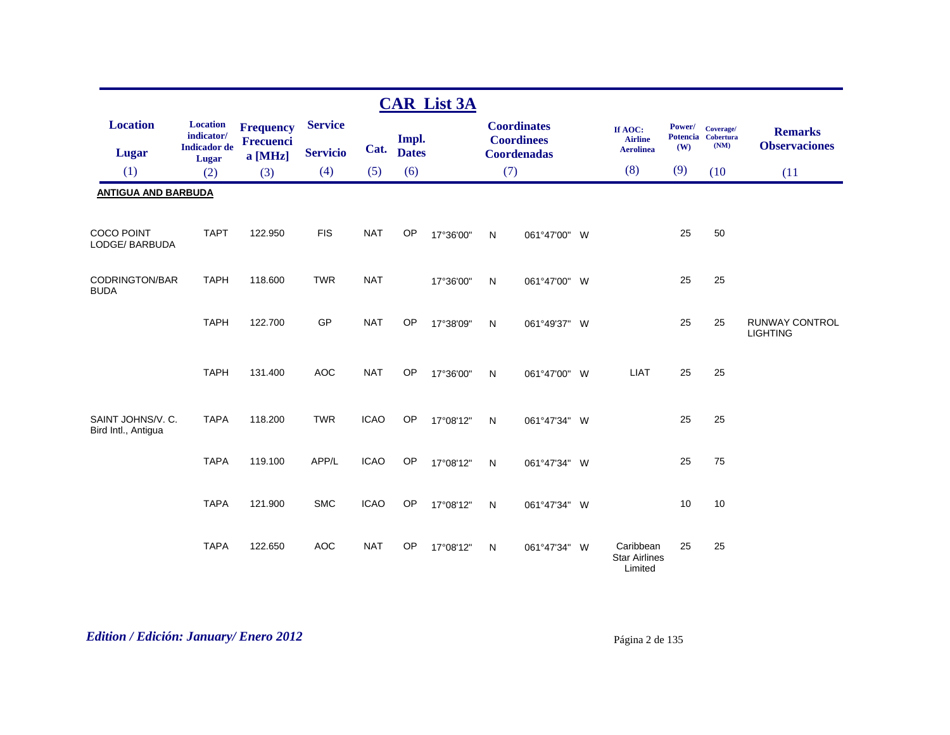|                                          |                                                      |                                      |                 |             |                       | <b>CAR List 3A</b> |              |                                         |                                               |               |                                         |                                          |
|------------------------------------------|------------------------------------------------------|--------------------------------------|-----------------|-------------|-----------------------|--------------------|--------------|-----------------------------------------|-----------------------------------------------|---------------|-----------------------------------------|------------------------------------------|
| <b>Location</b>                          | <b>Location</b><br>indicator/<br><b>Indicador</b> de | <b>Frequency</b><br><b>Frecuenci</b> | <b>Service</b>  | Cat.        | Impl.<br><b>Dates</b> |                    |              | <b>Coordinates</b><br><b>Coordinees</b> | If AOC:<br><b>Airline</b><br><b>Aerolinea</b> | Power/<br>(W) | Coverage/<br>Potencia Cobertura<br>(NM) | <b>Remarks</b><br><b>Observaciones</b>   |
| <b>Lugar</b>                             | Lugar                                                | a [MHz]                              | <b>Servicio</b> |             |                       |                    |              | <b>Coordenadas</b>                      | (8)                                           | (9)           |                                         |                                          |
| (1)                                      | (2)                                                  | (3)                                  | (4)             | (5)         | (6)                   |                    | (7)          |                                         |                                               |               | (10)                                    | (11)                                     |
| <b>ANTIGUA AND BARBUDA</b>               |                                                      |                                      |                 |             |                       |                    |              |                                         |                                               |               |                                         |                                          |
| <b>COCO POINT</b><br>LODGE/ BARBUDA      | <b>TAPT</b>                                          | 122.950                              | <b>FIS</b>      | <b>NAT</b>  | OP                    | 17°36'00"          | N            | 061°47'00" W                            |                                               | 25            | 50                                      |                                          |
| <b>CODRINGTON/BAR</b><br><b>BUDA</b>     | <b>TAPH</b>                                          | 118,600                              | <b>TWR</b>      | <b>NAT</b>  |                       | 17°36'00"          | $\mathsf{N}$ | 061°47'00" W                            |                                               | 25            | 25                                      |                                          |
|                                          | <b>TAPH</b>                                          | 122.700                              | GP              | <b>NAT</b>  | OP                    | 17°38'09"          | $\mathsf{N}$ | 061°49'37" W                            |                                               | 25            | 25                                      | <b>RUNWAY CONTROL</b><br><b>LIGHTING</b> |
|                                          | <b>TAPH</b>                                          | 131.400                              | <b>AOC</b>      | <b>NAT</b>  | OP                    | 17°36'00"          | N            | 061°47'00" W                            | <b>LIAT</b>                                   | 25            | 25                                      |                                          |
| SAINT JOHNS/V. C.<br>Bird Intl., Antigua | <b>TAPA</b>                                          | 118.200                              | <b>TWR</b>      | <b>ICAO</b> | OP                    | 17°08'12"          | N            | 061°47'34" W                            |                                               | 25            | 25                                      |                                          |
|                                          | <b>TAPA</b>                                          | 119.100                              | APP/L           | <b>ICAO</b> | <b>OP</b>             | 17°08'12"          | N            | 061°47'34" W                            |                                               | 25            | 75                                      |                                          |
|                                          | <b>TAPA</b>                                          | 121.900                              | <b>SMC</b>      | <b>ICAO</b> | OP                    | 17°08'12"          | N            | 061°47'34" W                            |                                               | 10            | 10                                      |                                          |
|                                          | <b>TAPA</b>                                          | 122.650                              | <b>AOC</b>      | <b>NAT</b>  | <b>OP</b>             | 17°08'12"          | N            | 061°47'34" W                            | Caribbean<br><b>Star Airlines</b><br>Limited  | 25            | 25                                      |                                          |

# *Edition / Edición: January/ Enero 2012* Página 2 de 135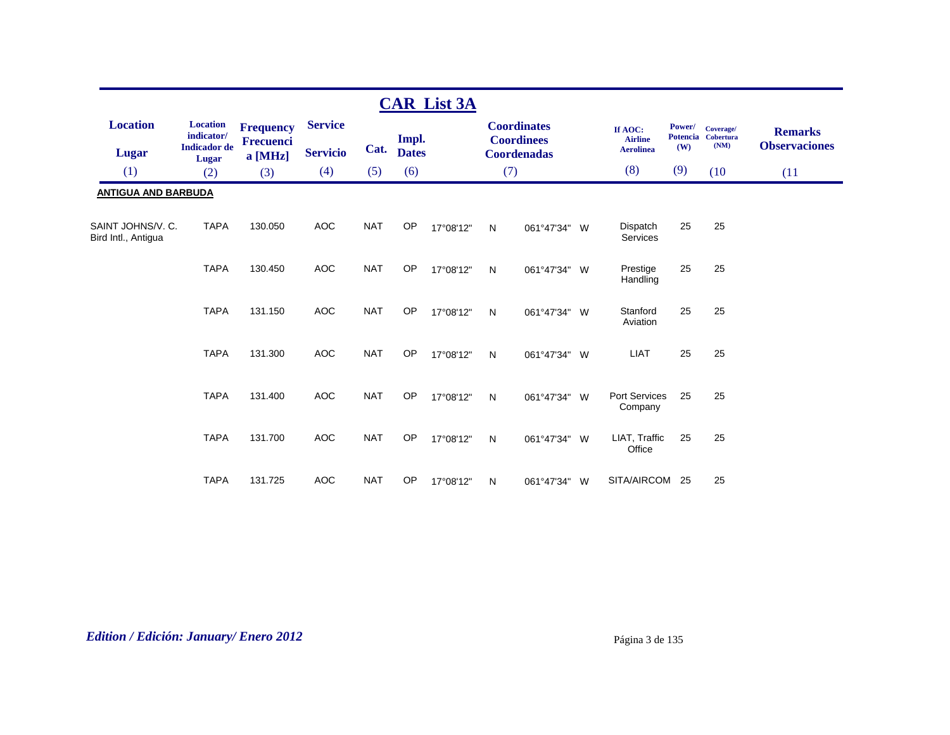|                                          |                               |                                      |                 |            |              | <b>CAR List 3A</b> |   |                                         |     |                                 |        |                                 |                      |
|------------------------------------------|-------------------------------|--------------------------------------|-----------------|------------|--------------|--------------------|---|-----------------------------------------|-----|---------------------------------|--------|---------------------------------|----------------------|
| <b>Location</b>                          | <b>Location</b><br>indicator/ | <b>Frequency</b><br><b>Frecuenci</b> | <b>Service</b>  |            | Impl.        |                    |   | <b>Coordinates</b><br><b>Coordinees</b> |     | If AOC:<br><b>Airline</b>       | Power/ | Coverage/<br>Potencia Cobertura | <b>Remarks</b>       |
| <b>Lugar</b>                             | <b>Indicador</b> de<br>Lugar  | a [MHz]                              | <b>Servicio</b> | Cat.       | <b>Dates</b> |                    |   | <b>Coordenadas</b>                      |     | <b>Aerolinea</b>                | (W)    | (NM)                            | <b>Observaciones</b> |
| (1)                                      | (2)                           | (3)                                  | (4)             | (5)        | (6)          |                    |   | (7)                                     |     | (8)                             | (9)    | (10)                            | (11)                 |
| <b>ANTIGUA AND BARBUDA</b>               |                               |                                      |                 |            |              |                    |   |                                         |     |                                 |        |                                 |                      |
| SAINT JOHNS/V. C.<br>Bird Intl., Antiqua | <b>TAPA</b>                   | 130.050                              | <b>AOC</b>      | <b>NAT</b> | OP           | 17°08'12"          | N | 061°47'34" W                            |     | Dispatch<br>Services            | 25     | 25                              |                      |
|                                          | <b>TAPA</b>                   | 130.450                              | <b>AOC</b>      | <b>NAT</b> | <b>OP</b>    | 17°08'12"          | N | 061°47'34" W                            |     | Prestige<br>Handling            | 25     | 25                              |                      |
|                                          | <b>TAPA</b>                   | 131.150                              | <b>AOC</b>      | <b>NAT</b> | OP           | 17°08'12"          | N | 061°47'34" W                            |     | Stanford<br>Aviation            | 25     | 25                              |                      |
|                                          | <b>TAPA</b>                   | 131.300                              | <b>AOC</b>      | <b>NAT</b> | <b>OP</b>    | 17°08'12"          | N | 061°47'34" W                            |     | <b>LIAT</b>                     | 25     | 25                              |                      |
|                                          | <b>TAPA</b>                   | 131.400                              | <b>AOC</b>      | <b>NAT</b> | OP           | 17°08'12"          | N | 061°47'34"                              | W   | <b>Port Services</b><br>Company | 25     | 25                              |                      |
|                                          | <b>TAPA</b>                   | 131.700                              | <b>AOC</b>      | <b>NAT</b> | <b>OP</b>    | 17°08'12"          | N | 061°47'34"                              | - W | LIAT, Traffic<br>Office         | 25     | 25                              |                      |
|                                          | <b>TAPA</b>                   | 131.725                              | <b>AOC</b>      | <b>NAT</b> | OP           | 17°08'12"          | N | 061°47'34"                              | W   | SITA/AIRCOM                     | 25     | 25                              |                      |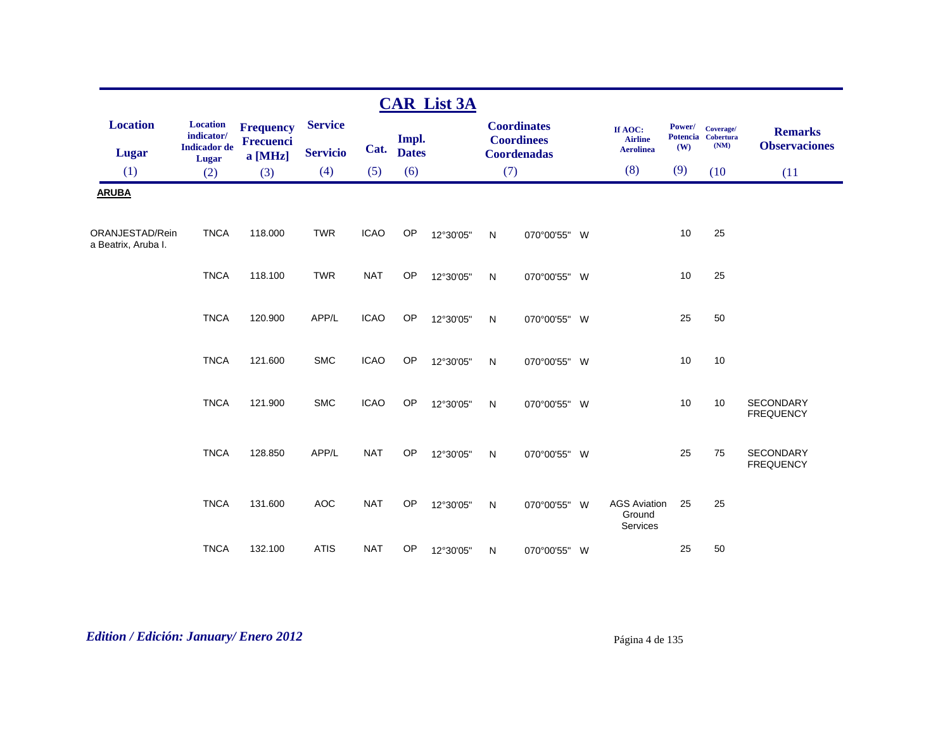|                                        |                                                      |                                                 |                                   |             |                       | <b>CAR List 3A</b> |           |                                                               |   |                                               |                                  |                                       |                                        |
|----------------------------------------|------------------------------------------------------|-------------------------------------------------|-----------------------------------|-------------|-----------------------|--------------------|-----------|---------------------------------------------------------------|---|-----------------------------------------------|----------------------------------|---------------------------------------|----------------------------------------|
| <b>Location</b><br><b>Lugar</b>        | <b>Location</b><br>indicator/<br><b>Indicador</b> de | <b>Frequency</b><br><b>Frecuenci</b><br>a [MHz] | <b>Service</b><br><b>Servicio</b> | Cat.        | Impl.<br><b>Dates</b> |                    |           | <b>Coordinates</b><br><b>Coordinees</b><br><b>Coordenadas</b> |   | If AOC:<br><b>Airline</b><br><b>Aerolinea</b> | Power/<br><b>Potencia</b><br>(W) | Coverage/<br><b>Cobertura</b><br>(NM) | <b>Remarks</b><br><b>Observaciones</b> |
| (1)                                    | Lugar<br>(2)                                         | (3)                                             | (4)                               | (5)         | (6)                   |                    | (7)       |                                                               |   | (8)                                           | (9)                              | (10)                                  | (11)                                   |
| <b>ARUBA</b>                           |                                                      |                                                 |                                   |             |                       |                    |           |                                                               |   |                                               |                                  |                                       |                                        |
| ORANJESTAD/Rein<br>a Beatrix, Aruba I. | <b>TNCA</b>                                          | 118.000                                         | <b>TWR</b>                        | <b>ICAO</b> | OP                    | 12°30'05"          | ${\sf N}$ | 070°00'55" W                                                  |   |                                               | 10                               | 25                                    |                                        |
|                                        | <b>TNCA</b>                                          | 118.100                                         | <b>TWR</b>                        | <b>NAT</b>  | OP                    | 12°30'05"          | N         | 070°00'55" W                                                  |   |                                               | 10                               | 25                                    |                                        |
|                                        | <b>TNCA</b>                                          | 120.900                                         | APP/L                             | <b>ICAO</b> | OP                    | 12°30'05"          | ${\sf N}$ | 070°00'55" W                                                  |   |                                               | 25                               | 50                                    |                                        |
|                                        | <b>TNCA</b>                                          | 121.600                                         | <b>SMC</b>                        | <b>ICAO</b> | OP                    | 12°30'05"          | ${\sf N}$ | 070°00'55" W                                                  |   |                                               | 10                               | 10                                    |                                        |
|                                        | <b>TNCA</b>                                          | 121.900                                         | <b>SMC</b>                        | <b>ICAO</b> | <b>OP</b>             | 12°30'05"          | N         | 070°00'55" W                                                  |   |                                               | 10                               | 10                                    | <b>SECONDARY</b><br><b>FREQUENCY</b>   |
|                                        | <b>TNCA</b>                                          | 128.850                                         | APP/L                             | <b>NAT</b>  | <b>OP</b>             | 12°30'05"          | N         | 070°00'55" W                                                  |   |                                               | 25                               | 75                                    | <b>SECONDARY</b><br><b>FREQUENCY</b>   |
|                                        | <b>TNCA</b>                                          | 131.600                                         | <b>AOC</b>                        | <b>NAT</b>  | <b>OP</b>             | 12°30'05"          | ${\sf N}$ | 070°00'55"                                                    | W | <b>AGS Aviation</b><br>Ground<br>Services     | 25                               | 25                                    |                                        |
|                                        | <b>TNCA</b>                                          | 132.100                                         | <b>ATIS</b>                       | <b>NAT</b>  | OP                    | 12°30'05"          | N         | 070°00'55" W                                                  |   |                                               | 25                               | 50                                    |                                        |

*Edition / Edición: January/ Enero 2012* Página 4 de 135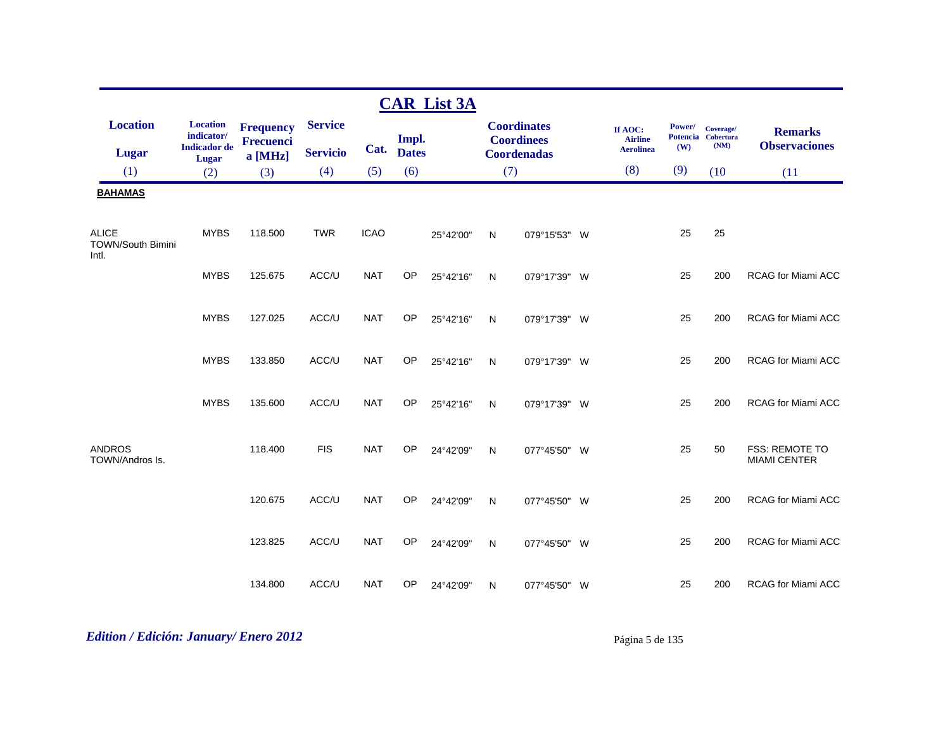|                                                   |                                                               |                                          |                                   |             |                       | <b>CAR List 3A</b> |     |                                                               |                                               |                                  |                                       |                                        |
|---------------------------------------------------|---------------------------------------------------------------|------------------------------------------|-----------------------------------|-------------|-----------------------|--------------------|-----|---------------------------------------------------------------|-----------------------------------------------|----------------------------------|---------------------------------------|----------------------------------------|
| <b>Location</b><br><b>Lugar</b>                   | <b>Location</b><br>indicator/<br><b>Indicador</b> de<br>Lugar | <b>Frequency</b><br>Frecuenci<br>a [MHz] | <b>Service</b><br><b>Servicio</b> | Cat.        | Impl.<br><b>Dates</b> |                    |     | <b>Coordinates</b><br><b>Coordinees</b><br><b>Coordenadas</b> | If AOC:<br><b>Airline</b><br><b>Aerolinea</b> | Power/<br><b>Potencia</b><br>(W) | Coverage/<br><b>Cobertura</b><br>(NM) | <b>Remarks</b><br><b>Observaciones</b> |
| (1)                                               | (2)                                                           | (3)                                      | (4)                               | (5)         | (6)                   |                    | (7) |                                                               | (8)                                           | (9)                              | (10)                                  | (11)                                   |
| <b>BAHAMAS</b>                                    |                                                               |                                          |                                   |             |                       |                    |     |                                                               |                                               |                                  |                                       |                                        |
| <b>ALICE</b><br><b>TOWN/South Bimini</b><br>Intl. | <b>MYBS</b>                                                   | 118.500                                  | <b>TWR</b>                        | <b>ICAO</b> |                       | 25°42'00"          | N   | 079°15'53" W                                                  |                                               | 25                               | 25                                    |                                        |
|                                                   | <b>MYBS</b>                                                   | 125.675                                  | ACC/U                             | <b>NAT</b>  | <b>OP</b>             | 25°42'16"          | N   | 079°17'39" W                                                  |                                               | 25                               | 200                                   | <b>RCAG for Miami ACC</b>              |
|                                                   | <b>MYBS</b>                                                   | 127.025                                  | ACC/U                             | <b>NAT</b>  | <b>OP</b>             | 25°42'16"          | N   | 079°17'39" W                                                  |                                               | 25                               | 200                                   | <b>RCAG for Miami ACC</b>              |
|                                                   | <b>MYBS</b>                                                   | 133.850                                  | ACC/U                             | <b>NAT</b>  | <b>OP</b>             | 25°42'16"          | N   | 079°17'39" W                                                  |                                               | 25                               | 200                                   | RCAG for Miami ACC                     |
|                                                   | <b>MYBS</b>                                                   | 135.600                                  | ACC/U                             | <b>NAT</b>  | OP                    | 25°42'16"          | N   | 079°17'39" W                                                  |                                               | 25                               | 200                                   | <b>RCAG for Miami ACC</b>              |
| <b>ANDROS</b><br>TOWN/Andros Is.                  |                                                               | 118.400                                  | <b>FIS</b>                        | <b>NAT</b>  | OP                    | 24°42'09"          | N   | 077°45'50" W                                                  |                                               | 25                               | 50                                    | FSS: REMOTE TO<br><b>MIAMI CENTER</b>  |
|                                                   |                                                               | 120.675                                  | ACC/U                             | <b>NAT</b>  | OP                    | 24°42'09"          | N   | 077°45'50" W                                                  |                                               | 25                               | 200                                   | <b>RCAG</b> for Miami ACC              |
|                                                   |                                                               | 123.825                                  | ACC/U                             | <b>NAT</b>  | OP                    | 24°42'09"          | N   | 077°45'50" W                                                  |                                               | 25                               | 200                                   | <b>RCAG for Miami ACC</b>              |
|                                                   |                                                               | 134.800                                  | ACC/U                             | <b>NAT</b>  | OP                    | 24°42'09"          | N   | 077°45'50" W                                                  |                                               | 25                               | 200                                   | <b>RCAG for Miami ACC</b>              |

# *Edition / Edición: January/ Enero 2012* Página 5 de 135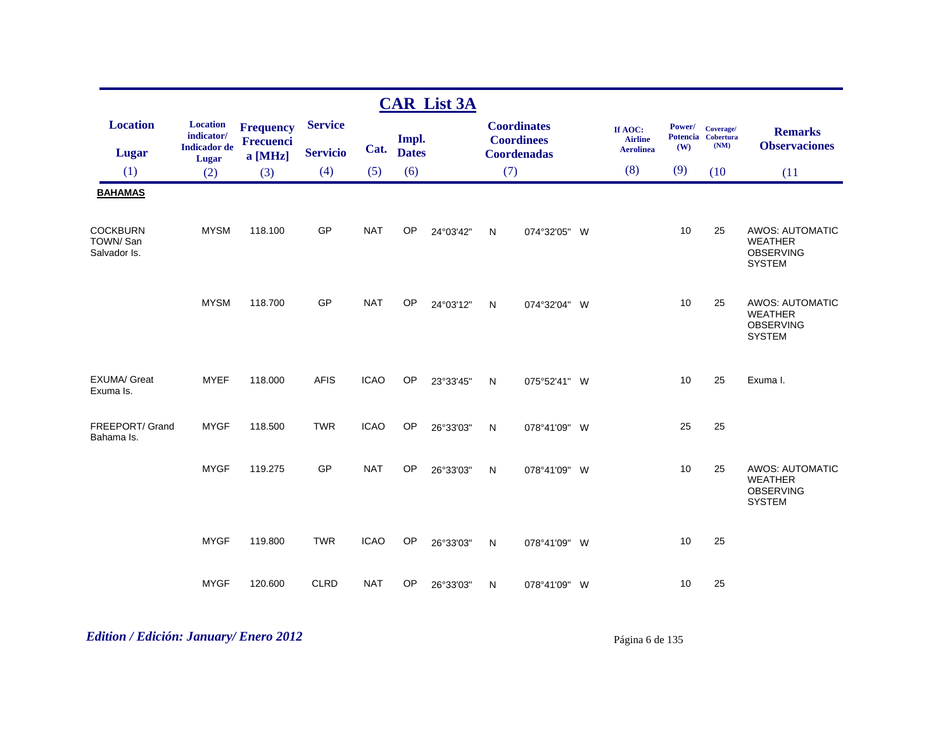|                                             |                                                               |                                          |                                   |             |                       | <b>CAR List 3A</b> |              |                                                               |                                               |               |                                         |                                                                               |
|---------------------------------------------|---------------------------------------------------------------|------------------------------------------|-----------------------------------|-------------|-----------------------|--------------------|--------------|---------------------------------------------------------------|-----------------------------------------------|---------------|-----------------------------------------|-------------------------------------------------------------------------------|
| <b>Location</b><br><b>Lugar</b>             | <b>Location</b><br>indicator/<br><b>Indicador</b> de<br>Lugar | <b>Frequency</b><br>Frecuenci<br>a [MHz] | <b>Service</b><br><b>Servicio</b> | Cat.        | Impl.<br><b>Dates</b> |                    |              | <b>Coordinates</b><br><b>Coordinees</b><br><b>Coordenadas</b> | If AOC:<br><b>Airline</b><br><b>Aerolinea</b> | Power/<br>(W) | Coverage/<br>Potencia Cobertura<br>(NM) | <b>Remarks</b><br><b>Observaciones</b>                                        |
| (1)                                         | (2)                                                           | (3)                                      | (4)                               | (5)         | (6)                   |                    | (7)          |                                                               | (8)                                           | (9)           | (10)                                    | (11)                                                                          |
| <b>BAHAMAS</b>                              |                                                               |                                          |                                   |             |                       |                    |              |                                                               |                                               |               |                                         |                                                                               |
| <b>COCKBURN</b><br>TOWN/San<br>Salvador Is. | <b>MYSM</b>                                                   | 118.100                                  | GP                                | <b>NAT</b>  | <b>OP</b>             | 24°03'42"          | N            | 074°32'05" W                                                  |                                               | 10            | 25                                      | <b>AWOS: AUTOMATIC</b><br><b>WEATHER</b><br><b>OBSERVING</b><br><b>SYSTEM</b> |
|                                             | <b>MYSM</b>                                                   | 118.700                                  | GP                                | <b>NAT</b>  | <b>OP</b>             | 24°03'12"          | N            | 074°32'04" W                                                  |                                               | 10            | 25                                      | <b>AWOS: AUTOMATIC</b><br><b>WEATHER</b><br><b>OBSERVING</b><br><b>SYSTEM</b> |
| <b>EXUMA/ Great</b><br>Exuma Is.            | <b>MYEF</b>                                                   | 118.000                                  | <b>AFIS</b>                       | <b>ICAO</b> | <b>OP</b>             | 23°33'45"          | N            | 075°52'41" W                                                  |                                               | 10            | 25                                      | Exuma I.                                                                      |
| FREEPORT/ Grand<br>Bahama Is.               | <b>MYGF</b>                                                   | 118.500                                  | <b>TWR</b>                        | <b>ICAO</b> | <b>OP</b>             | 26°33'03"          | $\mathsf{N}$ | 078°41'09" W                                                  |                                               | 25            | 25                                      |                                                                               |
|                                             | <b>MYGF</b>                                                   | 119.275                                  | GP                                | <b>NAT</b>  | <b>OP</b>             | 26°33'03"          | $\mathsf{N}$ | 078°41'09" W                                                  |                                               | 10            | 25                                      | <b>AWOS: AUTOMATIC</b><br><b>WEATHER</b><br><b>OBSERVING</b><br><b>SYSTEM</b> |
|                                             | <b>MYGF</b>                                                   | 119.800                                  | <b>TWR</b>                        | <b>ICAO</b> | OP                    | 26°33'03"          | N            | 078°41'09" W                                                  |                                               | 10            | 25                                      |                                                                               |
|                                             | <b>MYGF</b>                                                   | 120.600                                  | <b>CLRD</b>                       | <b>NAT</b>  | OP                    | 26°33'03"          | N            | 078°41'09" W                                                  |                                               | 10            | 25                                      |                                                                               |

*Edition / Edición: January/ Enero 2012* Página 6 de 135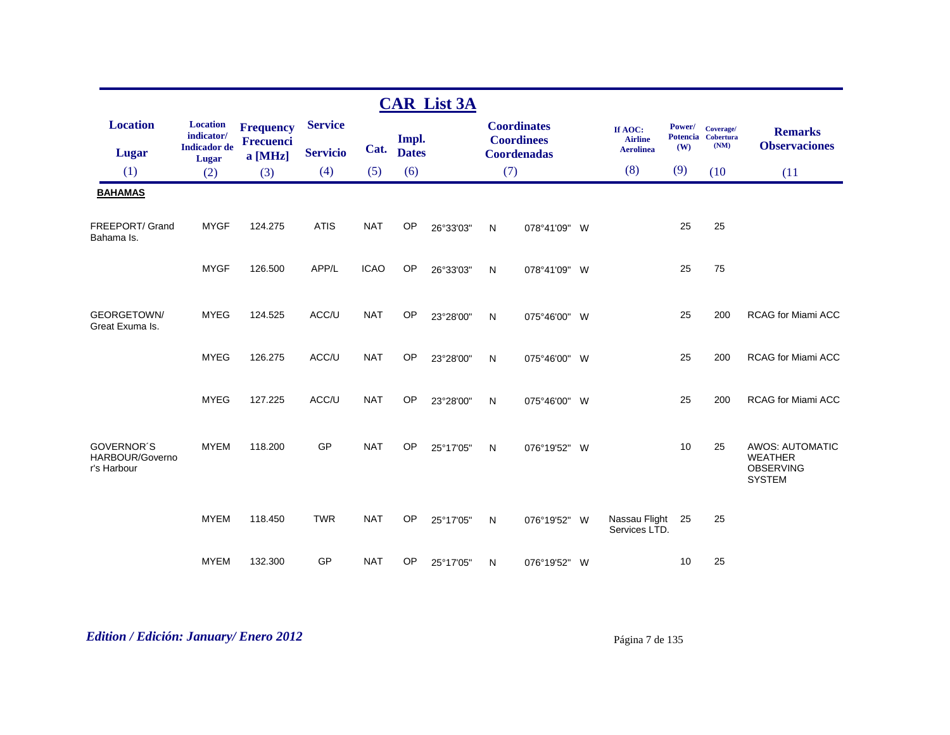|                                                     |                               |                                      |                 |             |              | <b>CAR List 3A</b> |     |                                         |                                |        |                                 |                                                                               |
|-----------------------------------------------------|-------------------------------|--------------------------------------|-----------------|-------------|--------------|--------------------|-----|-----------------------------------------|--------------------------------|--------|---------------------------------|-------------------------------------------------------------------------------|
| <b>Location</b>                                     | <b>Location</b><br>indicator/ | <b>Frequency</b><br><b>Frecuenci</b> | <b>Service</b>  |             | Impl.        |                    |     | <b>Coordinates</b><br><b>Coordinees</b> | If AOC:<br><b>Airline</b>      | Power/ | Coverage/<br>Potencia Cobertura | <b>Remarks</b>                                                                |
| <b>Lugar</b>                                        | <b>Indicador</b> de<br>Lugar  | a [MHz]                              | <b>Servicio</b> | Cat.        | <b>Dates</b> |                    |     | <b>Coordenadas</b>                      | <b>Aerolinea</b>               | (W)    | (NM)                            | <b>Observaciones</b>                                                          |
| (1)                                                 | (2)                           | (3)                                  | (4)             | (5)         | (6)          |                    | (7) |                                         | (8)                            | (9)    | (10)                            | (11)                                                                          |
| <b>BAHAMAS</b>                                      |                               |                                      |                 |             |              |                    |     |                                         |                                |        |                                 |                                                                               |
| FREEPORT/ Grand<br>Bahama Is.                       | <b>MYGF</b>                   | 124.275                              | <b>ATIS</b>     | <b>NAT</b>  | OP           | 26°33'03"          | N   | 078°41'09" W                            |                                | 25     | 25                              |                                                                               |
|                                                     | <b>MYGF</b>                   | 126,500                              | APP/L           | <b>ICAO</b> | <b>OP</b>    | 26°33'03"          | N   | 078°41'09" W                            |                                | 25     | 75                              |                                                                               |
| <b>GEORGETOWN/</b><br>Great Exuma Is.               | <b>MYEG</b>                   | 124.525                              | ACC/U           | <b>NAT</b>  | <b>OP</b>    | 23°28'00"          | N   | 075°46'00" W                            |                                | 25     | 200                             | <b>RCAG for Miami ACC</b>                                                     |
|                                                     | <b>MYEG</b>                   | 126.275                              | ACC/U           | <b>NAT</b>  | <b>OP</b>    | 23°28'00"          | N   | 075°46'00" W                            |                                | 25     | 200                             | <b>RCAG for Miami ACC</b>                                                     |
|                                                     | <b>MYEG</b>                   | 127.225                              | ACC/U           | <b>NAT</b>  | <b>OP</b>    | 23°28'00"          | N   | 075°46'00" W                            |                                | 25     | 200                             | <b>RCAG for Miami ACC</b>                                                     |
| <b>GOVERNOR'S</b><br>HARBOUR/Governo<br>r's Harbour | <b>MYEM</b>                   | 118,200                              | GP              | <b>NAT</b>  | <b>OP</b>    | 25°17'05"          | N   | 076°19'52" W                            |                                | 10     | 25                              | <b>AWOS: AUTOMATIC</b><br><b>WEATHER</b><br><b>OBSERVING</b><br><b>SYSTEM</b> |
|                                                     | <b>MYEM</b>                   | 118.450                              | <b>TWR</b>      | <b>NAT</b>  | <b>OP</b>    | 25°17'05"          | N   | 076°19'52" W                            | Nassau Flight<br>Services LTD. | 25     | 25                              |                                                                               |
|                                                     | <b>MYEM</b>                   | 132.300                              | GP              | <b>NAT</b>  | <b>OP</b>    | 25°17'05"          | N   | 076°19'52" W                            |                                | 10     | 25                              |                                                                               |

# *Edition / Edición: January/ Enero 2012* Página 7 de 135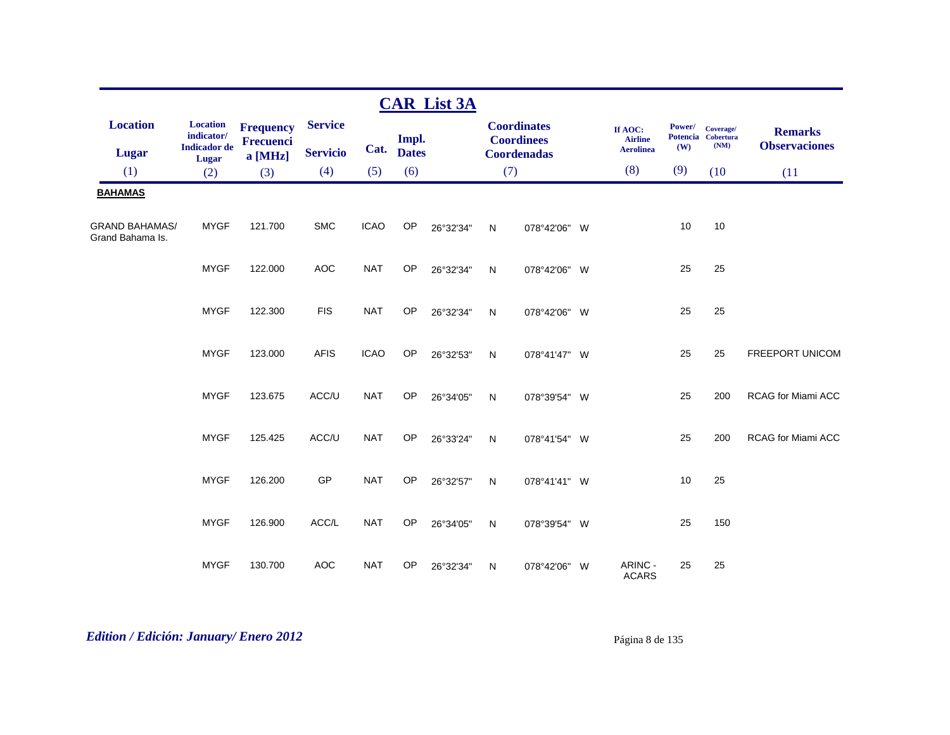|                                           |                               |                                      |                 |             |              | <b>CAR List 3A</b> |              |                                         |                           |        |                                 |                           |
|-------------------------------------------|-------------------------------|--------------------------------------|-----------------|-------------|--------------|--------------------|--------------|-----------------------------------------|---------------------------|--------|---------------------------------|---------------------------|
| <b>Location</b>                           | <b>Location</b><br>indicator/ | <b>Frequency</b><br><b>Frecuenci</b> | <b>Service</b>  |             | Impl.        |                    |              | <b>Coordinates</b><br><b>Coordinees</b> | If AOC:<br><b>Airline</b> | Power/ | Coverage/<br>Potencia Cobertura | <b>Remarks</b>            |
| <b>Lugar</b>                              | <b>Indicador</b> de<br>Lugar  | a [MHz]                              | <b>Servicio</b> | Cat.        | <b>Dates</b> |                    |              | <b>Coordenadas</b>                      | <b>Aerolinea</b>          | (W)    | (NM)                            | <b>Observaciones</b>      |
| (1)                                       | (2)                           | (3)                                  | (4)             | (5)         | (6)          |                    | (7)          |                                         | (8)                       | (9)    | (10)                            | (11)                      |
| <b>BAHAMAS</b>                            |                               |                                      |                 |             |              |                    |              |                                         |                           |        |                                 |                           |
| <b>GRAND BAHAMAS/</b><br>Grand Bahama Is. | <b>MYGF</b>                   | 121.700                              | <b>SMC</b>      | <b>ICAO</b> | OP           | 26°32'34"          | N            | 078°42'06" W                            |                           | 10     | 10                              |                           |
|                                           | <b>MYGF</b>                   | 122.000                              | <b>AOC</b>      | <b>NAT</b>  | OP           | 26°32'34"          | $\mathsf{N}$ | 078°42'06" W                            |                           | 25     | 25                              |                           |
|                                           | <b>MYGF</b>                   | 122.300                              | <b>FIS</b>      | <b>NAT</b>  | <b>OP</b>    | 26°32'34"          | $\mathsf{N}$ | 078°42'06" W                            |                           | 25     | 25                              |                           |
|                                           | <b>MYGF</b>                   | 123.000                              | <b>AFIS</b>     | <b>ICAO</b> | OP           | 26°32'53"          | ${\sf N}$    | 078°41'47" W                            |                           | 25     | 25                              | FREEPORT UNICOM           |
|                                           | <b>MYGF</b>                   | 123.675                              | ACC/U           | <b>NAT</b>  | OP           | 26°34'05"          | N            | 078°39'54" W                            |                           | 25     | 200                             | RCAG for Miami ACC        |
|                                           | <b>MYGF</b>                   | 125.425                              | ACC/U           | <b>NAT</b>  | OP           | 26°33'24"          | N            | 078°41'54" W                            |                           | 25     | 200                             | <b>RCAG for Miami ACC</b> |
|                                           | <b>MYGF</b>                   | 126.200                              | GP              | <b>NAT</b>  | OP           | 26°32'57"          | N            | 078°41'41" W                            |                           | 10     | 25                              |                           |
|                                           | <b>MYGF</b>                   | 126.900                              | ACC/L           | <b>NAT</b>  | OP           | 26°34'05"          | $\mathsf{N}$ | 078°39'54" W                            |                           | 25     | 150                             |                           |
|                                           | <b>MYGF</b>                   | 130.700                              | <b>AOC</b>      | <b>NAT</b>  | OP           | 26°32'34"          | N            | 078°42'06" W                            | ARINC -<br><b>ACARS</b>   | 25     | 25                              |                           |

# *Edition / Edición: January/ Enero 2012* Página 8 de 135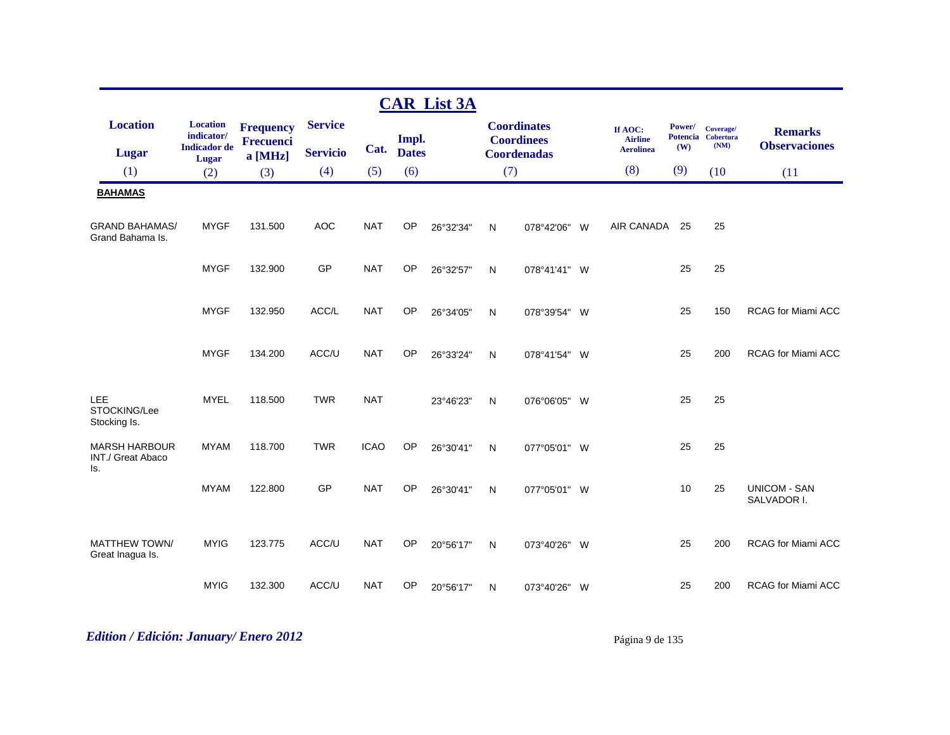|                                                  |                                                               |                                                 |                                   |             |                       | <b>CAR List 3A</b> |     |                                                               |                                               |                                  |                                       |                                        |
|--------------------------------------------------|---------------------------------------------------------------|-------------------------------------------------|-----------------------------------|-------------|-----------------------|--------------------|-----|---------------------------------------------------------------|-----------------------------------------------|----------------------------------|---------------------------------------|----------------------------------------|
| <b>Location</b><br><b>Lugar</b>                  | <b>Location</b><br>indicator/<br><b>Indicador</b> de<br>Lugar | <b>Frequency</b><br><b>Frecuenci</b><br>a [MHz] | <b>Service</b><br><b>Servicio</b> | Cat.        | Impl.<br><b>Dates</b> |                    |     | <b>Coordinates</b><br><b>Coordinees</b><br><b>Coordenadas</b> | If AOC:<br><b>Airline</b><br><b>Aerolinea</b> | Power/<br><b>Potencia</b><br>(W) | Coverage/<br><b>Cobertura</b><br>(NM) | <b>Remarks</b><br><b>Observaciones</b> |
| (1)                                              | (2)                                                           | (3)                                             | (4)                               | (5)         | (6)                   |                    | (7) |                                                               | (8)                                           | (9)                              | (10)                                  | (11)                                   |
| <b>BAHAMAS</b>                                   |                                                               |                                                 |                                   |             |                       |                    |     |                                                               |                                               |                                  |                                       |                                        |
| <b>GRAND BAHAMAS/</b><br>Grand Bahama Is.        | <b>MYGF</b>                                                   | 131.500                                         | <b>AOC</b>                        | <b>NAT</b>  | <b>OP</b>             | 26°32'34"          | N   | 078°42'06"                                                    | AIR CANADA<br><b>W</b>                        | 25                               | 25                                    |                                        |
|                                                  | <b>MYGF</b>                                                   | 132.900                                         | GP                                | <b>NAT</b>  | OP                    | 26°32'57"          | N   | 078°41'41" W                                                  |                                               | 25                               | 25                                    |                                        |
|                                                  | <b>MYGF</b>                                                   | 132.950                                         | ACC/L                             | <b>NAT</b>  | OP                    | 26°34'05"          | N   | 078°39'54" W                                                  |                                               | 25                               | 150                                   | <b>RCAG for Miami ACC</b>              |
|                                                  | <b>MYGF</b>                                                   | 134.200                                         | ACC/U                             | <b>NAT</b>  | <b>OP</b>             | 26°33'24"          | N   | 078°41'54" W                                                  |                                               | 25                               | 200                                   | RCAG for Miami ACC                     |
| LEE<br>STOCKING/Lee<br>Stocking Is.              | <b>MYEL</b>                                                   | 118.500                                         | <b>TWR</b>                        | <b>NAT</b>  |                       | 23°46'23"          | N   | 076°06'05" W                                                  |                                               | 25                               | 25                                    |                                        |
| <b>MARSH HARBOUR</b><br>INT./ Great Abaco<br>Is. | <b>MYAM</b>                                                   | 118.700                                         | <b>TWR</b>                        | <b>ICAO</b> | OP                    | 26°30'41"          | N   | 077°05'01" W                                                  |                                               | 25                               | 25                                    |                                        |
|                                                  | <b>MYAM</b>                                                   | 122.800                                         | GP                                | <b>NAT</b>  | OP                    | 26°30'41"          | N   | 077°05'01" W                                                  |                                               | 10                               | 25                                    | <b>UNICOM - SAN</b><br>SALVADOR I.     |
| <b>MATTHEW TOWN/</b><br>Great Inagua Is.         | <b>MYIG</b>                                                   | 123.775                                         | ACC/U                             | <b>NAT</b>  | OP                    | 20°56'17"          | N   | 073°40'26" W                                                  |                                               | 25                               | 200                                   | RCAG for Miami ACC                     |
|                                                  | <b>MYIG</b>                                                   | 132.300                                         | ACC/U                             | <b>NAT</b>  | OP                    | 20°56'17"          | N   | 073°40'26" W                                                  |                                               | 25                               | 200                                   | <b>RCAG for Miami ACC</b>              |

# *Edition / Edición: January/ Enero 2012* Página 9 de 135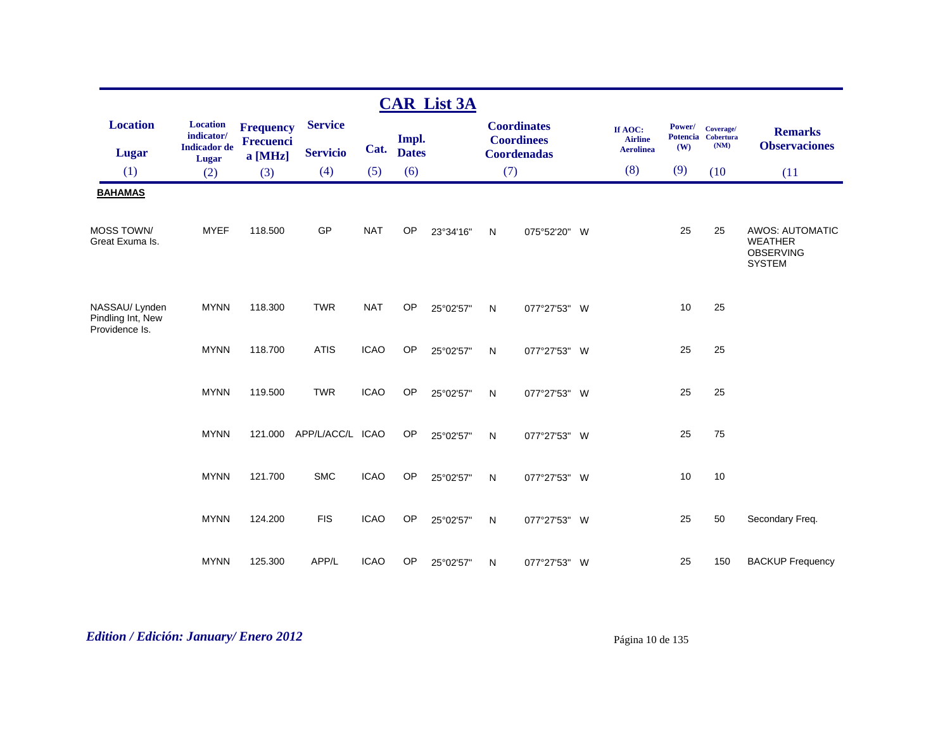|                                                      |                                                      |                               |                          |             |              | <b>CAR List 3A</b> |     |                                         |                                               |               |                                         |                                                                               |
|------------------------------------------------------|------------------------------------------------------|-------------------------------|--------------------------|-------------|--------------|--------------------|-----|-----------------------------------------|-----------------------------------------------|---------------|-----------------------------------------|-------------------------------------------------------------------------------|
| <b>Location</b>                                      | <b>Location</b><br>indicator/<br><b>Indicador</b> de | <b>Frequency</b><br>Frecuenci | <b>Service</b>           | Cat.        | Impl.        |                    |     | <b>Coordinates</b><br><b>Coordinees</b> | If AOC:<br><b>Airline</b><br><b>Aerolinea</b> | Power/<br>(W) | Coverage/<br>Potencia Cobertura<br>(NM) | <b>Remarks</b><br><b>Observaciones</b>                                        |
| <b>Lugar</b>                                         | Lugar                                                | $a$ [MHz]                     | <b>Servicio</b>          |             | <b>Dates</b> |                    |     | <b>Coordenadas</b>                      |                                               |               |                                         |                                                                               |
| (1)                                                  | (2)                                                  | (3)                           | (4)                      | (5)         | (6)          |                    | (7) |                                         | (8)                                           | (9)           | (10)                                    | (11)                                                                          |
| <b>BAHAMAS</b>                                       |                                                      |                               |                          |             |              |                    |     |                                         |                                               |               |                                         |                                                                               |
| <b>MOSS TOWN/</b><br>Great Exuma Is.                 | <b>MYEF</b>                                          | 118,500                       | GP                       | <b>NAT</b>  | OP           | 23°34'16"          | N   | 075°52'20" W                            |                                               | 25            | 25                                      | <b>AWOS: AUTOMATIC</b><br><b>WEATHER</b><br><b>OBSERVING</b><br><b>SYSTEM</b> |
| NASSAU/Lynden<br>Pindling Int, New<br>Providence Is. | <b>MYNN</b>                                          | 118.300                       | <b>TWR</b>               | <b>NAT</b>  | <b>OP</b>    | 25°02'57"          | N   | 077°27'53" W                            |                                               | 10            | 25                                      |                                                                               |
|                                                      | <b>MYNN</b>                                          | 118.700                       | <b>ATIS</b>              | <b>ICAO</b> | OP           | 25°02'57"          | N   | 077°27'53" W                            |                                               | 25            | 25                                      |                                                                               |
|                                                      | <b>MYNN</b>                                          | 119.500                       | <b>TWR</b>               | <b>ICAO</b> | <b>OP</b>    | 25°02'57"          | N   | 077°27'53" W                            |                                               | 25            | 25                                      |                                                                               |
|                                                      | <b>MYNN</b>                                          |                               | 121.000 APP/L/ACC/L ICAO |             | OP           | 25°02'57"          | N   | 077°27'53" W                            |                                               | 25            | 75                                      |                                                                               |
|                                                      | <b>MYNN</b>                                          | 121.700                       | <b>SMC</b>               | <b>ICAO</b> | OP           | 25°02'57"          | N   | 077°27'53" W                            |                                               | 10            | 10                                      |                                                                               |
|                                                      | <b>MYNN</b>                                          | 124.200                       | <b>FIS</b>               | <b>ICAO</b> | OP           | 25°02'57"          | N   | 077°27'53" W                            |                                               | 25            | 50                                      | Secondary Freq.                                                               |
|                                                      | <b>MYNN</b>                                          | 125.300                       | APP/L                    | <b>ICAO</b> | OP           | 25°02'57"          | N   | 077°27'53" W                            |                                               | 25            | 150                                     | <b>BACKUP Frequency</b>                                                       |

# *Edition / Edición: January/ Enero 2012* Página 10 de 135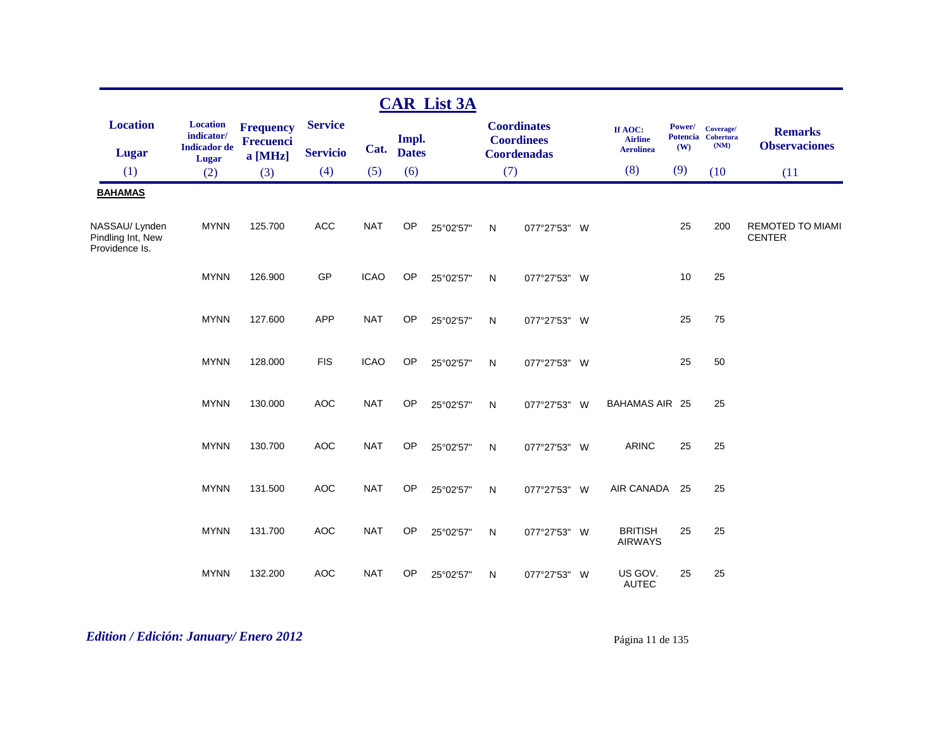|                                                      |                                                               |                                          |                                   |             |                       | <b>CAR List 3A</b> |              |                                                               |                                               |               |                                         |                                          |
|------------------------------------------------------|---------------------------------------------------------------|------------------------------------------|-----------------------------------|-------------|-----------------------|--------------------|--------------|---------------------------------------------------------------|-----------------------------------------------|---------------|-----------------------------------------|------------------------------------------|
| <b>Location</b><br><b>Lugar</b>                      | <b>Location</b><br>indicator/<br><b>Indicador</b> de<br>Lugar | <b>Frequency</b><br>Frecuenci<br>a [MHz] | <b>Service</b><br><b>Servicio</b> | Cat.        | Impl.<br><b>Dates</b> |                    |              | <b>Coordinates</b><br><b>Coordinees</b><br><b>Coordenadas</b> | If AOC:<br><b>Airline</b><br><b>Aerolinea</b> | Power/<br>(W) | Coverage/<br>Potencia Cobertura<br>(NM) | <b>Remarks</b><br><b>Observaciones</b>   |
| (1)                                                  | (2)                                                           | (3)                                      | (4)                               | (5)         | (6)                   |                    | (7)          |                                                               | (8)                                           | (9)           | (10)                                    | (11)                                     |
| <b>BAHAMAS</b>                                       |                                                               |                                          |                                   |             |                       |                    |              |                                                               |                                               |               |                                         |                                          |
| NASSAU/Lynden<br>Pindling Int, New<br>Providence Is. | <b>MYNN</b>                                                   | 125.700                                  | <b>ACC</b>                        | <b>NAT</b>  | OP                    | 25°02'57"          | $\mathsf{N}$ | 077°27'53" W                                                  |                                               | 25            | 200                                     | <b>REMOTED TO MIAMI</b><br><b>CENTER</b> |
|                                                      | <b>MYNN</b>                                                   | 126.900                                  | GP                                | <b>ICAO</b> | OP                    | 25°02'57"          | $\mathsf{N}$ | 077°27'53" W                                                  |                                               | 10            | 25                                      |                                          |
|                                                      | <b>MYNN</b>                                                   | 127.600                                  | <b>APP</b>                        | <b>NAT</b>  | OP                    | 25°02'57"          | N            | 077°27'53" W                                                  |                                               | 25            | 75                                      |                                          |
|                                                      | <b>MYNN</b>                                                   | 128.000                                  | <b>FIS</b>                        | <b>ICAO</b> | OP                    | 25°02'57"          | N            | 077°27'53" W                                                  |                                               | 25            | 50                                      |                                          |
|                                                      | <b>MYNN</b>                                                   | 130.000                                  | <b>AOC</b>                        | <b>NAT</b>  | OP                    | 25°02'57"          | N            | 077°27'53" W                                                  | <b>BAHAMAS AIR 25</b>                         |               | 25                                      |                                          |
|                                                      | <b>MYNN</b>                                                   | 130.700                                  | <b>AOC</b>                        | <b>NAT</b>  | OP                    | 25°02'57"          | $\mathsf{N}$ | 077°27'53" W                                                  | <b>ARINC</b>                                  | 25            | 25                                      |                                          |
|                                                      | <b>MYNN</b>                                                   | 131.500                                  | <b>AOC</b>                        | <b>NAT</b>  | OP                    | 25°02'57"          | N            | 077°27'53" W                                                  | AIR CANADA                                    | -25           | 25                                      |                                          |
|                                                      | <b>MYNN</b>                                                   | 131.700                                  | <b>AOC</b>                        | <b>NAT</b>  | OP                    | 25°02'57"          | N            | 077°27'53" W                                                  | <b>BRITISH</b><br><b>AIRWAYS</b>              | 25            | 25                                      |                                          |
|                                                      | <b>MYNN</b>                                                   | 132.200                                  | <b>AOC</b>                        | <b>NAT</b>  | OP                    | 25°02'57"          | N            | 077°27'53" W                                                  | US GOV.<br><b>AUTEC</b>                       | 25            | 25                                      |                                          |

# *Edition / Edición: January/ Enero 2012* Página 11 de 135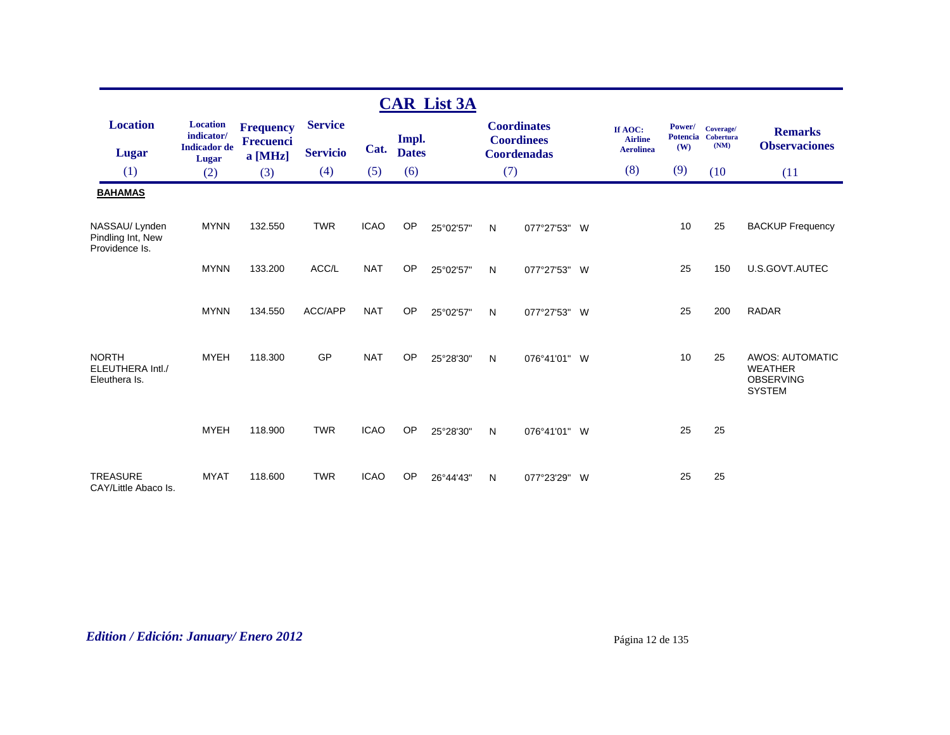|                                                      |                                                      |                                      |                                   |             |                       | <b>CAR List 3A</b> |              |                                                               |                                               |               |                                         |                                                                               |
|------------------------------------------------------|------------------------------------------------------|--------------------------------------|-----------------------------------|-------------|-----------------------|--------------------|--------------|---------------------------------------------------------------|-----------------------------------------------|---------------|-----------------------------------------|-------------------------------------------------------------------------------|
| <b>Location</b><br><b>Lugar</b>                      | <b>Location</b><br>indicator/<br><b>Indicador</b> de | <b>Frequency</b><br><b>Frecuenci</b> | <b>Service</b><br><b>Servicio</b> | Cat.        | Impl.<br><b>Dates</b> |                    |              | <b>Coordinates</b><br><b>Coordinees</b><br><b>Coordenadas</b> | If AOC:<br><b>Airline</b><br><b>Aerolinea</b> | Power/<br>(W) | Coverage/<br>Potencia Cobertura<br>(NM) | <b>Remarks</b><br><b>Observaciones</b>                                        |
| (1)                                                  | Lugar<br>(2)                                         | a [MHz]<br>(3)                       | (4)                               | (5)         | (6)                   |                    |              | (7)                                                           | (8)                                           | (9)           | (10)                                    | (11)                                                                          |
| <b>BAHAMAS</b>                                       |                                                      |                                      |                                   |             |                       |                    |              |                                                               |                                               |               |                                         |                                                                               |
| NASSAU/Lynden<br>Pindling Int, New<br>Providence Is. | <b>MYNN</b>                                          | 132.550                              | <b>TWR</b>                        | <b>ICAO</b> | <b>OP</b>             | 25°02'57"          | N            | 077°27'53" W                                                  |                                               | 10            | 25                                      | <b>BACKUP Frequency</b>                                                       |
|                                                      | <b>MYNN</b>                                          | 133.200                              | ACC/L                             | <b>NAT</b>  | OP                    | 25°02'57"          | $\mathsf{N}$ | 077°27'53" W                                                  |                                               | 25            | 150                                     | U.S.GOVT.AUTEC                                                                |
|                                                      | <b>MYNN</b>                                          | 134.550                              | ACC/APP                           | <b>NAT</b>  | <b>OP</b>             | 25°02'57"          | N            | 077°27'53" W                                                  |                                               | 25            | 200                                     | <b>RADAR</b>                                                                  |
| <b>NORTH</b><br>ELEUTHERA Intl./<br>Eleuthera Is.    | <b>MYEH</b>                                          | 118,300                              | GP                                | <b>NAT</b>  | OP                    | 25°28'30"          | $\mathsf{N}$ | 076°41'01" W                                                  |                                               | 10            | 25                                      | <b>AWOS: AUTOMATIC</b><br><b>WEATHER</b><br><b>OBSERVING</b><br><b>SYSTEM</b> |
|                                                      | <b>MYEH</b>                                          | 118.900                              | <b>TWR</b>                        | <b>ICAO</b> | OP                    | 25°28'30"          | N            | 076°41'01" W                                                  |                                               | 25            | 25                                      |                                                                               |
| <b>TREASURE</b><br>CAY/Little Abaco Is.              | <b>MYAT</b>                                          | 118,600                              | <b>TWR</b>                        | <b>ICAO</b> | OP                    | 26°44'43"          | N            | 077°23'29"<br>W                                               |                                               | 25            | 25                                      |                                                                               |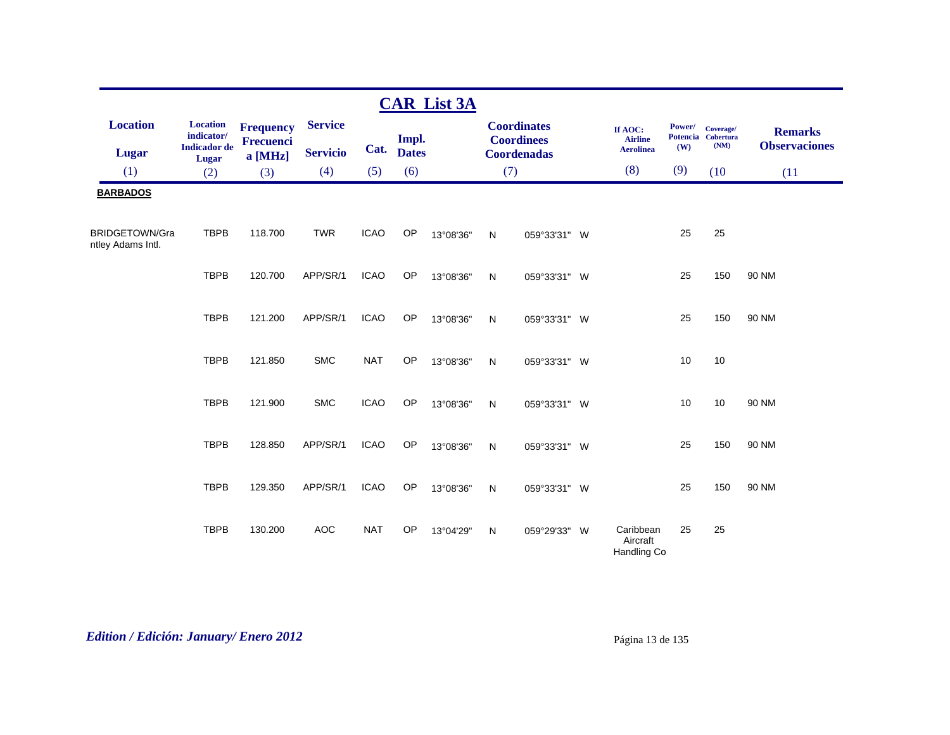|                                            |                                                      |                               |                                   |             |                       | <b>CAR List 3A</b> |     |                                                               |                                               |               |                                         |                                        |
|--------------------------------------------|------------------------------------------------------|-------------------------------|-----------------------------------|-------------|-----------------------|--------------------|-----|---------------------------------------------------------------|-----------------------------------------------|---------------|-----------------------------------------|----------------------------------------|
| <b>Location</b><br><b>Lugar</b>            | <b>Location</b><br>indicator/<br><b>Indicador</b> de | <b>Frequency</b><br>Frecuenci | <b>Service</b><br><b>Servicio</b> | Cat.        | Impl.<br><b>Dates</b> |                    |     | <b>Coordinates</b><br><b>Coordinees</b><br><b>Coordenadas</b> | If AOC:<br><b>Airline</b><br><b>Aerolinea</b> | Power/<br>(W) | Coverage/<br>Potencia Cobertura<br>(NM) | <b>Remarks</b><br><b>Observaciones</b> |
| (1)                                        | Lugar<br>(2)                                         | a [MHz]<br>(3)                | (4)                               | (5)         | (6)                   |                    | (7) |                                                               | (8)                                           | (9)           | (10)                                    | (11)                                   |
| <b>BARBADOS</b>                            |                                                      |                               |                                   |             |                       |                    |     |                                                               |                                               |               |                                         |                                        |
| <b>BRIDGETOWN/Gra</b><br>ntley Adams Intl. | <b>TBPB</b>                                          | 118.700                       | <b>TWR</b>                        | <b>ICAO</b> | OP                    | 13°08'36"          | N   | 059°33'31" W                                                  |                                               | 25            | 25                                      |                                        |
|                                            | <b>TBPB</b>                                          | 120.700                       | APP/SR/1                          | <b>ICAO</b> | OP                    | 13°08'36"          | N   | 059°33'31" W                                                  |                                               | 25            | 150                                     | 90 NM                                  |
|                                            | <b>TBPB</b>                                          | 121.200                       | APP/SR/1                          | <b>ICAO</b> | OP                    | 13°08'36"          | N   | 059°33'31" W                                                  |                                               | 25            | 150                                     | 90 NM                                  |
|                                            | <b>TBPB</b>                                          | 121.850                       | <b>SMC</b>                        | <b>NAT</b>  | OP                    | 13°08'36"          | N   | 059°33'31" W                                                  |                                               | 10            | 10                                      |                                        |
|                                            | <b>TBPB</b>                                          | 121.900                       | <b>SMC</b>                        | <b>ICAO</b> | OP                    | 13°08'36"          | N   | 059°33'31" W                                                  |                                               | 10            | 10                                      | 90 NM                                  |
|                                            | <b>TBPB</b>                                          | 128.850                       | APP/SR/1                          | <b>ICAO</b> | OP                    | 13°08'36"          | N   | 059°33'31" W                                                  |                                               | 25            | 150                                     | 90 NM                                  |
|                                            | <b>TBPB</b>                                          | 129.350                       | APP/SR/1                          | <b>ICAO</b> | OP                    | 13°08'36"          | N   | 059°33'31" W                                                  |                                               | 25            | 150                                     | 90 NM                                  |
|                                            | <b>TBPB</b>                                          | 130.200                       | <b>AOC</b>                        | <b>NAT</b>  | OP                    | 13°04'29"          | N   | 059°29'33" W                                                  | Caribbean<br>Aircraft<br>Handling Co          | 25            | 25                                      |                                        |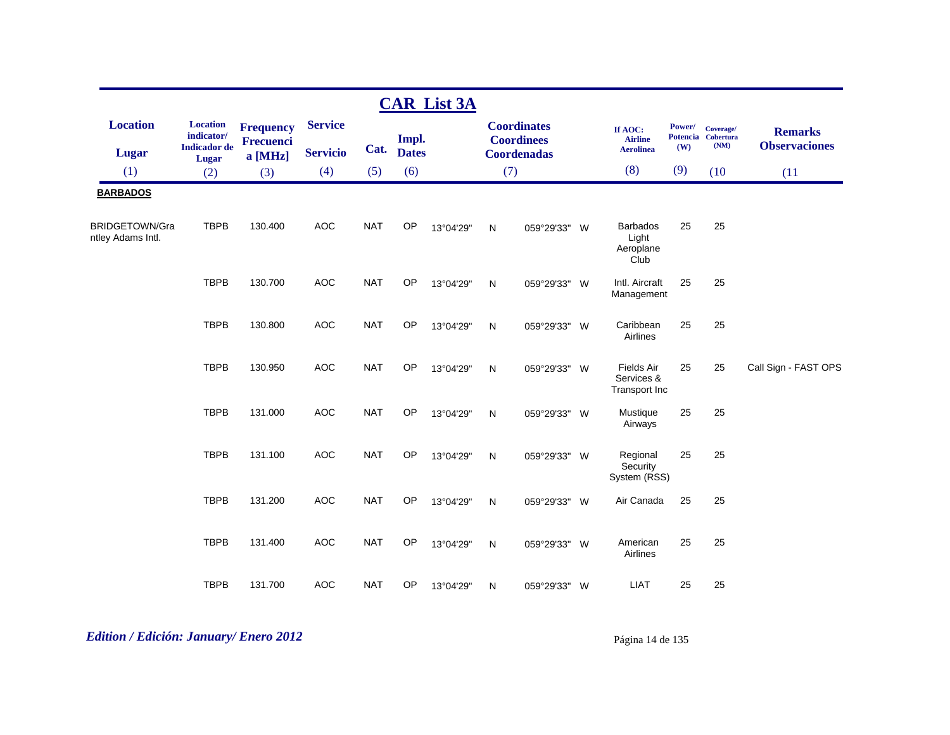|                                            |                                                                      |                                          |                                   |            |                       | <b>CAR List 3A</b> |              |                                                               |   |                                                  |               |                                         |                                        |
|--------------------------------------------|----------------------------------------------------------------------|------------------------------------------|-----------------------------------|------------|-----------------------|--------------------|--------------|---------------------------------------------------------------|---|--------------------------------------------------|---------------|-----------------------------------------|----------------------------------------|
| <b>Location</b><br><b>Lugar</b>            | <b>Location</b><br>indicator/<br><b>Indicador</b> de<br><b>Lugar</b> | <b>Frequency</b><br>Frecuenci<br>a [MHz] | <b>Service</b><br><b>Servicio</b> | Cat.       | Impl.<br><b>Dates</b> |                    |              | <b>Coordinates</b><br><b>Coordinees</b><br><b>Coordenadas</b> |   | If AOC:<br><b>Airline</b><br><b>Aerolinea</b>    | Power/<br>(W) | Coverage/<br>Potencia Cobertura<br>(NM) | <b>Remarks</b><br><b>Observaciones</b> |
| (1)                                        | (2)                                                                  | (3)                                      | (4)                               | (5)        | (6)                   |                    |              | (7)                                                           |   | (8)                                              | (9)           | (10)                                    | (11)                                   |
| <b>BARBADOS</b>                            |                                                                      |                                          |                                   |            |                       |                    |              |                                                               |   |                                                  |               |                                         |                                        |
| <b>BRIDGETOWN/Gra</b><br>ntley Adams Intl. | <b>TBPB</b>                                                          | 130.400                                  | <b>AOC</b>                        | <b>NAT</b> | OP                    | 13°04'29"          | $\mathsf{N}$ | 059°29'33"                                                    | W | <b>Barbados</b><br>Light<br>Aeroplane<br>Club    | 25            | 25                                      |                                        |
|                                            | <b>TBPB</b>                                                          | 130.700                                  | <b>AOC</b>                        | <b>NAT</b> | OP                    | 13°04'29"          | $\mathsf{N}$ | 059°29'33"                                                    | W | Intl. Aircraft<br>Management                     | 25            | 25                                      |                                        |
|                                            | <b>TBPB</b>                                                          | 130.800                                  | <b>AOC</b>                        | <b>NAT</b> | OP                    | 13°04'29"          | N            | 059°29'33"                                                    | W | Caribbean<br>Airlines                            | 25            | 25                                      |                                        |
|                                            | <b>TBPB</b>                                                          | 130.950                                  | <b>AOC</b>                        | <b>NAT</b> | OP                    | 13°04'29"          | N            | 059°29'33"                                                    | W | <b>Fields Air</b><br>Services &<br>Transport Inc | 25            | 25                                      | Call Sign - FAST OPS                   |
|                                            | <b>TBPB</b>                                                          | 131.000                                  | <b>AOC</b>                        | <b>NAT</b> | OP                    | 13°04'29"          | $\mathsf{N}$ | 059°29'33"                                                    | W | Mustique<br>Airways                              | 25            | 25                                      |                                        |
|                                            | <b>TBPB</b>                                                          | 131.100                                  | <b>AOC</b>                        | <b>NAT</b> | OP                    | 13°04'29"          | N            | 059°29'33"                                                    | W | Regional<br>Security<br>System (RSS)             | 25            | 25                                      |                                        |
|                                            | <b>TBPB</b>                                                          | 131.200                                  | <b>AOC</b>                        | <b>NAT</b> | OP                    | 13°04'29"          | N            | 059°29'33"                                                    | W | Air Canada                                       | 25            | 25                                      |                                        |
|                                            | <b>TBPB</b>                                                          | 131.400                                  | <b>AOC</b>                        | <b>NAT</b> | OP                    | 13°04'29"          | N            | 059°29'33"                                                    | W | American<br>Airlines                             | 25            | 25                                      |                                        |
|                                            | <b>TBPB</b>                                                          | 131.700                                  | <b>AOC</b>                        | <b>NAT</b> | OP                    | 13°04'29"          | N            | 059°29'33"                                                    | W | <b>LIAT</b>                                      | 25            | 25                                      |                                        |

*Edition / Edición: January/ Enero 2012* Página 14 de 135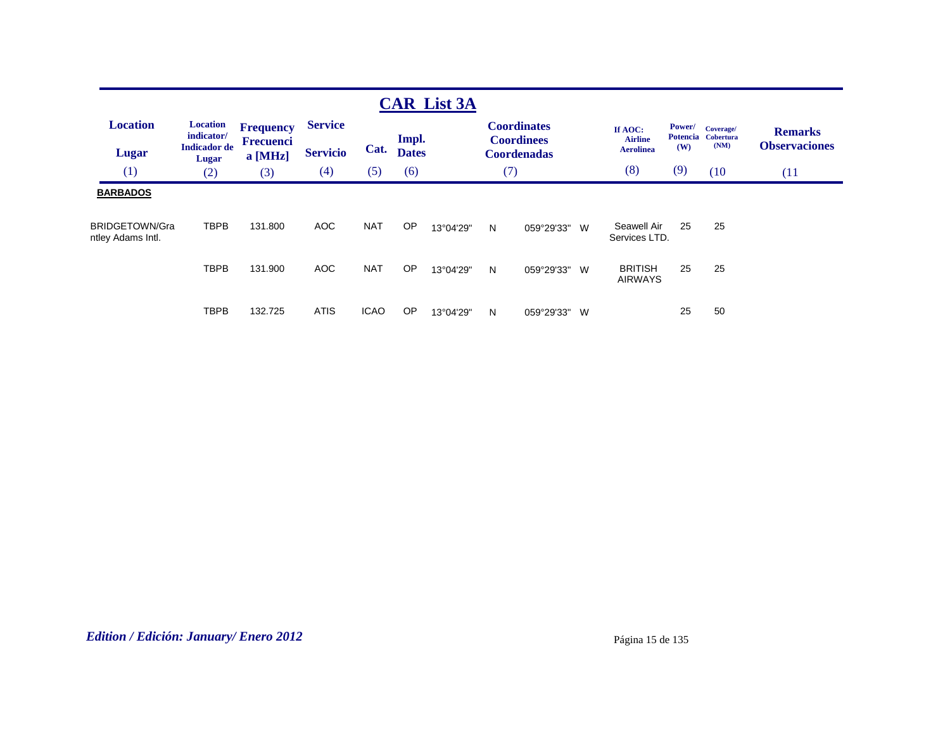|                                                        |                                                               |                                                   |                                   |                          |                       | <b>CAR List 3A</b>     |        |                                                               |                                                |                                         |                                       |                                        |
|--------------------------------------------------------|---------------------------------------------------------------|---------------------------------------------------|-----------------------------------|--------------------------|-----------------------|------------------------|--------|---------------------------------------------------------------|------------------------------------------------|-----------------------------------------|---------------------------------------|----------------------------------------|
| <b>Location</b><br><b>Lugar</b>                        | <b>Location</b><br>indicator/<br><b>Indicador</b> de<br>Lugar | <b>Frequency</b><br><b>Frecuenci</b><br>$a$ [MHz] | <b>Service</b><br><b>Servicio</b> | Cat.                     | Impl.<br><b>Dates</b> |                        |        | <b>Coordinates</b><br><b>Coordinees</b><br><b>Coordenadas</b> | If AOC:<br><b>Airline</b><br><b>Aerolinea</b>  | <b>Power/</b><br><b>Potencia</b><br>(W) | Coverage/<br><b>Cobertura</b><br>(NM) | <b>Remarks</b><br><b>Observaciones</b> |
| (1)                                                    | (2)                                                           | (3)                                               | (4)                               | (5)                      | (6)                   |                        | (7)    |                                                               | (8)                                            | (9)                                     | (10)                                  | (11)                                   |
| <b>BARBADOS</b><br>BRIDGETOWN/Gra<br>ntley Adams Intl. | <b>TBPB</b><br><b>TBPB</b>                                    | 131.800<br>131.900                                | <b>AOC</b><br><b>AOC</b>          | <b>NAT</b><br><b>NAT</b> | OP<br><b>OP</b>       | 13°04'29"<br>13°04'29" | N<br>N | 059°29'33" W<br>059°29'33" W                                  | Seawell Air<br>Services LTD.<br><b>BRITISH</b> | 25<br>25                                | 25<br>25                              |                                        |
|                                                        | <b>TBPB</b>                                                   | 132.725                                           | <b>ATIS</b>                       | <b>ICAO</b>              | OP                    | 13°04'29"              | N      | 059°29'33" W                                                  | <b>AIRWAYS</b>                                 | 25                                      | 50                                    |                                        |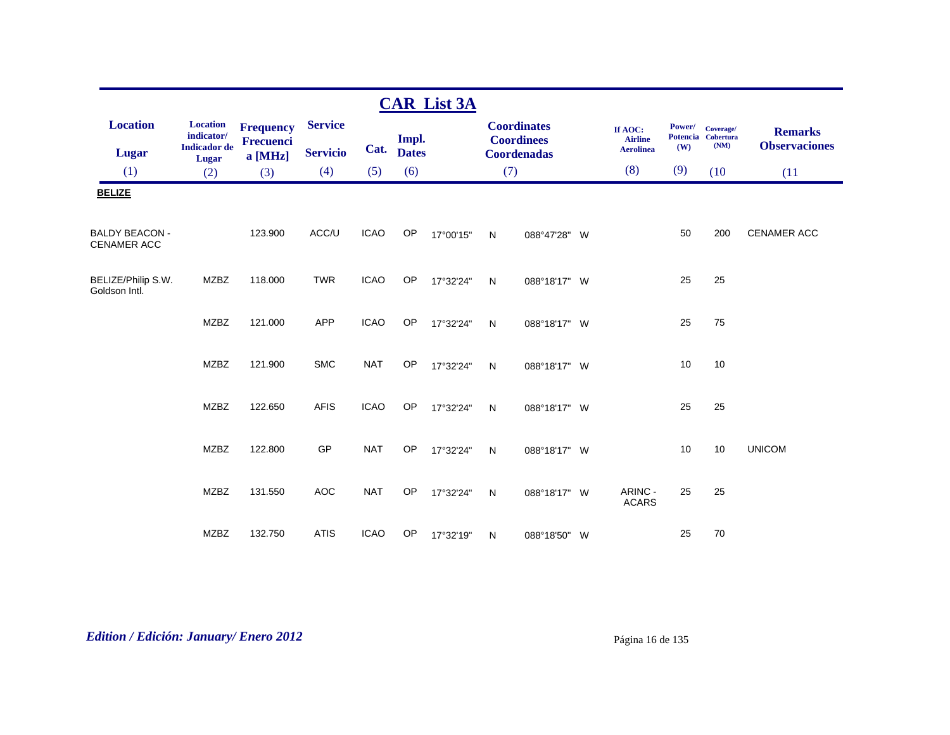|                                             |                                                      |                                      |                                   |             |                       | <b>CAR List 3A</b> |              |                                                               |                                               |               |                                         |                                        |
|---------------------------------------------|------------------------------------------------------|--------------------------------------|-----------------------------------|-------------|-----------------------|--------------------|--------------|---------------------------------------------------------------|-----------------------------------------------|---------------|-----------------------------------------|----------------------------------------|
| <b>Location</b><br><b>Lugar</b>             | <b>Location</b><br>indicator/<br><b>Indicador</b> de | <b>Frequency</b><br><b>Frecuenci</b> | <b>Service</b><br><b>Servicio</b> | Cat.        | Impl.<br><b>Dates</b> |                    |              | <b>Coordinates</b><br><b>Coordinees</b><br><b>Coordenadas</b> | If AOC:<br><b>Airline</b><br><b>Aerolinea</b> | Power/<br>(W) | Coverage/<br>Potencia Cobertura<br>(NM) | <b>Remarks</b><br><b>Observaciones</b> |
| (1)                                         | Lugar<br>(2)                                         | a [MHz]<br>(3)                       | (4)                               | (5)         | (6)                   |                    | (7)          |                                                               | (8)                                           | (9)           | (10)                                    | (11)                                   |
| <b>BELIZE</b>                               |                                                      |                                      |                                   |             |                       |                    |              |                                                               |                                               |               |                                         |                                        |
| <b>BALDY BEACON -</b><br><b>CENAMER ACC</b> |                                                      | 123.900                              | ACC/U                             | <b>ICAO</b> | OP                    | 17°00'15"          | N            | 088°47'28" W                                                  |                                               | 50            | 200                                     | <b>CENAMER ACC</b>                     |
| BELIZE/Philip S.W.<br>Goldson Intl.         | <b>MZBZ</b>                                          | 118.000                              | <b>TWR</b>                        | <b>ICAO</b> | OP                    | 17°32'24"          | N            | 088°18'17" W                                                  |                                               | 25            | 25                                      |                                        |
|                                             | <b>MZBZ</b>                                          | 121.000                              | <b>APP</b>                        | <b>ICAO</b> | <b>OP</b>             | 17°32'24"          | $\mathsf{N}$ | 088°18'17" W                                                  |                                               | 25            | 75                                      |                                        |
|                                             | <b>MZBZ</b>                                          | 121.900                              | <b>SMC</b>                        | <b>NAT</b>  | OP                    | 17°32'24"          | N            | 088°18'17" W                                                  |                                               | 10            | 10                                      |                                        |
|                                             | <b>MZBZ</b>                                          | 122.650                              | <b>AFIS</b>                       | <b>ICAO</b> | OP                    | 17°32'24"          | $\mathsf{N}$ | 088°18'17" W                                                  |                                               | 25            | 25                                      |                                        |
|                                             | <b>MZBZ</b>                                          | 122.800                              | GP                                | <b>NAT</b>  | OP                    | 17°32'24"          | $\mathsf{N}$ | 088°18'17" W                                                  |                                               | 10            | 10                                      | <b>UNICOM</b>                          |
|                                             | <b>MZBZ</b>                                          | 131.550                              | <b>AOC</b>                        | <b>NAT</b>  | OP                    | 17°32'24"          | N            | 088°18'17" W                                                  | ARINC -<br><b>ACARS</b>                       | 25            | 25                                      |                                        |
|                                             | <b>MZBZ</b>                                          | 132.750                              | <b>ATIS</b>                       | <b>ICAO</b> | OP                    | 17°32'19"          | N            | 088°18'50" W                                                  |                                               | 25            | 70                                      |                                        |

*Edition / Edición: January/ Enero 2012* Página 16 de 135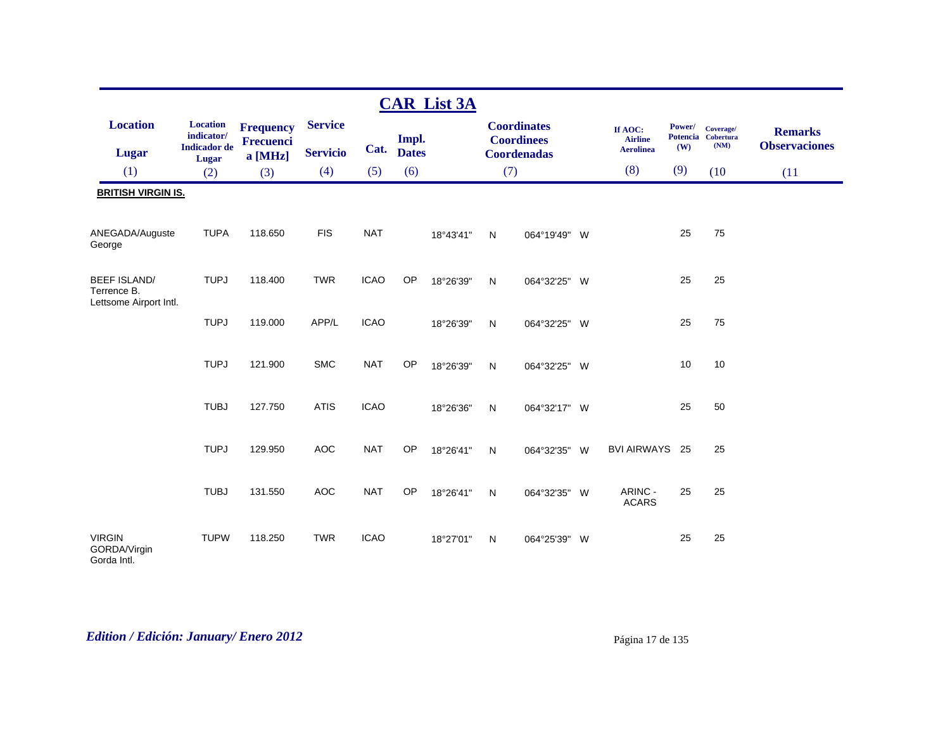|                                                              |                                                      |                               |                 |             |              | <b>CAR List 3A</b> |              |                                         |                           |               |                                         |                                        |
|--------------------------------------------------------------|------------------------------------------------------|-------------------------------|-----------------|-------------|--------------|--------------------|--------------|-----------------------------------------|---------------------------|---------------|-----------------------------------------|----------------------------------------|
| <b>Location</b>                                              | <b>Location</b><br>indicator/<br><b>Indicador</b> de | <b>Frequency</b><br>Frecuenci | <b>Service</b>  |             | Impl.        |                    |              | <b>Coordinates</b><br><b>Coordinees</b> | If AOC:<br><b>Airline</b> | Power/<br>(W) | Coverage/<br>Potencia Cobertura<br>(NM) | <b>Remarks</b><br><b>Observaciones</b> |
| Lugar                                                        | Lugar                                                | a [MHz]                       | <b>Servicio</b> | Cat.        | <b>Dates</b> |                    |              | <b>Coordenadas</b>                      | <b>Aerolinea</b>          |               |                                         |                                        |
| (1)                                                          | (2)                                                  | (3)                           | (4)             | (5)         | (6)          |                    | (7)          |                                         | (8)                       | (9)           | (10)                                    | (11)                                   |
| <b>BRITISH VIRGIN IS.</b>                                    |                                                      |                               |                 |             |              |                    |              |                                         |                           |               |                                         |                                        |
| ANEGADA/Auguste<br>George                                    | <b>TUPA</b>                                          | 118.650                       | <b>FIS</b>      | <b>NAT</b>  |              | 18°43'41"          | N            | 064°19'49" W                            |                           | 25            | 75                                      |                                        |
| <b>BEEF ISLAND/</b><br>Terrence B.<br>Lettsome Airport Intl. | <b>TUPJ</b>                                          | 118,400                       | <b>TWR</b>      | <b>ICAO</b> | OP           | 18°26'39"          | $\mathsf{N}$ | 064°32'25" W                            |                           | 25            | 25                                      |                                        |
|                                                              | <b>TUPJ</b>                                          | 119.000                       | APP/L           | <b>ICAO</b> |              | 18°26'39"          | N            | 064°32'25" W                            |                           | 25            | 75                                      |                                        |
|                                                              | <b>TUPJ</b>                                          | 121.900                       | <b>SMC</b>      | <b>NAT</b>  | OP           | 18°26'39"          | N            | 064°32'25" W                            |                           | 10            | 10                                      |                                        |
|                                                              | <b>TUBJ</b>                                          | 127.750                       | <b>ATIS</b>     | <b>ICAO</b> |              | 18°26'36"          | N            | 064°32'17" W                            |                           | 25            | 50                                      |                                        |
|                                                              | <b>TUPJ</b>                                          | 129.950                       | <b>AOC</b>      | <b>NAT</b>  | OP           | 18°26'41"          | N            | 064°32'35" W                            | <b>BVI AIRWAYS</b>        | - 25          | 25                                      |                                        |
|                                                              | <b>TUBJ</b>                                          | 131.550                       | <b>AOC</b>      | <b>NAT</b>  | OP           | 18°26'41"          | $\mathsf{N}$ | 064°32'35" W                            | ARINC -<br><b>ACARS</b>   | 25            | 25                                      |                                        |
| <b>VIRGIN</b><br>GORDA/Virgin<br>Gorda Intl.                 | <b>TUPW</b>                                          | 118.250                       | <b>TWR</b>      | <b>ICAO</b> |              | 18°27'01"          | $\mathsf{N}$ | 064°25'39" W                            |                           | 25            | 25                                      |                                        |

# *Edition / Edición: January/ Enero 2012* Página 17 de 135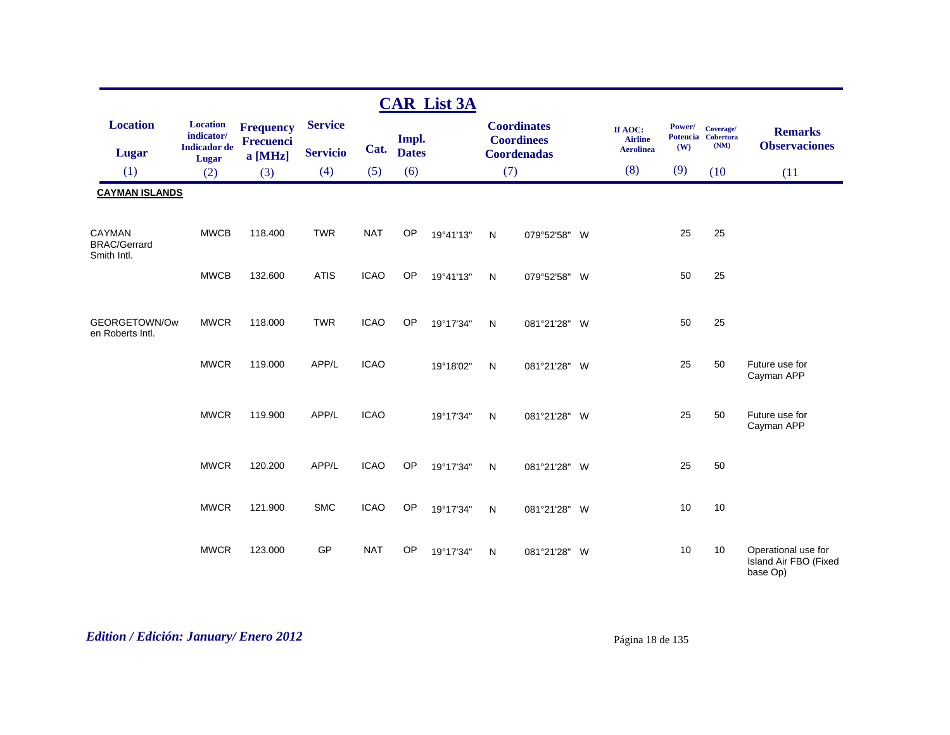|                                                     |                                                      |                                      |                                   |             |                       | <b>CAR List 3A</b> |              |                                                        |                                               |               |                                         |                                                          |
|-----------------------------------------------------|------------------------------------------------------|--------------------------------------|-----------------------------------|-------------|-----------------------|--------------------|--------------|--------------------------------------------------------|-----------------------------------------------|---------------|-----------------------------------------|----------------------------------------------------------|
| <b>Location</b><br><b>Lugar</b>                     | <b>Location</b><br>indicator/<br><b>Indicador</b> de | <b>Frequency</b><br><b>Frecuenci</b> | <b>Service</b><br><b>Servicio</b> | Cat.        | Impl.<br><b>Dates</b> |                    |              | <b>Coordinates</b><br><b>Coordinees</b><br>Coordenadas | If AOC:<br><b>Airline</b><br><b>Aerolinea</b> | Power/<br>(W) | Coverage/<br>Potencia Cobertura<br>(NM) | <b>Remarks</b><br><b>Observaciones</b>                   |
| (1)                                                 | Lugar<br>(2)                                         | a [MHz]<br>(3)                       | (4)                               | (5)         | (6)                   |                    | (7)          |                                                        | (8)                                           | (9)           | (10)                                    | (11)                                                     |
| <b>CAYMAN ISLANDS</b>                               |                                                      |                                      |                                   |             |                       |                    |              |                                                        |                                               |               |                                         |                                                          |
|                                                     |                                                      |                                      |                                   |             |                       |                    |              |                                                        |                                               |               |                                         |                                                          |
| <b>CAYMAN</b><br><b>BRAC/Gerrard</b><br>Smith Intl. | <b>MWCB</b>                                          | 118.400                              | <b>TWR</b>                        | <b>NAT</b>  | OP                    | 19°41'13"          | $\mathsf{N}$ | W<br>079°52'58"                                        |                                               | 25            | 25                                      |                                                          |
|                                                     | <b>MWCB</b>                                          | 132.600                              | <b>ATIS</b>                       | <b>ICAO</b> | OP                    | 19°41'13"          | N            | 079°52'58"<br>W                                        |                                               | 50            | 25                                      |                                                          |
| GEORGETOWN/Ow<br>en Roberts Intl.                   | <b>MWCR</b>                                          | 118.000                              | <b>TWR</b>                        | <b>ICAO</b> | OP                    | 19°17'34"          | N            | 081°21'28" W                                           |                                               | 50            | 25                                      |                                                          |
|                                                     | <b>MWCR</b>                                          | 119.000                              | APP/L                             | <b>ICAO</b> |                       | 19°18'02"          | N            | 081°21'28" W                                           |                                               | 25            | 50                                      | Future use for<br>Cayman APP                             |
|                                                     | <b>MWCR</b>                                          | 119.900                              | APP/L                             | <b>ICAO</b> |                       | 19°17'34"          | N            | 081°21′28″<br><b>W</b>                                 |                                               | 25            | 50                                      | Future use for<br>Cayman APP                             |
|                                                     | <b>MWCR</b>                                          | 120.200                              | APP/L                             | <b>ICAO</b> | OP                    | 19°17'34"          | N            | 081°21'28" W                                           |                                               | 25            | 50                                      |                                                          |
|                                                     | <b>MWCR</b>                                          | 121.900                              | <b>SMC</b>                        | <b>ICAO</b> | OP                    | 19°17'34"          | N            | 081°21'28"<br>W                                        |                                               | 10            | 10                                      |                                                          |
|                                                     | <b>MWCR</b>                                          | 123.000                              | GP                                | <b>NAT</b>  | OP                    | 19°17'34"          | N            | 081°21'28"<br><b>W</b>                                 |                                               | 10            | 10                                      | Operational use for<br>Island Air FBO (Fixed<br>base Op) |

# *Edition / Edición: January/ Enero 2012* Página 18 de 135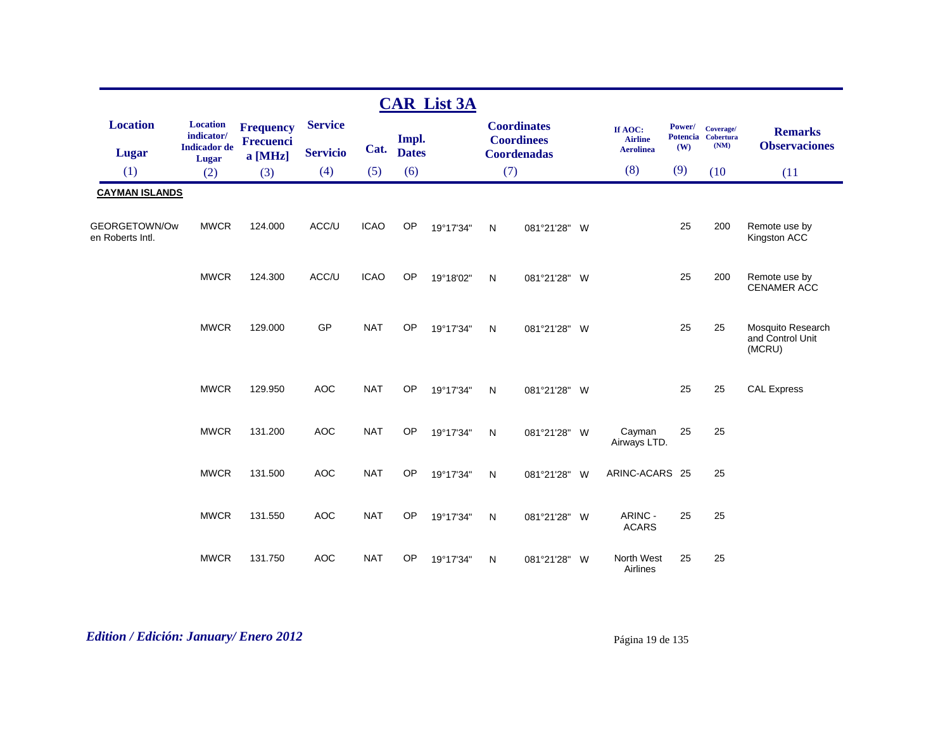|                                   |                                                      |                                      |                                   |             |                       | <b>CAR List 3A</b> |              |                                                               |   |                                               |               |                                         |                                                 |
|-----------------------------------|------------------------------------------------------|--------------------------------------|-----------------------------------|-------------|-----------------------|--------------------|--------------|---------------------------------------------------------------|---|-----------------------------------------------|---------------|-----------------------------------------|-------------------------------------------------|
| <b>Location</b><br>Lugar          | <b>Location</b><br>indicator/<br><b>Indicador</b> de | <b>Frequency</b><br><b>Frecuenci</b> | <b>Service</b><br><b>Servicio</b> | Cat.        | Impl.<br><b>Dates</b> |                    |              | <b>Coordinates</b><br><b>Coordinees</b><br><b>Coordenadas</b> |   | If AOC:<br><b>Airline</b><br><b>Aerolinea</b> | Power/<br>(W) | Coverage/<br>Potencia Cobertura<br>(NM) | <b>Remarks</b><br><b>Observaciones</b>          |
| (1)                               | <b>Lugar</b><br>(2)                                  | $a$ [MHz]<br>(3)                     | (4)                               | (5)         | (6)                   |                    | (7)          |                                                               |   | (8)                                           | (9)           | (10)                                    | (11)                                            |
| <b>CAYMAN ISLANDS</b>             |                                                      |                                      |                                   |             |                       |                    |              |                                                               |   |                                               |               |                                         |                                                 |
|                                   |                                                      |                                      |                                   |             |                       |                    |              |                                                               |   |                                               |               |                                         |                                                 |
| GEORGETOWN/Ow<br>en Roberts Intl. | <b>MWCR</b>                                          | 124.000                              | ACC/U                             | <b>ICAO</b> | OP                    | 19°17'34"          | N            | 081°21'28" W                                                  |   |                                               | 25            | 200                                     | Remote use by<br>Kingston ACC                   |
|                                   | <b>MWCR</b>                                          | 124.300                              | ACC/U                             | <b>ICAO</b> | OP                    | 19°18'02"          | N            | 081°21'28" W                                                  |   |                                               | 25            | 200                                     | Remote use by<br>CENAMER ACC                    |
|                                   | <b>MWCR</b>                                          | 129.000                              | GP                                | <b>NAT</b>  | OP                    | 19°17'34"          | $\mathsf{N}$ | 081°21'28" W                                                  |   |                                               | 25            | 25                                      | Mosquito Research<br>and Control Unit<br>(MCRU) |
|                                   | <b>MWCR</b>                                          | 129.950                              | <b>AOC</b>                        | <b>NAT</b>  | <b>OP</b>             | 19°17'34"          | N            | 081°21'28" W                                                  |   |                                               | 25            | 25                                      | <b>CAL Express</b>                              |
|                                   | <b>MWCR</b>                                          | 131.200                              | <b>AOC</b>                        | <b>NAT</b>  | <b>OP</b>             | 19°17'34"          | ${\sf N}$    | 081°21'28" W                                                  |   | Cayman<br>Airways LTD.                        | 25            | 25                                      |                                                 |
|                                   | <b>MWCR</b>                                          | 131.500                              | <b>AOC</b>                        | <b>NAT</b>  | OP                    | 19°17'34"          | N            | 081°21'28" W                                                  |   | ARINC-ACARS 25                                |               | 25                                      |                                                 |
|                                   | <b>MWCR</b>                                          | 131.550                              | <b>AOC</b>                        | <b>NAT</b>  | <b>OP</b>             | 19°17'34"          | N            | 081°21'28" W                                                  |   | ARINC -<br><b>ACARS</b>                       | 25            | 25                                      |                                                 |
|                                   | <b>MWCR</b>                                          | 131.750                              | <b>AOC</b>                        | <b>NAT</b>  | <b>OP</b>             | 19°17'34"          | N            | 081°21'28"                                                    | W | North West<br>Airlines                        | 25            | 25                                      |                                                 |

# *Edition / Edición: January/ Enero 2012* Página 19 de 135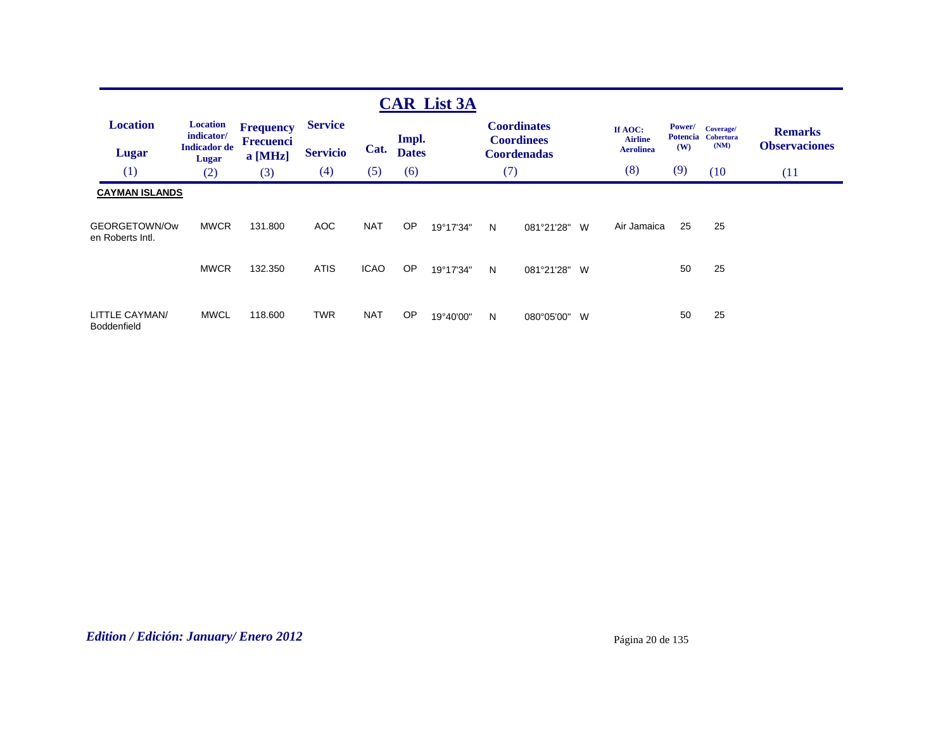|                                                            |                                                               |                                            |                                   |             |                       | <b>CAR List 3A</b> |     |                                                               |                                               |                                  |                                       |                                        |
|------------------------------------------------------------|---------------------------------------------------------------|--------------------------------------------|-----------------------------------|-------------|-----------------------|--------------------|-----|---------------------------------------------------------------|-----------------------------------------------|----------------------------------|---------------------------------------|----------------------------------------|
| <b>Location</b><br><b>Lugar</b>                            | <b>Location</b><br>indicator/<br><b>Indicador</b> de<br>Lugar | <b>Frequency</b><br>Frecuenci<br>$a$ [MHz] | <b>Service</b><br><b>Servicio</b> | Cat.        | Impl.<br><b>Dates</b> |                    |     | <b>Coordinates</b><br><b>Coordinees</b><br><b>Coordenadas</b> | If AOC:<br><b>Airline</b><br><b>Aerolinea</b> | <b>Power/</b><br>Potencia<br>(W) | Coverage/<br><b>Cobertura</b><br>(NM) | <b>Remarks</b><br><b>Observaciones</b> |
| (1)                                                        | (2)                                                           | (3)                                        | (4)                               | (5)         | (6)                   |                    | (7) |                                                               | (8)                                           | (9)                              | (10)                                  | (11)                                   |
| <b>CAYMAN ISLANDS</b><br>GEORGETOWN/Ow<br>en Roberts Intl. | <b>MWCR</b>                                                   | 131.800                                    | AOC                               | <b>NAT</b>  | OP                    | 19°17'34"          | N   | 081°21'28"<br>W                                               | Air Jamaica                                   | 25                               | 25                                    |                                        |
|                                                            | <b>MWCR</b>                                                   | 132.350                                    | <b>ATIS</b>                       | <b>ICAO</b> | <b>OP</b>             | 19°17'34"          | N   | 081°21'28" W                                                  |                                               | 50                               | 25                                    |                                        |
| LITTLE CAYMAN/<br>Boddenfield                              | <b>MWCL</b>                                                   | 118,600                                    | <b>TWR</b>                        | <b>NAT</b>  | OP                    | 19°40'00"          | N   | W<br>080°05'00"                                               |                                               | 50                               | 25                                    |                                        |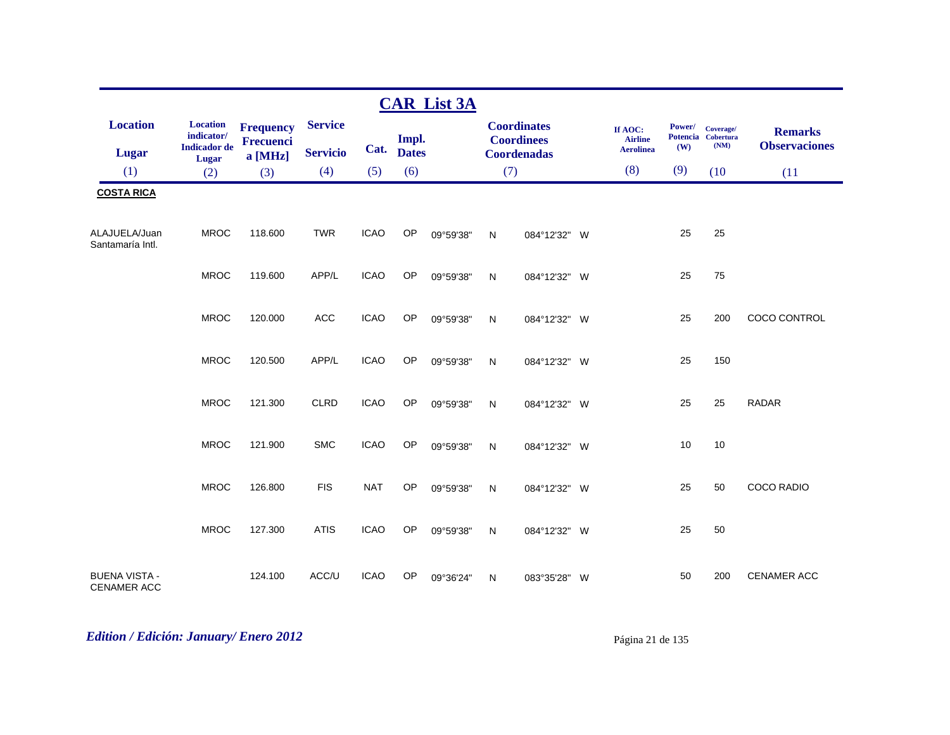|                                            |                               |                                      |                 |             |              | <b>CAR List 3A</b> |              |                                         |                           |        |                                 |                      |
|--------------------------------------------|-------------------------------|--------------------------------------|-----------------|-------------|--------------|--------------------|--------------|-----------------------------------------|---------------------------|--------|---------------------------------|----------------------|
| <b>Location</b>                            | <b>Location</b><br>indicator/ | <b>Frequency</b><br><b>Frecuenci</b> | <b>Service</b>  |             | Impl.        |                    |              | <b>Coordinates</b><br><b>Coordinees</b> | If AOC:<br><b>Airline</b> | Power/ | Coverage/<br>Potencia Cobertura | <b>Remarks</b>       |
| Lugar                                      | <b>Indicador</b> de<br>Lugar  | a [MHz]                              | <b>Servicio</b> | Cat.        | <b>Dates</b> |                    |              | <b>Coordenadas</b>                      | <b>Aerolinea</b>          | (W)    | (NM)                            | <b>Observaciones</b> |
| (1)                                        | (2)                           | (3)                                  | (4)             | (5)         | (6)          |                    | (7)          |                                         | (8)                       | (9)    | (10)                            | (11)                 |
| <b>COSTA RICA</b>                          |                               |                                      |                 |             |              |                    |              |                                         |                           |        |                                 |                      |
| ALAJUELA/Juan<br>Santamaría Intl.          | <b>MROC</b>                   | 118.600                              | <b>TWR</b>      | <b>ICAO</b> | OP           | 09°59'38"          | N            | 084°12'32" W                            |                           | 25     | 25                              |                      |
|                                            | <b>MROC</b>                   | 119.600                              | APP/L           | <b>ICAO</b> | OP           | 09°59'38"          | ${\sf N}$    | 084°12'32" W                            |                           | 25     | 75                              |                      |
|                                            | <b>MROC</b>                   | 120.000                              | <b>ACC</b>      | <b>ICAO</b> | OP           | 09°59'38"          | $\mathsf{N}$ | 084°12'32" W                            |                           | 25     | 200                             | COCO CONTROL         |
|                                            | <b>MROC</b>                   | 120.500                              | APP/L           | <b>ICAO</b> | OP           | 09°59'38"          | $\mathsf{N}$ | 084°12'32" W                            |                           | 25     | 150                             |                      |
|                                            | <b>MROC</b>                   | 121.300                              | <b>CLRD</b>     | <b>ICAO</b> | OP           | 09°59'38"          | $\mathsf{N}$ | 084°12'32" W                            |                           | 25     | 25                              | <b>RADAR</b>         |
|                                            | <b>MROC</b>                   | 121.900                              | <b>SMC</b>      | <b>ICAO</b> | OP           | 09°59'38"          | $\mathsf{N}$ | 084°12'32" W                            |                           | 10     | 10                              |                      |
|                                            | <b>MROC</b>                   | 126.800                              | <b>FIS</b>      | <b>NAT</b>  | OP           | 09°59'38"          | $\mathsf{N}$ | 084°12'32" W                            |                           | 25     | 50                              | COCO RADIO           |
|                                            | <b>MROC</b>                   | 127.300                              | <b>ATIS</b>     | <b>ICAO</b> | OP           | 09°59'38"          | N            | 084°12'32" W                            |                           | 25     | 50                              |                      |
| <b>BUENA VISTA -</b><br><b>CENAMER ACC</b> |                               | 124.100                              | ACC/U           | <b>ICAO</b> | OP           | 09°36'24"          | $\mathsf{N}$ | 083°35'28" W                            |                           | 50     | 200                             | CENAMER ACC          |

# *Edition / Edición: January/ Enero 2012* Página 21 de 135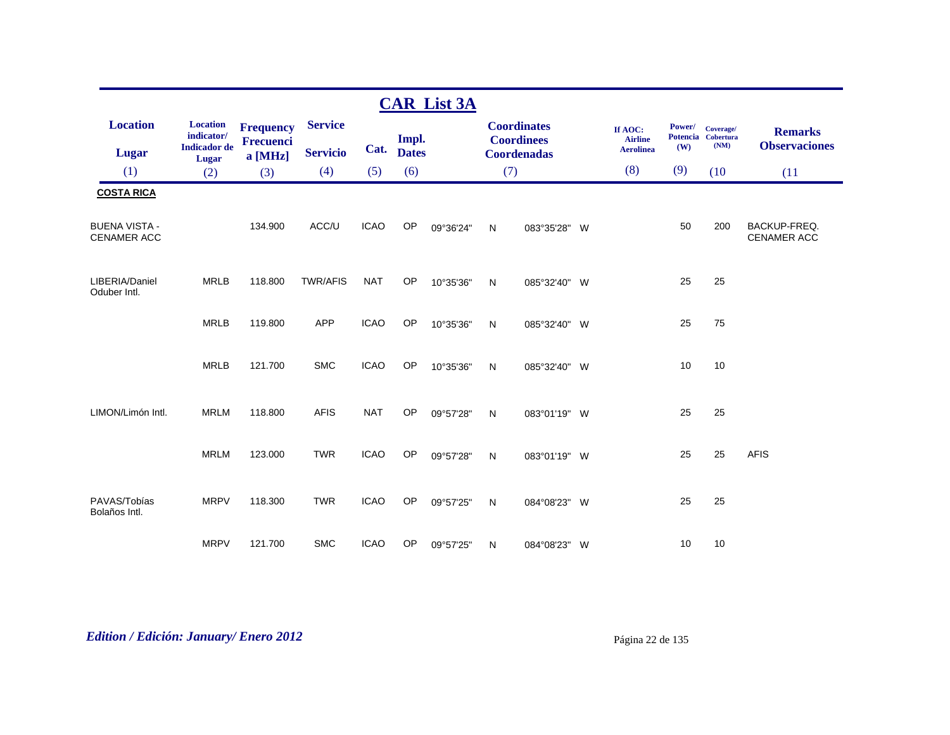|                                            |                               |                                      |                 |             |              | <b>CAR List 3A</b> |           |                                         |                           |                           |                               |                                           |
|--------------------------------------------|-------------------------------|--------------------------------------|-----------------|-------------|--------------|--------------------|-----------|-----------------------------------------|---------------------------|---------------------------|-------------------------------|-------------------------------------------|
| <b>Location</b>                            | <b>Location</b><br>indicator/ | <b>Frequency</b><br><b>Frecuenci</b> | <b>Service</b>  |             | Impl.        |                    |           | <b>Coordinates</b><br><b>Coordinees</b> | If AOC:<br><b>Airline</b> | Power/<br><b>Potencia</b> | Coverage/<br><b>Cobertura</b> | <b>Remarks</b>                            |
| <b>Lugar</b>                               | <b>Indicador</b> de<br>Lugar  | a [MHz]                              | <b>Servicio</b> | Cat.        | <b>Dates</b> |                    |           | Coordenadas                             | <b>Aerolinea</b>          | (W)                       | (NM)                          | <b>Observaciones</b>                      |
| (1)                                        | (2)                           | (3)                                  | (4)             | (5)         | (6)          |                    | (7)       |                                         | (8)                       | (9)                       | (10)                          | (11)                                      |
| <b>COSTA RICA</b>                          |                               |                                      |                 |             |              |                    |           |                                         |                           |                           |                               |                                           |
| <b>BUENA VISTA -</b><br><b>CENAMER ACC</b> |                               | 134.900                              | ACC/U           | <b>ICAO</b> | OP           | 09°36'24"          | ${\sf N}$ | 083°35'28" W                            |                           | 50                        | 200                           | <b>BACKUP-FREQ.</b><br><b>CENAMER ACC</b> |
| LIBERIA/Daniel<br>Oduber Intl.             | <b>MRLB</b>                   | 118.800                              | <b>TWR/AFIS</b> | <b>NAT</b>  | OP           | 10°35'36"          | N         | 085°32'40" W                            |                           | 25                        | 25                            |                                           |
|                                            | <b>MRLB</b>                   | 119.800                              | <b>APP</b>      | <b>ICAO</b> | <b>OP</b>    | 10°35'36"          | ${\sf N}$ | 085°32'40" W                            |                           | 25                        | 75                            |                                           |
|                                            | <b>MRLB</b>                   | 121.700                              | <b>SMC</b>      | <b>ICAO</b> | OP           | 10°35'36"          | N         | 085°32'40" W                            |                           | 10                        | 10                            |                                           |
| LIMON/Limón Intl.                          | <b>MRLM</b>                   | 118.800                              | <b>AFIS</b>     | <b>NAT</b>  | OP           | 09°57'28"          | N         | 083°01'19" W                            |                           | 25                        | 25                            |                                           |
|                                            | <b>MRLM</b>                   | 123.000                              | <b>TWR</b>      | <b>ICAO</b> | OP           | 09°57'28"          | N         | 083°01'19" W                            |                           | 25                        | 25                            | <b>AFIS</b>                               |
| PAVAS/Tobías<br>Bolaños Intl.              | <b>MRPV</b>                   | 118.300                              | <b>TWR</b>      | <b>ICAO</b> | OP           | 09°57'25"          | N         | 084°08'23" W                            |                           | 25                        | 25                            |                                           |
|                                            | <b>MRPV</b>                   | 121.700                              | <b>SMC</b>      | <b>ICAO</b> | OP           | 09°57'25"          | N         | 084°08'23" W                            |                           | 10                        | 10                            |                                           |

# *Edition / Edición: January/ Enero 2012* Página 22 de 135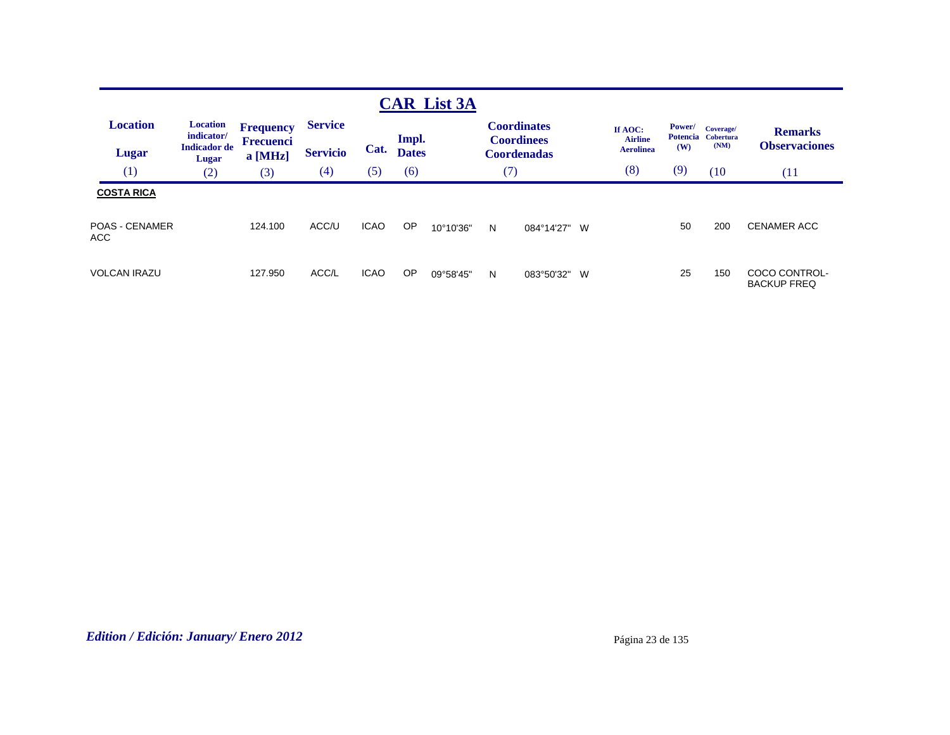|                                                    |                                                               |                                                 |                                   |             |                       | <b>CAR List 3A</b> |     |                                                               |                                               |                                  |                                |                                        |
|----------------------------------------------------|---------------------------------------------------------------|-------------------------------------------------|-----------------------------------|-------------|-----------------------|--------------------|-----|---------------------------------------------------------------|-----------------------------------------------|----------------------------------|--------------------------------|----------------------------------------|
| <b>Location</b><br><b>Lugar</b>                    | <b>Location</b><br>indicator/<br><b>Indicador</b> de<br>Lugar | <b>Frequency</b><br><b>Frecuenci</b><br>a [MHz] | <b>Service</b><br><b>Servicio</b> | Cat.        | Impl.<br><b>Dates</b> |                    |     | <b>Coordinates</b><br><b>Coordinees</b><br><b>Coordenadas</b> | If AOC:<br><b>Airline</b><br><b>Aerolinea</b> | Power/<br><b>Potencia</b><br>(W) | Coverage/<br>Cobertura<br>(NM) | <b>Remarks</b><br><b>Observaciones</b> |
| (1)                                                | (2)                                                           | (3)                                             | (4)                               | (5)         | (6)                   |                    | (7) |                                                               | (8)                                           | (9)                              | (10)                           | (11)                                   |
| <b>COSTA RICA</b><br><b>POAS - CENAMER</b><br>ACC. |                                                               | 124.100                                         | ACC/U                             | <b>ICAO</b> | OP                    | 10°10'36"          | N   | 084°14'27"                                                    | W                                             | 50                               | 200                            | <b>CENAMER ACC</b>                     |
| VOLCAN IRAZU                                       |                                                               | 127.950                                         | ACC/L                             | <b>ICAO</b> | OP                    | 09°58'45"          | N   | 083°50'32"                                                    | W                                             | 25                               | 150                            | COCO CONTROL-<br><b>BACKUP FREQ</b>    |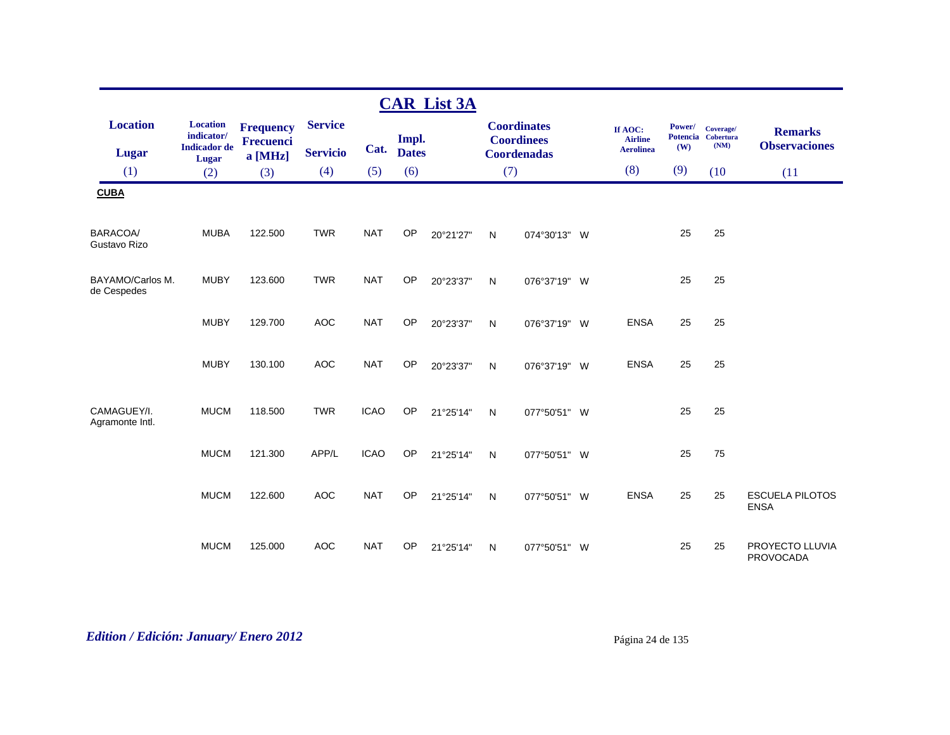|                                 |                                                      |                                                 |                                   |             |                       | <b>CAR List 3A</b> |     |                                                               |                                               |                                  |                                       |                                        |
|---------------------------------|------------------------------------------------------|-------------------------------------------------|-----------------------------------|-------------|-----------------------|--------------------|-----|---------------------------------------------------------------|-----------------------------------------------|----------------------------------|---------------------------------------|----------------------------------------|
| <b>Location</b><br><b>Lugar</b> | <b>Location</b><br>indicator/<br><b>Indicador</b> de | <b>Frequency</b><br><b>Frecuenci</b><br>a [MHz] | <b>Service</b><br><b>Servicio</b> | Cat.        | Impl.<br><b>Dates</b> |                    |     | <b>Coordinates</b><br><b>Coordinees</b><br><b>Coordenadas</b> | If AOC:<br><b>Airline</b><br><b>Aerolinea</b> | Power/<br><b>Potencia</b><br>(W) | Coverage/<br><b>Cobertura</b><br>(NM) | <b>Remarks</b><br><b>Observaciones</b> |
| (1)                             | <b>Lugar</b><br>(2)                                  | (3)                                             | (4)                               | (5)         | (6)                   |                    | (7) |                                                               | (8)                                           | (9)                              | (10)                                  | (11)                                   |
| <b>CUBA</b>                     |                                                      |                                                 |                                   |             |                       |                    |     |                                                               |                                               |                                  |                                       |                                        |
| BARACOA/<br>Gustavo Rizo        | <b>MUBA</b>                                          | 122.500                                         | <b>TWR</b>                        | <b>NAT</b>  | OP                    | 20°21'27"          | N   | 074°30'13" W                                                  |                                               | 25                               | 25                                    |                                        |
| BAYAMO/Carlos M.<br>de Cespedes | <b>MUBY</b>                                          | 123.600                                         | <b>TWR</b>                        | <b>NAT</b>  | <b>OP</b>             | 20°23'37"          | N   | 076°37'19" W                                                  |                                               | 25                               | 25                                    |                                        |
|                                 | <b>MUBY</b>                                          | 129.700                                         | <b>AOC</b>                        | <b>NAT</b>  | <b>OP</b>             | 20°23'37"          | N   | 076°37'19" W                                                  | <b>ENSA</b>                                   | 25                               | 25                                    |                                        |
|                                 | <b>MUBY</b>                                          | 130.100                                         | <b>AOC</b>                        | <b>NAT</b>  | OP                    | 20°23'37"          | N   | 076°37'19" W                                                  | <b>ENSA</b>                                   | 25                               | 25                                    |                                        |
| CAMAGUEY/I.<br>Agramonte Intl.  | <b>MUCM</b>                                          | 118,500                                         | <b>TWR</b>                        | <b>ICAO</b> | OP                    | 21°25'14"          | N   | 077°50'51" W                                                  |                                               | 25                               | 25                                    |                                        |
|                                 | <b>MUCM</b>                                          | 121.300                                         | APP/L                             | <b>ICAO</b> | OP                    | 21°25'14"          | N   | 077°50'51" W                                                  |                                               | 25                               | 75                                    |                                        |
|                                 | <b>MUCM</b>                                          | 122.600                                         | <b>AOC</b>                        | <b>NAT</b>  | OP                    | 21°25'14"          | N   | 077°50'51" W                                                  | <b>ENSA</b>                                   | 25                               | 25                                    | <b>ESCUELA PILOTOS</b><br><b>ENSA</b>  |
|                                 | <b>MUCM</b>                                          | 125.000                                         | <b>AOC</b>                        | <b>NAT</b>  | OP                    | 21°25'14"          | N   | 077°50'51" W                                                  |                                               | 25                               | 25                                    | PROYECTO LLUVIA<br><b>PROVOCADA</b>    |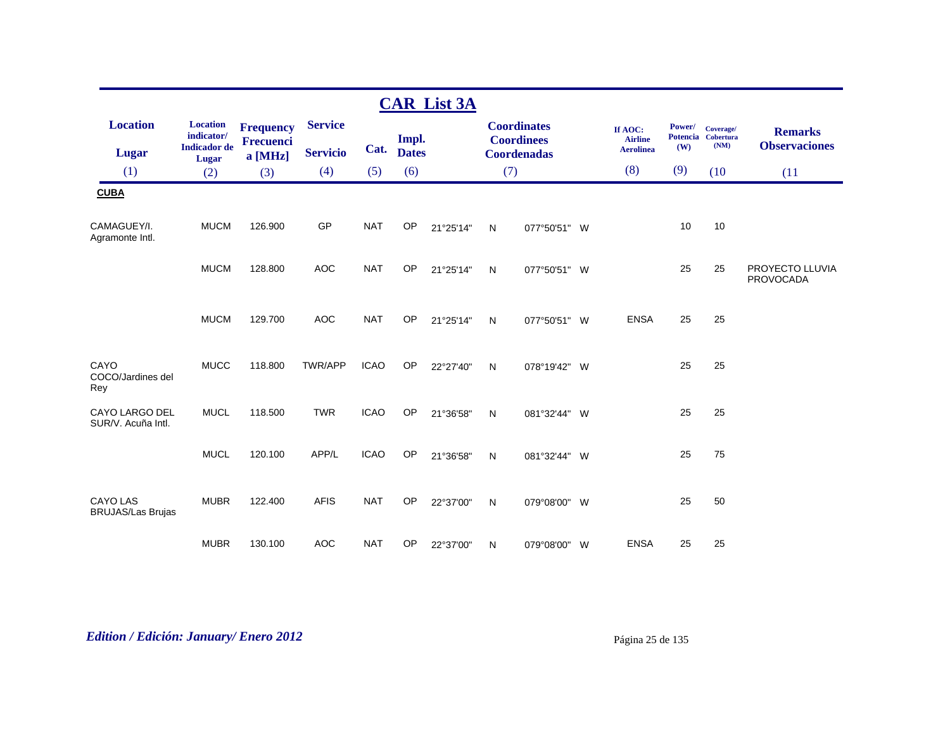|                                             |                                                      |                                      |                 |             |              | <b>CAR List 3A</b> |              |                                         |                           |               |                                         |                                        |
|---------------------------------------------|------------------------------------------------------|--------------------------------------|-----------------|-------------|--------------|--------------------|--------------|-----------------------------------------|---------------------------|---------------|-----------------------------------------|----------------------------------------|
| <b>Location</b>                             | <b>Location</b><br>indicator/<br><b>Indicador</b> de | <b>Frequency</b><br><b>Frecuenci</b> | <b>Service</b>  |             | Impl.        |                    |              | <b>Coordinates</b><br><b>Coordinees</b> | If AOC:<br><b>Airline</b> | Power/<br>(W) | Coverage/<br>Potencia Cobertura<br>(NM) | <b>Remarks</b><br><b>Observaciones</b> |
| <b>Lugar</b>                                | Lugar                                                | a [MHz]                              | <b>Servicio</b> | Cat.        | <b>Dates</b> |                    |              | <b>Coordenadas</b>                      | <b>Aerolinea</b>          |               |                                         |                                        |
| (1)                                         | (2)                                                  | (3)                                  | (4)             | (5)         | (6)          |                    | (7)          |                                         | (8)                       | (9)           | (10)                                    | (11)                                   |
| <b>CUBA</b>                                 |                                                      |                                      |                 |             |              |                    |              |                                         |                           |               |                                         |                                        |
| CAMAGUEY/I.<br>Agramonte Intl.              | <b>MUCM</b>                                          | 126.900                              | GP              | <b>NAT</b>  | OP           | 21°25'14"          | N            | 077°50'51" W                            |                           | 10            | $10$                                    |                                        |
|                                             | <b>MUCM</b>                                          | 128.800                              | <b>AOC</b>      | <b>NAT</b>  | OP           | 21°25'14"          | N            | 077°50'51" W                            |                           | 25            | 25                                      | PROYECTO LLUVIA<br><b>PROVOCADA</b>    |
|                                             | <b>MUCM</b>                                          | 129.700                              | <b>AOC</b>      | <b>NAT</b>  | OP           | 21°25'14"          | N            | 077°50'51" W                            | <b>ENSA</b>               | 25            | 25                                      |                                        |
| CAYO<br>COCO/Jardines del<br>Rey            | <b>MUCC</b>                                          | 118.800                              | TWR/APP         | <b>ICAO</b> | OP           | 22°27'40"          | $\mathsf{N}$ | 078°19'42" W                            |                           | 25            | 25                                      |                                        |
| CAYO LARGO DEL<br>SUR/V. Acuña Intl.        | <b>MUCL</b>                                          | 118.500                              | <b>TWR</b>      | <b>ICAO</b> | OP           | 21°36'58"          | N            | 081°32'44" W                            |                           | 25            | 25                                      |                                        |
|                                             | <b>MUCL</b>                                          | 120.100                              | APP/L           | <b>ICAO</b> | OP           | 21°36'58"          | $\mathsf{N}$ | 081°32'44" W                            |                           | 25            | 75                                      |                                        |
| <b>CAYO LAS</b><br><b>BRUJAS/Las Brujas</b> | <b>MUBR</b>                                          | 122.400                              | <b>AFIS</b>     | <b>NAT</b>  | OP           | 22°37'00"          | N            | 079°08'00" W                            |                           | 25            | 50                                      |                                        |
|                                             | <b>MUBR</b>                                          | 130.100                              | <b>AOC</b>      | <b>NAT</b>  | OP           | 22°37'00"          | $\mathsf{N}$ | 079°08'00" W                            | <b>ENSA</b>               | 25            | 25                                      |                                        |

# *Edition / Edición: January/ Enero 2012* Página 25 de 135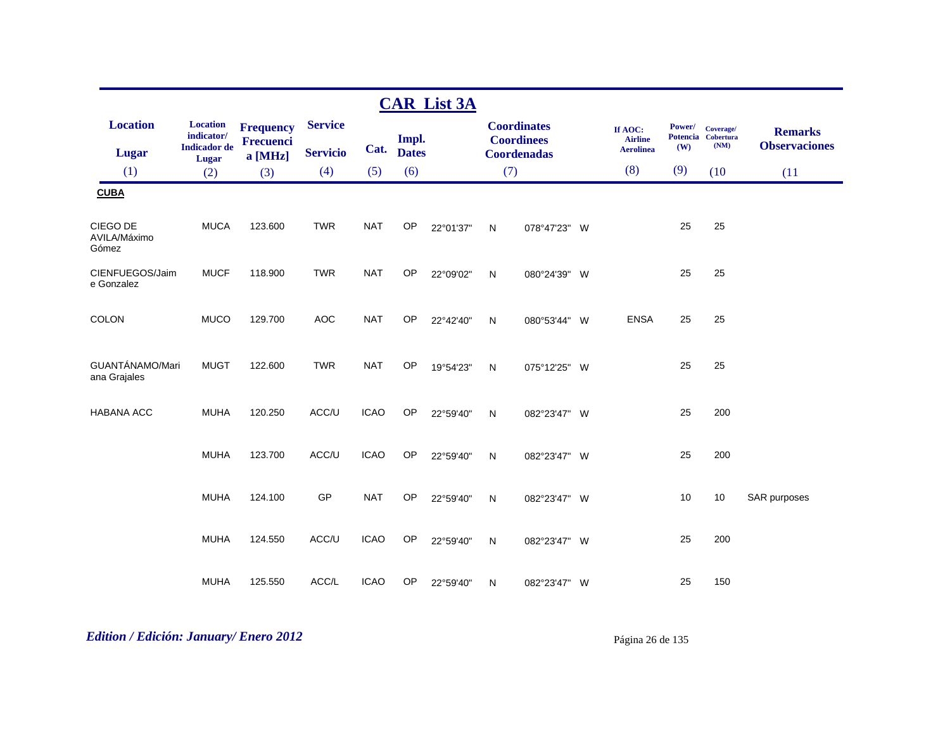|                                   |                               |                                      |                 |             |              | <b>CAR List 3A</b> |              |                                         |                           |        |                                 |                      |
|-----------------------------------|-------------------------------|--------------------------------------|-----------------|-------------|--------------|--------------------|--------------|-----------------------------------------|---------------------------|--------|---------------------------------|----------------------|
| <b>Location</b>                   | <b>Location</b><br>indicator/ | <b>Frequency</b><br><b>Frecuenci</b> | <b>Service</b>  |             | Impl.        |                    |              | <b>Coordinates</b><br><b>Coordinees</b> | If AOC:<br><b>Airline</b> | Power/ | Coverage/<br>Potencia Cobertura | <b>Remarks</b>       |
| <b>Lugar</b>                      | <b>Indicador</b> de<br>Lugar  | $a$ [MHz]                            | <b>Servicio</b> | Cat.        | <b>Dates</b> |                    |              | <b>Coordenadas</b>                      | <b>Aerolinea</b>          | (W)    | (NM)                            | <b>Observaciones</b> |
| (1)                               | (2)                           | (3)                                  | (4)             | (5)         | (6)          |                    | (7)          |                                         | (8)                       | (9)    | (10)                            | (11)                 |
| <b>CUBA</b>                       |                               |                                      |                 |             |              |                    |              |                                         |                           |        |                                 |                      |
| CIEGO DE<br>AVILA/Máximo<br>Gómez | <b>MUCA</b>                   | 123.600                              | <b>TWR</b>      | <b>NAT</b>  | OP           | 22°01'37"          | $\mathsf{N}$ | 078°47'23" W                            |                           | 25     | 25                              |                      |
| CIENFUEGOS/Jaim<br>e Gonzalez     | <b>MUCF</b>                   | 118.900                              | <b>TWR</b>      | <b>NAT</b>  | OP           | 22°09'02"          | $\mathsf{N}$ | 080°24'39" W                            |                           | 25     | 25                              |                      |
| <b>COLON</b>                      | <b>MUCO</b>                   | 129.700                              | <b>AOC</b>      | <b>NAT</b>  | OP           | 22°42'40"          | ${\sf N}$    | 080°53'44" W                            | <b>ENSA</b>               | 25     | 25                              |                      |
| GUANTÁNAMO/Mari<br>ana Grajales   | <b>MUGT</b>                   | 122.600                              | <b>TWR</b>      | <b>NAT</b>  | OP           | 19°54'23"          | $\mathsf{N}$ | 075°12'25" W                            |                           | 25     | 25                              |                      |
| <b>HABANA ACC</b>                 | <b>MUHA</b>                   | 120.250                              | ACC/U           | <b>ICAO</b> | OP           | 22°59'40"          | $\mathsf{N}$ | 082°23'47" W                            |                           | 25     | 200                             |                      |
|                                   | <b>MUHA</b>                   | 123.700                              | ACC/U           | <b>ICAO</b> | OP           | 22°59'40"          | N            | 082°23'47" W                            |                           | 25     | 200                             |                      |
|                                   | <b>MUHA</b>                   | 124.100                              | GP              | <b>NAT</b>  | OP           | 22°59'40"          | ${\sf N}$    | 082°23'47" W                            |                           | 10     | 10                              | SAR purposes         |
|                                   | <b>MUHA</b>                   | 124.550                              | ACC/U           | <b>ICAO</b> | OP           | 22°59'40"          | $\mathsf{N}$ | 082°23'47" W                            |                           | 25     | 200                             |                      |
|                                   | <b>MUHA</b>                   | 125.550                              | ACC/L           | <b>ICAO</b> | OP           | 22°59'40"          | $\mathsf{N}$ | 082°23'47" W                            |                           | 25     | 150                             |                      |

# *Edition / Edición: January/ Enero 2012* Página 26 de 135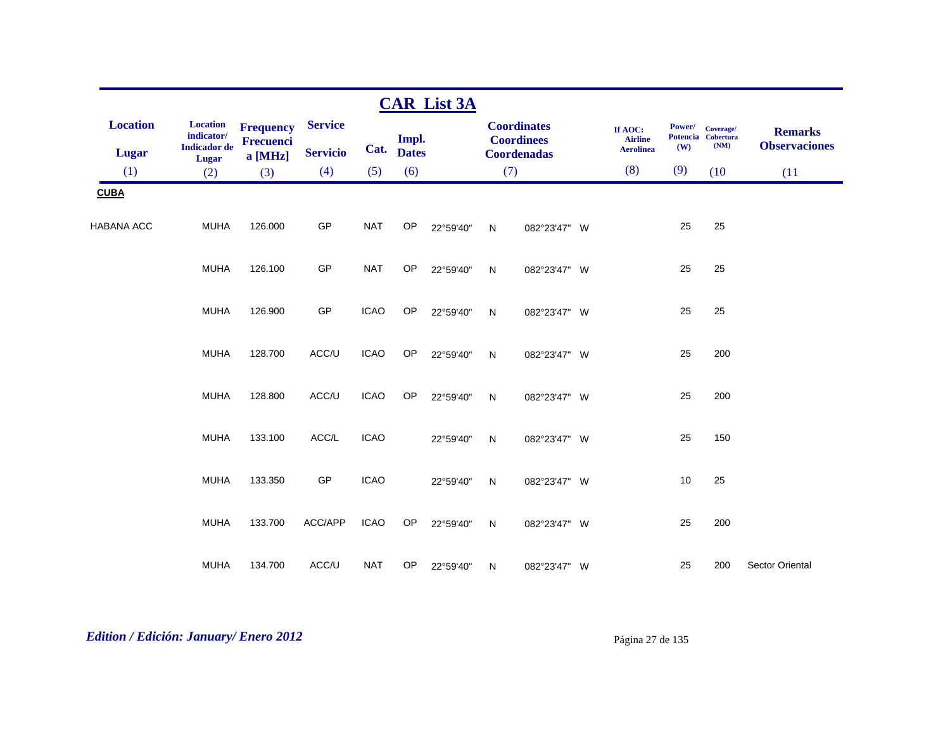|                   |                                                      |                               |                 |             |              | <b>CAR List 3A</b> |              |                                         |                           |               |                                         |                                        |
|-------------------|------------------------------------------------------|-------------------------------|-----------------|-------------|--------------|--------------------|--------------|-----------------------------------------|---------------------------|---------------|-----------------------------------------|----------------------------------------|
| <b>Location</b>   | <b>Location</b><br>indicator/<br><b>Indicador</b> de | <b>Frequency</b><br>Frecuenci | <b>Service</b>  |             | Impl.        |                    |              | <b>Coordinates</b><br><b>Coordinees</b> | If AOC:<br><b>Airline</b> | Power/<br>(W) | Coverage/<br>Potencia Cobertura<br>(NM) | <b>Remarks</b><br><b>Observaciones</b> |
| Lugar             | Lugar                                                | a [MHz]                       | <b>Servicio</b> | Cat.        | <b>Dates</b> |                    |              | <b>Coordenadas</b>                      | <b>Aerolinea</b>          |               |                                         |                                        |
| (1)               | (2)                                                  | (3)                           | (4)             | (5)         | (6)          |                    | (7)          |                                         | (8)                       | (9)           | (10)                                    | (11)                                   |
| <b>CUBA</b>       |                                                      |                               |                 |             |              |                    |              |                                         |                           |               |                                         |                                        |
| <b>HABANA ACC</b> | <b>MUHA</b>                                          | 126.000                       | GP              | <b>NAT</b>  | OP           | 22°59'40"          | N            | 082°23'47" W                            |                           | 25            | 25                                      |                                        |
|                   | <b>MUHA</b>                                          | 126.100                       | GP              | <b>NAT</b>  | OP           | 22°59'40"          | N            | 082°23'47" W                            |                           | 25            | 25                                      |                                        |
|                   | <b>MUHA</b>                                          | 126.900                       | GP              | <b>ICAO</b> | OP           | 22°59'40"          | $\mathsf{N}$ | 082°23'47" W                            |                           | 25            | 25                                      |                                        |
|                   | <b>MUHA</b>                                          | 128.700                       | ACC/U           | <b>ICAO</b> | OP           | 22°59'40"          | N            | 082°23'47" W                            |                           | 25            | 200                                     |                                        |
|                   | <b>MUHA</b>                                          | 128.800                       | ACC/U           | <b>ICAO</b> | OP           | 22°59'40"          | $\mathsf{N}$ | 082°23'47" W                            |                           | 25            | 200                                     |                                        |
|                   | <b>MUHA</b>                                          | 133.100                       | ACC/L           | <b>ICAO</b> |              | 22°59'40"          | N            | 082°23'47" W                            |                           | 25            | 150                                     |                                        |
|                   | <b>MUHA</b>                                          | 133.350                       | GP              | <b>ICAO</b> |              | 22°59'40"          | N            | 082°23'47" W                            |                           | 10            | 25                                      |                                        |
|                   | <b>MUHA</b>                                          | 133.700                       | ACC/APP         | <b>ICAO</b> | OP           | 22°59'40"          | $\mathsf{N}$ | 082°23'47" W                            |                           | 25            | 200                                     |                                        |
|                   | <b>MUHA</b>                                          | 134.700                       | ACC/U           | <b>NAT</b>  | <b>OP</b>    | 22°59'40"          | N            | 082°23'47" W                            |                           | 25            | 200                                     | <b>Sector Oriental</b>                 |

# *Edition / Edición: January/ Enero 2012* Página 27 de 135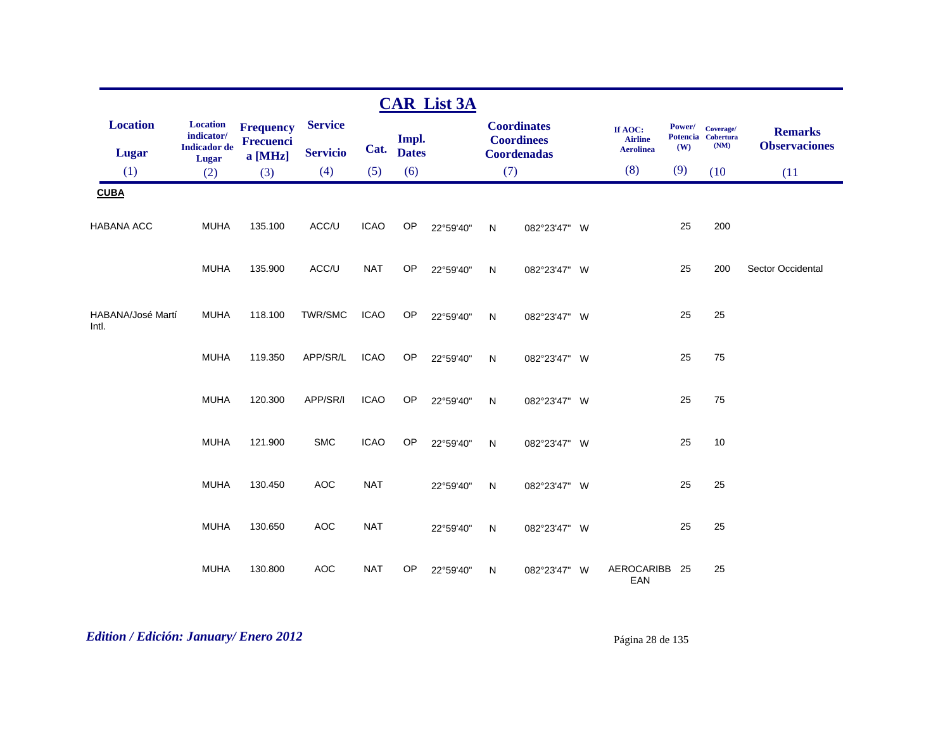|                            |                               |                                      |                 |             |              | <b>CAR List 3A</b> |              |                                         |                           |        |                                 |                          |
|----------------------------|-------------------------------|--------------------------------------|-----------------|-------------|--------------|--------------------|--------------|-----------------------------------------|---------------------------|--------|---------------------------------|--------------------------|
| <b>Location</b>            | <b>Location</b><br>indicator/ | <b>Frequency</b><br><b>Frecuenci</b> | <b>Service</b>  |             | Impl.        |                    |              | <b>Coordinates</b><br><b>Coordinees</b> | If AOC:<br><b>Airline</b> | Power/ | Coverage/<br>Potencia Cobertura | <b>Remarks</b>           |
| <b>Lugar</b>               | <b>Indicador</b> de<br>Lugar  | a [MHz]                              | <b>Servicio</b> | Cat.        | <b>Dates</b> |                    |              | Coordenadas                             | <b>Aerolinea</b>          | (W)    | (NM)                            | <b>Observaciones</b>     |
| (1)                        | (2)                           | (3)                                  | (4)             | (5)         | (6)          |                    | (7)          |                                         | (8)                       | (9)    | (10)                            | (11)                     |
| <b>CUBA</b>                |                               |                                      |                 |             |              |                    |              |                                         |                           |        |                                 |                          |
| <b>HABANA ACC</b>          | <b>MUHA</b>                   | 135.100                              | ACC/U           | <b>ICAO</b> | OP           | 22°59'40"          | N            | 082°23'47" W                            |                           | 25     | 200                             |                          |
|                            | <b>MUHA</b>                   | 135.900                              | ACC/U           | <b>NAT</b>  | OP           | 22°59'40"          | N            | 082°23'47" W                            |                           | 25     | 200                             | <b>Sector Occidental</b> |
| HABANA/José Martí<br>Intl. | <b>MUHA</b>                   | 118.100                              | TWR/SMC         | <b>ICAO</b> | OP           | 22°59'40"          | N            | 082°23'47" W                            |                           | 25     | 25                              |                          |
|                            | <b>MUHA</b>                   | 119.350                              | APP/SR/L        | <b>ICAO</b> | OP           | 22°59'40"          | N            | 082°23'47" W                            |                           | 25     | 75                              |                          |
|                            | <b>MUHA</b>                   | 120.300                              | APP/SR/I        | <b>ICAO</b> | OP           | 22°59'40"          | $\mathsf{N}$ | 082°23'47" W                            |                           | 25     | 75                              |                          |
|                            | <b>MUHA</b>                   | 121.900                              | <b>SMC</b>      | <b>ICAO</b> | OP           | 22°59'40"          | N            | 082°23'47" W                            |                           | 25     | 10                              |                          |
|                            | <b>MUHA</b>                   | 130.450                              | AOC             | <b>NAT</b>  |              | 22°59'40"          | N            | 082°23'47" W                            |                           | 25     | 25                              |                          |
|                            | <b>MUHA</b>                   | 130.650                              | AOC             | <b>NAT</b>  |              | 22°59'40"          | N            | 082°23'47" W                            |                           | 25     | 25                              |                          |
|                            | <b>MUHA</b>                   | 130.800                              | <b>AOC</b>      | <b>NAT</b>  | <b>OP</b>    | 22°59'40"          | N            | 082°23'47" W                            | AEROCARIBB 25<br>EAN      |        | 25                              |                          |

# *Edition / Edición: January/ Enero 2012* Página 28 de 135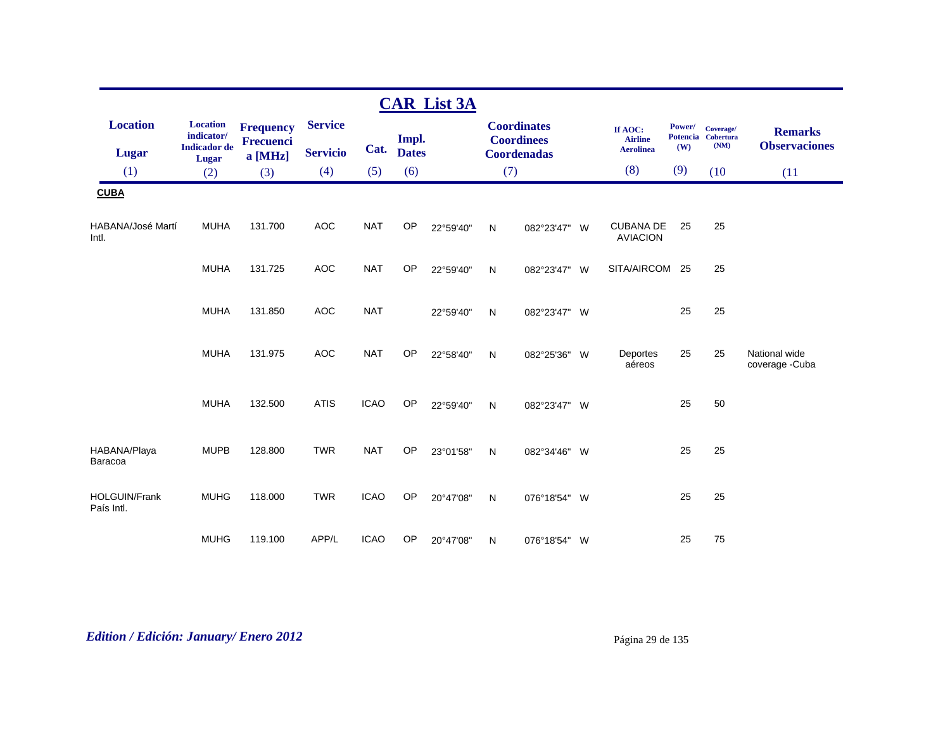|                                 |                                                      |                                      |                                   |             |                       | <b>CAR List 3A</b> |              |                                                               |                                               |               |                                         |                                        |
|---------------------------------|------------------------------------------------------|--------------------------------------|-----------------------------------|-------------|-----------------------|--------------------|--------------|---------------------------------------------------------------|-----------------------------------------------|---------------|-----------------------------------------|----------------------------------------|
| <b>Location</b><br><b>Lugar</b> | <b>Location</b><br>indicator/<br><b>Indicador</b> de | <b>Frequency</b><br><b>Frecuenci</b> | <b>Service</b><br><b>Servicio</b> | Cat.        | Impl.<br><b>Dates</b> |                    |              | <b>Coordinates</b><br><b>Coordinees</b><br><b>Coordenadas</b> | If AOC:<br><b>Airline</b><br><b>Aerolinea</b> | Power/<br>(W) | Coverage/<br>Potencia Cobertura<br>(NM) | <b>Remarks</b><br><b>Observaciones</b> |
| (1)                             | Lugar<br>(2)                                         | a [MHz]<br>(3)                       | (4)                               | (5)         | (6)                   |                    | (7)          |                                                               | (8)                                           | (9)           | (10)                                    | (11)                                   |
| <b>CUBA</b>                     |                                                      |                                      |                                   |             |                       |                    |              |                                                               |                                               |               |                                         |                                        |
| HABANA/José Martí<br>Intl.      | <b>MUHA</b>                                          | 131.700                              | <b>AOC</b>                        | <b>NAT</b>  | OP                    | 22°59'40"          | $\mathsf{N}$ | 082°23'47" W                                                  | <b>CUBANA DE</b><br><b>AVIACION</b>           | 25            | 25                                      |                                        |
|                                 | <b>MUHA</b>                                          | 131.725                              | <b>AOC</b>                        | <b>NAT</b>  | OP                    | 22°59'40"          | N            | 082°23'47" W                                                  | SITA/AIRCOM 25                                |               | 25                                      |                                        |
|                                 | <b>MUHA</b>                                          | 131.850                              | <b>AOC</b>                        | <b>NAT</b>  |                       | 22°59'40"          | ${\sf N}$    | 082°23'47" W                                                  |                                               | 25            | 25                                      |                                        |
|                                 | <b>MUHA</b>                                          | 131.975                              | <b>AOC</b>                        | <b>NAT</b>  | OP                    | 22°58'40"          | N            | 082°25'36" W                                                  | Deportes<br>aéreos                            | 25            | 25                                      | National wide<br>coverage - Cuba       |
|                                 | <b>MUHA</b>                                          | 132.500                              | <b>ATIS</b>                       | <b>ICAO</b> | OP                    | 22°59'40"          | N            | 082°23'47" W                                                  |                                               | 25            | 50                                      |                                        |
| HABANA/Playa<br>Baracoa         | <b>MUPB</b>                                          | 128.800                              | <b>TWR</b>                        | <b>NAT</b>  | OP                    | 23°01'58"          | N            | 082°34'46" W                                                  |                                               | 25            | 25                                      |                                        |
| HOLGUIN/Frank<br>País Intl.     | <b>MUHG</b>                                          | 118.000                              | <b>TWR</b>                        | <b>ICAO</b> | <b>OP</b>             | 20°47'08"          | N            | 076°18'54" W                                                  |                                               | 25            | 25                                      |                                        |
|                                 | <b>MUHG</b>                                          | 119.100                              | APP/L                             | <b>ICAO</b> | OP                    | 20°47'08"          | N            | 076°18'54" W                                                  |                                               | 25            | 75                                      |                                        |

# *Edition / Edición: January/ Enero 2012* Página 29 de 135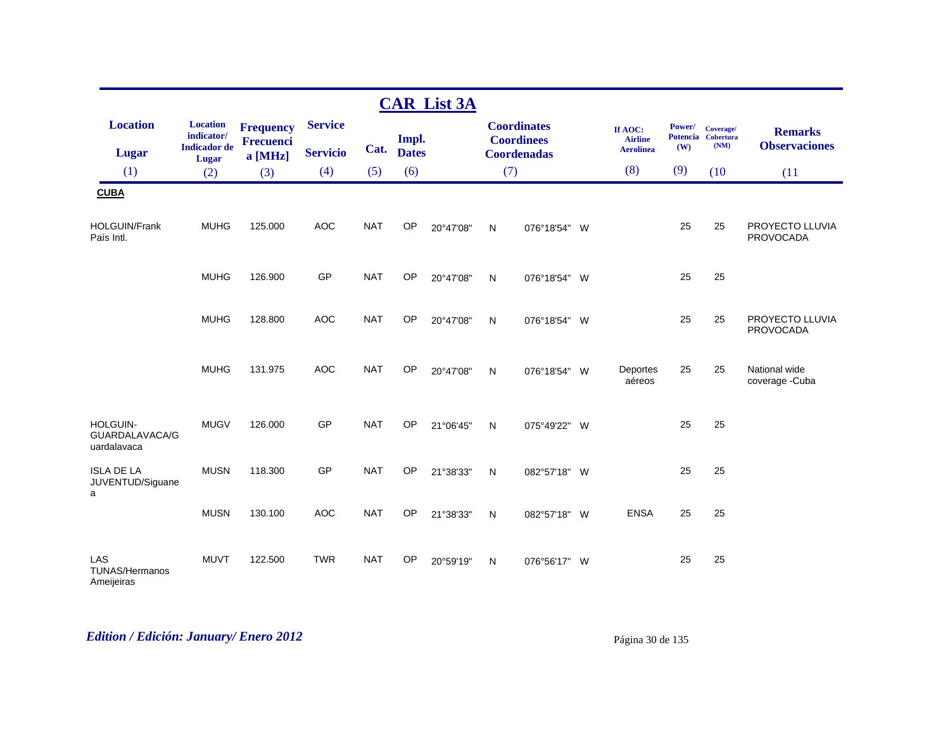|                                            |                                                      |                               |                 |            |              | <b>CAR List 3A</b> |              |                                         |     |                           |               |                                         |                                        |
|--------------------------------------------|------------------------------------------------------|-------------------------------|-----------------|------------|--------------|--------------------|--------------|-----------------------------------------|-----|---------------------------|---------------|-----------------------------------------|----------------------------------------|
| <b>Location</b>                            | <b>Location</b><br>indicator/<br><b>Indicador</b> de | <b>Frequency</b><br>Frecuenci | <b>Service</b>  | Cat.       | Impl.        |                    |              | <b>Coordinates</b><br><b>Coordinees</b> |     | If AOC:<br><b>Airline</b> | Power/<br>(W) | Coverage/<br>Potencia Cobertura<br>(NM) | <b>Remarks</b><br><b>Observaciones</b> |
| <b>Lugar</b>                               | <b>Lugar</b>                                         | a [MHz]                       | <b>Servicio</b> |            | <b>Dates</b> |                    |              | <b>Coordenadas</b>                      |     | <b>Aerolinea</b>          |               |                                         |                                        |
| (1)                                        | (2)                                                  | (3)                           | (4)             | (5)        | (6)          |                    |              | (7)                                     |     | (8)                       | (9)           | (10)                                    | (11)                                   |
| <b>CUBA</b>                                |                                                      |                               |                 |            |              |                    |              |                                         |     |                           |               |                                         |                                        |
| <b>HOLGUIN/Frank</b><br>País Intl.         | <b>MUHG</b>                                          | 125.000                       | <b>AOC</b>      | <b>NAT</b> | <b>OP</b>    | 20°47'08"          | N            | 076°18'54" W                            |     |                           | 25            | 25                                      | PROYECTO LLUVIA<br>PROVOCADA           |
|                                            | <b>MUHG</b>                                          | 126.900                       | <b>GP</b>       | <b>NAT</b> | <b>OP</b>    | 20°47'08"          | $\mathsf{N}$ | 076°18'54" W                            |     |                           | 25            | 25                                      |                                        |
|                                            | <b>MUHG</b>                                          | 128.800                       | <b>AOC</b>      | <b>NAT</b> | OP           | 20°47'08"          | ${\sf N}$    | 076°18'54" W                            |     |                           | 25            | 25                                      | PROYECTO LLUVIA<br><b>PROVOCADA</b>    |
|                                            | <b>MUHG</b>                                          | 131.975                       | <b>AOC</b>      | <b>NAT</b> | OP           | 20°47'08"          | $\mathsf{N}$ | 076°18'54" W                            |     | Deportes<br>aéreos        | 25            | 25                                      | National wide<br>coverage -Cuba        |
| HOLGUIN-<br>GUARDALAVACA/G<br>uardalavaca  | <b>MUGV</b>                                          | 126,000                       | <b>GP</b>       | <b>NAT</b> | <b>OP</b>    | 21°06'45"          | N            | 075°49'22" W                            |     |                           | 25            | 25                                      |                                        |
| <b>ISLA DE LA</b><br>JUVENTUD/Siguane<br>a | <b>MUSN</b>                                          | 118.300                       | GP              | <b>NAT</b> | OP           | 21°38'33"          | N            | 082°57'18" W                            |     |                           | 25            | 25                                      |                                        |
|                                            | <b>MUSN</b>                                          | 130.100                       | <b>AOC</b>      | <b>NAT</b> | <b>OP</b>    | 21°38'33"          | $\mathsf{N}$ | 082°57'18"                              | - W | <b>ENSA</b>               | 25            | 25                                      |                                        |
| LAS<br><b>TUNAS/Hermanos</b><br>Ameijeiras | <b>MUVT</b>                                          | 122.500                       | <b>TWR</b>      | <b>NAT</b> | <b>OP</b>    | 20°59'19"          | $\mathsf{N}$ | 076°56'17" W                            |     |                           | 25            | 25                                      |                                        |

# *Edition / Edición: January/ Enero 2012* Página 30 de 135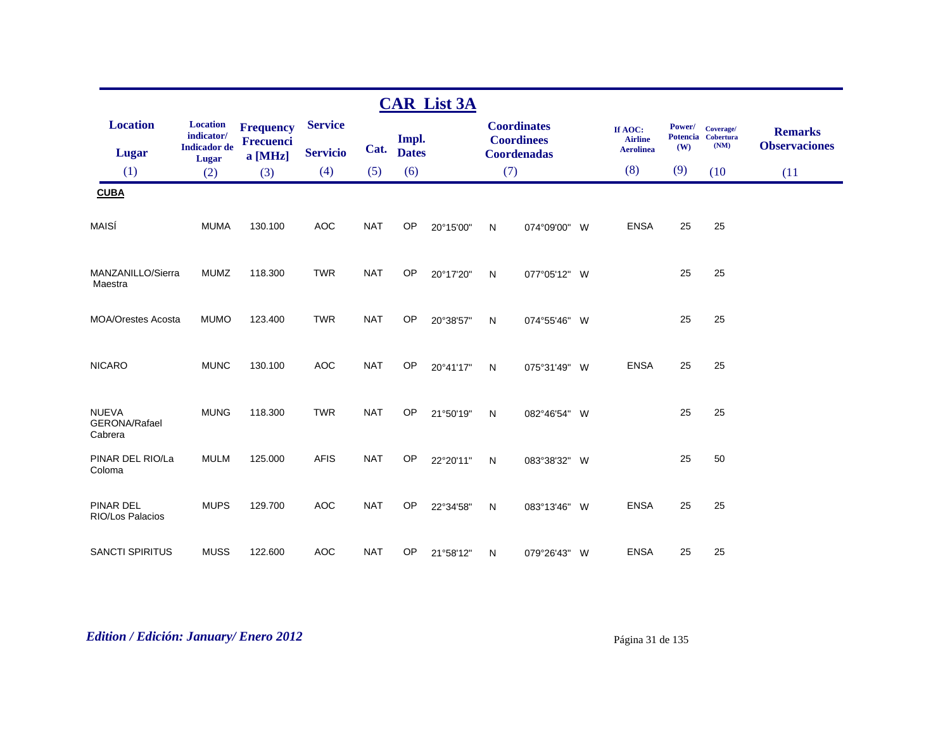|                                          |                                                      |                                                 |                                   |            |                       | <b>CAR List 3A</b> |     |                                                               |   |                                               |               |                                         |                                        |
|------------------------------------------|------------------------------------------------------|-------------------------------------------------|-----------------------------------|------------|-----------------------|--------------------|-----|---------------------------------------------------------------|---|-----------------------------------------------|---------------|-----------------------------------------|----------------------------------------|
| <b>Location</b><br><b>Lugar</b>          | <b>Location</b><br>indicator/<br><b>Indicador</b> de | <b>Frequency</b><br><b>Frecuenci</b><br>a [MHz] | <b>Service</b><br><b>Servicio</b> | Cat.       | Impl.<br><b>Dates</b> |                    |     | <b>Coordinates</b><br><b>Coordinees</b><br><b>Coordenadas</b> |   | If AOC:<br><b>Airline</b><br><b>Aerolinea</b> | Power/<br>(W) | Coverage/<br>Potencia Cobertura<br>(NM) | <b>Remarks</b><br><b>Observaciones</b> |
| (1)                                      | Lugar<br>(2)                                         | (3)                                             | (4)                               | (5)        | (6)                   |                    | (7) |                                                               |   | (8)                                           | (9)           | (10)                                    | (11)                                   |
| <b>CUBA</b>                              |                                                      |                                                 |                                   |            |                       |                    |     |                                                               |   |                                               |               |                                         |                                        |
| MAISÍ                                    | <b>MUMA</b>                                          | 130.100                                         | <b>AOC</b>                        | <b>NAT</b> | OP                    | 20°15'00"          | N   | 074°09'00" W                                                  |   | <b>ENSA</b>                                   | 25            | 25                                      |                                        |
| MANZANILLO/Sierra<br>Maestra             | <b>MUMZ</b>                                          | 118.300                                         | <b>TWR</b>                        | <b>NAT</b> | OP                    | 20°17'20"          | N   | 077°05'12" W                                                  |   |                                               | 25            | 25                                      |                                        |
| <b>MOA/Orestes Acosta</b>                | <b>MUMO</b>                                          | 123.400                                         | <b>TWR</b>                        | <b>NAT</b> | OP                    | 20°38'57"          | N   | 074°55'46" W                                                  |   |                                               | 25            | 25                                      |                                        |
| <b>NICARO</b>                            | <b>MUNC</b>                                          | 130.100                                         | <b>AOC</b>                        | <b>NAT</b> | <b>OP</b>             | 20°41'17"          | N   | 075°31'49" W                                                  |   | <b>ENSA</b>                                   | 25            | 25                                      |                                        |
| <b>NUEVA</b><br>GERONA/Rafael<br>Cabrera | <b>MUNG</b>                                          | 118.300                                         | <b>TWR</b>                        | <b>NAT</b> | <b>OP</b>             | 21°50'19"          | N   | 082°46'54" W                                                  |   |                                               | 25            | 25                                      |                                        |
| PINAR DEL RIO/La<br>Coloma               | <b>MULM</b>                                          | 125.000                                         | <b>AFIS</b>                       | <b>NAT</b> | OP                    | 22°20'11"          | N   | 083°38'32" W                                                  |   |                                               | 25            | 50                                      |                                        |
| <b>PINAR DEL</b><br>RIO/Los Palacios     | <b>MUPS</b>                                          | 129.700                                         | <b>AOC</b>                        | <b>NAT</b> | <b>OP</b>             | 22°34'58"          | N   | 083°13'46"                                                    | W | <b>ENSA</b>                                   | 25            | 25                                      |                                        |
| <b>SANCTI SPIRITUS</b>                   | <b>MUSS</b>                                          | 122.600                                         | <b>AOC</b>                        | <b>NAT</b> | OP                    | 21°58'12"          | N   | 079°26'43" W                                                  |   | <b>ENSA</b>                                   | 25            | 25                                      |                                        |

# *Edition / Edición: January/ Enero 2012* Página 31 de 135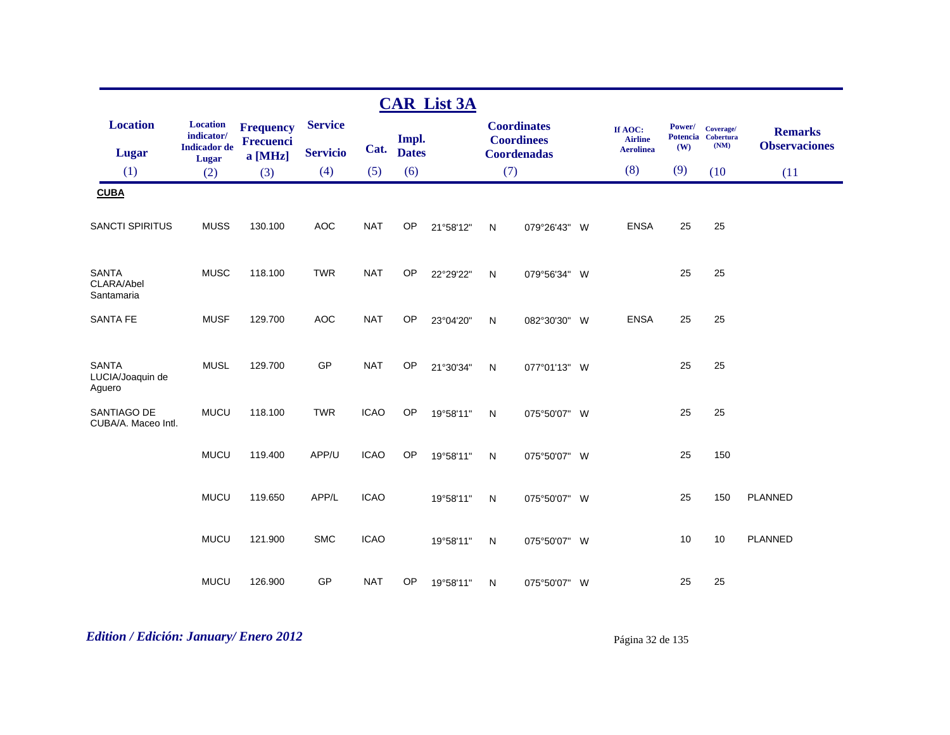|                                            |                               |                               |                 |             |              | <b>CAR List 3A</b> |     |                                         |                           |               |                                 |                      |
|--------------------------------------------|-------------------------------|-------------------------------|-----------------|-------------|--------------|--------------------|-----|-----------------------------------------|---------------------------|---------------|---------------------------------|----------------------|
| <b>Location</b>                            | <b>Location</b><br>indicator/ | <b>Frequency</b><br>Frecuenci | <b>Service</b>  |             | Impl.        |                    |     | <b>Coordinates</b><br><b>Coordinees</b> | If AOC:<br><b>Airline</b> | <b>Power/</b> | Coverage/<br>Potencia Cobertura | <b>Remarks</b>       |
| Lugar                                      | <b>Indicador</b> de<br>Lugar  | a [MHz]                       | <b>Servicio</b> | Cat.        | <b>Dates</b> |                    |     | <b>Coordenadas</b>                      | <b>Aerolinea</b>          | (W)           | (NM)                            | <b>Observaciones</b> |
| (1)                                        | (2)                           | (3)                           | (4)             | (5)         | (6)          |                    | (7) |                                         | (8)                       | (9)           | (10)                            | (11)                 |
| <b>CUBA</b>                                |                               |                               |                 |             |              |                    |     |                                         |                           |               |                                 |                      |
| <b>SANCTI SPIRITUS</b>                     | <b>MUSS</b>                   | 130.100                       | <b>AOC</b>      | <b>NAT</b>  | OP           | 21°58'12"          | N   | 079°26'43" W                            | <b>ENSA</b>               | 25            | 25                              |                      |
| <b>SANTA</b><br>CLARA/Abel<br>Santamaria   | <b>MUSC</b>                   | 118.100                       | <b>TWR</b>      | <b>NAT</b>  | OP           | 22°29'22"          | N   | 079°56'34" W                            |                           | 25            | 25                              |                      |
| <b>SANTA FE</b>                            | <b>MUSF</b>                   | 129.700                       | <b>AOC</b>      | <b>NAT</b>  | OP           | 23°04'20"          | N   | 082°30'30" W                            | <b>ENSA</b>               | 25            | 25                              |                      |
| <b>SANTA</b><br>LUCIA/Joaquin de<br>Aguero | <b>MUSL</b>                   | 129.700                       | GP              | <b>NAT</b>  | OP           | 21°30'34"          | N   | 077°01'13" W                            |                           | 25            | 25                              |                      |
| SANTIAGO DE<br>CUBA/A. Maceo Intl.         | <b>MUCU</b>                   | 118.100                       | <b>TWR</b>      | <b>ICAO</b> | OP           | 19°58'11"          | N   | 075°50'07" W                            |                           | 25            | 25                              |                      |
|                                            | <b>MUCU</b>                   | 119.400                       | APP/U           | <b>ICAO</b> | OP           | 19°58'11"          | N   | 075°50'07" W                            |                           | 25            | 150                             |                      |
|                                            | <b>MUCU</b>                   | 119.650                       | APP/L           | <b>ICAO</b> |              | 19°58'11"          | N   | 075°50'07" W                            |                           | 25            | 150                             | <b>PLANNED</b>       |
|                                            | <b>MUCU</b>                   | 121.900                       | <b>SMC</b>      | <b>ICAO</b> |              | 19°58'11"          | N   | 075°50'07" W                            |                           | 10            | 10                              | <b>PLANNED</b>       |
|                                            | <b>MUCU</b>                   | 126.900                       | GP              | <b>NAT</b>  | OP           | 19°58'11"          | N   | 075°50'07" W                            |                           | 25            | 25                              |                      |

# *Edition / Edición: January/ Enero 2012* Página 32 de 135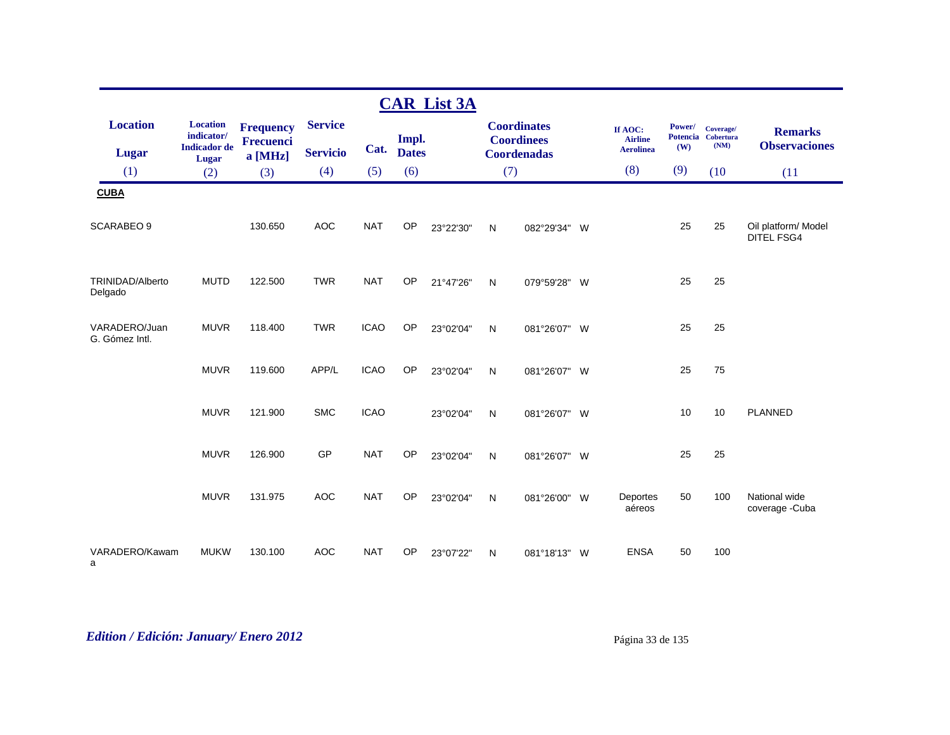|                                 |                                                      |                               |                                   |             |                       | <b>CAR List 3A</b> |              |                                                               |          |                                               |                                  |                                |                                        |
|---------------------------------|------------------------------------------------------|-------------------------------|-----------------------------------|-------------|-----------------------|--------------------|--------------|---------------------------------------------------------------|----------|-----------------------------------------------|----------------------------------|--------------------------------|----------------------------------------|
| <b>Location</b><br><b>Lugar</b> | <b>Location</b><br>indicator/<br><b>Indicador</b> de | <b>Frequency</b><br>Frecuenci | <b>Service</b><br><b>Servicio</b> | Cat.        | Impl.<br><b>Dates</b> |                    |              | <b>Coordinates</b><br><b>Coordinees</b><br><b>Coordenadas</b> |          | If AOC:<br><b>Airline</b><br><b>Aerolinea</b> | Power/<br><b>Potencia</b><br>(W) | Coverage/<br>Cobertura<br>(NM) | <b>Remarks</b><br><b>Observaciones</b> |
| (1)                             | <b>Lugar</b><br>(2)                                  | a [MHz]<br>(3)                | (4)                               | (5)         | (6)                   |                    | (7)          |                                                               |          | (8)                                           | (9)                              | (10)                           | (11)                                   |
| <b>CUBA</b>                     |                                                      |                               |                                   |             |                       |                    |              |                                                               |          |                                               |                                  |                                |                                        |
|                                 |                                                      |                               |                                   |             |                       |                    |              |                                                               |          |                                               |                                  |                                |                                        |
| <b>SCARABEO 9</b>               |                                                      | 130.650                       | AOC                               | <b>NAT</b>  | OP                    | 23°22'30"          | N            | 082°29'34"                                                    | <b>W</b> |                                               | 25                               | 25                             | Oil platform/ Model<br>DITEL FSG4      |
| TRINIDAD/Alberto<br>Delgado     | <b>MUTD</b>                                          | 122.500                       | <b>TWR</b>                        | <b>NAT</b>  | OP                    | 21°47'26"          | ${\sf N}$    | 079°59'28"                                                    | <b>W</b> |                                               | 25                               | 25                             |                                        |
| VARADERO/Juan<br>G. Gómez Intl. | <b>MUVR</b>                                          | 118.400                       | <b>TWR</b>                        | <b>ICAO</b> | OP                    | 23°02'04"          | ${\sf N}$    | 081°26'07" W                                                  |          |                                               | 25                               | 25                             |                                        |
|                                 | <b>MUVR</b>                                          | 119.600                       | APP/L                             | <b>ICAO</b> | OP                    | 23°02'04"          | N            | 081°26'07" W                                                  |          |                                               | 25                               | 75                             |                                        |
|                                 | <b>MUVR</b>                                          | 121.900                       | <b>SMC</b>                        | <b>ICAO</b> |                       | 23°02'04"          | N            | 081°26'07" W                                                  |          |                                               | 10                               | 10                             | <b>PLANNED</b>                         |
|                                 | <b>MUVR</b>                                          | 126.900                       | GP                                | <b>NAT</b>  | <b>OP</b>             | 23°02'04"          | N            | 081°26'07" W                                                  |          |                                               | 25                               | 25                             |                                        |
|                                 | <b>MUVR</b>                                          | 131.975                       | <b>AOC</b>                        | <b>NAT</b>  | OP                    | 23°02'04"          | N            | 081°26'00"                                                    | W        | Deportes<br>aéreos                            | 50                               | 100                            | National wide<br>coverage -Cuba        |
| VARADERO/Kawam<br>a             | <b>MUKW</b>                                          | 130.100                       | <b>AOC</b>                        | <b>NAT</b>  | OP                    | 23°07'22"          | $\mathsf{N}$ | 081°18'13"                                                    | W        | <b>ENSA</b>                                   | 50                               | 100                            |                                        |

# *Edition / Edición: January/ Enero 2012* Página 33 de 135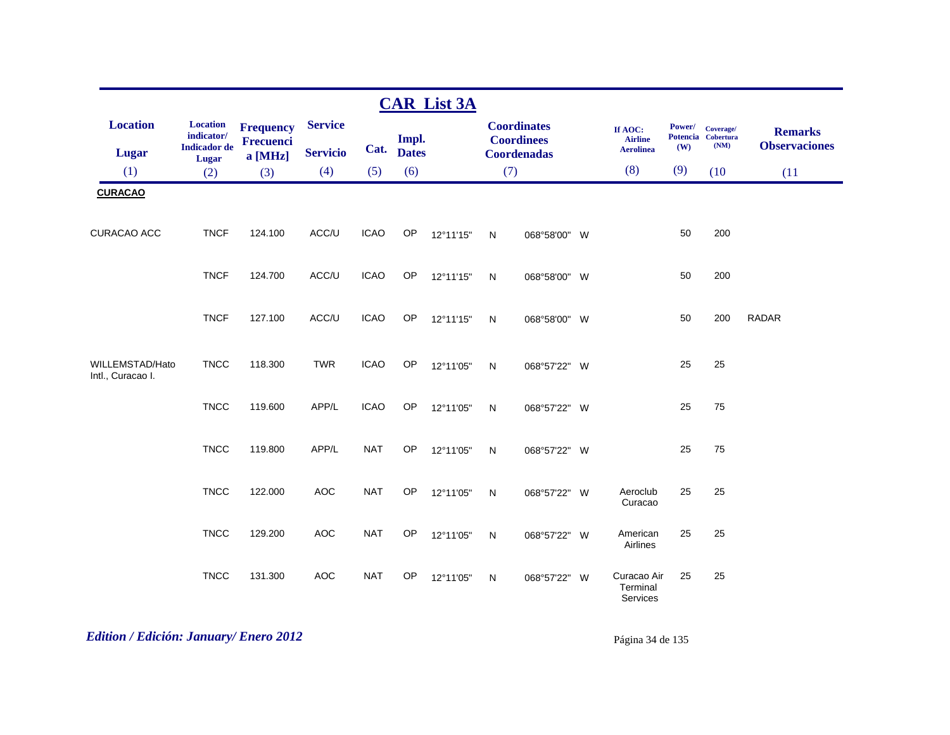|                                      |                                                               |                                            |                                   |             |                       | <b>CAR List 3A</b> |              |                                                               |                                               |               |                                         |                                        |
|--------------------------------------|---------------------------------------------------------------|--------------------------------------------|-----------------------------------|-------------|-----------------------|--------------------|--------------|---------------------------------------------------------------|-----------------------------------------------|---------------|-----------------------------------------|----------------------------------------|
| <b>Location</b><br><b>Lugar</b>      | <b>Location</b><br>indicator/<br><b>Indicador</b> de<br>Lugar | <b>Frequency</b><br>Frecuenci<br>$a$ [MHz] | <b>Service</b><br><b>Servicio</b> | Cat.        | Impl.<br><b>Dates</b> |                    |              | <b>Coordinates</b><br><b>Coordinees</b><br><b>Coordenadas</b> | If AOC:<br><b>Airline</b><br><b>Aerolinea</b> | Power/<br>(W) | Coverage/<br>Potencia Cobertura<br>(NM) | <b>Remarks</b><br><b>Observaciones</b> |
| (1)                                  | (2)                                                           | (3)                                        | (4)                               | (5)         | (6)                   |                    | (7)          |                                                               | (8)                                           | (9)           | (10)                                    | (11)                                   |
| <b>CURACAO</b>                       |                                                               |                                            |                                   |             |                       |                    |              |                                                               |                                               |               |                                         |                                        |
| <b>CURACAO ACC</b>                   | <b>TNCF</b>                                                   | 124.100                                    | ACC/U                             | <b>ICAO</b> | OP                    | 12°11'15"          | N            | 068°58'00" W                                                  |                                               | 50            | 200                                     |                                        |
|                                      | <b>TNCF</b>                                                   | 124.700                                    | ACC/U                             | <b>ICAO</b> | OP                    | 12°11'15"          | $\mathsf{N}$ | 068°58'00" W                                                  |                                               | 50            | 200                                     |                                        |
|                                      | <b>TNCF</b>                                                   | 127.100                                    | ACC/U                             | <b>ICAO</b> | OP                    | 12°11'15"          | N            | 068°58'00" W                                                  |                                               | 50            | 200                                     | <b>RADAR</b>                           |
| WILLEMSTAD/Hato<br>Intl., Curacao I. | <b>TNCC</b>                                                   | 118.300                                    | <b>TWR</b>                        | <b>ICAO</b> | <b>OP</b>             | 12°11'05"          | N            | 068°57'22" W                                                  |                                               | 25            | 25                                      |                                        |
|                                      | <b>TNCC</b>                                                   | 119.600                                    | APP/L                             | <b>ICAO</b> | <b>OP</b>             | 12°11'05"          | N            | 068°57'22" W                                                  |                                               | 25            | 75                                      |                                        |
|                                      | <b>TNCC</b>                                                   | 119.800                                    | APP/L                             | <b>NAT</b>  | OP                    | 12°11'05"          | N            | 068°57'22" W                                                  |                                               | 25            | 75                                      |                                        |
|                                      | <b>TNCC</b>                                                   | 122.000                                    | <b>AOC</b>                        | <b>NAT</b>  | OP                    | 12°11'05"          | N            | 068°57'22" W                                                  | Aeroclub<br>Curacao                           | 25            | 25                                      |                                        |
|                                      | <b>TNCC</b>                                                   | 129.200                                    | <b>AOC</b>                        | <b>NAT</b>  | <b>OP</b>             | 12°11'05"          | N            | 068°57'22" W                                                  | American<br>Airlines                          | 25            | 25                                      |                                        |
|                                      | <b>TNCC</b>                                                   | 131.300                                    | <b>AOC</b>                        | <b>NAT</b>  | <b>OP</b>             | 12°11'05"          | N            | 068°57'22" W                                                  | Curacao Air<br>Terminal<br>Services           | 25            | 25                                      |                                        |

# *Edition / Edición: January/ Enero 2012* Página 34 de 135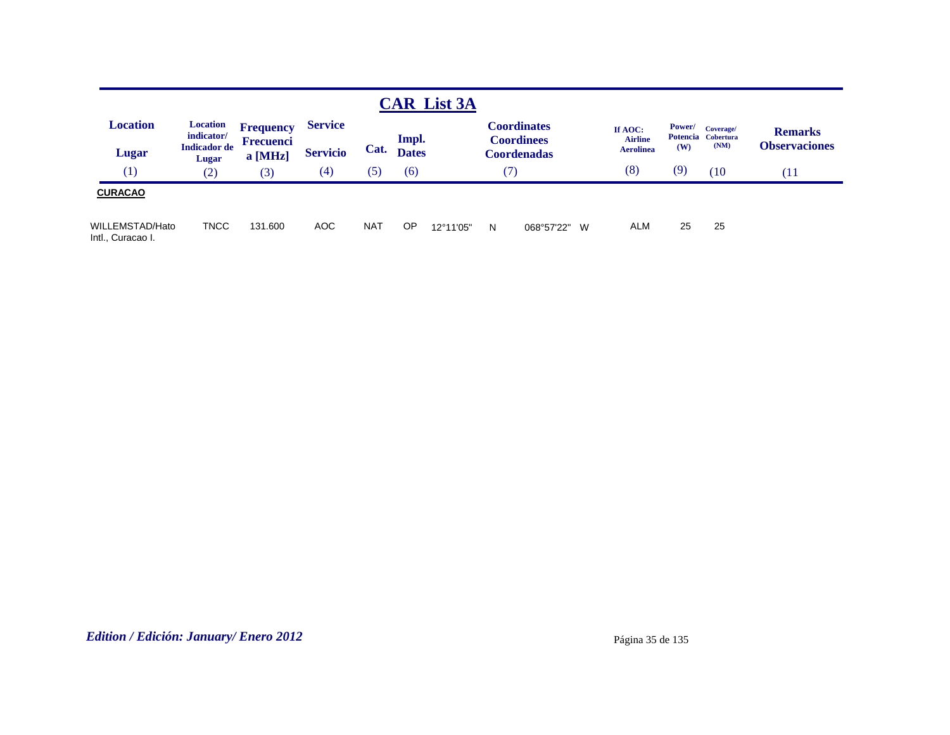|                                      |                                                               |                                          |                                   |            |                       | <b>CAR List 3A</b> |   |                                                               |                                               |               |                                         |                                        |
|--------------------------------------|---------------------------------------------------------------|------------------------------------------|-----------------------------------|------------|-----------------------|--------------------|---|---------------------------------------------------------------|-----------------------------------------------|---------------|-----------------------------------------|----------------------------------------|
| <b>Location</b><br>Lugar             | <b>Location</b><br>indicator/<br><b>Indicador</b> de<br>Lugar | <b>Frequency</b><br>Frecuenci<br>a [MHz] | <b>Service</b><br><b>Servicio</b> | Cat.       | Impl.<br><b>Dates</b> |                    |   | <b>Coordinates</b><br><b>Coordinees</b><br><b>Coordenadas</b> | If AOC:<br><b>Airline</b><br><b>Aerolinea</b> | Power/<br>(W) | Coverage/<br>Potencia Cobertura<br>(NM) | <b>Remarks</b><br><b>Observaciones</b> |
| (1)                                  | (2)                                                           | (3)                                      | $\left( 4\right)$                 | (5)        | (6)                   |                    |   | 7                                                             | (8)                                           | (9)           | (10)                                    | ′11                                    |
| <b>CURACAO</b>                       |                                                               |                                          |                                   |            |                       |                    |   |                                                               |                                               |               |                                         |                                        |
| WILLEMSTAD/Hato<br>Intl., Curacao I. | <b>TNCC</b>                                                   | 131.600                                  | <b>AOC</b>                        | <b>NAT</b> | <b>OP</b>             | 12°11'05"          | N | 068°57'22"<br>- W                                             | <b>ALM</b>                                    | 25            | 25                                      |                                        |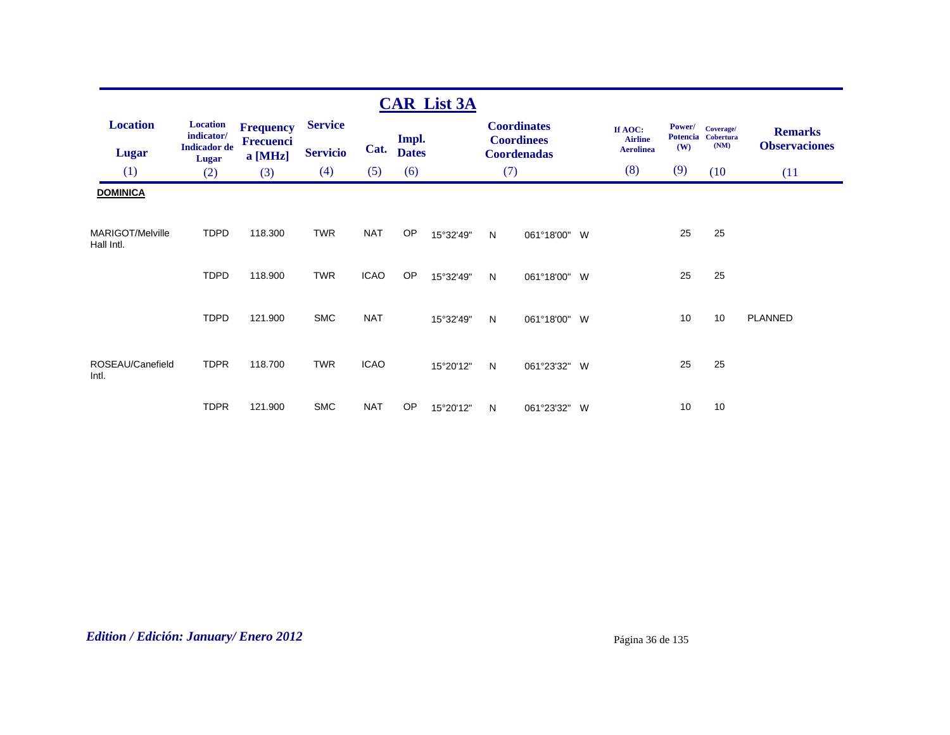|                                 |                                                      |                                                 |                                   |             |                       | <b>CAR List 3A</b> |     |                                                               |                                               |                                     |                   |                                        |
|---------------------------------|------------------------------------------------------|-------------------------------------------------|-----------------------------------|-------------|-----------------------|--------------------|-----|---------------------------------------------------------------|-----------------------------------------------|-------------------------------------|-------------------|----------------------------------------|
| <b>Location</b><br><b>Lugar</b> | <b>Location</b><br>indicator/<br><b>Indicador</b> de | <b>Frequency</b><br><b>Frecuenci</b><br>a [MHz] | <b>Service</b><br><b>Servicio</b> | Cat.        | Impl.<br><b>Dates</b> |                    |     | <b>Coordinates</b><br><b>Coordinees</b><br><b>Coordenadas</b> | If AOC:<br><b>Airline</b><br><b>Aerolinea</b> | Power/<br>Potencia Cobertura<br>(W) | Coverage/<br>(NM) | <b>Remarks</b><br><b>Observaciones</b> |
| (1)                             | <b>Lugar</b><br>(2)                                  | (3)                                             | (4)                               | (5)         | (6)                   |                    | (7) |                                                               | (8)                                           | (9)                                 | (10)              | (11)                                   |
| <b>DOMINICA</b>                 |                                                      |                                                 |                                   |             |                       |                    |     |                                                               |                                               |                                     |                   |                                        |
| MARIGOT/Melville<br>Hall Intl.  | <b>TDPD</b>                                          | 118.300                                         | <b>TWR</b>                        | <b>NAT</b>  | OP                    | 15°32'49"          | N   | 061°18'00" W                                                  |                                               | 25                                  | 25                |                                        |
|                                 | <b>TDPD</b>                                          | 118.900                                         | <b>TWR</b>                        | <b>ICAO</b> | <b>OP</b>             | 15°32'49"          | N   | 061°18'00" W                                                  |                                               | 25                                  | 25                |                                        |
|                                 | <b>TDPD</b>                                          | 121.900                                         | <b>SMC</b>                        | <b>NAT</b>  |                       | 15°32'49"          | N   | 061°18'00" W                                                  |                                               | 10                                  | 10                | PLANNED                                |
| ROSEAU/Canefield<br>Intl.       | <b>TDPR</b>                                          | 118.700                                         | <b>TWR</b>                        | <b>ICAO</b> |                       | 15°20'12"          | N   | 061°23'32" W                                                  |                                               | 25                                  | 25                |                                        |
|                                 | <b>TDPR</b>                                          | 121.900                                         | <b>SMC</b>                        | <b>NAT</b>  | <b>OP</b>             | 15°20'12"          | N   | 061°23'32" W                                                  |                                               | 10                                  | 10                |                                        |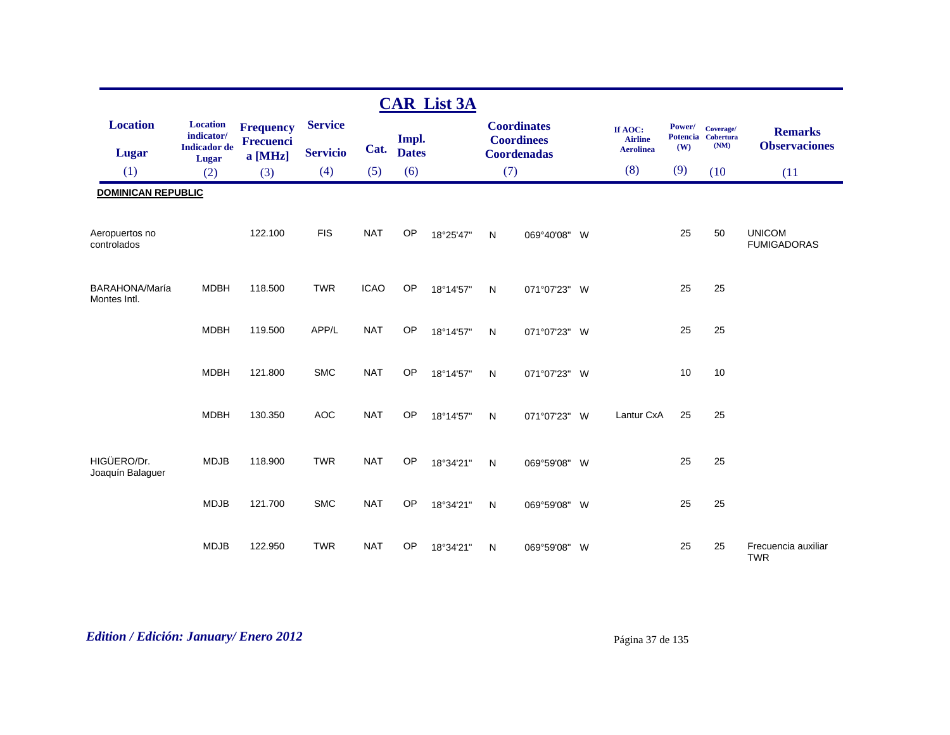|                                 |                                                      |                                      |                 |             |              | <b>CAR List 3A</b> |              |                                         |          |                                               |                                  |                                       |                                        |
|---------------------------------|------------------------------------------------------|--------------------------------------|-----------------|-------------|--------------|--------------------|--------------|-----------------------------------------|----------|-----------------------------------------------|----------------------------------|---------------------------------------|----------------------------------------|
| <b>Location</b>                 | <b>Location</b><br>indicator/<br><b>Indicador</b> de | <b>Frequency</b><br><b>Frecuenci</b> | <b>Service</b>  | Cat.        | Impl.        |                    |              | <b>Coordinates</b><br><b>Coordinees</b> |          | If AOC:<br><b>Airline</b><br><b>Aerolinea</b> | Power/<br><b>Potencia</b><br>(W) | Coverage/<br><b>Cobertura</b><br>(NM) | <b>Remarks</b><br><b>Observaciones</b> |
| <b>Lugar</b>                    | <b>Lugar</b>                                         | a [MHz]                              | <b>Servicio</b> |             | <b>Dates</b> |                    |              | <b>Coordenadas</b>                      |          |                                               |                                  |                                       |                                        |
| (1)                             | (2)                                                  | (3)                                  | (4)             | (5)         | (6)          |                    | (7)          |                                         |          | (8)                                           | (9)                              | (10)                                  | (11)                                   |
| <b>DOMINICAN REPUBLIC</b>       |                                                      |                                      |                 |             |              |                    |              |                                         |          |                                               |                                  |                                       |                                        |
| Aeropuertos no<br>controlados   |                                                      | 122.100                              | <b>FIS</b>      | <b>NAT</b>  | OP           | 18°25'47"          | N            | 069°40'08" W                            |          |                                               | 25                               | 50                                    | <b>UNICOM</b><br><b>FUMIGADORAS</b>    |
| BARAHONA/María<br>Montes Intl.  | <b>MDBH</b>                                          | 118.500                              | <b>TWR</b>      | <b>ICAO</b> | OP           | 18°14'57"          | $\mathsf{N}$ | 071°07'23" W                            |          |                                               | 25                               | 25                                    |                                        |
|                                 | <b>MDBH</b>                                          | 119.500                              | APP/L           | <b>NAT</b>  | OP           | 18°14'57"          | $\mathsf{N}$ | 071°07'23" W                            |          |                                               | 25                               | 25                                    |                                        |
|                                 | <b>MDBH</b>                                          | 121.800                              | <b>SMC</b>      | <b>NAT</b>  | <b>OP</b>    | 18°14'57"          | N            | 071°07'23" W                            |          |                                               | 10                               | 10                                    |                                        |
|                                 | <b>MDBH</b>                                          | 130.350                              | <b>AOC</b>      | <b>NAT</b>  | OP           | 18°14'57"          | $\mathsf{N}$ | 071°07'23" W                            |          | Lantur CxA                                    | 25                               | 25                                    |                                        |
| HIGÜERO/Dr.<br>Joaquín Balaguer | <b>MDJB</b>                                          | 118.900                              | <b>TWR</b>      | <b>NAT</b>  | OP           | 18°34'21"          | N            | 069°59'08" W                            |          |                                               | 25                               | 25                                    |                                        |
|                                 | <b>MDJB</b>                                          | 121.700                              | <b>SMC</b>      | <b>NAT</b>  | OP           | 18°34'21"          | N            | 069°59'08" W                            |          |                                               | 25                               | 25                                    |                                        |
|                                 | <b>MDJB</b>                                          | 122.950                              | <b>TWR</b>      | <b>NAT</b>  | OP           | 18°34'21"          | N            | 069°59'08"                              | <b>W</b> |                                               | 25                               | 25                                    | Frecuencia auxiliar<br><b>TWR</b>      |

# *Edition / Edición: January/ Enero 2012* Página 37 de 135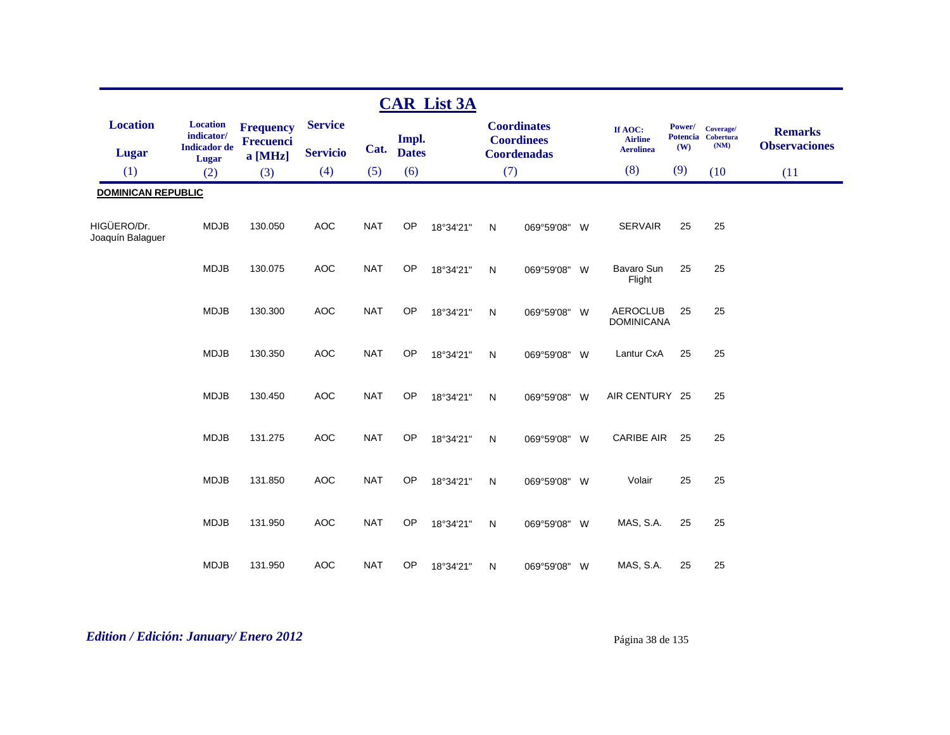|                                 |                                                               |                                                   |                                   |            |                       | <b>CAR List 3A</b> |              |                                                        |                                               |               |                                         |                                        |
|---------------------------------|---------------------------------------------------------------|---------------------------------------------------|-----------------------------------|------------|-----------------------|--------------------|--------------|--------------------------------------------------------|-----------------------------------------------|---------------|-----------------------------------------|----------------------------------------|
| <b>Location</b><br><b>Lugar</b> | <b>Location</b><br>indicator/<br><b>Indicador</b> de<br>Lugar | <b>Frequency</b><br><b>Frecuenci</b><br>$a$ [MHz] | <b>Service</b><br><b>Servicio</b> | Cat.       | Impl.<br><b>Dates</b> |                    |              | <b>Coordinates</b><br><b>Coordinees</b><br>Coordenadas | If AOC:<br><b>Airline</b><br><b>Aerolinea</b> | Power/<br>(W) | Coverage/<br>Potencia Cobertura<br>(NM) | <b>Remarks</b><br><b>Observaciones</b> |
| (1)                             | (2)                                                           | (3)                                               | (4)                               | (5)        | (6)                   |                    | (7)          |                                                        | (8)                                           | (9)           | (10)                                    | (11)                                   |
| <b>DOMINICAN REPUBLIC</b>       |                                                               |                                                   |                                   |            |                       |                    |              |                                                        |                                               |               |                                         |                                        |
| HIGÜERO/Dr.<br>Joaquín Balaguer | <b>MDJB</b>                                                   | 130.050                                           | <b>AOC</b>                        | <b>NAT</b> | OP                    | 18°34'21"          | N            | 069°59'08" W                                           | <b>SERVAIR</b>                                | 25            | 25                                      |                                        |
|                                 | <b>MDJB</b>                                                   | 130.075                                           | <b>AOC</b>                        | <b>NAT</b> | OP                    | 18°34'21"          | N            | 069°59'08" W                                           | Bavaro Sun<br>Flight                          | 25            | 25                                      |                                        |
|                                 | <b>MDJB</b>                                                   | 130.300                                           | <b>AOC</b>                        | <b>NAT</b> | OP                    | 18°34'21"          | N            | 069°59'08" W                                           | <b>AEROCLUB</b><br><b>DOMINICANA</b>          | 25            | 25                                      |                                        |
|                                 | <b>MDJB</b>                                                   | 130.350                                           | <b>AOC</b>                        | <b>NAT</b> | OP                    | 18°34'21"          | $\mathsf{N}$ | 069°59'08" W                                           | Lantur CxA                                    | 25            | 25                                      |                                        |
|                                 | <b>MDJB</b>                                                   | 130.450                                           | <b>AOC</b>                        | <b>NAT</b> | OP                    | 18°34'21"          | N            | 069°59'08" W                                           | AIR CENTURY 25                                |               | 25                                      |                                        |
|                                 | <b>MDJB</b>                                                   | 131.275                                           | <b>AOC</b>                        | <b>NAT</b> | OP                    | 18°34'21"          | $\mathsf{N}$ | 069°59'08" W                                           | <b>CARIBE AIR</b>                             | 25            | 25                                      |                                        |
|                                 | <b>MDJB</b>                                                   | 131.850                                           | <b>AOC</b>                        | <b>NAT</b> | OP                    | 18°34'21"          | N            | 069°59'08" W                                           | Volair                                        | 25            | 25                                      |                                        |
|                                 | <b>MDJB</b>                                                   | 131.950                                           | <b>AOC</b>                        | <b>NAT</b> | OP                    | 18°34'21"          | $\mathsf{N}$ | 069°59'08" W                                           | MAS, S.A.                                     | 25            | 25                                      |                                        |
|                                 | <b>MDJB</b>                                                   | 131.950                                           | <b>AOC</b>                        | <b>NAT</b> | OP                    | 18°34'21"          | N            | 069°59'08" W                                           | MAS, S.A.                                     | 25            | 25                                      |                                        |

# *Edition / Edición: January/ Enero 2012* Página 38 de 135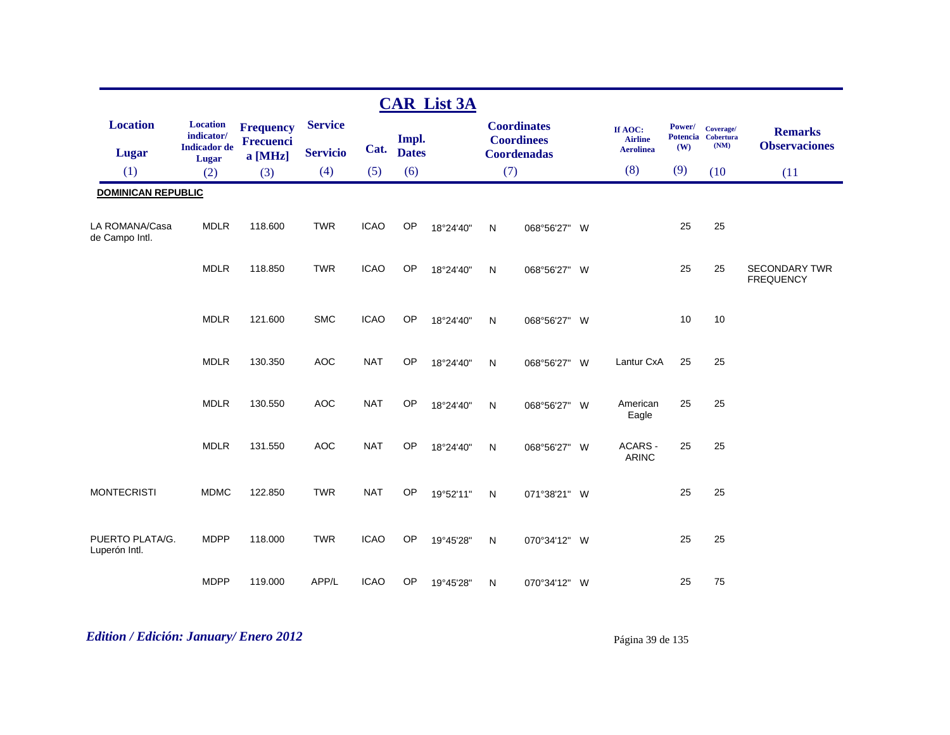|                                  |                                                      |                                                 |                                   |             |                       | <b>CAR List 3A</b> |              |                                                               |                                               |               |                                         |                                          |
|----------------------------------|------------------------------------------------------|-------------------------------------------------|-----------------------------------|-------------|-----------------------|--------------------|--------------|---------------------------------------------------------------|-----------------------------------------------|---------------|-----------------------------------------|------------------------------------------|
| <b>Location</b><br><b>Lugar</b>  | <b>Location</b><br>indicator/<br><b>Indicador</b> de | <b>Frequency</b><br><b>Frecuenci</b><br>a [MHz] | <b>Service</b><br><b>Servicio</b> | Cat.        | Impl.<br><b>Dates</b> |                    |              | <b>Coordinates</b><br><b>Coordinees</b><br><b>Coordenadas</b> | If AOC:<br><b>Airline</b><br><b>Aerolinea</b> | Power/<br>(W) | Coverage/<br>Potencia Cobertura<br>(NM) | <b>Remarks</b><br><b>Observaciones</b>   |
| (1)                              | Lugar<br>(2)                                         | (3)                                             | (4)                               | (5)         | (6)                   |                    | (7)          |                                                               | (8)                                           | (9)           | (10)                                    | (11)                                     |
| <b>DOMINICAN REPUBLIC</b>        |                                                      |                                                 |                                   |             |                       |                    |              |                                                               |                                               |               |                                         |                                          |
| LA ROMANA/Casa<br>de Campo Intl. | <b>MDLR</b>                                          | 118.600                                         | <b>TWR</b>                        | <b>ICAO</b> | OP                    | 18°24'40"          | $\mathsf{N}$ | 068°56'27" W                                                  |                                               | 25            | 25                                      |                                          |
|                                  | <b>MDLR</b>                                          | 118.850                                         | <b>TWR</b>                        | <b>ICAO</b> | OP                    | 18°24'40"          | $\mathsf{N}$ | 068°56'27" W                                                  |                                               | 25            | 25                                      | <b>SECONDARY TWR</b><br><b>FREQUENCY</b> |
|                                  | <b>MDLR</b>                                          | 121.600                                         | <b>SMC</b>                        | <b>ICAO</b> | OP                    | 18°24'40"          | N            | 068°56'27" W                                                  |                                               | 10            | 10                                      |                                          |
|                                  | <b>MDLR</b>                                          | 130.350                                         | <b>AOC</b>                        | <b>NAT</b>  | OP                    | 18°24'40"          | $\mathsf{N}$ | 068°56'27" W                                                  | Lantur CxA                                    | 25            | 25                                      |                                          |
|                                  | <b>MDLR</b>                                          | 130.550                                         | <b>AOC</b>                        | <b>NAT</b>  | <b>OP</b>             | 18°24'40"          | $\mathsf{N}$ | 068°56'27" W                                                  | American<br>Eagle                             | 25            | 25                                      |                                          |
|                                  | <b>MDLR</b>                                          | 131.550                                         | <b>AOC</b>                        | <b>NAT</b>  | OP                    | 18°24'40"          | N            | 068°56'27" W                                                  | ACARS -<br><b>ARINC</b>                       | 25            | 25                                      |                                          |
| <b>MONTECRISTI</b>               | <b>MDMC</b>                                          | 122.850                                         | <b>TWR</b>                        | <b>NAT</b>  | OP                    | 19°52'11"          | N            | 071°38'21" W                                                  |                                               | 25            | 25                                      |                                          |
| PUERTO PLATA/G.<br>Luperón Intl. | <b>MDPP</b>                                          | 118.000                                         | <b>TWR</b>                        | <b>ICAO</b> | OP                    | 19°45'28"          | $\mathsf{N}$ | 070°34'12" W                                                  |                                               | 25            | 25                                      |                                          |
|                                  | <b>MDPP</b>                                          | 119.000                                         | APP/L                             | <b>ICAO</b> | OP                    | 19°45'28"          | N            | 070°34'12" W                                                  |                                               | 25            | 75                                      |                                          |

# *Edition / Edición: January/ Enero 2012* Página 39 de 135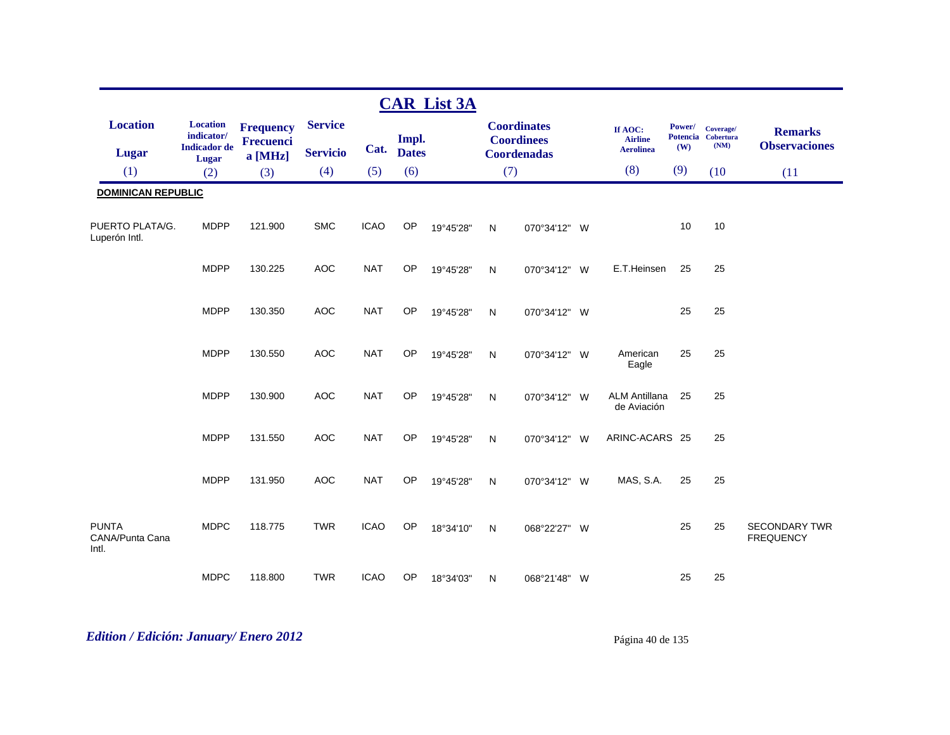|                                          |                                                               |                                                 |                                   |             |                       | <b>CAR List 3A</b> |              |                                                               |                                               |               |                                         |                                          |
|------------------------------------------|---------------------------------------------------------------|-------------------------------------------------|-----------------------------------|-------------|-----------------------|--------------------|--------------|---------------------------------------------------------------|-----------------------------------------------|---------------|-----------------------------------------|------------------------------------------|
| <b>Location</b><br><b>Lugar</b>          | <b>Location</b><br>indicator/<br><b>Indicador</b> de<br>Lugar | <b>Frequency</b><br><b>Frecuenci</b><br>a [MHz] | <b>Service</b><br><b>Servicio</b> | Cat.        | Impl.<br><b>Dates</b> |                    |              | <b>Coordinates</b><br><b>Coordinees</b><br><b>Coordenadas</b> | If AOC:<br><b>Airline</b><br><b>Aerolinea</b> | Power/<br>(W) | Coverage/<br>Potencia Cobertura<br>(NM) | <b>Remarks</b><br><b>Observaciones</b>   |
| (1)                                      | (2)                                                           | (3)                                             | (4)                               | (5)         | (6)                   |                    | (7)          |                                                               | (8)                                           | (9)           | (10)                                    | (11)                                     |
| <b>DOMINICAN REPUBLIC</b>                |                                                               |                                                 |                                   |             |                       |                    |              |                                                               |                                               |               |                                         |                                          |
| PUERTO PLATA/G.<br>Luperón Intl.         | <b>MDPP</b>                                                   | 121.900                                         | <b>SMC</b>                        | <b>ICAO</b> | <b>OP</b>             | 19°45'28"          | N            | 070°34'12" W                                                  |                                               | 10            | 10                                      |                                          |
|                                          | <b>MDPP</b>                                                   | 130.225                                         | AOC                               | <b>NAT</b>  | OP                    | 19°45'28"          | N            | 070°34'12" W                                                  | E.T.Heinsen                                   | 25            | 25                                      |                                          |
|                                          | <b>MDPP</b>                                                   | 130.350                                         | <b>AOC</b>                        | <b>NAT</b>  | <b>OP</b>             | 19°45'28"          | N            | 070°34'12" W                                                  |                                               | 25            | 25                                      |                                          |
|                                          | <b>MDPP</b>                                                   | 130.550                                         | <b>AOC</b>                        | <b>NAT</b>  | <b>OP</b>             | 19°45'28"          | $\mathsf{N}$ | 070°34'12" W                                                  | American<br>Eagle                             | 25            | 25                                      |                                          |
|                                          | <b>MDPP</b>                                                   | 130.900                                         | <b>AOC</b>                        | <b>NAT</b>  | OP                    | 19°45'28"          | ${\sf N}$    | 070°34'12" W                                                  | <b>ALM Antillana</b><br>de Aviación           | 25            | 25                                      |                                          |
|                                          | <b>MDPP</b>                                                   | 131.550                                         | <b>AOC</b>                        | <b>NAT</b>  | <b>OP</b>             | 19°45'28"          | N            | 070°34'12" W                                                  | ARINC-ACARS 25                                |               | 25                                      |                                          |
|                                          | <b>MDPP</b>                                                   | 131.950                                         | <b>AOC</b>                        | <b>NAT</b>  | OP                    | 19°45'28"          | N            | 070°34'12" W                                                  | MAS, S.A.                                     | 25            | 25                                      |                                          |
| <b>PUNTA</b><br>CANA/Punta Cana<br>Intl. | <b>MDPC</b>                                                   | 118.775                                         | <b>TWR</b>                        | <b>ICAO</b> | <b>OP</b>             | 18°34'10"          | ${\sf N}$    | 068°22'27" W                                                  |                                               | 25            | 25                                      | <b>SECONDARY TWR</b><br><b>FREQUENCY</b> |
|                                          | <b>MDPC</b>                                                   | 118.800                                         | <b>TWR</b>                        | <b>ICAO</b> | <b>OP</b>             | 18°34'03"          | N            | 068°21'48" W                                                  |                                               | 25            | 25                                      |                                          |

# *Edition / Edición: January/ Enero 2012* Página 40 de 135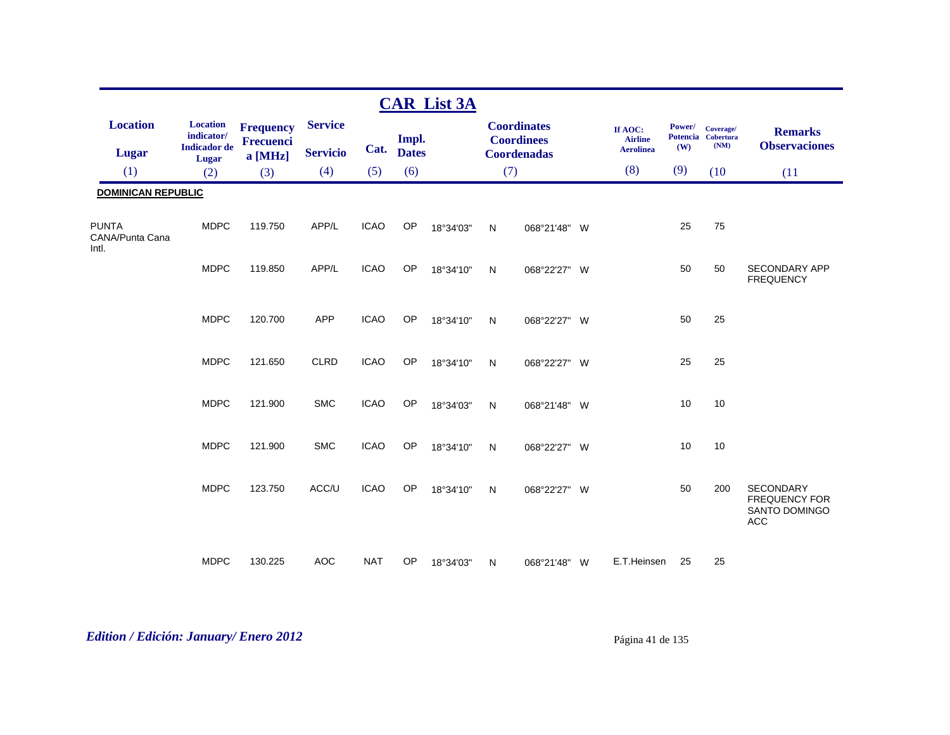|                                          |                                                      |                                      |                 |             |              | <b>CAR List 3A</b> |     |                                         |                           |               |                                         |                                                                                |
|------------------------------------------|------------------------------------------------------|--------------------------------------|-----------------|-------------|--------------|--------------------|-----|-----------------------------------------|---------------------------|---------------|-----------------------------------------|--------------------------------------------------------------------------------|
| <b>Location</b>                          | <b>Location</b><br>indicator/<br><b>Indicador</b> de | <b>Frequency</b><br><b>Frecuenci</b> | <b>Service</b>  |             | Impl.        |                    |     | <b>Coordinates</b><br><b>Coordinees</b> | If AOC:<br><b>Airline</b> | Power/<br>(W) | Coverage/<br>Potencia Cobertura<br>(NM) | <b>Remarks</b><br><b>Observaciones</b>                                         |
| <b>Lugar</b>                             | Lugar                                                | a [MHz]                              | <b>Servicio</b> | Cat.        | <b>Dates</b> |                    |     | <b>Coordenadas</b>                      | <b>Aerolinea</b>          |               |                                         |                                                                                |
| (1)                                      | (2)                                                  | (3)                                  | (4)             | (5)         | (6)          |                    | (7) |                                         | (8)                       | (9)           | (10)                                    | (11)                                                                           |
| <b>DOMINICAN REPUBLIC</b>                |                                                      |                                      |                 |             |              |                    |     |                                         |                           |               |                                         |                                                                                |
| <b>PUNTA</b><br>CANA/Punta Cana<br>Intl. | <b>MDPC</b>                                          | 119.750                              | APP/L           | <b>ICAO</b> | OP           | 18°34'03"          | N   | 068°21'48" W                            |                           | 25            | 75                                      |                                                                                |
|                                          | <b>MDPC</b>                                          | 119.850                              | APP/L           | <b>ICAO</b> | OP           | 18°34'10"          | N   | 068°22'27" W                            |                           | 50            | 50                                      | <b>SECONDARY APP</b><br><b>FREQUENCY</b>                                       |
|                                          | <b>MDPC</b>                                          | 120.700                              | <b>APP</b>      | <b>ICAO</b> | OP           | 18°34'10"          | N   | 068°22'27" W                            |                           | 50            | 25                                      |                                                                                |
|                                          | <b>MDPC</b>                                          | 121.650                              | <b>CLRD</b>     | <b>ICAO</b> | OP           | 18°34'10"          | N   | 068°22'27" W                            |                           | 25            | 25                                      |                                                                                |
|                                          | <b>MDPC</b>                                          | 121.900                              | <b>SMC</b>      | <b>ICAO</b> | OP           | 18°34'03"          | N   | 068°21'48" W                            |                           | 10            | 10                                      |                                                                                |
|                                          | <b>MDPC</b>                                          | 121.900                              | <b>SMC</b>      | <b>ICAO</b> | <b>OP</b>    | 18°34'10"          | N   | 068°22'27" W                            |                           | 10            | 10                                      |                                                                                |
|                                          | <b>MDPC</b>                                          | 123.750                              | ACC/U           | <b>ICAO</b> | <b>OP</b>    | 18°34'10"          | N   | 068°22'27" W                            |                           | 50            | 200                                     | <b>SECONDARY</b><br><b>FREQUENCY FOR</b><br><b>SANTO DOMINGO</b><br><b>ACC</b> |
|                                          | <b>MDPC</b>                                          | 130.225                              | <b>AOC</b>      | <b>NAT</b>  | OP           | 18°34'03"          | N   | 068°21'48" W                            | E.T.Heinsen               | 25            | 25                                      |                                                                                |

# *Edition / Edición: January/ Enero 2012* Página 41 de 135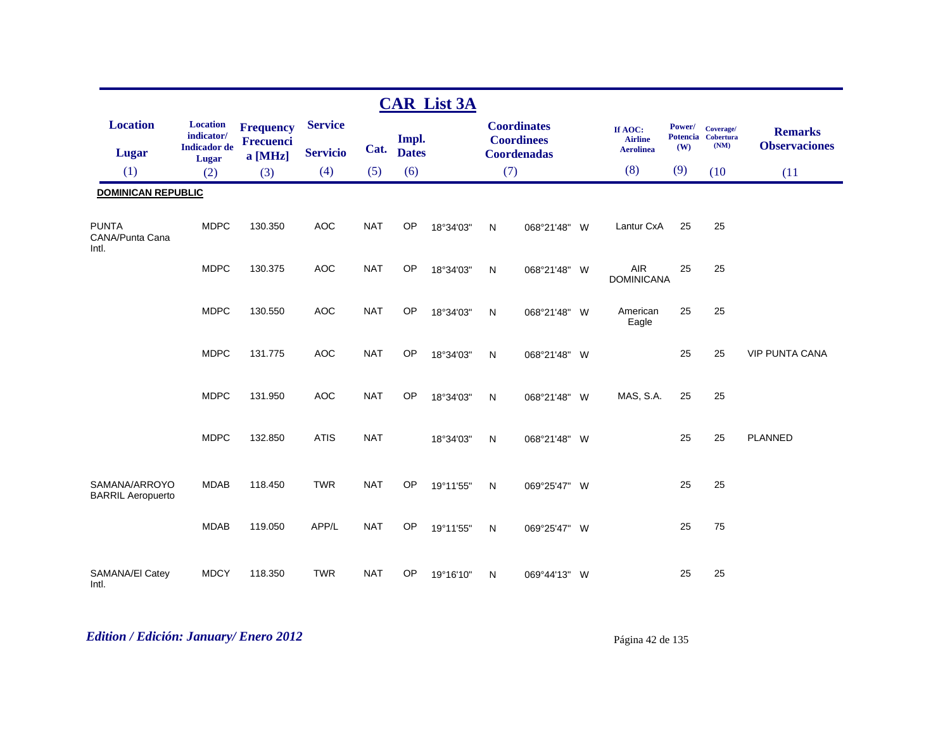|                                           |                                                      |                                      |                 |            |              | <b>CAR List 3A</b> |              |                                         |                                               |               |                                         |                                        |
|-------------------------------------------|------------------------------------------------------|--------------------------------------|-----------------|------------|--------------|--------------------|--------------|-----------------------------------------|-----------------------------------------------|---------------|-----------------------------------------|----------------------------------------|
| <b>Location</b>                           | <b>Location</b><br>indicator/<br><b>Indicador</b> de | <b>Frequency</b><br><b>Frecuenci</b> | <b>Service</b>  | Cat.       | Impl.        |                    |              | <b>Coordinates</b><br><b>Coordinees</b> | If AOC:<br><b>Airline</b><br><b>Aerolinea</b> | Power/<br>(W) | Coverage/<br>Potencia Cobertura<br>(NM) | <b>Remarks</b><br><b>Observaciones</b> |
| <b>Lugar</b>                              | Lugar                                                | $a$ [MHz]                            | <b>Servicio</b> |            | <b>Dates</b> |                    |              | <b>Coordenadas</b>                      |                                               |               |                                         |                                        |
| (1)                                       | (2)                                                  | (3)                                  | (4)             | (5)        | (6)          |                    | (7)          |                                         | (8)                                           | (9)           | (10)                                    | (11)                                   |
| <b>DOMINICAN REPUBLIC</b>                 |                                                      |                                      |                 |            |              |                    |              |                                         |                                               |               |                                         |                                        |
| <b>PUNTA</b><br>CANA/Punta Cana<br>Intl.  | <b>MDPC</b>                                          | 130.350                              | <b>AOC</b>      | <b>NAT</b> | OP           | 18°34'03"          | $\mathsf{N}$ | 068°21'48" W                            | Lantur CxA                                    | 25            | 25                                      |                                        |
|                                           | <b>MDPC</b>                                          | 130.375                              | <b>AOC</b>      | <b>NAT</b> | OP           | 18°34'03"          | $\mathsf{N}$ | 068°21'48" W                            | <b>AIR</b><br><b>DOMINICANA</b>               | 25            | 25                                      |                                        |
|                                           | <b>MDPC</b>                                          | 130.550                              | <b>AOC</b>      | <b>NAT</b> | OP           | 18°34'03"          | N            | 068°21'48" W                            | American<br>Eagle                             | 25            | 25                                      |                                        |
|                                           | <b>MDPC</b>                                          | 131.775                              | <b>AOC</b>      | <b>NAT</b> | OP           | 18°34'03"          | $\mathsf{N}$ | 068°21'48" W                            |                                               | 25            | 25                                      | <b>VIP PUNTA CANA</b>                  |
|                                           | <b>MDPC</b>                                          | 131.950                              | <b>AOC</b>      | <b>NAT</b> | <b>OP</b>    | 18°34'03"          | N            | 068°21'48" W                            | MAS, S.A.                                     | 25            | 25                                      |                                        |
|                                           | <b>MDPC</b>                                          | 132.850                              | <b>ATIS</b>     | <b>NAT</b> |              | 18°34'03"          | ${\sf N}$    | 068°21'48" W                            |                                               | 25            | 25                                      | <b>PLANNED</b>                         |
| SAMANA/ARROYO<br><b>BARRIL Aeropuerto</b> | <b>MDAB</b>                                          | 118.450                              | <b>TWR</b>      | <b>NAT</b> | OP           | 19°11'55"          | $\mathsf{N}$ | 069°25'47" W                            |                                               | 25            | 25                                      |                                        |
|                                           | <b>MDAB</b>                                          | 119.050                              | APP/L           | <b>NAT</b> | OP           | 19°11'55"          | $\mathsf{N}$ | 069°25'47" W                            |                                               | 25            | 75                                      |                                        |
| SAMANA/EI Catey<br>Intl.                  | <b>MDCY</b>                                          | 118.350                              | <b>TWR</b>      | <b>NAT</b> | <b>OP</b>    | 19°16'10"          | $\mathsf{N}$ | 069°44'13" W                            |                                               | 25            | 25                                      |                                        |

# *Edition / Edición: January/ Enero 2012* Página 42 de 135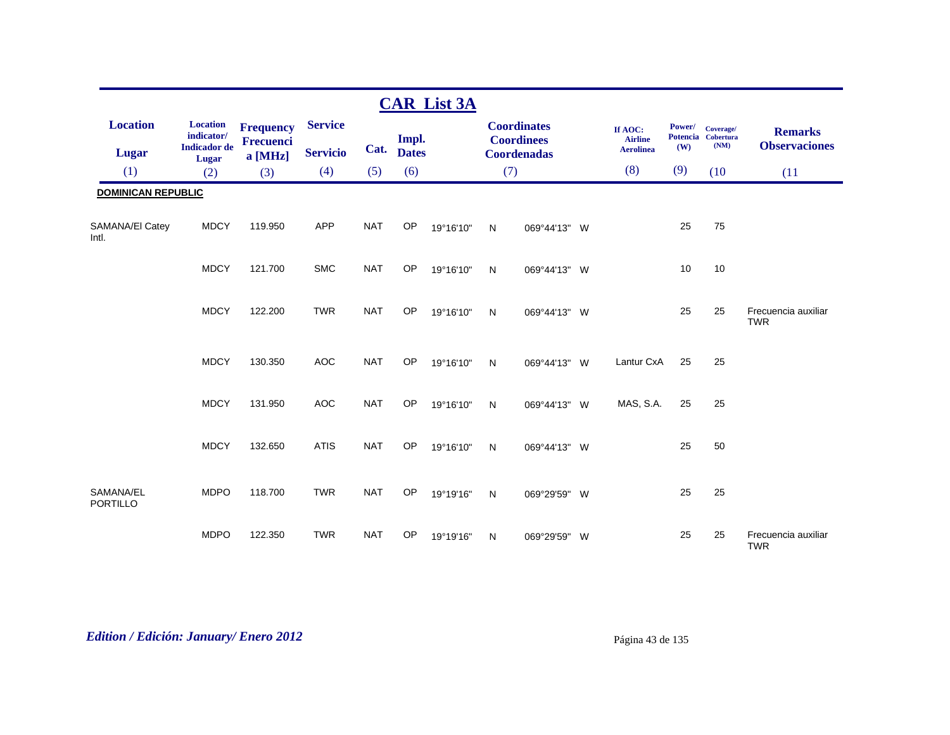|                              |                                                      |                                                 |                                   |            |                       | <b>CAR List 3A</b> |              |                                                               |                                               |               |                                         |                                        |
|------------------------------|------------------------------------------------------|-------------------------------------------------|-----------------------------------|------------|-----------------------|--------------------|--------------|---------------------------------------------------------------|-----------------------------------------------|---------------|-----------------------------------------|----------------------------------------|
| <b>Location</b><br>Lugar     | <b>Location</b><br>indicator/<br><b>Indicador</b> de | <b>Frequency</b><br><b>Frecuenci</b><br>a [MHz] | <b>Service</b><br><b>Servicio</b> | Cat.       | Impl.<br><b>Dates</b> |                    |              | <b>Coordinates</b><br><b>Coordinees</b><br><b>Coordenadas</b> | If AOC:<br><b>Airline</b><br><b>Aerolinea</b> | Power/<br>(W) | Coverage/<br>Potencia Cobertura<br>(NM) | <b>Remarks</b><br><b>Observaciones</b> |
| (1)                          | Lugar<br>(2)                                         | (3)                                             | (4)                               | (5)        | (6)                   |                    | (7)          |                                                               | (8)                                           | (9)           | (10)                                    | (11)                                   |
| <b>DOMINICAN REPUBLIC</b>    |                                                      |                                                 |                                   |            |                       |                    |              |                                                               |                                               |               |                                         |                                        |
| SAMANA/EI Catey<br>Intl.     | <b>MDCY</b>                                          | 119.950                                         | <b>APP</b>                        | <b>NAT</b> | <b>OP</b>             | 19°16'10"          | N            | 069°44'13" W                                                  |                                               | 25            | 75                                      |                                        |
|                              | <b>MDCY</b>                                          | 121.700                                         | <b>SMC</b>                        | <b>NAT</b> | OP                    | 19°16'10"          | N            | 069°44'13" W                                                  |                                               | 10            | 10                                      |                                        |
|                              | <b>MDCY</b>                                          | 122.200                                         | <b>TWR</b>                        | <b>NAT</b> | <b>OP</b>             | 19°16'10"          | N            | 069°44'13" W                                                  |                                               | 25            | 25                                      | Frecuencia auxiliar<br><b>TWR</b>      |
|                              | <b>MDCY</b>                                          | 130.350                                         | <b>AOC</b>                        | <b>NAT</b> | <b>OP</b>             | 19°16'10"          | N            | 069°44'13" W                                                  | Lantur CxA                                    | 25            | 25                                      |                                        |
|                              | <b>MDCY</b>                                          | 131.950                                         | <b>AOC</b>                        | <b>NAT</b> | OP                    | 19°16'10"          | N            | 069°44'13" W                                                  | MAS, S.A.                                     | 25            | 25                                      |                                        |
|                              | <b>MDCY</b>                                          | 132.650                                         | <b>ATIS</b>                       | <b>NAT</b> | <b>OP</b>             | 19°16'10"          | N            | 069°44'13" W                                                  |                                               | 25            | 50                                      |                                        |
| SAMANA/EL<br><b>PORTILLO</b> | <b>MDPO</b>                                          | 118.700                                         | <b>TWR</b>                        | <b>NAT</b> | <b>OP</b>             | 19°19'16"          | $\mathsf{N}$ | 069°29'59" W                                                  |                                               | 25            | 25                                      |                                        |
|                              | <b>MDPO</b>                                          | 122.350                                         | <b>TWR</b>                        | <b>NAT</b> | OP                    | 19°19'16"          | N            | 069°29'59" W                                                  |                                               | 25            | 25                                      | Frecuencia auxiliar<br><b>TWR</b>      |

*Edition / Edición: January/ Enero 2012* Página 43 de 135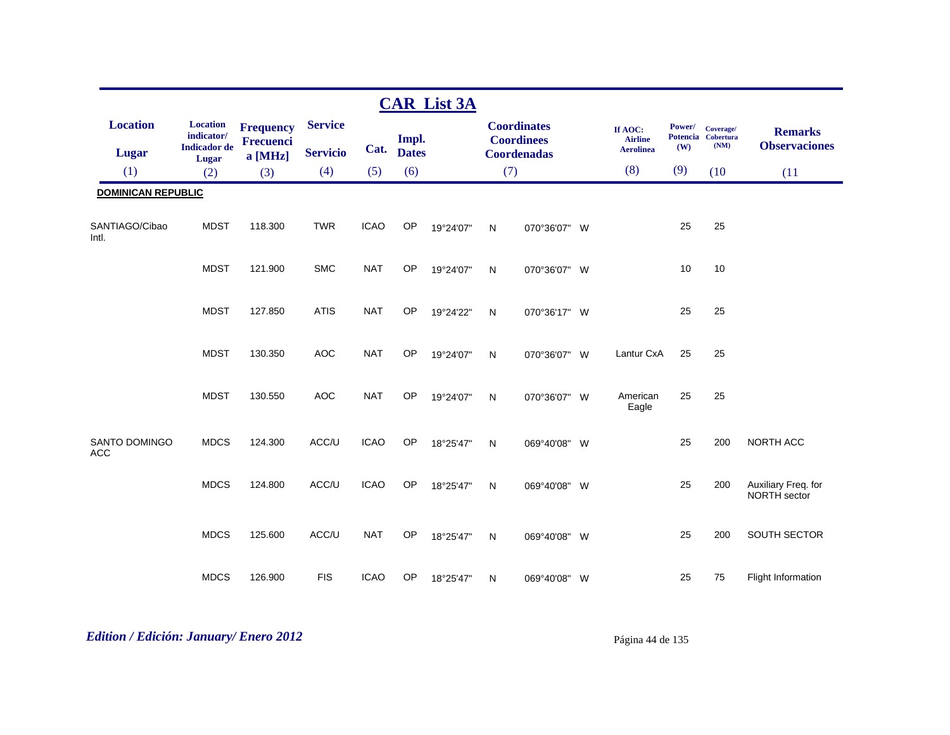|                                    |                                                      |                                      |                                   |             |                       | <b>CAR List 3A</b> |              |                                                               |                                               |               |                                         |                                        |
|------------------------------------|------------------------------------------------------|--------------------------------------|-----------------------------------|-------------|-----------------------|--------------------|--------------|---------------------------------------------------------------|-----------------------------------------------|---------------|-----------------------------------------|----------------------------------------|
| <b>Location</b><br><b>Lugar</b>    | <b>Location</b><br>indicator/<br><b>Indicador</b> de | <b>Frequency</b><br><b>Frecuenci</b> | <b>Service</b><br><b>Servicio</b> | Cat.        | Impl.<br><b>Dates</b> |                    |              | <b>Coordinates</b><br><b>Coordinees</b><br><b>Coordenadas</b> | If AOC:<br><b>Airline</b><br><b>Aerolinea</b> | Power/<br>(W) | Coverage/<br>Potencia Cobertura<br>(NM) | <b>Remarks</b><br><b>Observaciones</b> |
| (1)                                | Lugar<br>(2)                                         | $a$ [MHz]<br>(3)                     | (4)                               | (5)         | (6)                   |                    | (7)          |                                                               | (8)                                           | (9)           | (10)                                    | (11)                                   |
| <b>DOMINICAN REPUBLIC</b>          |                                                      |                                      |                                   |             |                       |                    |              |                                                               |                                               |               |                                         |                                        |
|                                    |                                                      |                                      |                                   |             |                       |                    |              |                                                               |                                               |               |                                         |                                        |
| SANTIAGO/Cibao<br>Intl.            | <b>MDST</b>                                          | 118.300                              | <b>TWR</b>                        | <b>ICAO</b> | <b>OP</b>             | 19°24'07"          | $\mathsf{N}$ | 070°36'07" W                                                  |                                               | 25            | 25                                      |                                        |
|                                    | <b>MDST</b>                                          | 121.900                              | <b>SMC</b>                        | <b>NAT</b>  | OP                    | 19°24'07"          | N            | 070°36'07" W                                                  |                                               | 10            | 10                                      |                                        |
|                                    | <b>MDST</b>                                          | 127.850                              | <b>ATIS</b>                       | <b>NAT</b>  | OP                    | 19°24'22"          | $\mathsf{N}$ | 070°36'17" W                                                  |                                               | 25            | 25                                      |                                        |
|                                    | <b>MDST</b>                                          | 130.350                              | <b>AOC</b>                        | <b>NAT</b>  | OP                    | 19°24'07"          | $\mathsf{N}$ | 070°36'07" W                                                  | Lantur CxA                                    | 25            | 25                                      |                                        |
|                                    | <b>MDST</b>                                          | 130.550                              | <b>AOC</b>                        | <b>NAT</b>  | OP                    | 19°24'07"          | N            | 070°36'07" W                                                  | American<br>Eagle                             | 25            | 25                                      |                                        |
| <b>SANTO DOMINGO</b><br><b>ACC</b> | <b>MDCS</b>                                          | 124.300                              | ACC/U                             | <b>ICAO</b> | <b>OP</b>             | 18°25'47"          | N            | 069°40'08" W                                                  |                                               | 25            | 200                                     | <b>NORTH ACC</b>                       |
|                                    | <b>MDCS</b>                                          | 124.800                              | ACC/U                             | <b>ICAO</b> | OP                    | 18°25'47"          | $\mathsf{N}$ | 069°40'08" W                                                  |                                               | 25            | 200                                     | Auxiliary Freq. for<br>NORTH sector    |
|                                    | <b>MDCS</b>                                          | 125.600                              | ACC/U                             | <b>NAT</b>  | OP                    | 18°25'47"          | $\mathsf{N}$ | 069°40'08" W                                                  |                                               | 25            | 200                                     | SOUTH SECTOR                           |
|                                    | <b>MDCS</b>                                          | 126.900                              | <b>FIS</b>                        | <b>ICAO</b> | <b>OP</b>             | 18°25'47"          | N            | 069°40'08" W                                                  |                                               | 25            | 75                                      | Flight Information                     |

# *Edition / Edición: January/ Enero 2012* Página 44 de 135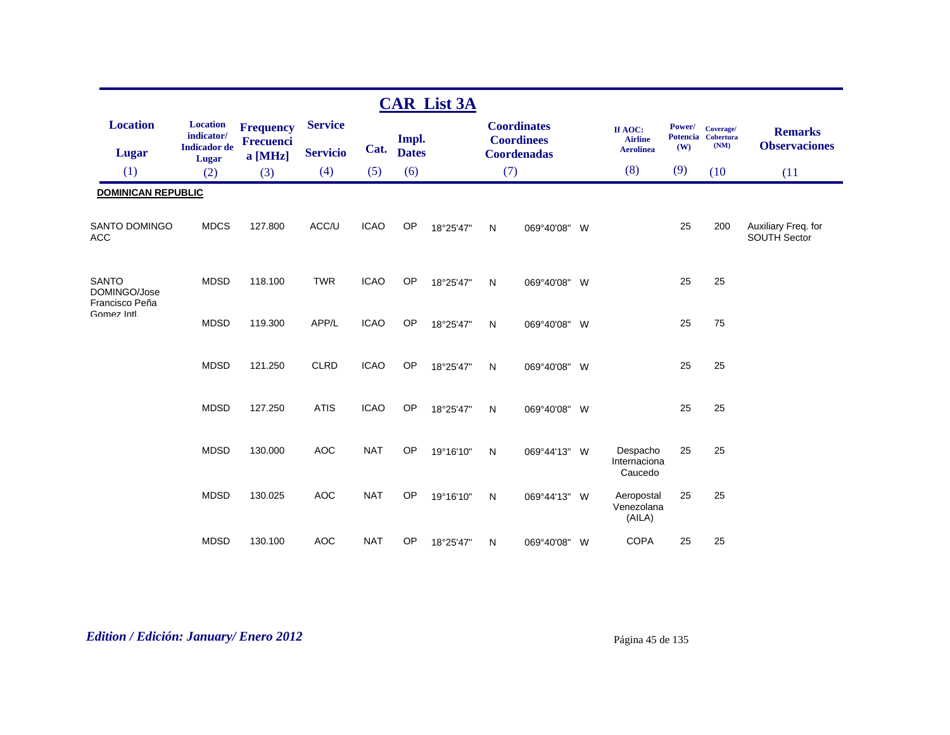|                                                |                                                      |                               |                                   |             |                       | <b>CAR List 3A</b> |           |                                                        |                                               |                                  |                                       |                                        |
|------------------------------------------------|------------------------------------------------------|-------------------------------|-----------------------------------|-------------|-----------------------|--------------------|-----------|--------------------------------------------------------|-----------------------------------------------|----------------------------------|---------------------------------------|----------------------------------------|
| <b>Location</b><br><b>Lugar</b>                | <b>Location</b><br>indicator/<br><b>Indicador</b> de | <b>Frequency</b><br>Frecuenci | <b>Service</b><br><b>Servicio</b> | Cat.        | Impl.<br><b>Dates</b> |                    |           | <b>Coordinates</b><br><b>Coordinees</b><br>Coordenadas | If AOC:<br><b>Airline</b><br><b>Aerolinea</b> | Power/<br><b>Potencia</b><br>(W) | Coverage/<br><b>Cobertura</b><br>(NM) | <b>Remarks</b><br><b>Observaciones</b> |
| (1)                                            | Lugar<br>(2)                                         | a [MHz]<br>(3)                | (4)                               | (5)         | (6)                   |                    | (7)       |                                                        | (8)                                           | (9)                              | (10)                                  | (11)                                   |
| <b>DOMINICAN REPUBLIC</b>                      |                                                      |                               |                                   |             |                       |                    |           |                                                        |                                               |                                  |                                       |                                        |
| <b>SANTO DOMINGO</b><br>ACC                    | <b>MDCS</b>                                          | 127.800                       | ACC/U                             | <b>ICAO</b> | OP                    | 18°25'47"          | ${\sf N}$ | 069°40'08" W                                           |                                               | 25                               | 200                                   | Auxiliary Freq. for<br>SOUTH Sector    |
| <b>SANTO</b><br>DOMINGO/Jose<br>Francisco Peña | <b>MDSD</b>                                          | 118.100                       | <b>TWR</b>                        | <b>ICAO</b> | OP                    | 18°25'47"          | N         | 069°40'08" W                                           |                                               | 25                               | 25                                    |                                        |
| Gomez Intl.                                    | <b>MDSD</b>                                          | 119.300                       | APP/L                             | <b>ICAO</b> | OP                    | 18°25'47"          | N         | 069°40'08" W                                           |                                               | 25                               | 75                                    |                                        |
|                                                | <b>MDSD</b>                                          | 121.250                       | <b>CLRD</b>                       | <b>ICAO</b> | OP                    | 18°25'47"          | N         | 069°40'08" W                                           |                                               | 25                               | 25                                    |                                        |
|                                                | <b>MDSD</b>                                          | 127.250                       | <b>ATIS</b>                       | <b>ICAO</b> | OP                    | 18°25'47"          | N         | 069°40'08" W                                           |                                               | 25                               | 25                                    |                                        |
|                                                | <b>MDSD</b>                                          | 130.000                       | <b>AOC</b>                        | <b>NAT</b>  | OP                    | 19°16'10"          | N         | 069°44'13" W                                           | Despacho<br>Internaciona<br>Caucedo           | 25                               | 25                                    |                                        |
|                                                | <b>MDSD</b>                                          | 130.025                       | <b>AOC</b>                        | <b>NAT</b>  | OP                    | 19°16'10"          | N         | 069°44'13" W                                           | Aeropostal<br>Venezolana<br>(AILA)            | 25                               | 25                                    |                                        |
|                                                | <b>MDSD</b>                                          | 130.100                       | <b>AOC</b>                        | <b>NAT</b>  | <b>OP</b>             | 18°25'47"          | N         | 069°40'08" W                                           | <b>COPA</b>                                   | 25                               | 25                                    |                                        |

# *Edition / Edición: January/ Enero 2012* Página 45 de 135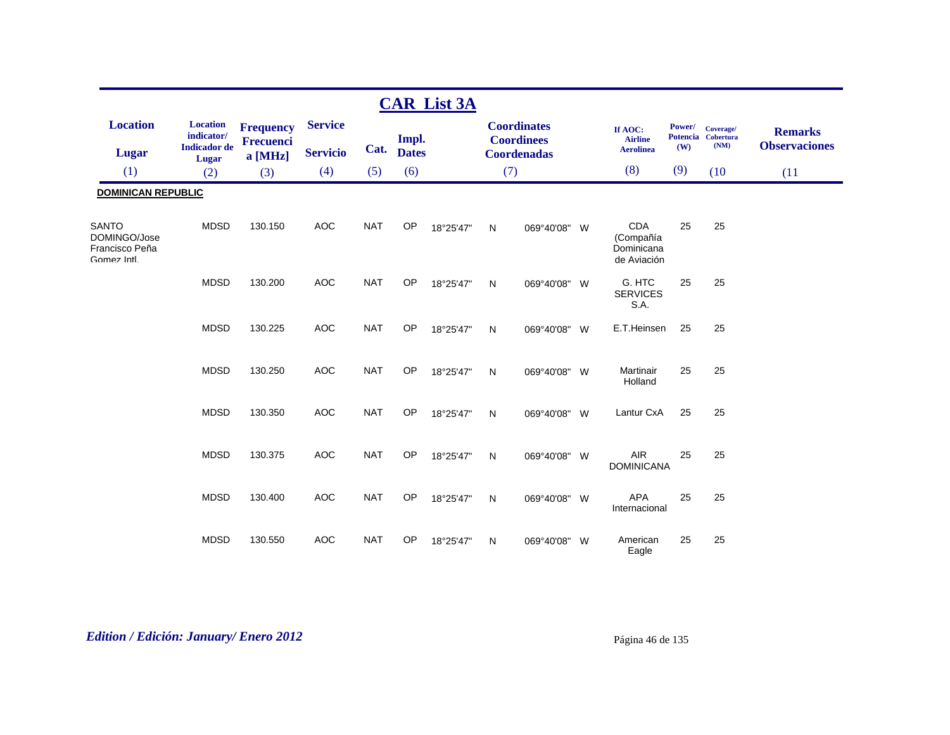|                                                               |                                                               |                                                 |                                   |            |                       | <b>CAR List 3A</b> |     |                                                               |          |                                                      |                                  |                                       |                                        |
|---------------------------------------------------------------|---------------------------------------------------------------|-------------------------------------------------|-----------------------------------|------------|-----------------------|--------------------|-----|---------------------------------------------------------------|----------|------------------------------------------------------|----------------------------------|---------------------------------------|----------------------------------------|
| <b>Location</b><br><b>Lugar</b>                               | <b>Location</b><br>indicator/<br><b>Indicador</b> de<br>Lugar | <b>Frequency</b><br><b>Frecuenci</b><br>a [MHz] | <b>Service</b><br><b>Servicio</b> | Cat.       | Impl.<br><b>Dates</b> |                    |     | <b>Coordinates</b><br><b>Coordinees</b><br><b>Coordenadas</b> |          | If AOC:<br><b>Airline</b><br><b>Aerolinea</b>        | Power/<br><b>Potencia</b><br>(W) | Coverage/<br><b>Cobertura</b><br>(NM) | <b>Remarks</b><br><b>Observaciones</b> |
| (1)                                                           | (2)                                                           | (3)                                             | (4)                               | (5)        | (6)                   |                    | (7) |                                                               |          | (8)                                                  | (9)                              | (10)                                  | (11)                                   |
| <b>DOMINICAN REPUBLIC</b>                                     |                                                               |                                                 |                                   |            |                       |                    |     |                                                               |          |                                                      |                                  |                                       |                                        |
| <b>SANTO</b><br>DOMINGO/Jose<br>Francisco Peña<br>Gomez Intl. | <b>MDSD</b>                                                   | 130.150                                         | <b>AOC</b>                        | <b>NAT</b> | OP                    | 18°25'47"          | N   | 069°40'08" W                                                  |          | <b>CDA</b><br>(Compañía<br>Dominicana<br>de Aviación | 25                               | 25                                    |                                        |
|                                                               | <b>MDSD</b>                                                   | 130.200                                         | <b>AOC</b>                        | <b>NAT</b> | OP                    | 18°25'47"          | N   | 069°40'08"                                                    | - W      | G. HTC<br><b>SERVICES</b><br>S.A.                    | 25                               | 25                                    |                                        |
|                                                               | <b>MDSD</b>                                                   | 130.225                                         | <b>AOC</b>                        | <b>NAT</b> | OP                    | 18°25'47"          | N   | 069°40'08"                                                    | W        | E.T.Heinsen                                          | 25                               | 25                                    |                                        |
|                                                               | <b>MDSD</b>                                                   | 130.250                                         | <b>AOC</b>                        | <b>NAT</b> | OP                    | 18°25'47"          | N   | 069°40'08"                                                    | <b>W</b> | Martinair<br>Holland                                 | 25                               | 25                                    |                                        |
|                                                               | <b>MDSD</b>                                                   | 130.350                                         | <b>AOC</b>                        | <b>NAT</b> | OP                    | 18°25'47"          | N   | 069°40'08"                                                    | W        | Lantur CxA                                           | 25                               | 25                                    |                                        |
|                                                               | <b>MDSD</b>                                                   | 130.375                                         | <b>AOC</b>                        | <b>NAT</b> | OP                    | 18°25'47"          | N   | 069°40'08"                                                    | W        | AIR<br><b>DOMINICANA</b>                             | 25                               | 25                                    |                                        |
|                                                               | <b>MDSD</b>                                                   | 130.400                                         | <b>AOC</b>                        | <b>NAT</b> | OP                    | 18°25'47"          | N   | 069°40'08" W                                                  |          | <b>APA</b><br>Internacional                          | 25                               | 25                                    |                                        |
|                                                               | <b>MDSD</b>                                                   | 130.550                                         | <b>AOC</b>                        | <b>NAT</b> | <b>OP</b>             | 18°25'47"          | N   | 069°40'08"                                                    | - W      | American<br>Eagle                                    | 25                               | 25                                    |                                        |

# *Edition / Edición: January/ Enero 2012* Página 46 de 135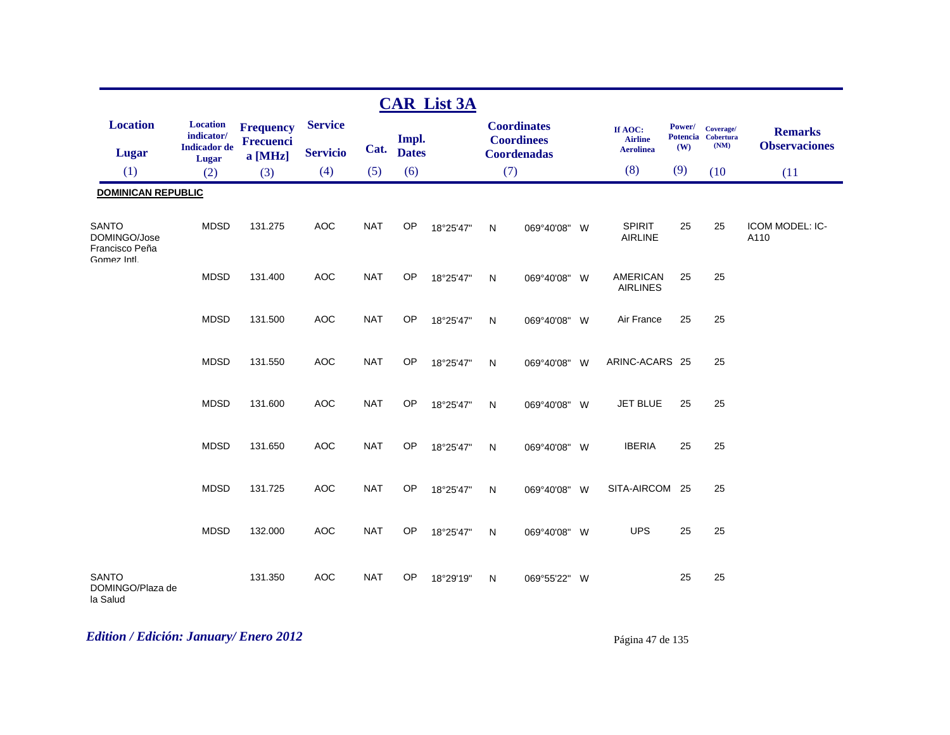|                                                               |                                                               |                                                 |                                   |            |                     | <b>CAR List 3A</b> |           |                                                               |                                               |               |                                         |                                        |
|---------------------------------------------------------------|---------------------------------------------------------------|-------------------------------------------------|-----------------------------------|------------|---------------------|--------------------|-----------|---------------------------------------------------------------|-----------------------------------------------|---------------|-----------------------------------------|----------------------------------------|
| <b>Location</b><br>Lugar                                      | <b>Location</b><br>indicator/<br><b>Indicador</b> de<br>Lugar | <b>Frequency</b><br><b>Frecuenci</b><br>a [MHz] | <b>Service</b><br><b>Servicio</b> |            | Impl.<br>Cat. Dates |                    |           | <b>Coordinates</b><br><b>Coordinees</b><br><b>Coordenadas</b> | If AOC:<br><b>Airline</b><br><b>Aerolinea</b> | Power/<br>(W) | Coverage/<br>Potencia Cobertura<br>(NM) | <b>Remarks</b><br><b>Observaciones</b> |
| (1)                                                           | (2)                                                           | (3)                                             | (4)                               | (5)        | (6)                 |                    | (7)       |                                                               | (8)                                           | (9)           | (10)                                    | (11)                                   |
| <b>DOMINICAN REPUBLIC</b>                                     |                                                               |                                                 |                                   |            |                     |                    |           |                                                               |                                               |               |                                         |                                        |
| <b>SANTO</b><br>DOMINGO/Jose<br>Francisco Peña<br>Gomez Intl. | <b>MDSD</b>                                                   | 131.275                                         | <b>AOC</b>                        | <b>NAT</b> | OP                  | 18°25'47"          | N         | 069°40'08" W                                                  | <b>SPIRIT</b><br><b>AIRLINE</b>               | 25            | 25                                      | ICOM MODEL: IC-<br>A110                |
|                                                               | <b>MDSD</b>                                                   | 131.400                                         | <b>AOC</b>                        | <b>NAT</b> | OP                  | 18°25'47"          | ${\sf N}$ | 069°40'08" W                                                  | <b>AMERICAN</b><br><b>AIRLINES</b>            | 25            | 25                                      |                                        |
|                                                               | <b>MDSD</b>                                                   | 131.500                                         | <b>AOC</b>                        | <b>NAT</b> | OP                  | 18°25'47"          | N         | 069°40'08" W                                                  | Air France                                    | 25            | 25                                      |                                        |
|                                                               | <b>MDSD</b>                                                   | 131.550                                         | <b>AOC</b>                        | <b>NAT</b> | OP                  | 18°25'47"          | N         | 069°40'08" W                                                  | ARINC-ACARS 25                                |               | 25                                      |                                        |
|                                                               | <b>MDSD</b>                                                   | 131.600                                         | <b>AOC</b>                        | <b>NAT</b> | OP                  | 18°25'47"          | N         | 069°40'08" W                                                  | <b>JET BLUE</b>                               | 25            | 25                                      |                                        |
|                                                               | <b>MDSD</b>                                                   | 131.650                                         | <b>AOC</b>                        | <b>NAT</b> | OP                  | 18°25'47"          | N         | 069°40'08" W                                                  | <b>IBERIA</b>                                 | 25            | 25                                      |                                        |
|                                                               | <b>MDSD</b>                                                   | 131.725                                         | <b>AOC</b>                        | <b>NAT</b> | OP                  | 18°25'47"          | N         | 069°40'08" W                                                  | SITA-AIRCOM 25                                |               | 25                                      |                                        |
|                                                               | <b>MDSD</b>                                                   | 132.000                                         | <b>AOC</b>                        | <b>NAT</b> | OP                  | 18°25'47"          | N         | 069°40'08" W                                                  | <b>UPS</b>                                    | 25            | 25                                      |                                        |
| <b>SANTO</b><br>DOMINGO/Plaza de<br>la Salud                  |                                                               | 131.350                                         | <b>AOC</b>                        | <b>NAT</b> | OP                  | 18°29'19"          | N         | 069°55'22" W                                                  |                                               | 25            | 25                                      |                                        |

# *Edition / Edición: January/ Enero 2012* Página 47 de 135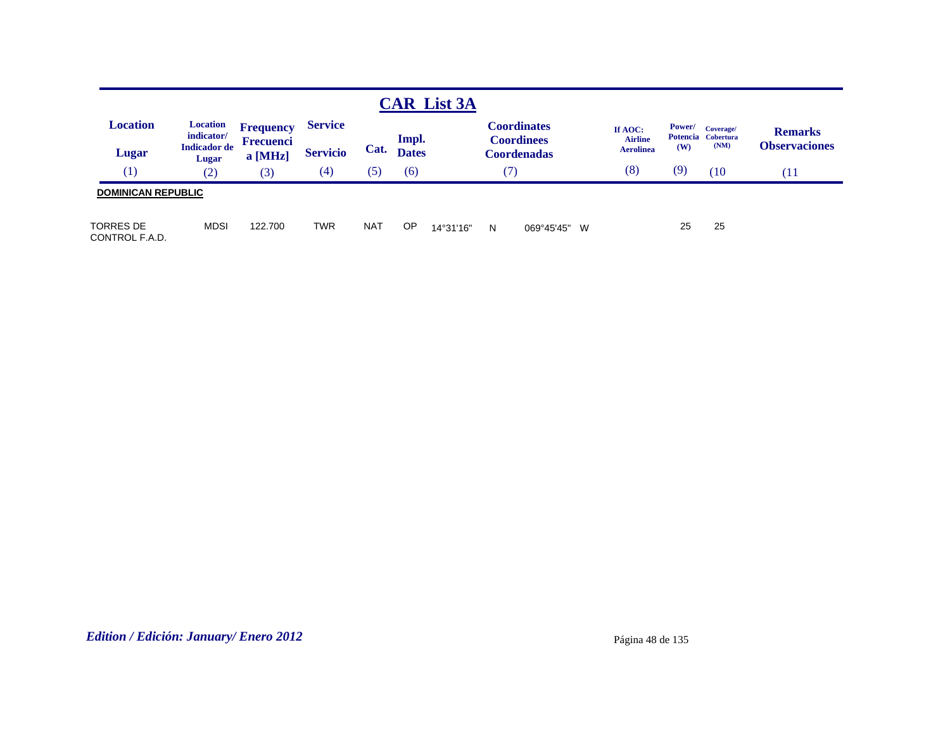|                             |                               |                      |                   |            |              | <b>CAR List 3A</b> |   |                                         |                           |        |                                 |                      |
|-----------------------------|-------------------------------|----------------------|-------------------|------------|--------------|--------------------|---|-----------------------------------------|---------------------------|--------|---------------------------------|----------------------|
| <b>Location</b>             | <b>Location</b><br>indicator/ | <b>Frequency</b>     | <b>Service</b>    |            | Impl.        |                    |   | <b>Coordinates</b><br><b>Coordinees</b> | If AOC:<br><b>Airline</b> | Power/ | Coverage/<br>Potencia Cobertura | <b>Remarks</b>       |
| Lugar                       | <b>Indicador</b> de<br>Lugar  | Frecuenci<br>a [MHz] | <b>Servicio</b>   | Cat.       | <b>Dates</b> |                    |   | <b>Coordenadas</b>                      | <b>Aerolinea</b>          | (W)    | (NM)                            | <b>Observaciones</b> |
| (1)                         | (2)                           | (3)                  | $\left( 4\right)$ | (5)        | (6)          |                    |   | 7                                       | (8)                       | (9)    | (10)                            | (11)                 |
| <b>DOMINICAN REPUBLIC</b>   |                               |                      |                   |            |              |                    |   |                                         |                           |        |                                 |                      |
| TORRES DE<br>CONTROL F.A.D. | <b>MDSI</b>                   | 122.700              | <b>TWR</b>        | <b>NAT</b> | OP           | 14°31'16"          | N | 069°45'45" W                            |                           | 25     | 25                              |                      |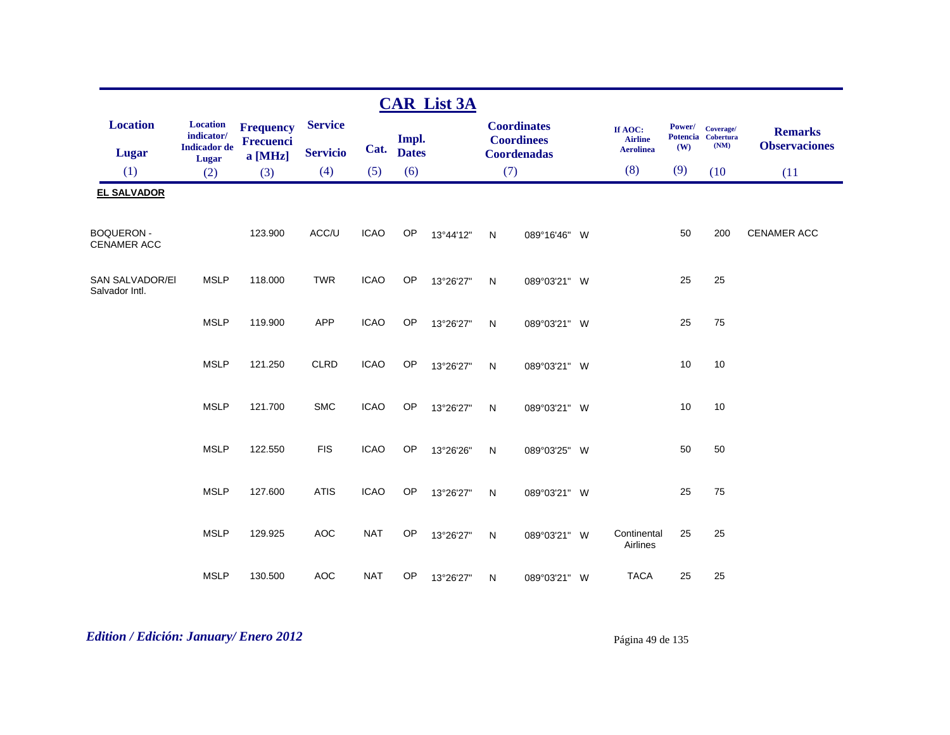|                                          |                                                      |                                                 |                                   |             |                       | <b>CAR List 3A</b> |              |                                                               |                                               |               |                                         |                                        |
|------------------------------------------|------------------------------------------------------|-------------------------------------------------|-----------------------------------|-------------|-----------------------|--------------------|--------------|---------------------------------------------------------------|-----------------------------------------------|---------------|-----------------------------------------|----------------------------------------|
| <b>Location</b><br><b>Lugar</b>          | <b>Location</b><br>indicator/<br><b>Indicador</b> de | <b>Frequency</b><br><b>Frecuenci</b><br>a [MHz] | <b>Service</b><br><b>Servicio</b> | Cat.        | Impl.<br><b>Dates</b> |                    |              | <b>Coordinates</b><br><b>Coordinees</b><br><b>Coordenadas</b> | If AOC:<br><b>Airline</b><br><b>Aerolinea</b> | Power/<br>(W) | Coverage/<br>Potencia Cobertura<br>(NM) | <b>Remarks</b><br><b>Observaciones</b> |
| (1)                                      | Lugar<br>(2)                                         | (3)                                             | (4)                               | (5)         | (6)                   |                    |              | (7)                                                           | (8)                                           | (9)           | (10)                                    | (11)                                   |
| <b>EL SALVADOR</b>                       |                                                      |                                                 |                                   |             |                       |                    |              |                                                               |                                               |               |                                         |                                        |
| <b>BOQUERON-</b><br><b>CENAMER ACC</b>   |                                                      | 123.900                                         | ACC/U                             | <b>ICAO</b> | OP                    | 13°44'12"          | N            | 089°16'46" W                                                  |                                               | 50            | 200                                     | <b>CENAMER ACC</b>                     |
| <b>SAN SALVADOR/EI</b><br>Salvador Intl. | <b>MSLP</b>                                          | 118.000                                         | <b>TWR</b>                        | <b>ICAO</b> | OP                    | 13°26'27"          | $\mathsf{N}$ | 089°03'21" W                                                  |                                               | 25            | 25                                      |                                        |
|                                          | <b>MSLP</b>                                          | 119.900                                         | <b>APP</b>                        | <b>ICAO</b> | OP                    | 13°26'27"          | $\mathsf{N}$ | 089°03'21" W                                                  |                                               | 25            | 75                                      |                                        |
|                                          | <b>MSLP</b>                                          | 121.250                                         | <b>CLRD</b>                       | <b>ICAO</b> | OP                    | 13°26'27"          | N            | 089°03'21" W                                                  |                                               | 10            | 10                                      |                                        |
|                                          | <b>MSLP</b>                                          | 121.700                                         | <b>SMC</b>                        | <b>ICAO</b> | OP                    | 13°26'27"          | ${\sf N}$    | 089°03'21" W                                                  |                                               | 10            | 10                                      |                                        |
|                                          | <b>MSLP</b>                                          | 122.550                                         | <b>FIS</b>                        | <b>ICAO</b> | OP                    | 13°26'26"          | N            | 089°03'25" W                                                  |                                               | 50            | 50                                      |                                        |
|                                          | <b>MSLP</b>                                          | 127.600                                         | <b>ATIS</b>                       | <b>ICAO</b> | OP                    | 13°26'27"          | ${\sf N}$    | 089°03'21" W                                                  |                                               | 25            | 75                                      |                                        |
|                                          | <b>MSLP</b>                                          | 129.925                                         | AOC                               | <b>NAT</b>  | OP                    | 13°26'27"          | N            | 089°03'21" W                                                  | Continental<br>Airlines                       | 25            | 25                                      |                                        |
|                                          | <b>MSLP</b>                                          | 130.500                                         | <b>AOC</b>                        | <b>NAT</b>  | OP                    | 13°26'27"          | N            | 089°03'21" W                                                  | <b>TACA</b>                                   | 25            | 25                                      |                                        |

# *Edition / Edición: January/ Enero 2012* Página 49 de 135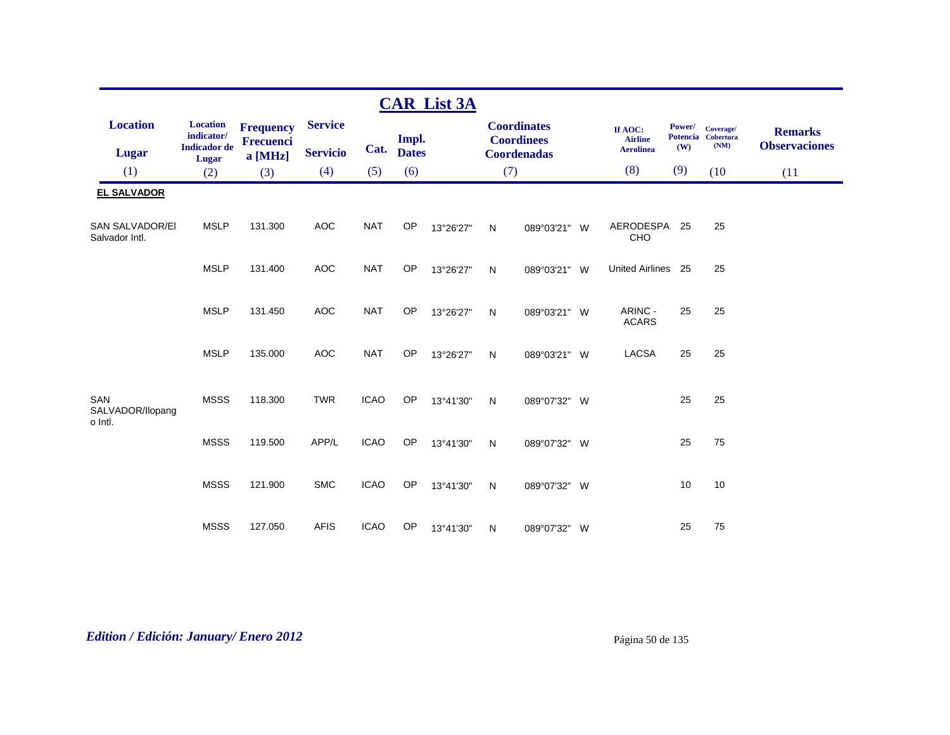|                                          |                                                      |                                      |                 |             |                       | <b>CAR List 3A</b> |     |                                         |                                               |                                  |                                       |                                        |
|------------------------------------------|------------------------------------------------------|--------------------------------------|-----------------|-------------|-----------------------|--------------------|-----|-----------------------------------------|-----------------------------------------------|----------------------------------|---------------------------------------|----------------------------------------|
| <b>Location</b>                          | <b>Location</b><br>indicator/<br><b>Indicador</b> de | <b>Frequency</b><br><b>Frecuenci</b> | <b>Service</b>  | Cat.        | Impl.<br><b>Dates</b> |                    |     | <b>Coordinates</b><br><b>Coordinees</b> | If AOC:<br><b>Airline</b><br><b>Aerolinea</b> | Power/<br><b>Potencia</b><br>(W) | Coverage/<br><b>Cobertura</b><br>(NM) | <b>Remarks</b><br><b>Observaciones</b> |
| <b>Lugar</b>                             | Lugar                                                | a [MHz]                              | <b>Servicio</b> |             |                       |                    |     | <b>Coordenadas</b>                      | (8)                                           | (9)                              |                                       |                                        |
| (1)                                      | (2)                                                  | (3)                                  | (4)             | (5)         | (6)                   |                    | (7) |                                         |                                               |                                  | (10)                                  | (11)                                   |
| <b>EL SALVADOR</b>                       |                                                      |                                      |                 |             |                       |                    |     |                                         |                                               |                                  |                                       |                                        |
| <b>SAN SALVADOR/EI</b><br>Salvador Intl. | <b>MSLP</b>                                          | 131.300                              | <b>AOC</b>      | <b>NAT</b>  | OP                    | 13°26'27"          | N   | 089°03'21" W                            | AERODESPA<br>CHO                              | 25                               | 25                                    |                                        |
|                                          | <b>MSLP</b>                                          | 131.400                              | <b>AOC</b>      | <b>NAT</b>  | <b>OP</b>             | 13°26'27"          | N   | 089°03'21" W                            | United Airlines 25                            |                                  | 25                                    |                                        |
|                                          | <b>MSLP</b>                                          | 131.450                              | <b>AOC</b>      | <b>NAT</b>  | <b>OP</b>             | 13°26'27"          | N   | 089°03'21" W                            | ARINC -<br><b>ACARS</b>                       | 25                               | 25                                    |                                        |
|                                          | <b>MSLP</b>                                          | 135.000                              | <b>AOC</b>      | <b>NAT</b>  | OP                    | 13°26'27"          | N   | 089°03'21" W                            | <b>LACSA</b>                                  | 25                               | 25                                    |                                        |
| SAN<br>SALVADOR/Ilopang<br>o Intl.       | <b>MSSS</b>                                          | 118.300                              | <b>TWR</b>      | <b>ICAO</b> | OP                    | 13°41'30"          | N   | 089°07'32" W                            |                                               | 25                               | 25                                    |                                        |
|                                          | <b>MSSS</b>                                          | 119.500                              | APP/L           | <b>ICAO</b> | <b>OP</b>             | 13°41'30"          | N   | 089°07'32" W                            |                                               | 25                               | 75                                    |                                        |
|                                          | <b>MSSS</b>                                          | 121.900                              | <b>SMC</b>      | <b>ICAO</b> | OP                    | 13°41'30"          | N   | 089°07'32" W                            |                                               | 10                               | 10                                    |                                        |
|                                          | <b>MSSS</b>                                          | 127.050                              | <b>AFIS</b>     | <b>ICAO</b> | OP                    | 13°41'30"          | N   | 089°07'32" W                            |                                               | 25                               | 75                                    |                                        |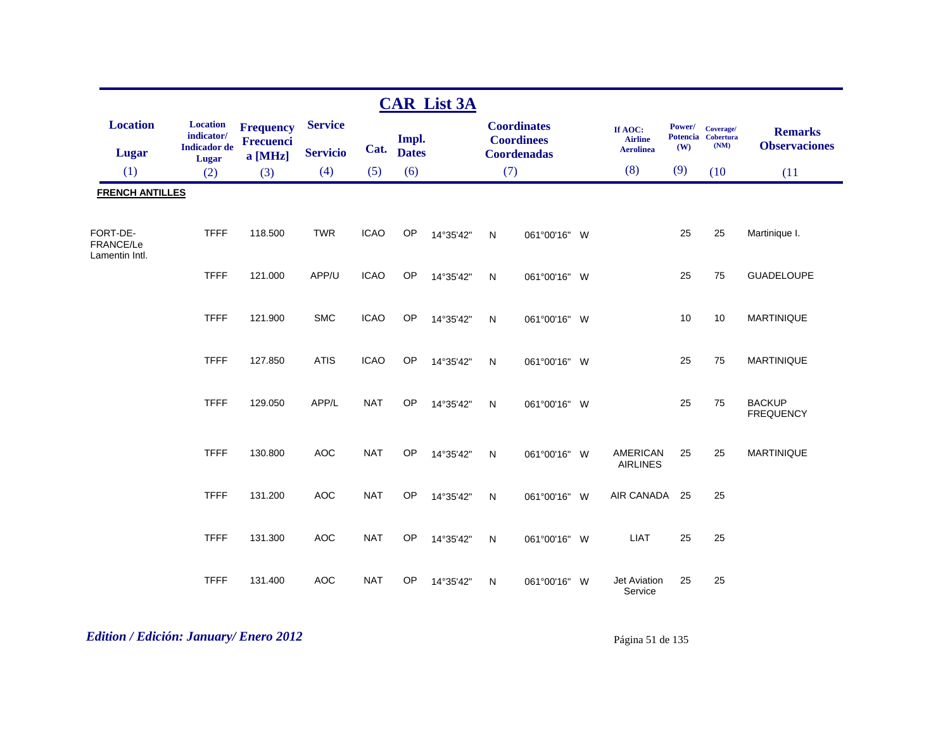|                                         |                                                                      |                                                   |                                   |             |                       | <b>CAR List 3A</b> |              |                                                               |                                               |               |                                         |                                        |
|-----------------------------------------|----------------------------------------------------------------------|---------------------------------------------------|-----------------------------------|-------------|-----------------------|--------------------|--------------|---------------------------------------------------------------|-----------------------------------------------|---------------|-----------------------------------------|----------------------------------------|
| <b>Location</b><br>Lugar                | <b>Location</b><br>indicator/<br><b>Indicador</b> de<br><b>Lugar</b> | <b>Frequency</b><br><b>Frecuenci</b><br>$a$ [MHz] | <b>Service</b><br><b>Servicio</b> | Cat.        | Impl.<br><b>Dates</b> |                    |              | <b>Coordinates</b><br><b>Coordinees</b><br><b>Coordenadas</b> | If AOC:<br><b>Airline</b><br><b>Aerolinea</b> | Power/<br>(W) | Coverage/<br>Potencia Cobertura<br>(NM) | <b>Remarks</b><br><b>Observaciones</b> |
| (1)                                     | (2)                                                                  | (3)                                               | (4)                               | (5)         | (6)                   |                    | (7)          |                                                               | (8)                                           | (9)           | (10)                                    | (11)                                   |
| <b>FRENCH ANTILLES</b>                  |                                                                      |                                                   |                                   |             |                       |                    |              |                                                               |                                               |               |                                         |                                        |
| FORT-DE-<br>FRANCE/Le<br>Lamentin Intl. | <b>TFFF</b>                                                          | 118.500                                           | <b>TWR</b>                        | <b>ICAO</b> | OP                    | 14°35'42"          | $\mathsf{N}$ | 061°00'16" W                                                  |                                               | 25            | 25                                      | Martinique I.                          |
|                                         | <b>TFFF</b>                                                          | 121.000                                           | APP/U                             | <b>ICAO</b> | OP                    | 14°35'42"          | $\mathsf{N}$ | 061°00'16" W                                                  |                                               | 25            | 75                                      | <b>GUADELOUPE</b>                      |
|                                         | <b>TFFF</b>                                                          | 121.900                                           | <b>SMC</b>                        | <b>ICAO</b> | <b>OP</b>             | 14°35'42"          | $\mathsf{N}$ | 061°00'16" W                                                  |                                               | 10            | 10                                      | <b>MARTINIQUE</b>                      |
|                                         | <b>TFFF</b>                                                          | 127.850                                           | <b>ATIS</b>                       | <b>ICAO</b> | OP                    | 14°35'42"          | N            | 061°00'16" W                                                  |                                               | 25            | 75                                      | <b>MARTINIQUE</b>                      |
|                                         | <b>TFFF</b>                                                          | 129.050                                           | APP/L                             | <b>NAT</b>  | OP                    | 14°35'42"          | $\mathsf{N}$ | 061°00'16" W                                                  |                                               | 25            | 75                                      | <b>BACKUP</b><br><b>FREQUENCY</b>      |
|                                         | <b>TFFF</b>                                                          | 130.800                                           | <b>AOC</b>                        | <b>NAT</b>  | OP                    | 14°35'42"          | N            | 061°00'16" W                                                  | <b>AMERICAN</b><br><b>AIRLINES</b>            | 25            | 25                                      | <b>MARTINIQUE</b>                      |
|                                         | <b>TFFF</b>                                                          | 131.200                                           | <b>AOC</b>                        | <b>NAT</b>  | OP                    | 14°35'42"          | $\mathsf{N}$ | 061°00'16" W                                                  | AIR CANADA                                    | 25            | 25                                      |                                        |
|                                         | <b>TFFF</b>                                                          | 131.300                                           | <b>AOC</b>                        | <b>NAT</b>  | OP                    | 14°35'42"          | $\mathsf{N}$ | 061°00'16" W                                                  | <b>LIAT</b>                                   | 25            | 25                                      |                                        |
|                                         | <b>TFFF</b>                                                          | 131.400                                           | <b>AOC</b>                        | <b>NAT</b>  | OP                    | 14°35'42"          | $\mathsf{N}$ | 061°00'16" W                                                  | <b>Jet Aviation</b><br>Service                | 25            | 25                                      |                                        |

# *Edition / Edición: January/ Enero 2012* Página 51 de 135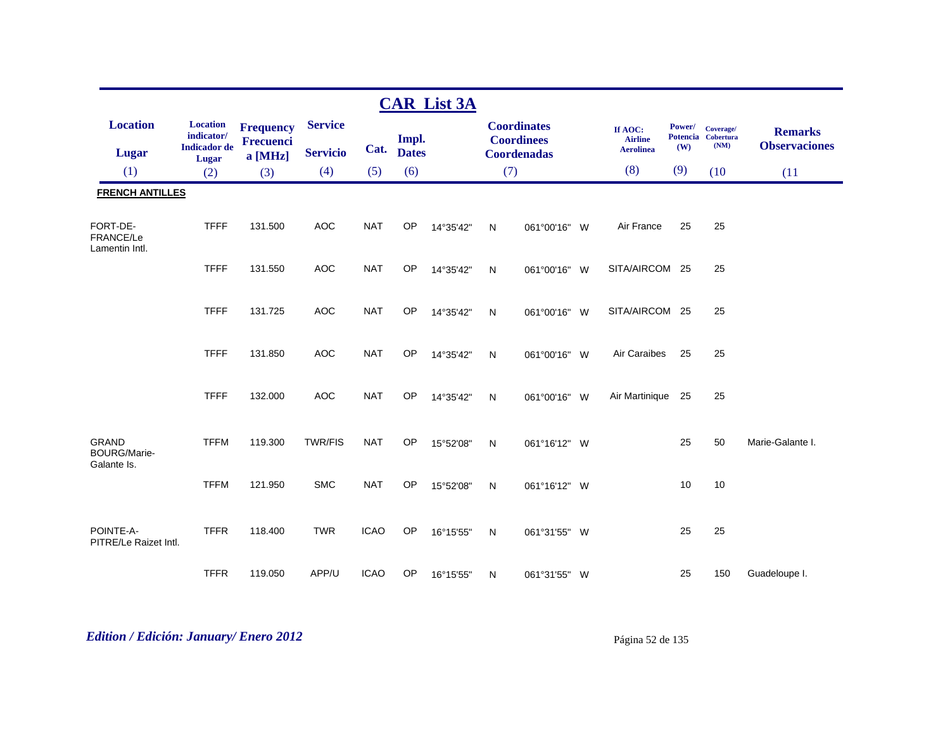|                                                    |                                                      |                                      |                 |             |              | <b>CAR List 3A</b> |              |                                         |                           |               |                                         |                                        |
|----------------------------------------------------|------------------------------------------------------|--------------------------------------|-----------------|-------------|--------------|--------------------|--------------|-----------------------------------------|---------------------------|---------------|-----------------------------------------|----------------------------------------|
| <b>Location</b>                                    | <b>Location</b><br>indicator/<br><b>Indicador</b> de | <b>Frequency</b><br><b>Frecuenci</b> | <b>Service</b>  |             | Impl.        |                    |              | <b>Coordinates</b><br><b>Coordinees</b> | If AOC:<br><b>Airline</b> | Power/<br>(W) | Coverage/<br>Potencia Cobertura<br>(NM) | <b>Remarks</b><br><b>Observaciones</b> |
| <b>Lugar</b>                                       | <b>Lugar</b>                                         | a [MHz]                              | <b>Servicio</b> | Cat.        | <b>Dates</b> |                    |              | <b>Coordenadas</b>                      | <b>Aerolinea</b>          |               |                                         |                                        |
| (1)                                                | (2)                                                  | (3)                                  | (4)             | (5)         | (6)          |                    | (7)          |                                         | (8)                       | (9)           | (10)                                    | (11)                                   |
| <b>FRENCH ANTILLES</b>                             |                                                      |                                      |                 |             |              |                    |              |                                         |                           |               |                                         |                                        |
| FORT-DE-<br>FRANCE/Le<br>Lamentin Intl.            | <b>TFFF</b>                                          | 131.500                              | <b>AOC</b>      | <b>NAT</b>  | OP           | 14°35'42"          | N            | 061°00'16" W                            | Air France                | 25            | 25                                      |                                        |
|                                                    | <b>TFFF</b>                                          | 131.550                              | <b>AOC</b>      | <b>NAT</b>  | <b>OP</b>    | 14°35'42"          | $\mathsf{N}$ | 061°00'16" W                            | SITA/AIRCOM 25            |               | 25                                      |                                        |
|                                                    | <b>TFFF</b>                                          | 131.725                              | <b>AOC</b>      | <b>NAT</b>  | <b>OP</b>    | 14°35'42"          | $\mathsf{N}$ | 061°00'16" W                            | SITA/AIRCOM 25            |               | 25                                      |                                        |
|                                                    | <b>TFFF</b>                                          | 131.850                              | <b>AOC</b>      | <b>NAT</b>  | OP           | 14°35'42"          | $\mathsf{N}$ | 061°00'16" W                            | Air Caraibes              | 25            | 25                                      |                                        |
|                                                    | <b>TFFF</b>                                          | 132.000                              | <b>AOC</b>      | <b>NAT</b>  | OP           | 14°35'42"          | N            | 061°00'16" W                            | Air Martinique            | 25            | 25                                      |                                        |
| <b>GRAND</b><br><b>BOURG/Marie-</b><br>Galante Is. | <b>TFFM</b>                                          | 119.300                              | <b>TWR/FIS</b>  | <b>NAT</b>  | OP           | 15°52'08"          | N            | 061°16'12" W                            |                           | 25            | 50                                      | Marie-Galante I.                       |
|                                                    | <b>TFFM</b>                                          | 121.950                              | <b>SMC</b>      | <b>NAT</b>  | OP           | 15°52'08"          | $\mathsf{N}$ | 061°16'12" W                            |                           | 10            | 10                                      |                                        |
| POINTE-A-<br>PITRE/Le Raizet Intl.                 | <b>TFFR</b>                                          | 118.400                              | <b>TWR</b>      | <b>ICAO</b> | OP           | 16°15'55"          | N            | 061°31'55" W                            |                           | 25            | 25                                      |                                        |
|                                                    | <b>TFFR</b>                                          | 119.050                              | APP/U           | <b>ICAO</b> | OP           | 16°15'55"          | N            | 061°31'55" W                            |                           | 25            | 150                                     | Guadeloupe I.                          |

# *Edition / Edición: January/ Enero 2012* Página 52 de 135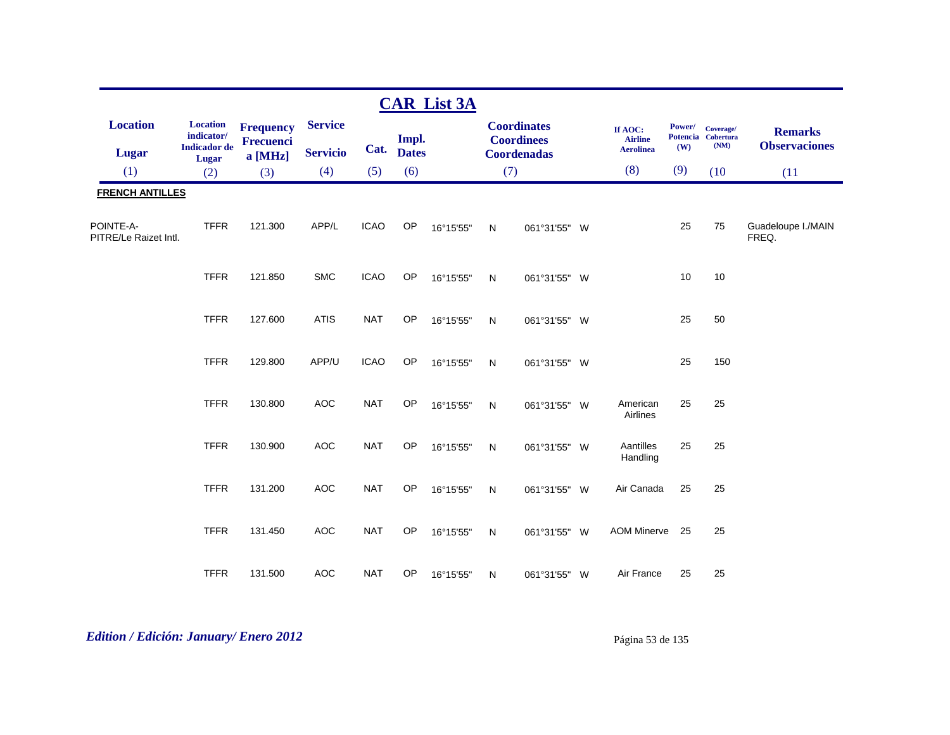|                                    |                                                      |                                          |                                   |             |                       | <b>CAR List 3A</b> |              |                                                               |                                               |                      |                                         |                                        |
|------------------------------------|------------------------------------------------------|------------------------------------------|-----------------------------------|-------------|-----------------------|--------------------|--------------|---------------------------------------------------------------|-----------------------------------------------|----------------------|-----------------------------------------|----------------------------------------|
| <b>Location</b><br><b>Lugar</b>    | <b>Location</b><br>indicator/<br><b>Indicador</b> de | <b>Frequency</b><br>Frecuenci<br>a [MHz] | <b>Service</b><br><b>Servicio</b> | Cat.        | Impl.<br><b>Dates</b> |                    |              | <b>Coordinates</b><br><b>Coordinees</b><br><b>Coordenadas</b> | If AOC:<br><b>Airline</b><br><b>Aerolinea</b> | <b>Power/</b><br>(W) | Coverage/<br>Potencia Cobertura<br>(NM) | <b>Remarks</b><br><b>Observaciones</b> |
| (1)                                | Lugar<br>(2)                                         | (3)                                      | (4)                               | (5)         | (6)                   |                    |              | (7)                                                           | (8)                                           | (9)                  | (10)                                    | (11)                                   |
| <b>FRENCH ANTILLES</b>             |                                                      |                                          |                                   |             |                       |                    |              |                                                               |                                               |                      |                                         |                                        |
| POINTE-A-<br>PITRE/Le Raizet Intl. | <b>TFFR</b>                                          | 121.300                                  | APP/L                             | <b>ICAO</b> | OP                    | 16°15'55"          | $\mathsf{N}$ | 061°31'55" W                                                  |                                               | 25                   | 75                                      | Guadeloupe I./MAIN<br>FREQ.            |
|                                    | <b>TFFR</b>                                          | 121.850                                  | <b>SMC</b>                        | <b>ICAO</b> | OP                    | 16°15'55"          | $\mathsf{N}$ | 061°31'55" W                                                  |                                               | 10                   | 10                                      |                                        |
|                                    | <b>TFFR</b>                                          | 127.600                                  | <b>ATIS</b>                       | <b>NAT</b>  | OP                    | 16°15'55"          | N            | 061°31'55" W                                                  |                                               | 25                   | 50                                      |                                        |
|                                    | <b>TFFR</b>                                          | 129.800                                  | APP/U                             | <b>ICAO</b> | OP                    | 16°15'55"          | ${\sf N}$    | 061°31'55" W                                                  |                                               | 25                   | 150                                     |                                        |
|                                    | <b>TFFR</b>                                          | 130.800                                  | AOC                               | <b>NAT</b>  | OP                    | 16°15'55"          | ${\sf N}$    | 061°31'55" W                                                  | American<br>Airlines                          | 25                   | 25                                      |                                        |
|                                    | <b>TFFR</b>                                          | 130.900                                  | AOC                               | <b>NAT</b>  | OP                    | 16°15'55"          | N            | 061°31'55" W                                                  | Aantilles<br>Handling                         | 25                   | 25                                      |                                        |
|                                    | <b>TFFR</b>                                          | 131.200                                  | <b>AOC</b>                        | <b>NAT</b>  | OP                    | 16°15'55"          | N            | 061°31'55" W                                                  | Air Canada                                    | 25                   | 25                                      |                                        |
|                                    | <b>TFFR</b>                                          | 131.450                                  | <b>AOC</b>                        | <b>NAT</b>  | OP                    | 16°15'55"          | ${\sf N}$    | 061°31'55" W                                                  | <b>AOM Minerve</b>                            | 25                   | 25                                      |                                        |
|                                    | <b>TFFR</b>                                          | 131.500                                  | <b>AOC</b>                        | <b>NAT</b>  | OP                    | 16°15'55"          | N            | 061°31'55" W                                                  | Air France                                    | 25                   | 25                                      |                                        |

# *Edition / Edición: January/ Enero 2012* Página 53 de 135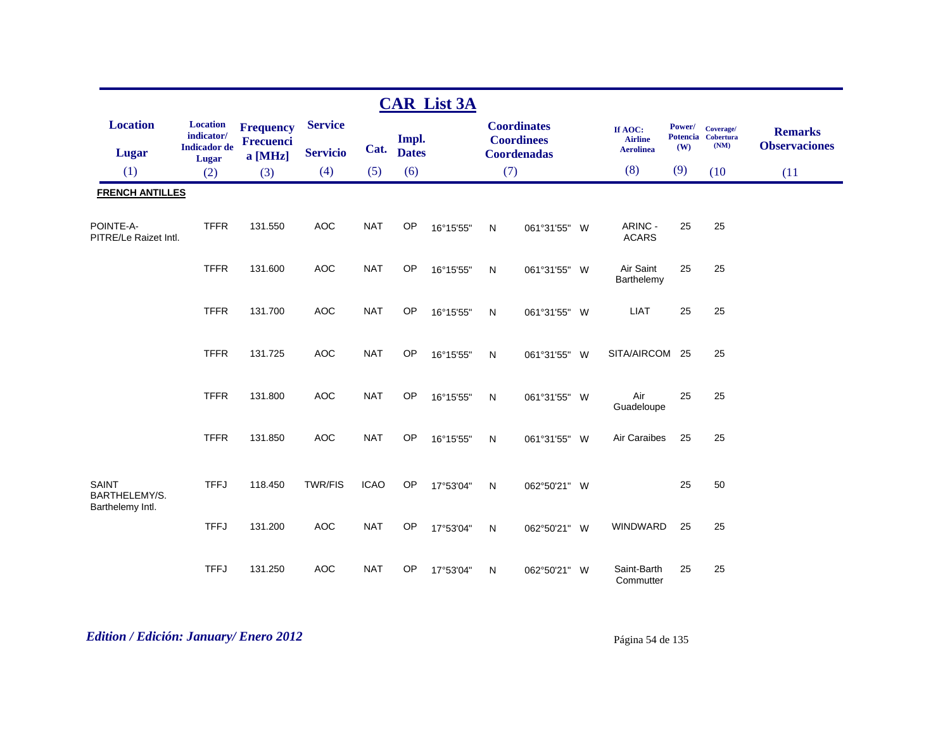|                                            |                                                      |                                                 |                                   |             |                       | <b>CAR List 3A</b> |              |                                                               |                                               |                      |                                         |                                        |
|--------------------------------------------|------------------------------------------------------|-------------------------------------------------|-----------------------------------|-------------|-----------------------|--------------------|--------------|---------------------------------------------------------------|-----------------------------------------------|----------------------|-----------------------------------------|----------------------------------------|
| <b>Location</b><br>Lugar                   | <b>Location</b><br>indicator/<br><b>Indicador</b> de | <b>Frequency</b><br><b>Frecuenci</b><br>a [MHz] | <b>Service</b><br><b>Servicio</b> | Cat.        | Impl.<br><b>Dates</b> |                    |              | <b>Coordinates</b><br><b>Coordinees</b><br><b>Coordenadas</b> | If AOC:<br><b>Airline</b><br><b>Aerolinea</b> | <b>Power/</b><br>(W) | Coverage/<br>Potencia Cobertura<br>(NM) | <b>Remarks</b><br><b>Observaciones</b> |
| (1)                                        | Lugar<br>(2)                                         | (3)                                             | (4)                               | (5)         | (6)                   |                    | (7)          |                                                               | (8)                                           | (9)                  | (10)                                    | (11)                                   |
| <b>FRENCH ANTILLES</b>                     |                                                      |                                                 |                                   |             |                       |                    |              |                                                               |                                               |                      |                                         |                                        |
| POINTE-A-<br>PITRE/Le Raizet Intl.         | <b>TFFR</b>                                          | 131.550                                         | <b>AOC</b>                        | <b>NAT</b>  | OP                    | 16°15'55"          | $\mathsf{N}$ | 061°31'55" W                                                  | ARINC -<br><b>ACARS</b>                       | 25                   | 25                                      |                                        |
|                                            | <b>TFFR</b>                                          | 131.600                                         | <b>AOC</b>                        | <b>NAT</b>  | OP                    | 16°15'55"          | N            | 061°31'55" W                                                  | Air Saint<br>Barthelemy                       | 25                   | 25                                      |                                        |
|                                            | <b>TFFR</b>                                          | 131.700                                         | <b>AOC</b>                        | <b>NAT</b>  | <b>OP</b>             | 16°15'55"          | N            | 061°31'55" W                                                  | <b>LIAT</b>                                   | 25                   | 25                                      |                                        |
|                                            | <b>TFFR</b>                                          | 131.725                                         | <b>AOC</b>                        | <b>NAT</b>  | OP                    | 16°15'55"          | $\mathsf{N}$ | 061°31'55" W                                                  | SITA/AIRCOM                                   | 25                   | 25                                      |                                        |
|                                            | <b>TFFR</b>                                          | 131.800                                         | <b>AOC</b>                        | <b>NAT</b>  | OP                    | 16°15'55"          | N            | 061°31'55" W                                                  | Air<br>Guadeloupe                             | 25                   | 25                                      |                                        |
|                                            | <b>TFFR</b>                                          | 131.850                                         | <b>AOC</b>                        | <b>NAT</b>  | <b>OP</b>             | 16°15'55"          | N            | 061°31'55" W                                                  | Air Caraibes                                  | 25                   | 25                                      |                                        |
| SAINT<br>BARTHELEMY/S.<br>Barthelemy Intl. | <b>TFFJ</b>                                          | 118.450                                         | <b>TWR/FIS</b>                    | <b>ICAO</b> | OP                    | 17°53'04"          | N            | 062°50'21" W                                                  |                                               | 25                   | 50                                      |                                        |
|                                            | <b>TFFJ</b>                                          | 131.200                                         | <b>AOC</b>                        | <b>NAT</b>  | OP                    | 17°53'04"          | $\mathsf{N}$ | 062°50'21" W                                                  | WINDWARD                                      | 25                   | 25                                      |                                        |
|                                            | <b>TFFJ</b>                                          | 131.250                                         | <b>AOC</b>                        | <b>NAT</b>  | OP                    | 17°53'04"          | N            | 062°50'21" W                                                  | Saint-Barth<br>Commutter                      | 25                   | 25                                      |                                        |

# *Edition / Edición: January/ Enero 2012* Página 54 de 135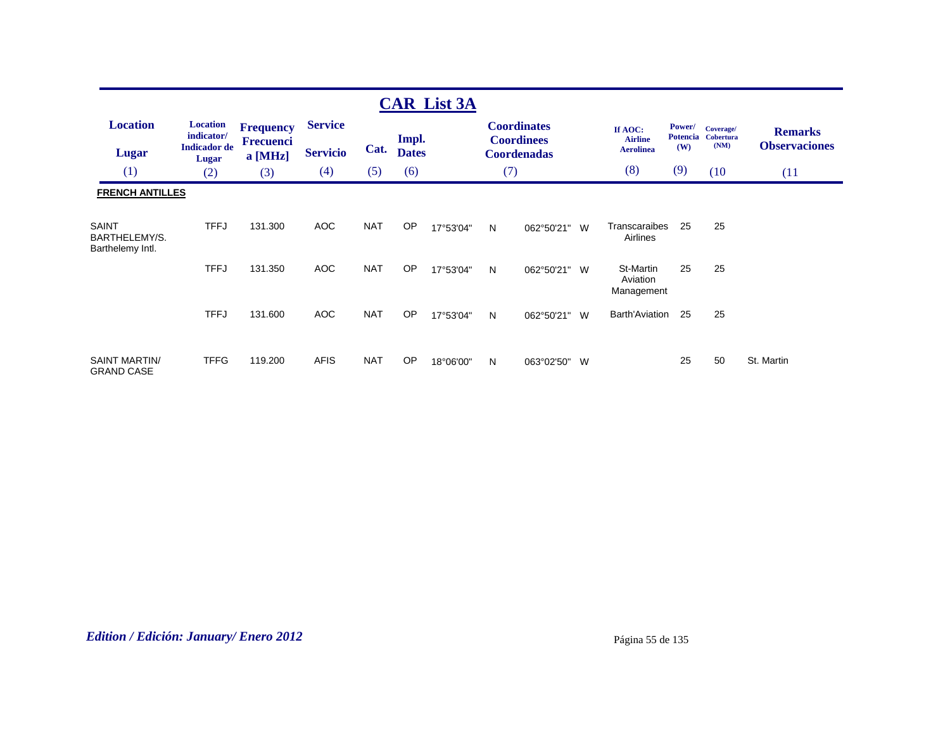|                                            |                                                                      |                                                 |                                   |            |                       | <b>CAR List 3A</b> |     |                                                               |   |                                               |               |                                         |                                        |
|--------------------------------------------|----------------------------------------------------------------------|-------------------------------------------------|-----------------------------------|------------|-----------------------|--------------------|-----|---------------------------------------------------------------|---|-----------------------------------------------|---------------|-----------------------------------------|----------------------------------------|
| <b>Location</b><br><b>Lugar</b>            | <b>Location</b><br>indicator/<br><b>Indicador</b> de<br><b>Lugar</b> | <b>Frequency</b><br><b>Frecuenci</b><br>a [MHz] | <b>Service</b><br><b>Servicio</b> | Cat.       | Impl.<br><b>Dates</b> |                    |     | <b>Coordinates</b><br><b>Coordinees</b><br><b>Coordenadas</b> |   | If AOC:<br><b>Airline</b><br><b>Aerolinea</b> | Power/<br>(W) | Coverage/<br>Potencia Cobertura<br>(NM) | <b>Remarks</b><br><b>Observaciones</b> |
| (1)                                        | (2)                                                                  | (3)                                             | (4)                               | (5)        | (6)                   |                    | (7) |                                                               |   | (8)                                           | (9)           | (10)                                    | (11)                                   |
| <b>FRENCH ANTILLES</b>                     |                                                                      |                                                 |                                   |            |                       |                    |     |                                                               |   |                                               |               |                                         |                                        |
| SAINT<br>BARTHELEMY/S.<br>Barthelemy Intl. | <b>TFFJ</b>                                                          | 131.300                                         | <b>AOC</b>                        | <b>NAT</b> | <b>OP</b>             | 17°53'04"          | N   | 062°50'21"                                                    | W | Transcaraibes<br>Airlines                     | 25            | 25                                      |                                        |
|                                            | <b>TFFJ</b>                                                          | 131.350                                         | <b>AOC</b>                        | <b>NAT</b> | <b>OP</b>             | 17°53'04"          | N   | 062°50'21" W                                                  |   | St-Martin<br>Aviation<br>Management           | 25            | 25                                      |                                        |
|                                            | <b>TFFJ</b>                                                          | 131.600                                         | AOC                               | <b>NAT</b> | <b>OP</b>             | 17°53'04"          | N   | 062°50'21"                                                    | W | <b>Barth'Aviation</b>                         | 25            | 25                                      |                                        |
| <b>SAINT MARTIN/</b><br><b>GRAND CASE</b>  | <b>TFFG</b>                                                          | 119.200                                         | <b>AFIS</b>                       | <b>NAT</b> | <b>OP</b>             | 18°06'00"          | N   | 063°02'50"                                                    | W |                                               | 25            | 50                                      | St. Martin                             |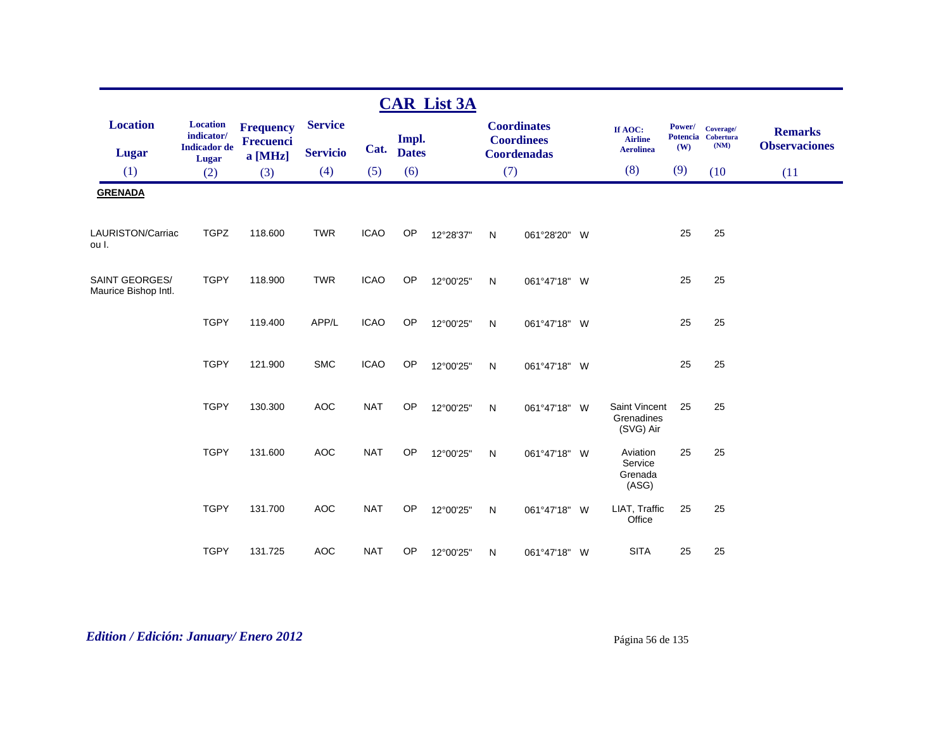|                                               |                                                      |                                      |                                   |             |                       | <b>CAR List 3A</b> |     |                                                               |                                               |               |                                         |                                        |
|-----------------------------------------------|------------------------------------------------------|--------------------------------------|-----------------------------------|-------------|-----------------------|--------------------|-----|---------------------------------------------------------------|-----------------------------------------------|---------------|-----------------------------------------|----------------------------------------|
| <b>Location</b><br>Lugar                      | <b>Location</b><br>indicator/<br><b>Indicador</b> de | <b>Frequency</b><br><b>Frecuenci</b> | <b>Service</b><br><b>Servicio</b> | Cat.        | Impl.<br><b>Dates</b> |                    |     | <b>Coordinates</b><br><b>Coordinees</b><br><b>Coordenadas</b> | If AOC:<br><b>Airline</b><br><b>Aerolinea</b> | Power/<br>(W) | Coverage/<br>Potencia Cobertura<br>(NM) | <b>Remarks</b><br><b>Observaciones</b> |
| (1)                                           | Lugar<br>(2)                                         | $a$ [MHz]<br>(3)                     | (4)                               | (5)         | (6)                   |                    | (7) |                                                               | (8)                                           | (9)           | (10)                                    | (11)                                   |
| <b>GRENADA</b>                                |                                                      |                                      |                                   |             |                       |                    |     |                                                               |                                               |               |                                         |                                        |
| LAURISTON/Carriac<br>ou I.                    | <b>TGPZ</b>                                          | 118.600                              | <b>TWR</b>                        | <b>ICAO</b> | OP                    | 12°28'37"          | N   | 061°28'20" W                                                  |                                               | 25            | 25                                      |                                        |
| <b>SAINT GEORGES/</b><br>Maurice Bishop Intl. | <b>TGPY</b>                                          | 118.900                              | <b>TWR</b>                        | <b>ICAO</b> | OP                    | 12°00'25"          | N   | 061°47'18" W                                                  |                                               | 25            | 25                                      |                                        |
|                                               | <b>TGPY</b>                                          | 119.400                              | APP/L                             | <b>ICAO</b> | OP                    | 12°00'25"          | N   | 061°47'18" W                                                  |                                               | 25            | 25                                      |                                        |
|                                               | <b>TGPY</b>                                          | 121.900                              | <b>SMC</b>                        | <b>ICAO</b> | OP                    | 12°00'25"          | N   | 061°47'18" W                                                  |                                               | 25            | 25                                      |                                        |
|                                               | <b>TGPY</b>                                          | 130.300                              | <b>AOC</b>                        | <b>NAT</b>  | OP                    | 12°00'25"          | N   | 061°47'18" W                                                  | Saint Vincent<br>Grenadines<br>(SVG) Air      | 25            | 25                                      |                                        |
|                                               | <b>TGPY</b>                                          | 131.600                              | <b>AOC</b>                        | <b>NAT</b>  | <b>OP</b>             | 12°00'25"          | N   | 061°47'18" W                                                  | Aviation<br>Service<br>Grenada<br>(ASG)       | 25            | 25                                      |                                        |
|                                               | <b>TGPY</b>                                          | 131.700                              | <b>AOC</b>                        | <b>NAT</b>  | OP                    | 12°00'25"          | N   | 061°47'18" W                                                  | LIAT, Traffic<br>Office                       | 25            | 25                                      |                                        |
|                                               | <b>TGPY</b>                                          | 131.725                              | <b>AOC</b>                        | <b>NAT</b>  | <b>OP</b>             | 12°00'25"          | N   | 061°47'18" W                                                  | <b>SITA</b>                                   | 25            | 25                                      |                                        |

# *Edition / Edición: January/ Enero 2012* Página 56 de 135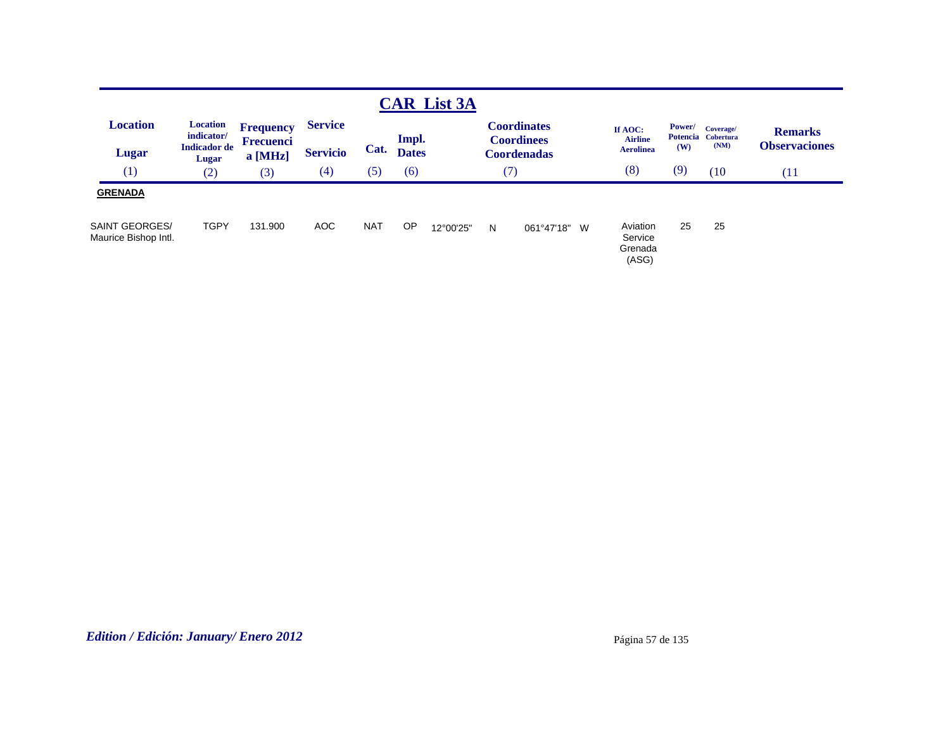|                                  |                                                      |                                                 |                                   |            |                       | <b>CAR List 3A</b> |   |                                                               |                                               |               |                                         |                                        |
|----------------------------------|------------------------------------------------------|-------------------------------------------------|-----------------------------------|------------|-----------------------|--------------------|---|---------------------------------------------------------------|-----------------------------------------------|---------------|-----------------------------------------|----------------------------------------|
| <b>Location</b><br>Lugar         | <b>Location</b><br>indicator/<br><b>Indicador</b> de | <b>Frequency</b><br><b>Frecuenci</b><br>a [MHz] | <b>Service</b><br><b>Servicio</b> | Cat.       | Impl.<br><b>Dates</b> |                    |   | <b>Coordinates</b><br><b>Coordinees</b><br><b>Coordenadas</b> | If AOC:<br><b>Airline</b><br><b>Aerolinea</b> | Power/<br>(W) | Coverage/<br>Potencia Cobertura<br>(NM) | <b>Remarks</b><br><b>Observaciones</b> |
| (1)                              | <b>Lugar</b><br>(2)                                  | (3)                                             | (4)                               | (5)        | (6)                   |                    |   | (7)                                                           | (8)                                           | (9)           | (10)                                    | (11)                                   |
| <b>GRENADA</b><br>SAINT GEORGES/ | <b>TGPY</b>                                          | 131.900                                         | <b>AOC</b>                        | <b>NAT</b> | OP                    | 12°00'25"          | N | 061°47'18" W                                                  | Aviation                                      | 25            | 25                                      |                                        |
| Maurice Bishop Intl.             |                                                      |                                                 |                                   |            |                       |                    |   |                                                               | Service<br>Grenada<br>(ASG)                   |               |                                         |                                        |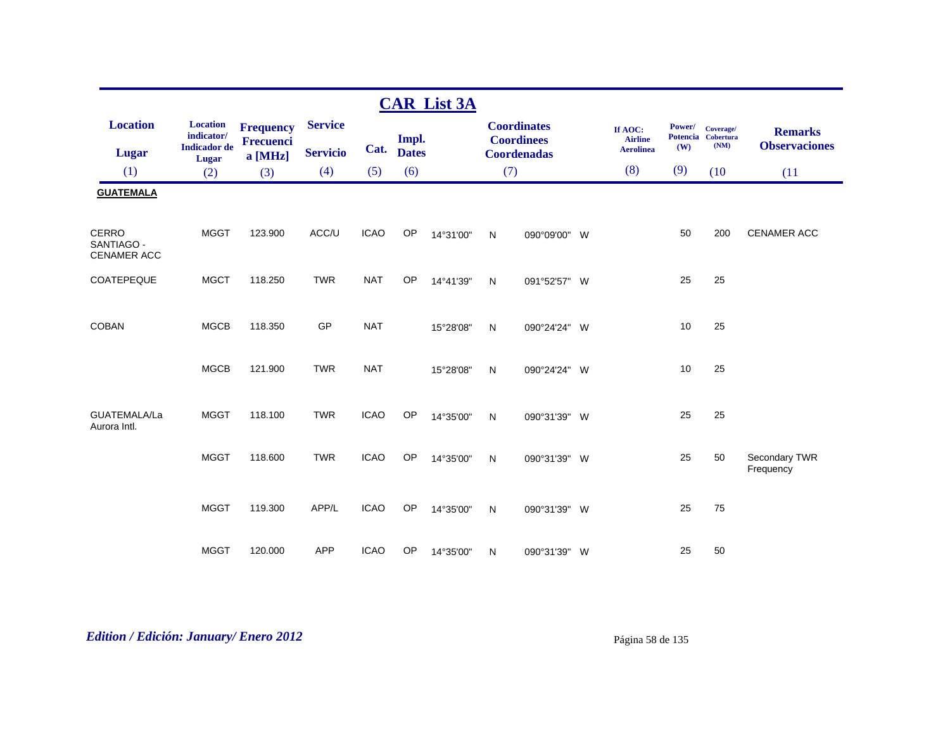|                                                  |                                                      |                                      |                 |             |              | <b>CAR List 3A</b> |              |                                         |                                               |               |                                         |                                        |
|--------------------------------------------------|------------------------------------------------------|--------------------------------------|-----------------|-------------|--------------|--------------------|--------------|-----------------------------------------|-----------------------------------------------|---------------|-----------------------------------------|----------------------------------------|
| <b>Location</b>                                  | <b>Location</b><br>indicator/<br><b>Indicador</b> de | <b>Frequency</b><br><b>Frecuenci</b> | <b>Service</b>  | Cat.        | Impl.        |                    |              | <b>Coordinates</b><br><b>Coordinees</b> | If AOC:<br><b>Airline</b><br><b>Aerolinea</b> | Power/<br>(W) | Coverage/<br>Potencia Cobertura<br>(NM) | <b>Remarks</b><br><b>Observaciones</b> |
| <b>Lugar</b>                                     | Lugar                                                | a [MHz]                              | <b>Servicio</b> |             | <b>Dates</b> |                    |              | <b>Coordenadas</b>                      |                                               |               |                                         |                                        |
| (1)                                              | (2)                                                  | (3)                                  | (4)             | (5)         | (6)          |                    | (7)          |                                         | (8)                                           | (9)           | (10)                                    | (11)                                   |
| <b>GUATEMALA</b>                                 |                                                      |                                      |                 |             |              |                    |              |                                         |                                               |               |                                         |                                        |
| <b>CERRO</b><br>SANTIAGO -<br><b>CENAMER ACC</b> | <b>MGGT</b>                                          | 123.900                              | ACC/U           | <b>ICAO</b> | <b>OP</b>    | 14°31'00"          | $\mathsf{N}$ | 090°09'00" W                            |                                               | 50            | 200                                     | CENAMER ACC                            |
| COATEPEQUE                                       | <b>MGCT</b>                                          | 118.250                              | <b>TWR</b>      | <b>NAT</b>  | OP           | 14°41'39"          | N            | 091°52'57" W                            |                                               | 25            | 25                                      |                                        |
| <b>COBAN</b>                                     | <b>MGCB</b>                                          | 118.350                              | GP              | <b>NAT</b>  |              | 15°28'08"          | N            | 090°24'24" W                            |                                               | 10            | 25                                      |                                        |
|                                                  | <b>MGCB</b>                                          | 121.900                              | <b>TWR</b>      | <b>NAT</b>  |              | 15°28'08"          | N            | 090°24'24" W                            |                                               | 10            | 25                                      |                                        |
| GUATEMALA/La<br>Aurora Intl.                     | <b>MGGT</b>                                          | 118.100                              | <b>TWR</b>      | <b>ICAO</b> | OP           | 14°35'00"          | N            | 090°31'39" W                            |                                               | 25            | 25                                      |                                        |
|                                                  | <b>MGGT</b>                                          | 118.600                              | <b>TWR</b>      | <b>ICAO</b> | OP           | 14°35'00"          | N            | 090°31'39" W                            |                                               | 25            | 50                                      | Secondary TWR<br>Frequency             |
|                                                  | <b>MGGT</b>                                          | 119.300                              | APP/L           | <b>ICAO</b> | <b>OP</b>    | 14°35'00"          | N            | 090°31'39" W                            |                                               | 25            | 75                                      |                                        |
|                                                  | <b>MGGT</b>                                          | 120.000                              | <b>APP</b>      | <b>ICAO</b> | <b>OP</b>    | 14°35'00"          | N            | 090°31'39" W                            |                                               | 25            | 50                                      |                                        |

# *Edition / Edición: January/ Enero 2012* Página 58 de 135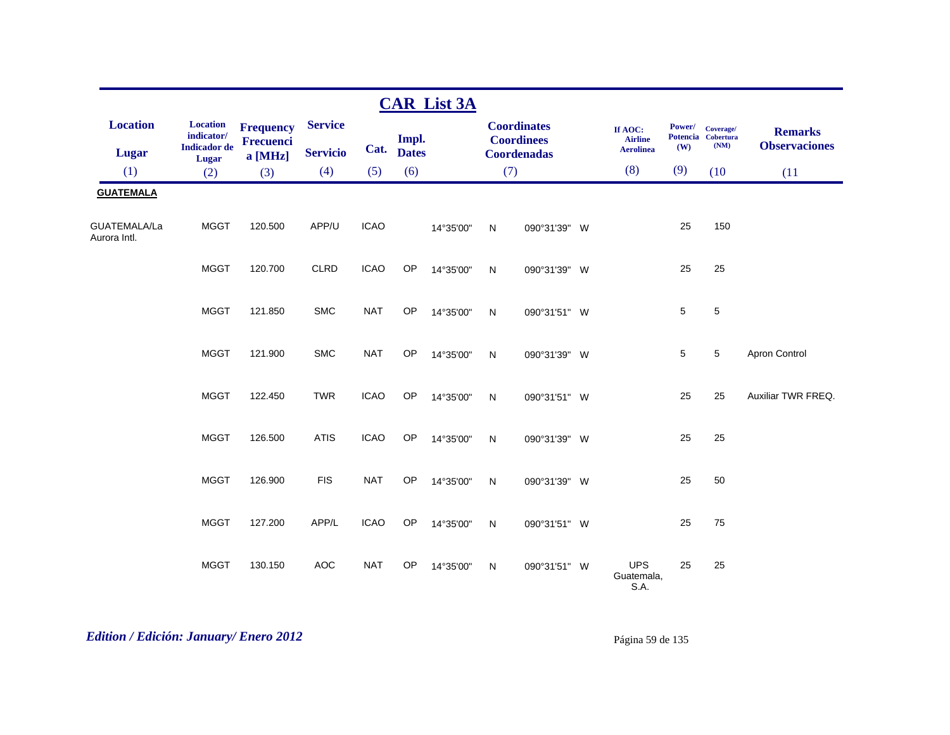|                              |                                                               |                                          |                                   |             |                       | <b>CAR List 3A</b> |              |                                                               |                                               |               |                                         |                                        |
|------------------------------|---------------------------------------------------------------|------------------------------------------|-----------------------------------|-------------|-----------------------|--------------------|--------------|---------------------------------------------------------------|-----------------------------------------------|---------------|-----------------------------------------|----------------------------------------|
| <b>Location</b><br>Lugar     | <b>Location</b><br>indicator/<br><b>Indicador</b> de<br>Lugar | <b>Frequency</b><br>Frecuenci<br>a [MHz] | <b>Service</b><br><b>Servicio</b> | Cat.        | Impl.<br><b>Dates</b> |                    |              | <b>Coordinates</b><br><b>Coordinees</b><br><b>Coordenadas</b> | If AOC:<br><b>Airline</b><br><b>Aerolinea</b> | Power/<br>(W) | Coverage/<br>Potencia Cobertura<br>(NM) | <b>Remarks</b><br><b>Observaciones</b> |
| (1)                          | (2)                                                           | (3)                                      | (4)                               | (5)         | (6)                   |                    | (7)          |                                                               | (8)                                           | (9)           | (10)                                    | (11)                                   |
| <b>GUATEMALA</b>             |                                                               |                                          |                                   |             |                       |                    |              |                                                               |                                               |               |                                         |                                        |
| GUATEMALA/La<br>Aurora Intl. | <b>MGGT</b>                                                   | 120.500                                  | APP/U                             | <b>ICAO</b> |                       | 14°35'00"          | $\mathsf{N}$ | 090°31'39" W                                                  |                                               | 25            | 150                                     |                                        |
|                              | <b>MGGT</b>                                                   | 120.700                                  | <b>CLRD</b>                       | <b>ICAO</b> | OP                    | 14°35'00"          | N            | 090°31'39" W                                                  |                                               | 25            | 25                                      |                                        |
|                              | <b>MGGT</b>                                                   | 121.850                                  | <b>SMC</b>                        | <b>NAT</b>  | OP                    | 14°35'00"          | N            | 090°31'51" W                                                  |                                               | 5             | $\,$ 5 $\,$                             |                                        |
|                              | <b>MGGT</b>                                                   | 121.900                                  | <b>SMC</b>                        | <b>NAT</b>  | OP                    | 14°35'00"          | N            | 090°31'39" W                                                  |                                               | 5             | 5                                       | Apron Control                          |
|                              | <b>MGGT</b>                                                   | 122.450                                  | <b>TWR</b>                        | <b>ICAO</b> | OP                    | 14°35'00"          | N            | 090°31'51" W                                                  |                                               | 25            | 25                                      | Auxiliar TWR FREQ.                     |
|                              | <b>MGGT</b>                                                   | 126.500                                  | <b>ATIS</b>                       | <b>ICAO</b> | OP                    | 14°35'00"          | N            | 090°31'39" W                                                  |                                               | 25            | 25                                      |                                        |
|                              | <b>MGGT</b>                                                   | 126.900                                  | <b>FIS</b>                        | <b>NAT</b>  | OP                    | 14°35'00"          | N            | 090°31'39" W                                                  |                                               | 25            | 50                                      |                                        |
|                              | <b>MGGT</b>                                                   | 127.200                                  | APP/L                             | <b>ICAO</b> | OP                    | 14°35'00"          | ${\sf N}$    | 090°31'51" W                                                  |                                               | 25            | 75                                      |                                        |
|                              | <b>MGGT</b>                                                   | 130.150                                  | <b>AOC</b>                        | <b>NAT</b>  | <b>OP</b>             | 14°35'00"          | N            | 090°31'51" W                                                  | <b>UPS</b><br>Guatemala,<br>S.A.              | 25            | 25                                      |                                        |

# *Edition / Edición: January/ Enero 2012* Página 59 de 135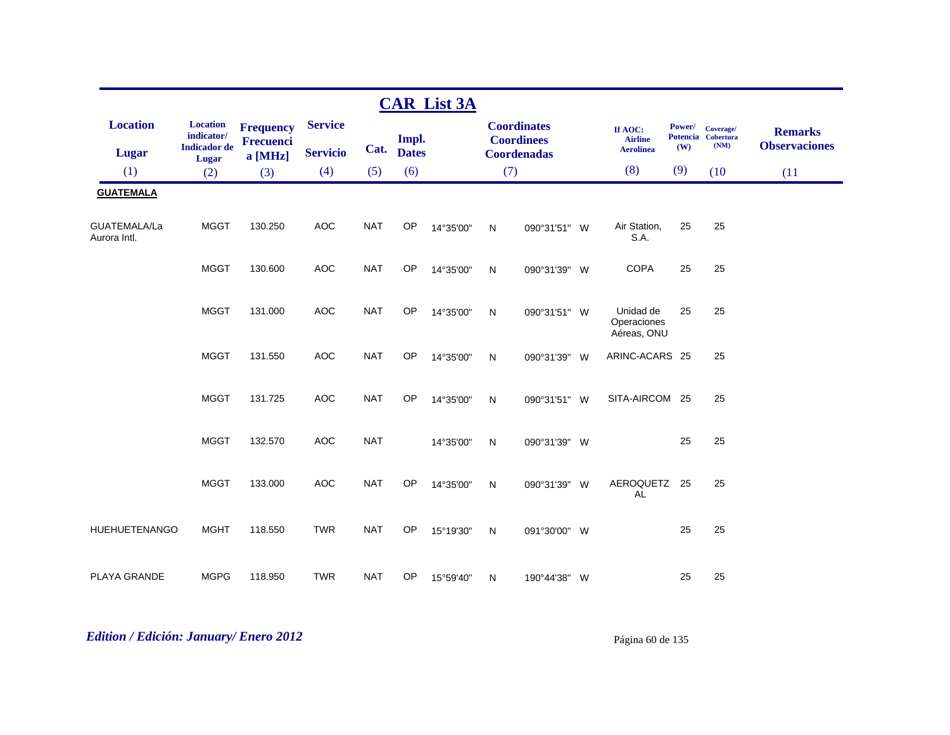|                              |                               |                                      |                 |            |              | <b>CAR List 3A</b> |              |                                         |          |                                         |        |                                         |                                        |
|------------------------------|-------------------------------|--------------------------------------|-----------------|------------|--------------|--------------------|--------------|-----------------------------------------|----------|-----------------------------------------|--------|-----------------------------------------|----------------------------------------|
| <b>Location</b>              | <b>Location</b><br>indicator/ | <b>Frequency</b><br><b>Frecuenci</b> | <b>Service</b>  |            | Impl.        |                    |              | <b>Coordinates</b><br><b>Coordinees</b> |          | If AOC:<br><b>Airline</b>               | Power/ | Coverage/<br>Potencia Cobertura<br>(NM) | <b>Remarks</b><br><b>Observaciones</b> |
| <b>Lugar</b>                 | <b>Indicador</b> de<br>Lugar  | a [MHz]                              | <b>Servicio</b> | Cat.       | <b>Dates</b> |                    |              | <b>Coordenadas</b>                      |          | <b>Aerolinea</b>                        | (W)    |                                         |                                        |
| (1)                          | (2)                           | (3)                                  | (4)             | (5)        | (6)          |                    | (7)          |                                         |          | (8)                                     | (9)    | (10)                                    | (11)                                   |
| <b>GUATEMALA</b>             |                               |                                      |                 |            |              |                    |              |                                         |          |                                         |        |                                         |                                        |
| GUATEMALA/La<br>Aurora Intl. | <b>MGGT</b>                   | 130.250                              | <b>AOC</b>      | <b>NAT</b> | OP           | 14°35'00"          | N            | 090°31'51" W                            |          | Air Station,<br>S.A.                    | 25     | 25                                      |                                        |
|                              | <b>MGGT</b>                   | 130.600                              | <b>AOC</b>      | <b>NAT</b> | OP           | 14°35'00"          | N            | 090°31'39" W                            |          | <b>COPA</b>                             | 25     | 25                                      |                                        |
|                              | <b>MGGT</b>                   | 131.000                              | AOC             | <b>NAT</b> | OP           | 14°35'00"          | $\mathsf{N}$ | 090°31'51" W                            |          | Unidad de<br>Operaciones<br>Aéreas, ONU | 25     | 25                                      |                                        |
|                              | <b>MGGT</b>                   | 131.550                              | <b>AOC</b>      | <b>NAT</b> | OP           | 14°35'00"          | N            | 090°31'39"                              | <b>W</b> | ARINC-ACARS 25                          |        | 25                                      |                                        |
|                              | <b>MGGT</b>                   | 131.725                              | <b>AOC</b>      | <b>NAT</b> | OP           | 14°35'00"          | N            | 090°31'51" W                            |          | SITA-AIRCOM 25                          |        | 25                                      |                                        |
|                              | <b>MGGT</b>                   | 132.570                              | <b>AOC</b>      | <b>NAT</b> |              | 14°35'00"          | N            | 090°31'39" W                            |          |                                         | 25     | 25                                      |                                        |
|                              | <b>MGGT</b>                   | 133.000                              | <b>AOC</b>      | <b>NAT</b> | OP           | 14°35'00"          | N            | 090°31'39" W                            |          | AEROQUETZ 25<br><b>AL</b>               |        | 25                                      |                                        |
| <b>HUEHUETENANGO</b>         | <b>MGHT</b>                   | 118.550                              | <b>TWR</b>      | <b>NAT</b> | OP           | 15°19'30"          | $\mathsf{N}$ | 091°30'00" W                            |          |                                         | 25     | 25                                      |                                        |
| PLAYA GRANDE                 | <b>MGPG</b>                   | 118.950                              | <b>TWR</b>      | <b>NAT</b> | OP           | 15°59'40"          | N            | 190°44'38" W                            |          |                                         | 25     | 25                                      |                                        |

*Edition / Edición: January/ Enero 2012* Página 60 de 135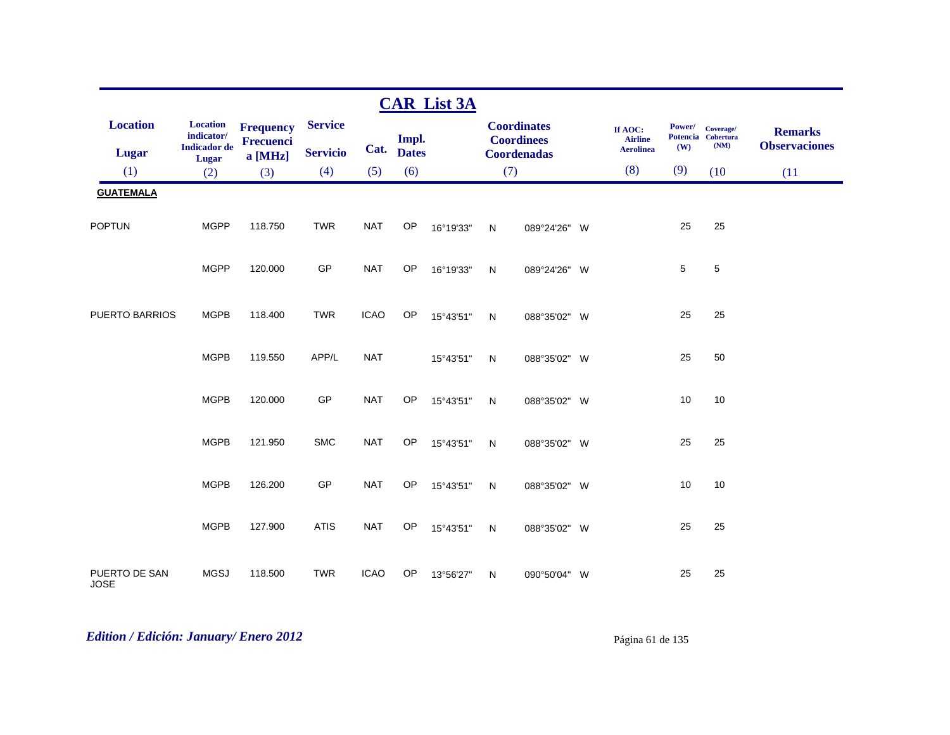|                                 |                                                                      |                                                 |                                   |             |                       | <b>CAR List 3A</b> |              |                                                               |                                               |               |                                         |                                        |
|---------------------------------|----------------------------------------------------------------------|-------------------------------------------------|-----------------------------------|-------------|-----------------------|--------------------|--------------|---------------------------------------------------------------|-----------------------------------------------|---------------|-----------------------------------------|----------------------------------------|
| <b>Location</b><br><b>Lugar</b> | <b>Location</b><br>indicator/<br><b>Indicador</b> de<br><b>Lugar</b> | <b>Frequency</b><br><b>Frecuenci</b><br>a [MHz] | <b>Service</b><br><b>Servicio</b> | Cat.        | Impl.<br><b>Dates</b> |                    |              | <b>Coordinates</b><br><b>Coordinees</b><br><b>Coordenadas</b> | If AOC:<br><b>Airline</b><br><b>Aerolinea</b> | Power/<br>(W) | Coverage/<br>Potencia Cobertura<br>(NM) | <b>Remarks</b><br><b>Observaciones</b> |
| (1)                             | (2)                                                                  | (3)                                             | (4)                               | (5)         | (6)                   |                    | (7)          |                                                               | (8)                                           | (9)           | (10)                                    | (11)                                   |
| <b>GUATEMALA</b>                |                                                                      |                                                 |                                   |             |                       |                    |              |                                                               |                                               |               |                                         |                                        |
| <b>POPTUN</b>                   | <b>MGPP</b>                                                          | 118.750                                         | <b>TWR</b>                        | <b>NAT</b>  | OP                    | 16°19'33"          | N            | 089°24'26" W                                                  |                                               | 25            | 25                                      |                                        |
|                                 | <b>MGPP</b>                                                          | 120.000                                         | GP                                | <b>NAT</b>  | OP                    | 16°19'33"          | N            | 089°24'26" W                                                  |                                               | 5             | 5                                       |                                        |
| PUERTO BARRIOS                  | <b>MGPB</b>                                                          | 118.400                                         | <b>TWR</b>                        | <b>ICAO</b> | OP                    | 15°43'51"          | $\mathsf{N}$ | 088°35'02" W                                                  |                                               | 25            | 25                                      |                                        |
|                                 | <b>MGPB</b>                                                          | 119.550                                         | APP/L                             | <b>NAT</b>  |                       | 15°43'51"          | ${\sf N}$    | 088°35'02" W                                                  |                                               | 25            | 50                                      |                                        |
|                                 | <b>MGPB</b>                                                          | 120.000                                         | GP                                | <b>NAT</b>  | OP                    | 15°43'51"          | N            | 088°35'02" W                                                  |                                               | 10            | 10                                      |                                        |
|                                 | <b>MGPB</b>                                                          | 121.950                                         | <b>SMC</b>                        | <b>NAT</b>  | OP                    | 15°43'51"          | $\mathsf{N}$ | 088°35'02" W                                                  |                                               | 25            | 25                                      |                                        |
|                                 | <b>MGPB</b>                                                          | 126.200                                         | GP                                | <b>NAT</b>  | OP                    | 15°43'51"          | $\mathsf{N}$ | 088°35'02" W                                                  |                                               | 10            | 10                                      |                                        |
|                                 | <b>MGPB</b>                                                          | 127.900                                         | <b>ATIS</b>                       | <b>NAT</b>  | OP                    | 15°43'51"          | $\mathsf{N}$ | 088°35'02" W                                                  |                                               | 25            | 25                                      |                                        |
| PUERTO DE SAN<br><b>JOSE</b>    | <b>MGSJ</b>                                                          | 118.500                                         | <b>TWR</b>                        | <b>ICAO</b> | OP                    | 13°56'27"          | $\mathsf{N}$ | 090°50'04" W                                                  |                                               | 25            | 25                                      |                                        |

*Edition / Edición: January/ Enero 2012* Página 61 de 135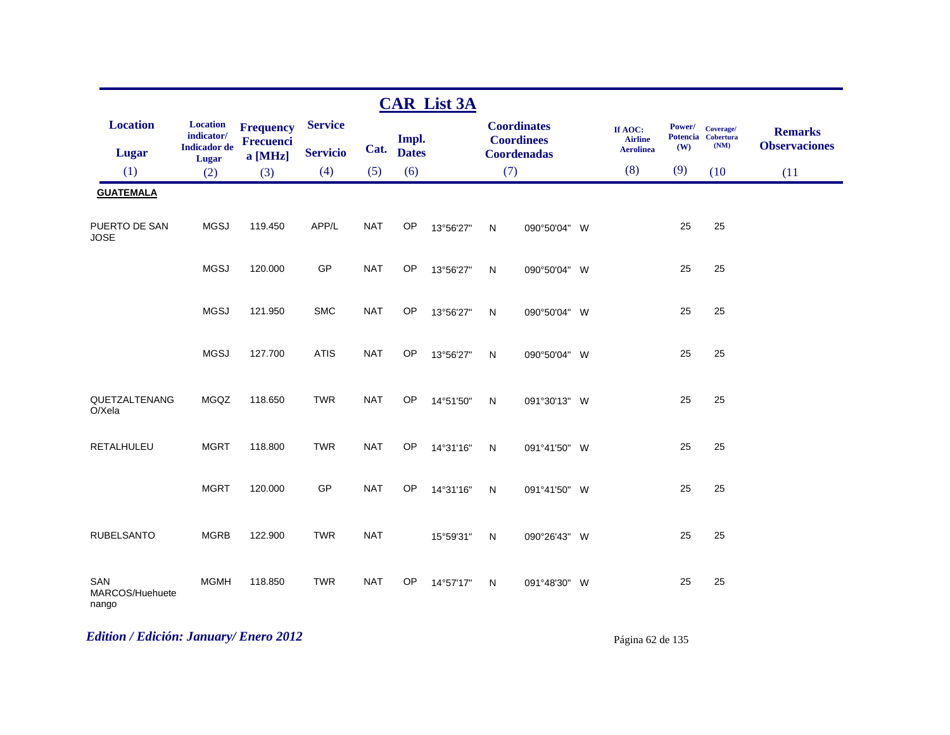|                                 |                                                               |                                                 |                                   |            |                       | <b>CAR List 3A</b> |              |                                                               |                                               |     |                                                |                                        |
|---------------------------------|---------------------------------------------------------------|-------------------------------------------------|-----------------------------------|------------|-----------------------|--------------------|--------------|---------------------------------------------------------------|-----------------------------------------------|-----|------------------------------------------------|----------------------------------------|
| <b>Location</b><br>Lugar        | <b>Location</b><br>indicator/<br><b>Indicador</b> de<br>Lugar | <b>Frequency</b><br><b>Frecuenci</b><br>a [MHz] | <b>Service</b><br><b>Servicio</b> | Cat.       | Impl.<br><b>Dates</b> |                    |              | <b>Coordinates</b><br><b>Coordinees</b><br><b>Coordenadas</b> | If AOC:<br><b>Airline</b><br><b>Aerolinea</b> | (W) | Power/ Coverage/<br>Potencia Cobertura<br>(NM) | <b>Remarks</b><br><b>Observaciones</b> |
| (1)                             | (2)                                                           | (3)                                             | (4)                               | (5)        | (6)                   |                    | (7)          |                                                               | (8)                                           | (9) | (10)                                           | (11)                                   |
| <b>GUATEMALA</b>                |                                                               |                                                 |                                   |            |                       |                    |              |                                                               |                                               |     |                                                |                                        |
| PUERTO DE SAN<br><b>JOSE</b>    | <b>MGSJ</b>                                                   | 119.450                                         | APP/L                             | <b>NAT</b> | OP                    | 13°56'27"          | N            | 090°50'04" W                                                  |                                               | 25  | 25                                             |                                        |
|                                 | <b>MGSJ</b>                                                   | 120.000                                         | GP                                | <b>NAT</b> | <b>OP</b>             | 13°56'27"          | N            | 090°50'04" W                                                  |                                               | 25  | 25                                             |                                        |
|                                 | <b>MGSJ</b>                                                   | 121.950                                         | <b>SMC</b>                        | <b>NAT</b> | OP                    | 13°56'27"          | $\mathsf{N}$ | 090°50'04" W                                                  |                                               | 25  | 25                                             |                                        |
|                                 | <b>MGSJ</b>                                                   | 127.700                                         | <b>ATIS</b>                       | <b>NAT</b> | <b>OP</b>             | 13°56'27"          | N            | 090°50'04" W                                                  |                                               | 25  | 25                                             |                                        |
| QUETZALTENANG<br>O/Xela         | MGQZ                                                          | 118.650                                         | <b>TWR</b>                        | <b>NAT</b> | OP                    | 14°51'50"          | $\mathsf{N}$ | 091°30'13" W                                                  |                                               | 25  | 25                                             |                                        |
| <b>RETALHULEU</b>               | <b>MGRT</b>                                                   | 118.800                                         | <b>TWR</b>                        | <b>NAT</b> | OP                    | 14°31'16"          | N            | 091°41'50" W                                                  |                                               | 25  | 25                                             |                                        |
|                                 | <b>MGRT</b>                                                   | 120.000                                         | GP                                | <b>NAT</b> | OP                    | 14°31'16"          | $\mathsf{N}$ | 091°41'50" W                                                  |                                               | 25  | 25                                             |                                        |
| <b>RUBELSANTO</b>               | <b>MGRB</b>                                                   | 122.900                                         | <b>TWR</b>                        | <b>NAT</b> |                       | 15°59'31"          | N            | 090°26'43" W                                                  |                                               | 25  | 25                                             |                                        |
| SAN<br>MARCOS/Huehuete<br>nango | <b>MGMH</b>                                                   | 118.850                                         | <b>TWR</b>                        | <b>NAT</b> | OP                    | 14°57'17"          | $\mathsf{N}$ | 091°48'30" W                                                  |                                               | 25  | 25                                             |                                        |

# *Edition / Edición: January/ Enero 2012* Página 62 de 135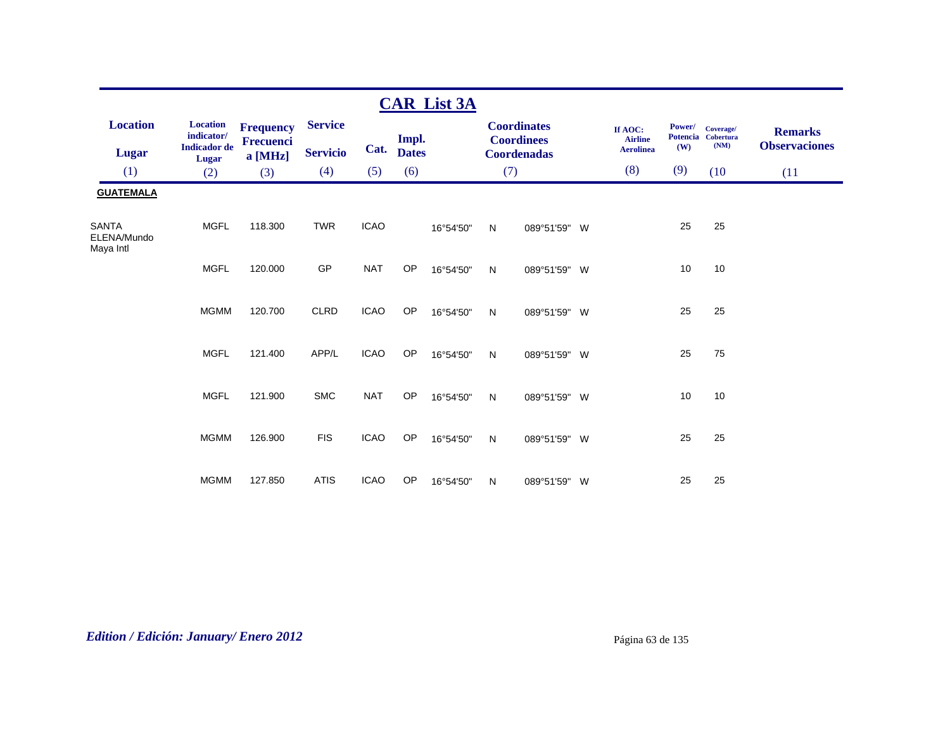|                                          |                                                               |                                                   |                                   |             |                       | <b>CAR List 3A</b> |              |                                                               |                                               |                                  |                                       |                                        |
|------------------------------------------|---------------------------------------------------------------|---------------------------------------------------|-----------------------------------|-------------|-----------------------|--------------------|--------------|---------------------------------------------------------------|-----------------------------------------------|----------------------------------|---------------------------------------|----------------------------------------|
| <b>Location</b><br><b>Lugar</b>          | <b>Location</b><br>indicator/<br><b>Indicador</b> de<br>Lugar | <b>Frequency</b><br><b>Frecuenci</b><br>$a$ [MHz] | <b>Service</b><br><b>Servicio</b> | Cat.        | Impl.<br><b>Dates</b> |                    |              | <b>Coordinates</b><br><b>Coordinees</b><br><b>Coordenadas</b> | If AOC:<br><b>Airline</b><br><b>Aerolinea</b> | Power/<br><b>Potencia</b><br>(W) | Coverage/<br><b>Cobertura</b><br>(NM) | <b>Remarks</b><br><b>Observaciones</b> |
| (1)                                      | (2)                                                           | (3)                                               | (4)                               | (5)         | (6)                   |                    | (7)          |                                                               | (8)                                           | (9)                              | (10)                                  | (11)                                   |
| <b>GUATEMALA</b>                         |                                                               |                                                   |                                   |             |                       |                    |              |                                                               |                                               |                                  |                                       |                                        |
| <b>SANTA</b><br>ELENA/Mundo<br>Maya Intl | <b>MGFL</b>                                                   | 118,300                                           | <b>TWR</b>                        | <b>ICAO</b> |                       | 16°54'50"          | N            | 089°51'59" W                                                  |                                               | 25                               | 25                                    |                                        |
|                                          | <b>MGFL</b>                                                   | 120.000                                           | GP                                | <b>NAT</b>  | OP                    | 16°54'50"          | N            | 089°51'59" W                                                  |                                               | 10                               | 10                                    |                                        |
|                                          | <b>MGMM</b>                                                   | 120.700                                           | <b>CLRD</b>                       | <b>ICAO</b> | OP                    | 16°54'50"          | N            | 089°51'59" W                                                  |                                               | 25                               | 25                                    |                                        |
|                                          | <b>MGFL</b>                                                   | 121.400                                           | APP/L                             | <b>ICAO</b> | OP                    | 16°54'50"          | N            | 089°51'59" W                                                  |                                               | 25                               | 75                                    |                                        |
|                                          | <b>MGFL</b>                                                   | 121.900                                           | <b>SMC</b>                        | <b>NAT</b>  | OP                    | 16°54'50"          | $\mathsf{N}$ | 089°51'59" W                                                  |                                               | 10                               | 10                                    |                                        |
|                                          | <b>MGMM</b>                                                   | 126.900                                           | <b>FIS</b>                        | <b>ICAO</b> | OP                    | 16°54'50"          | $\mathsf{N}$ | 089°51'59" W                                                  |                                               | 25                               | 25                                    |                                        |
|                                          | <b>MGMM</b>                                                   | 127.850                                           | <b>ATIS</b>                       | <b>ICAO</b> | OP                    | 16°54'50"          | N            | 089°51'59" W                                                  |                                               | 25                               | 25                                    |                                        |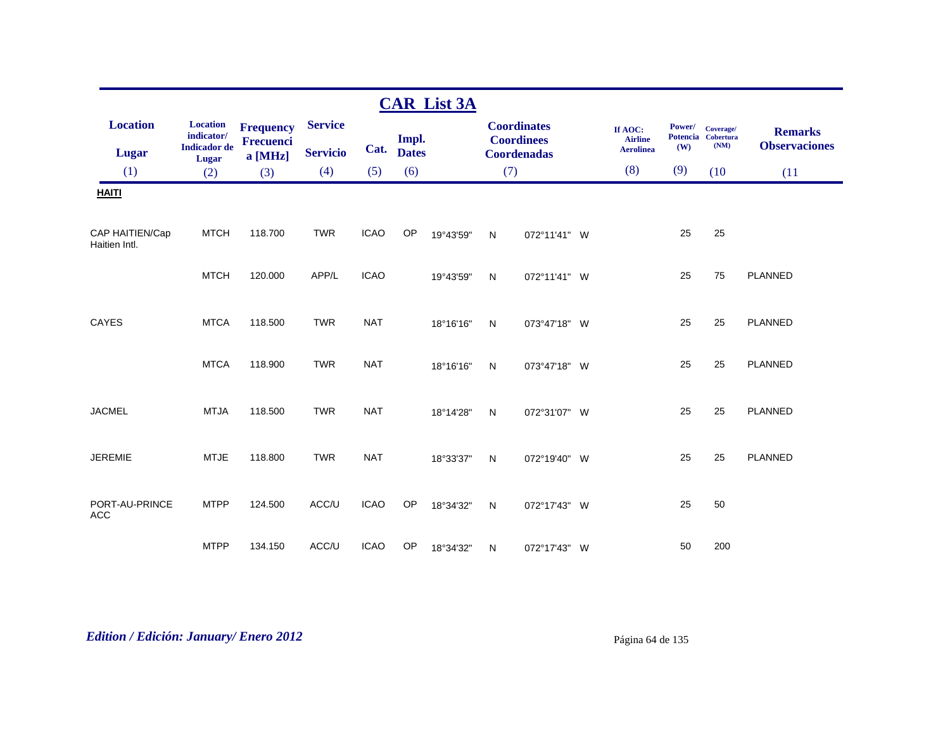|                                  |                                                                      |                                            |                                   |             |                       | <b>CAR List 3A</b> |              |                                                               |                                               |               |                                         |                                        |
|----------------------------------|----------------------------------------------------------------------|--------------------------------------------|-----------------------------------|-------------|-----------------------|--------------------|--------------|---------------------------------------------------------------|-----------------------------------------------|---------------|-----------------------------------------|----------------------------------------|
| <b>Location</b><br><b>Lugar</b>  | <b>Location</b><br>indicator/<br><b>Indicador</b> de<br><b>Lugar</b> | <b>Frequency</b><br>Frecuenci<br>$a$ [MHz] | <b>Service</b><br><b>Servicio</b> | Cat.        | Impl.<br><b>Dates</b> |                    |              | <b>Coordinates</b><br><b>Coordinees</b><br><b>Coordenadas</b> | If AOC:<br><b>Airline</b><br><b>Aerolinea</b> | Power/<br>(W) | Coverage/<br>Potencia Cobertura<br>(NM) | <b>Remarks</b><br><b>Observaciones</b> |
| (1)                              | (2)                                                                  | (3)                                        | (4)                               | (5)         | (6)                   |                    | (7)          |                                                               | (8)                                           | (9)           | (10)                                    | (11)                                   |
| <b>HAITI</b>                     |                                                                      |                                            |                                   |             |                       |                    |              |                                                               |                                               |               |                                         |                                        |
| CAP HAITIEN/Cap<br>Haitien Intl. | <b>MTCH</b>                                                          | 118.700                                    | <b>TWR</b>                        | <b>ICAO</b> | OP                    | 19°43'59"          | N            | 072°11'41" W                                                  |                                               | 25            | 25                                      |                                        |
|                                  | <b>MTCH</b>                                                          | 120.000                                    | APP/L                             | <b>ICAO</b> |                       | 19°43'59"          | N            | 072°11'41" W                                                  |                                               | 25            | 75                                      | PLANNED                                |
| CAYES                            | <b>MTCA</b>                                                          | 118.500                                    | <b>TWR</b>                        | <b>NAT</b>  |                       | 18°16'16"          | N            | 073°47'18" W                                                  |                                               | 25            | 25                                      | PLANNED                                |
|                                  | <b>MTCA</b>                                                          | 118.900                                    | <b>TWR</b>                        | <b>NAT</b>  |                       | 18°16'16"          | $\mathsf{N}$ | 073°47'18" W                                                  |                                               | 25            | 25                                      | PLANNED                                |
| <b>JACMEL</b>                    | <b>MTJA</b>                                                          | 118.500                                    | <b>TWR</b>                        | <b>NAT</b>  |                       | 18°14'28"          | N            | 072°31'07" W                                                  |                                               | 25            | 25                                      | PLANNED                                |
| <b>JEREMIE</b>                   | <b>MTJE</b>                                                          | 118.800                                    | <b>TWR</b>                        | <b>NAT</b>  |                       | 18°33'37"          | N            | 072°19'40" W                                                  |                                               | 25            | 25                                      | PLANNED                                |
| PORT-AU-PRINCE<br><b>ACC</b>     | <b>MTPP</b>                                                          | 124.500                                    | ACC/U                             | <b>ICAO</b> | OP                    | 18°34'32"          | $\mathsf{N}$ | 072°17'43" W                                                  |                                               | 25            | 50                                      |                                        |
|                                  | <b>MTPP</b>                                                          | 134.150                                    | ACC/U                             | <b>ICAO</b> | OP                    | 18°34'32"          | N            | 072°17'43" W                                                  |                                               | 50            | 200                                     |                                        |

# *Edition / Edición: January/ Enero 2012* Página 64 de 135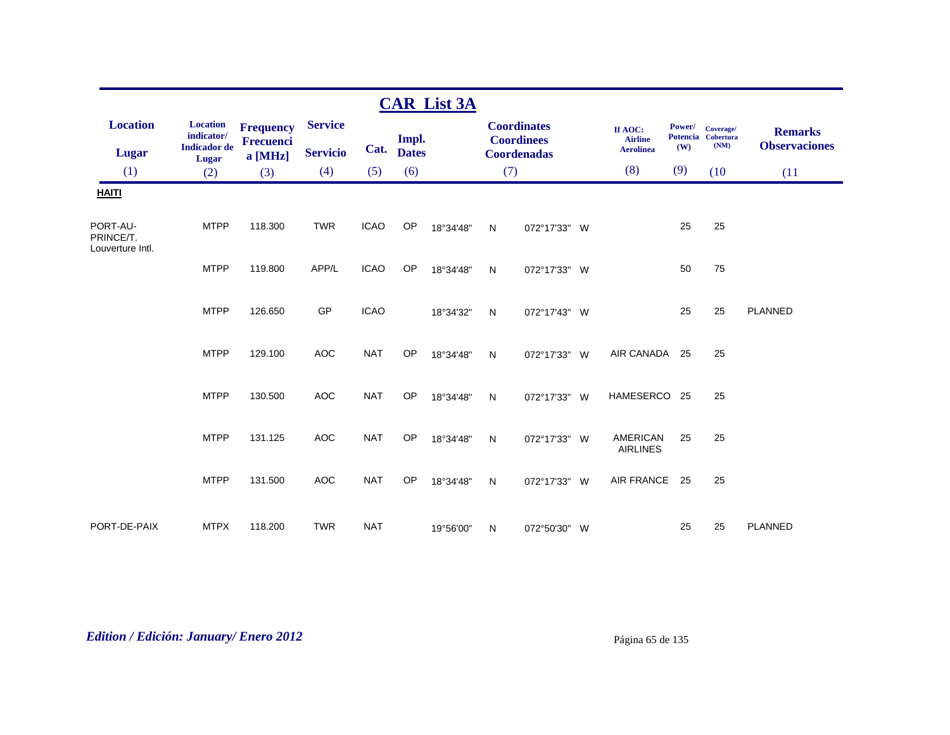|                                           |                                                      |                                      |                 |             |                       | <b>CAR List 3A</b> |              |                                         |          |                                               |                                  |                                       |                                        |
|-------------------------------------------|------------------------------------------------------|--------------------------------------|-----------------|-------------|-----------------------|--------------------|--------------|-----------------------------------------|----------|-----------------------------------------------|----------------------------------|---------------------------------------|----------------------------------------|
| <b>Location</b>                           | <b>Location</b><br>indicator/<br><b>Indicador</b> de | <b>Frequency</b><br><b>Frecuenci</b> | <b>Service</b>  | Cat.        | Impl.<br><b>Dates</b> |                    |              | <b>Coordinates</b><br><b>Coordinees</b> |          | If AOC:<br><b>Airline</b><br><b>Aerolinea</b> | Power/<br><b>Potencia</b><br>(W) | Coverage/<br><b>Cobertura</b><br>(NM) | <b>Remarks</b><br><b>Observaciones</b> |
| <b>Lugar</b>                              | Lugar                                                | a [MHz]                              | <b>Servicio</b> | (5)         |                       |                    |              | <b>Coordenadas</b>                      |          | (8)                                           | (9)                              | (10)                                  |                                        |
| (1)                                       | (2)                                                  | (3)                                  | (4)             |             | (6)                   |                    | (7)          |                                         |          |                                               |                                  |                                       | (11)                                   |
| <b>HAITI</b>                              |                                                      |                                      |                 |             |                       |                    |              |                                         |          |                                               |                                  |                                       |                                        |
| PORT-AU-<br>PRINCE/T.<br>Louverture Intl. | <b>MTPP</b>                                          | 118.300                              | <b>TWR</b>      | <b>ICAO</b> | <b>OP</b>             | 18°34'48"          | N            | 072°17'33" W                            |          |                                               | 25                               | 25                                    |                                        |
|                                           | <b>MTPP</b>                                          | 119.800                              | APP/L           | <b>ICAO</b> | <b>OP</b>             | 18°34'48"          | $\mathsf{N}$ | 072°17'33" W                            |          |                                               | 50                               | 75                                    |                                        |
|                                           | <b>MTPP</b>                                          | 126.650                              | GP              | <b>ICAO</b> |                       | 18°34'32"          | N            | 072°17'43" W                            |          |                                               | 25                               | 25                                    | <b>PLANNED</b>                         |
|                                           | <b>MTPP</b>                                          | 129.100                              | <b>AOC</b>      | <b>NAT</b>  | <b>OP</b>             | 18°34'48"          | N            | 072°17'33" W                            |          | AIR CANADA                                    | 25                               | 25                                    |                                        |
|                                           | <b>MTPP</b>                                          | 130.500                              | <b>AOC</b>      | <b>NAT</b>  | OP                    | 18°34'48"          | N            | 072°17'33" W                            |          | <b>HAMESERCO</b>                              | 25                               | 25                                    |                                        |
|                                           | <b>MTPP</b>                                          | 131.125                              | <b>AOC</b>      | <b>NAT</b>  | OP                    | 18°34'48"          | $\mathsf{N}$ | 072°17'33" W                            |          | <b>AMERICAN</b><br><b>AIRLINES</b>            | 25                               | 25                                    |                                        |
|                                           | <b>MTPP</b>                                          | 131.500                              | <b>AOC</b>      | <b>NAT</b>  | <b>OP</b>             | 18°34'48"          | N            | 072°17'33"                              | <b>W</b> | <b>AIR FRANCE</b>                             | 25                               | 25                                    |                                        |
| PORT-DE-PAIX                              | <b>MTPX</b>                                          | 118.200                              | <b>TWR</b>      | <b>NAT</b>  |                       | 19°56'00"          | N            | 072°50'30" W                            |          |                                               | 25                               | 25                                    | <b>PLANNED</b>                         |

*Edition / Edición: January/ Enero 2012* Página 65 de 135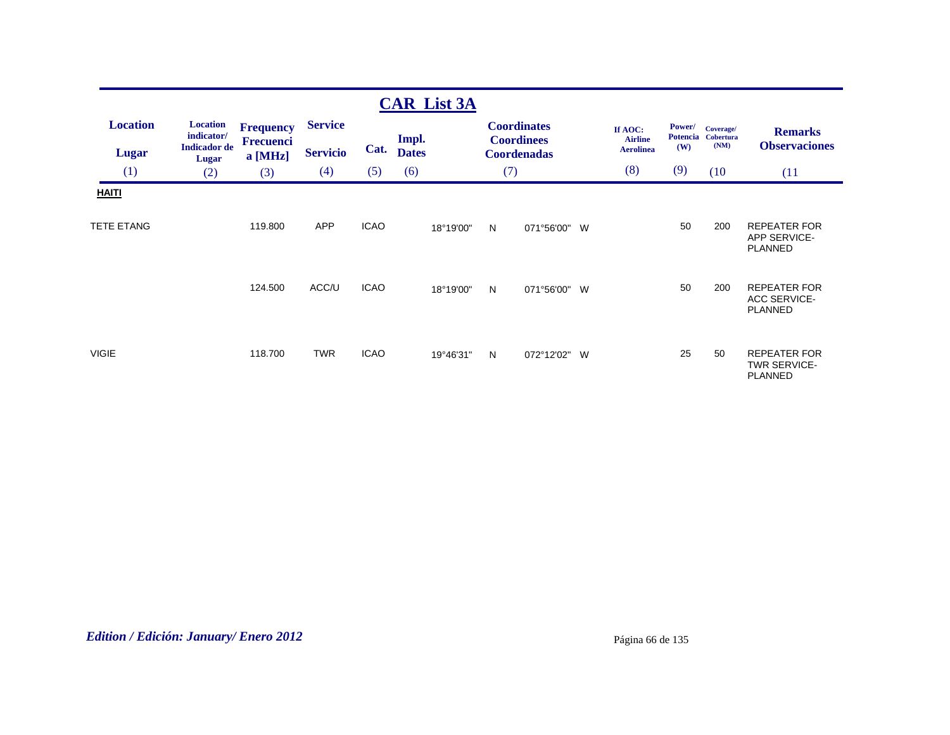|                                   |                                                                      |                                                   |                                   |             | <b>CAR List 3A</b>    |     |                                                               |   |                                               |                                  |                                       |                                                              |
|-----------------------------------|----------------------------------------------------------------------|---------------------------------------------------|-----------------------------------|-------------|-----------------------|-----|---------------------------------------------------------------|---|-----------------------------------------------|----------------------------------|---------------------------------------|--------------------------------------------------------------|
| <b>Location</b><br><b>Lugar</b>   | <b>Location</b><br>indicator/<br><b>Indicador</b> de<br><b>Lugar</b> | <b>Frequency</b><br><b>Frecuenci</b><br>$a$ [MHz] | <b>Service</b><br><b>Servicio</b> | Cat.        | Impl.<br><b>Dates</b> |     | <b>Coordinates</b><br><b>Coordinees</b><br><b>Coordenadas</b> |   | If AOC:<br><b>Airline</b><br><b>Aerolinea</b> | Power/<br><b>Potencia</b><br>(W) | Coverage/<br><b>Cobertura</b><br>(NM) | <b>Remarks</b><br><b>Observaciones</b>                       |
| (1)                               | (2)                                                                  | (3)                                               | (4)                               | (5)         | (6)                   | (7) |                                                               |   | (8)                                           | (9)                              | (10)                                  | (11)                                                         |
| <b>HAITI</b><br><b>TETE ETANG</b> |                                                                      | 119.800                                           | <b>APP</b>                        | <b>ICAO</b> | 18°19'00"             | N   | 071°56'00" W                                                  |   |                                               | 50                               | 200                                   | <b>REPEATER FOR</b><br><b>APP SERVICE-</b><br><b>PLANNED</b> |
|                                   |                                                                      | 124.500                                           | ACC/U                             | <b>ICAO</b> | 18°19'00"             | N   | 071°56'00" W                                                  |   |                                               | 50                               | 200                                   | <b>REPEATER FOR</b><br><b>ACC SERVICE-</b><br><b>PLANNED</b> |
| <b>VIGIE</b>                      |                                                                      | 118.700                                           | <b>TWR</b>                        | <b>ICAO</b> | 19°46'31"             | N   | 072°12'02"                                                    | W |                                               | 25                               | 50                                    | <b>REPEATER FOR</b><br><b>TWR SERVICE-</b><br><b>PLANNED</b> |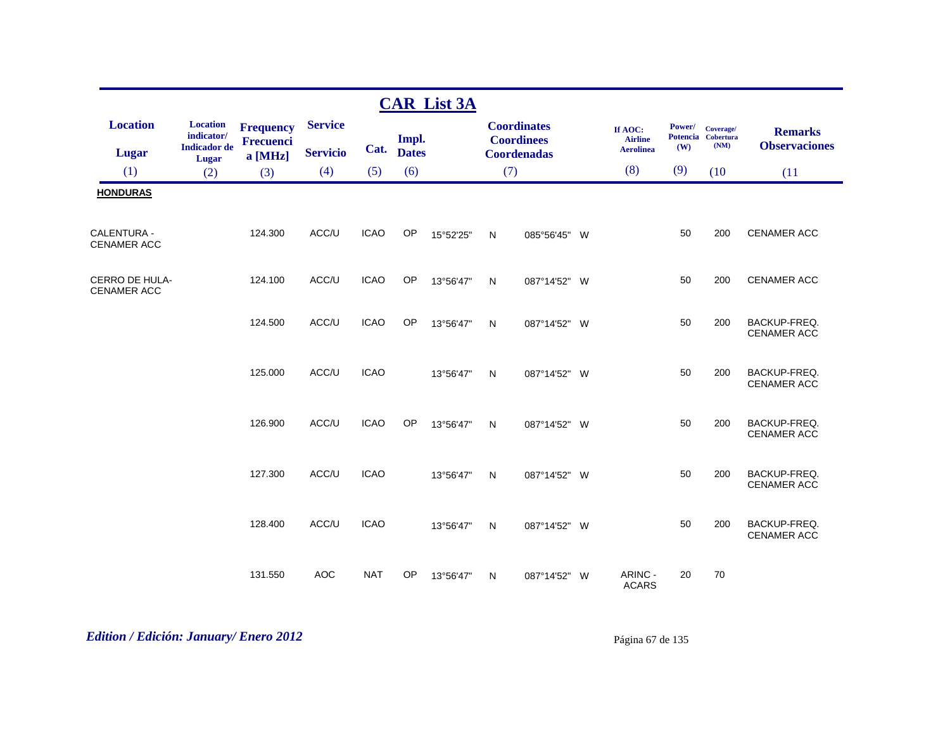|                                          |                                                      |                                      |                 |             |              | <b>CAR List 3A</b> |     |                                         |   |                                               |               |                                         |                                           |
|------------------------------------------|------------------------------------------------------|--------------------------------------|-----------------|-------------|--------------|--------------------|-----|-----------------------------------------|---|-----------------------------------------------|---------------|-----------------------------------------|-------------------------------------------|
| <b>Location</b>                          | <b>Location</b><br>indicator/<br><b>Indicador</b> de | <b>Frequency</b><br><b>Frecuenci</b> | <b>Service</b>  | Cat.        | Impl.        |                    |     | <b>Coordinates</b><br><b>Coordinees</b> |   | If AOC:<br><b>Airline</b><br><b>Aerolinea</b> | Power/<br>(W) | Coverage/<br>Potencia Cobertura<br>(NM) | <b>Remarks</b><br><b>Observaciones</b>    |
| <b>Lugar</b>                             | Lugar                                                | a [MHz]                              | <b>Servicio</b> |             | <b>Dates</b> |                    |     | <b>Coordenadas</b>                      |   |                                               |               |                                         |                                           |
| (1)                                      | (2)                                                  | (3)                                  | (4)             | (5)         | (6)          |                    | (7) |                                         |   | (8)                                           | (9)           | (10)                                    | (11)                                      |
| <b>HONDURAS</b>                          |                                                      |                                      |                 |             |              |                    |     |                                         |   |                                               |               |                                         |                                           |
| <b>CALENTURA -</b><br><b>CENAMER ACC</b> |                                                      | 124.300                              | ACC/U           | <b>ICAO</b> | OP           | 15°52'25"          | N   | 085°56'45"                              | W |                                               | 50            | 200                                     | <b>CENAMER ACC</b>                        |
| CERRO DE HULA-<br><b>CENAMER ACC</b>     |                                                      | 124.100                              | ACC/U           | <b>ICAO</b> | OP           | 13°56'47"          | N   | 087°14'52" W                            |   |                                               | 50            | 200                                     | <b>CENAMER ACC</b>                        |
|                                          |                                                      | 124.500                              | ACC/U           | <b>ICAO</b> | OP           | 13°56'47"          | N   | 087°14'52"                              | W |                                               | 50            | 200                                     | BACKUP-FREQ.<br><b>CENAMER ACC</b>        |
|                                          |                                                      | 125.000                              | ACC/U           | <b>ICAO</b> |              | 13°56'47"          | N   | 087°14'52" W                            |   |                                               | 50            | 200                                     | BACKUP-FREQ.<br><b>CENAMER ACC</b>        |
|                                          |                                                      | 126.900                              | ACC/U           | <b>ICAO</b> | OP           | 13°56'47"          | N   | 087°14'52" W                            |   |                                               | 50            | 200                                     | <b>BACKUP-FREQ.</b><br><b>CENAMER ACC</b> |
|                                          |                                                      | 127.300                              | ACC/U           | <b>ICAO</b> |              | 13°56'47"          | N   | 087°14'52" W                            |   |                                               | 50            | 200                                     | BACKUP-FREQ.<br><b>CENAMER ACC</b>        |
|                                          |                                                      | 128.400                              | ACC/U           | <b>ICAO</b> |              | 13°56'47"          | N   | 087°14'52" W                            |   |                                               | 50            | 200                                     | BACKUP-FREQ.<br><b>CENAMER ACC</b>        |
|                                          |                                                      | 131.550                              | <b>AOC</b>      | <b>NAT</b>  | OP           | 13°56'47"          | N   | 087°14'52"                              | W | ARINC -<br><b>ACARS</b>                       | 20            | 70                                      |                                           |

*Edition / Edición: January/ Enero 2012* Página 67 de 135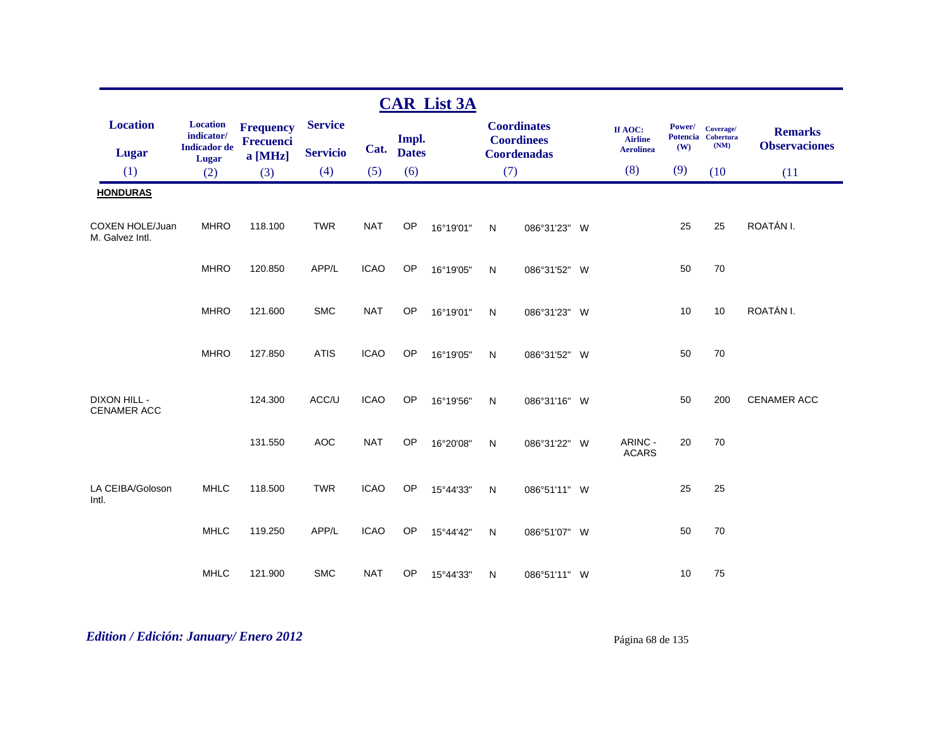|                                           |                                                      |                                      |                 |             |              | <b>CAR List 3A</b> |              |                                         |                                               |                                  |                                       |                                        |
|-------------------------------------------|------------------------------------------------------|--------------------------------------|-----------------|-------------|--------------|--------------------|--------------|-----------------------------------------|-----------------------------------------------|----------------------------------|---------------------------------------|----------------------------------------|
| <b>Location</b>                           | <b>Location</b><br>indicator/<br><b>Indicador</b> de | <b>Frequency</b><br><b>Frecuenci</b> | <b>Service</b>  | Cat.        | Impl.        |                    |              | <b>Coordinates</b><br><b>Coordinees</b> | If AOC:<br><b>Airline</b><br><b>Aerolinea</b> | Power/<br><b>Potencia</b><br>(W) | Coverage/<br><b>Cobertura</b><br>(NM) | <b>Remarks</b><br><b>Observaciones</b> |
| <b>Lugar</b>                              | Lugar                                                | a [MHz]                              | <b>Servicio</b> |             | <b>Dates</b> |                    |              | <b>Coordenadas</b>                      |                                               |                                  |                                       |                                        |
| (1)                                       | (2)                                                  | (3)                                  | (4)             | (5)         | (6)          |                    | (7)          |                                         | (8)                                           | (9)                              | (10)                                  | (11)                                   |
| <b>HONDURAS</b>                           |                                                      |                                      |                 |             |              |                    |              |                                         |                                               |                                  |                                       |                                        |
| COXEN HOLE/Juan<br>M. Galvez Intl.        | <b>MHRO</b>                                          | 118.100                              | <b>TWR</b>      | <b>NAT</b>  | OP           | 16°19'01"          | $\mathsf{N}$ | 086°31'23" W                            |                                               | 25                               | 25                                    | ROATÁN I.                              |
|                                           | <b>MHRO</b>                                          | 120.850                              | APP/L           | <b>ICAO</b> | <b>OP</b>    | 16°19'05"          | $\mathsf{N}$ | 086°31'52" W                            |                                               | 50                               | 70                                    |                                        |
|                                           | <b>MHRO</b>                                          | 121.600                              | <b>SMC</b>      | <b>NAT</b>  | OP           | 16°19'01"          | $\mathsf{N}$ | 086°31'23" W                            |                                               | 10                               | 10                                    | ROATÁN I.                              |
|                                           | <b>MHRO</b>                                          | 127.850                              | <b>ATIS</b>     | <b>ICAO</b> | OP           | 16°19'05"          | ${\sf N}$    | 086°31'52" W                            |                                               | 50                               | 70                                    |                                        |
| <b>DIXON HILL -</b><br><b>CENAMER ACC</b> |                                                      | 124.300                              | ACC/U           | <b>ICAO</b> | OP           | 16°19'56"          | $\mathsf{N}$ | 086°31'16" W                            |                                               | 50                               | 200                                   | <b>CENAMER ACC</b>                     |
|                                           |                                                      | 131.550                              | <b>AOC</b>      | <b>NAT</b>  | OP           | 16°20'08"          | ${\sf N}$    | 086°31'22" W                            | ARINC -<br><b>ACARS</b>                       | 20                               | 70                                    |                                        |
| LA CEIBA/Goloson<br>Intl.                 | <b>MHLC</b>                                          | 118.500                              | <b>TWR</b>      | <b>ICAO</b> | OP           | 15°44'33"          | $\mathsf{N}$ | 086°51'11" W                            |                                               | 25                               | 25                                    |                                        |
|                                           | <b>MHLC</b>                                          | 119.250                              | APP/L           | <b>ICAO</b> | OP           | 15°44'42"          | ${\sf N}$    | 086°51'07" W                            |                                               | 50                               | 70                                    |                                        |
|                                           | <b>MHLC</b>                                          | 121.900                              | <b>SMC</b>      | <b>NAT</b>  | OP           | 15°44'33"          | N            | 086°51'11" W                            |                                               | 10                               | 75                                    |                                        |

# *Edition / Edición: January/ Enero 2012* Página 68 de 135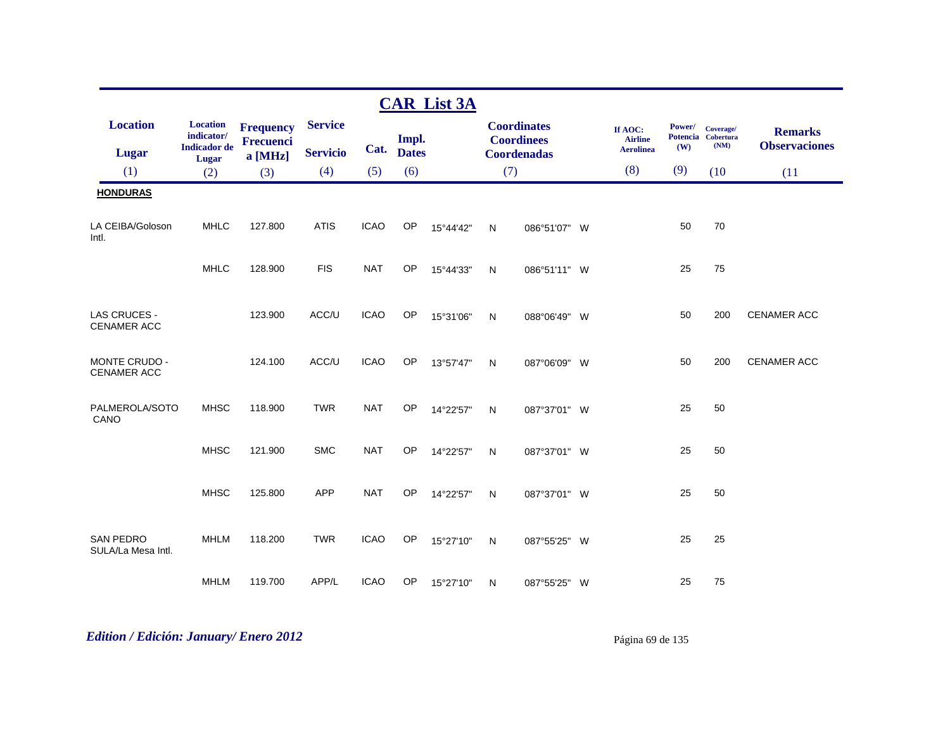|                                        |                               |                               |                 |             |              | <b>CAR List 3A</b> |           |                                         |                           |        |                                 |                      |
|----------------------------------------|-------------------------------|-------------------------------|-----------------|-------------|--------------|--------------------|-----------|-----------------------------------------|---------------------------|--------|---------------------------------|----------------------|
| <b>Location</b>                        | <b>Location</b><br>indicator/ | <b>Frequency</b><br>Frecuenci | <b>Service</b>  |             | Impl.        |                    |           | <b>Coordinates</b><br><b>Coordinees</b> | If AOC:<br><b>Airline</b> | Power/ | Coverage/<br>Potencia Cobertura | <b>Remarks</b>       |
| Lugar                                  | <b>Indicador</b> de<br>Lugar  | a [MHz]                       | <b>Servicio</b> | Cat.        | <b>Dates</b> |                    |           | <b>Coordenadas</b>                      | <b>Aerolinea</b>          | (W)    | (NM)                            | <b>Observaciones</b> |
| (1)                                    | (2)                           | (3)                           | (4)             | (5)         | (6)          |                    | (7)       |                                         | (8)                       | (9)    | (10)                            | (11)                 |
| <b>HONDURAS</b>                        |                               |                               |                 |             |              |                    |           |                                         |                           |        |                                 |                      |
| LA CEIBA/Goloson<br>Intl.              | <b>MHLC</b>                   | 127.800                       | <b>ATIS</b>     | <b>ICAO</b> | OP           | 15°44'42"          | N         | 086°51'07" W                            |                           | 50     | 70                              |                      |
|                                        | <b>MHLC</b>                   | 128.900                       | <b>FIS</b>      | <b>NAT</b>  | OP           | 15°44'33"          | N         | 086°51'11" W                            |                           | 25     | 75                              |                      |
| LAS CRUCES -<br><b>CENAMER ACC</b>     |                               | 123.900                       | ACC/U           | <b>ICAO</b> | OP           | 15°31'06"          | N         | 088°06'49" W                            |                           | 50     | 200                             | <b>CENAMER ACC</b>   |
| MONTE CRUDO -<br>CENAMER ACC           |                               | 124.100                       | ACC/U           | <b>ICAO</b> | OP           | 13°57'47"          | N         | 087°06'09" W                            |                           | 50     | 200                             | <b>CENAMER ACC</b>   |
| PALMEROLA/SOTO<br>CANO                 | <b>MHSC</b>                   | 118.900                       | <b>TWR</b>      | <b>NAT</b>  | <b>OP</b>    | 14°22'57"          | N         | 087°37'01" W                            |                           | 25     | 50                              |                      |
|                                        | <b>MHSC</b>                   | 121.900                       | <b>SMC</b>      | <b>NAT</b>  | OP           | 14°22'57"          | N         | 087°37'01" W                            |                           | 25     | 50                              |                      |
|                                        | <b>MHSC</b>                   | 125.800                       | <b>APP</b>      | <b>NAT</b>  | <b>OP</b>    | 14°22'57"          | ${\sf N}$ | 087°37'01" W                            |                           | 25     | 50                              |                      |
| <b>SAN PEDRO</b><br>SULA/La Mesa Intl. | <b>MHLM</b>                   | 118.200                       | <b>TWR</b>      | <b>ICAO</b> | OP           | 15°27'10"          | N         | 087°55'25" W                            |                           | 25     | 25                              |                      |
|                                        | <b>MHLM</b>                   | 119.700                       | APP/L           | <b>ICAO</b> | OP           | 15°27'10"          | N         | 087°55'25" W                            |                           | 25     | 75                              |                      |

# *Edition / Edición: January/ Enero 2012* Página 69 de 135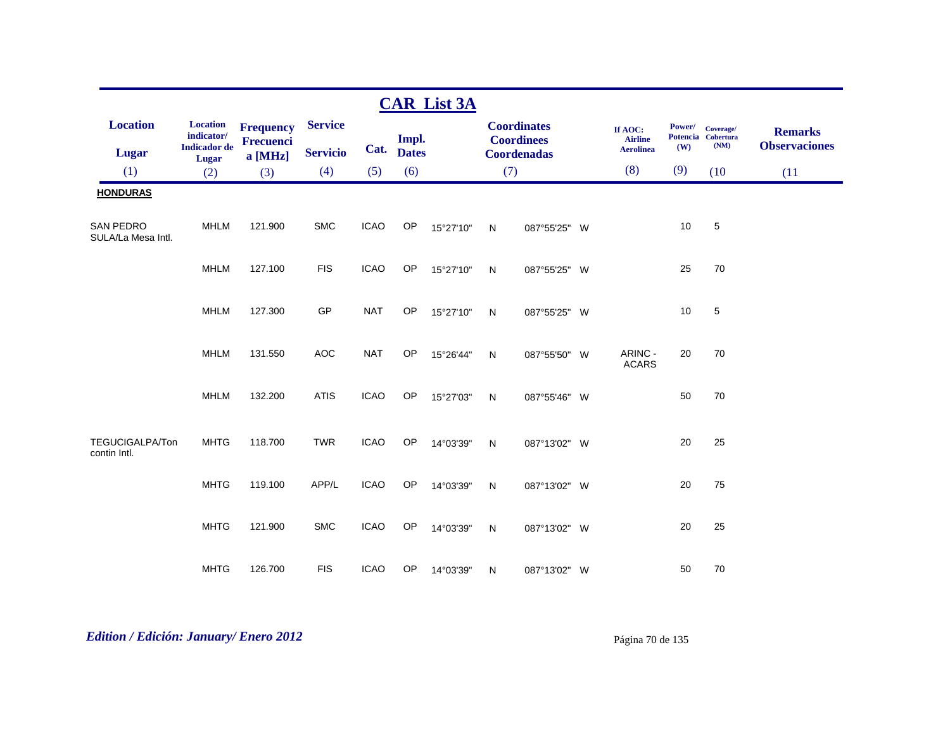|                                 |                                                      |                                                 |                                   |             |                       | <b>CAR List 3A</b> |              |                                                               |                                               |               |                                         |                                        |
|---------------------------------|------------------------------------------------------|-------------------------------------------------|-----------------------------------|-------------|-----------------------|--------------------|--------------|---------------------------------------------------------------|-----------------------------------------------|---------------|-----------------------------------------|----------------------------------------|
| <b>Location</b><br>Lugar        | <b>Location</b><br>indicator/<br><b>Indicador</b> de | <b>Frequency</b><br><b>Frecuenci</b><br>a [MHz] | <b>Service</b><br><b>Servicio</b> | Cat.        | Impl.<br><b>Dates</b> |                    |              | <b>Coordinates</b><br><b>Coordinees</b><br><b>Coordenadas</b> | If AOC:<br><b>Airline</b><br><b>Aerolinea</b> | Power/<br>(W) | Coverage/<br>Potencia Cobertura<br>(NM) | <b>Remarks</b><br><b>Observaciones</b> |
| (1)                             | <b>Lugar</b><br>(2)                                  | (3)                                             | (4)                               | (5)         | (6)                   |                    | (7)          |                                                               | (8)                                           | (9)           | (10)                                    | (11)                                   |
| <b>HONDURAS</b>                 |                                                      |                                                 |                                   |             |                       |                    |              |                                                               |                                               |               |                                         |                                        |
| SAN PEDRO<br>SULA/La Mesa Intl. | <b>MHLM</b>                                          | 121.900                                         | <b>SMC</b>                        | <b>ICAO</b> | OP                    | 15°27'10"          | $\mathsf{N}$ | 087°55'25" W                                                  |                                               | 10            | 5                                       |                                        |
|                                 | <b>MHLM</b>                                          | 127.100                                         | <b>FIS</b>                        | <b>ICAO</b> | OP                    | 15°27'10"          | N            | 087°55'25" W                                                  |                                               | 25            | 70                                      |                                        |
|                                 | <b>MHLM</b>                                          | 127.300                                         | GP                                | <b>NAT</b>  | <b>OP</b>             | 15°27'10"          | N            | 087°55'25" W                                                  |                                               | 10            | 5                                       |                                        |
|                                 | <b>MHLM</b>                                          | 131.550                                         | <b>AOC</b>                        | <b>NAT</b>  | OP                    | 15°26'44"          | N            | 087°55'50" W                                                  | ARINC -<br><b>ACARS</b>                       | 20            | $70\,$                                  |                                        |
|                                 | <b>MHLM</b>                                          | 132.200                                         | <b>ATIS</b>                       | <b>ICAO</b> | OP                    | 15°27'03"          | $\mathsf{N}$ | 087°55'46" W                                                  |                                               | 50            | 70                                      |                                        |
| TEGUCIGALPA/Ton<br>contin Intl. | <b>MHTG</b>                                          | 118.700                                         | <b>TWR</b>                        | <b>ICAO</b> | OP                    | 14°03'39"          | $\mathsf{N}$ | 087°13'02" W                                                  |                                               | 20            | 25                                      |                                        |
|                                 | <b>MHTG</b>                                          | 119.100                                         | APP/L                             | <b>ICAO</b> | OP                    | 14°03'39"          | N            | 087°13'02" W                                                  |                                               | 20            | 75                                      |                                        |
|                                 | <b>MHTG</b>                                          | 121.900                                         | <b>SMC</b>                        | <b>ICAO</b> | OP                    | 14°03'39"          | N            | 087°13'02" W                                                  |                                               | 20            | 25                                      |                                        |
|                                 | <b>MHTG</b>                                          | 126.700                                         | <b>FIS</b>                        | <b>ICAO</b> | OP                    | 14°03'39"          | N            | 087°13'02" W                                                  |                                               | 50            | 70                                      |                                        |

# *Edition / Edición: January/ Enero 2012* Página 70 de 135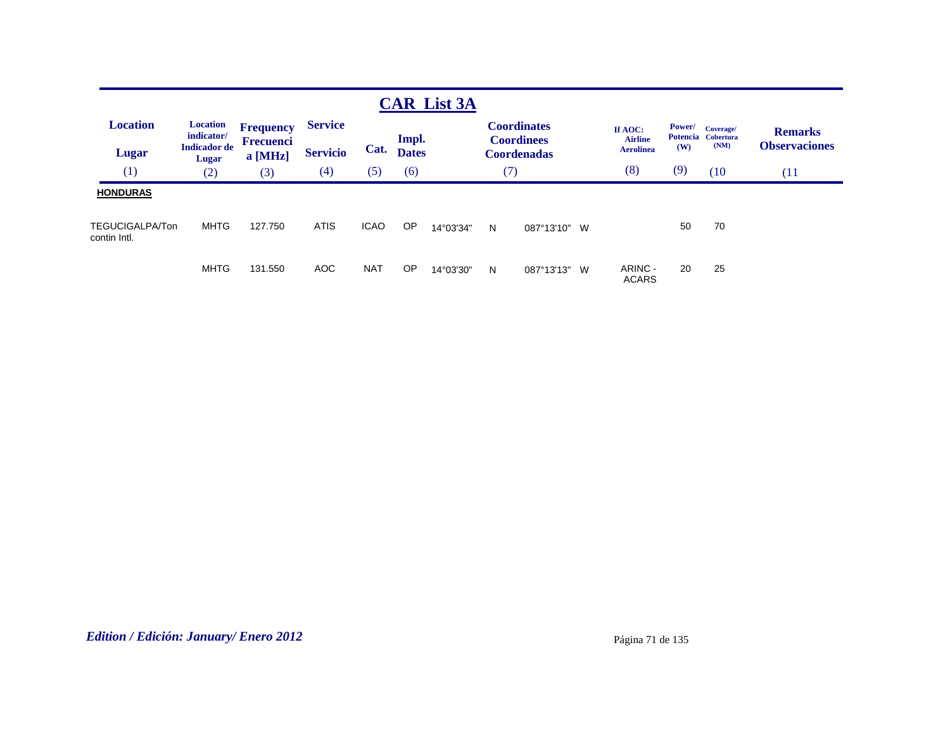|                                        |                                                               |                                                 |                                   |             |                       | <b>CAR List 3A</b> |     |                                                               |                                               |               |                                         |                                        |
|----------------------------------------|---------------------------------------------------------------|-------------------------------------------------|-----------------------------------|-------------|-----------------------|--------------------|-----|---------------------------------------------------------------|-----------------------------------------------|---------------|-----------------------------------------|----------------------------------------|
| <b>Location</b><br><b>Lugar</b>        | <b>Location</b><br>indicator/<br><b>Indicador</b> de<br>Lugar | <b>Frequency</b><br><b>Frecuenci</b><br>a [MHz] | <b>Service</b><br><b>Servicio</b> | Cat.        | Impl.<br><b>Dates</b> |                    |     | <b>Coordinates</b><br><b>Coordinees</b><br><b>Coordenadas</b> | If AOC:<br><b>Airline</b><br><b>Aerolinea</b> | Power/<br>(W) | Coverage/<br>Potencia Cobertura<br>(NM) | <b>Remarks</b><br><b>Observaciones</b> |
| (1)                                    | (2)                                                           | (3)                                             | $\left( 4\right)$                 | (5)         | (6)                   |                    | (7) |                                                               | (8)                                           | (9)           | (10                                     | (11)                                   |
| <b>HONDURAS</b>                        |                                                               |                                                 |                                   |             |                       |                    |     |                                                               |                                               |               |                                         |                                        |
| <b>TEGUCIGALPA/Ton</b><br>contin Intl. | <b>MHTG</b>                                                   | 127.750                                         | <b>ATIS</b>                       | <b>ICAO</b> | OP                    | 14°03'34"          | N   | 087°13'10"<br>W                                               |                                               | 50            | 70                                      |                                        |
|                                        | MHTG                                                          | 131.550                                         | AOC                               | <b>NAT</b>  | OP                    | 14°03'30"          | N   | 087°13'13"<br>W                                               | ARINC -<br><b>ACARS</b>                       | 20            | 25                                      |                                        |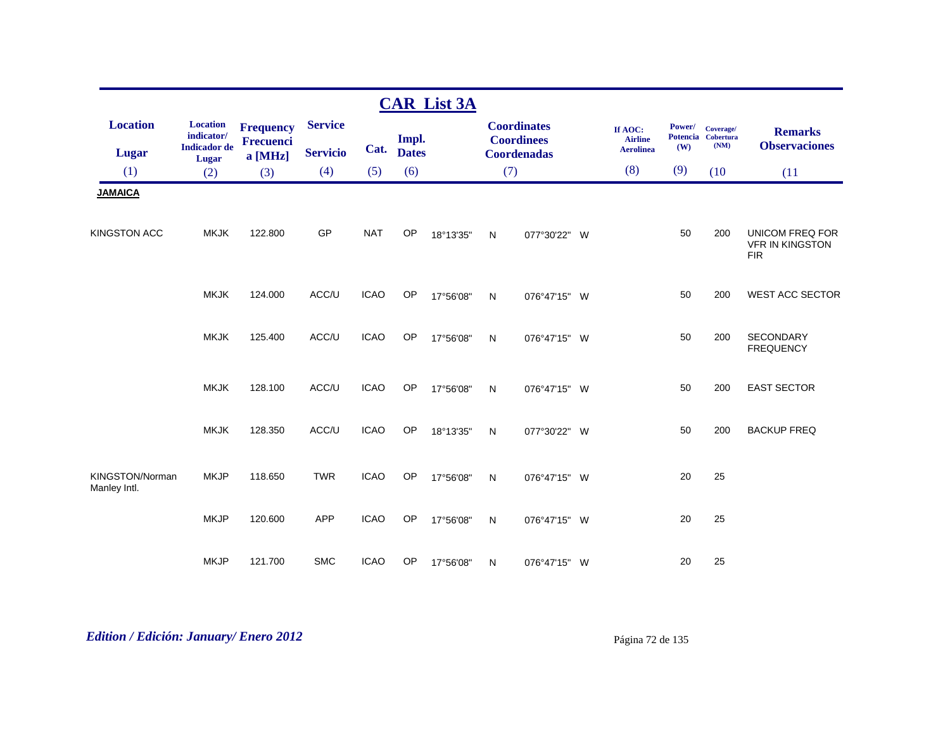|                                 |                                                                        |                                      |                 |             |              | <b>CAR List 3A</b> |              |                                         |                                               |               |                                         |                                                                |
|---------------------------------|------------------------------------------------------------------------|--------------------------------------|-----------------|-------------|--------------|--------------------|--------------|-----------------------------------------|-----------------------------------------------|---------------|-----------------------------------------|----------------------------------------------------------------|
| <b>Location</b>                 | <b>Location</b><br>$\textbf{indicator}/\text{}$<br><b>Indicador</b> de | <b>Frequency</b><br><b>Frecuenci</b> | <b>Service</b>  | Cat.        | Impl.        |                    |              | <b>Coordinates</b><br><b>Coordinees</b> | If AOC:<br><b>Airline</b><br><b>Aerolinea</b> | Power/<br>(W) | Coverage/<br>Potencia Cobertura<br>(NM) | <b>Remarks</b><br><b>Observaciones</b>                         |
| <b>Lugar</b>                    | Lugar                                                                  | a [MHz]                              | <b>Servicio</b> |             | <b>Dates</b> |                    |              | <b>Coordenadas</b>                      |                                               |               |                                         |                                                                |
| (1)                             | (2)                                                                    | (3)                                  | (4)             | (5)         | (6)          |                    | (7)          |                                         | (8)                                           | (9)           | (10)                                    | (11)                                                           |
| <b>JAMAICA</b>                  |                                                                        |                                      |                 |             |              |                    |              |                                         |                                               |               |                                         |                                                                |
| <b>KINGSTON ACC</b>             | <b>MKJK</b>                                                            | 122.800                              | GP              | <b>NAT</b>  | <b>OP</b>    | 18°13'35"          | $\mathsf{N}$ | 077°30'22" W                            |                                               | 50            | 200                                     | <b>UNICOM FREQ FOR</b><br><b>VFR IN KINGSTON</b><br><b>FIR</b> |
|                                 | <b>MKJK</b>                                                            | 124.000                              | ACC/U           | <b>ICAO</b> | OP           | 17°56'08"          | ${\sf N}$    | 076°47'15" W                            |                                               | 50            | 200                                     | <b>WEST ACC SECTOR</b>                                         |
|                                 | <b>MKJK</b>                                                            | 125.400                              | ACC/U           | <b>ICAO</b> | <b>OP</b>    | 17°56'08"          | N            | 076°47'15" W                            |                                               | 50            | 200                                     | <b>SECONDARY</b><br><b>FREQUENCY</b>                           |
|                                 | <b>MKJK</b>                                                            | 128.100                              | ACC/U           | <b>ICAO</b> | <b>OP</b>    | 17°56'08"          | ${\sf N}$    | 076°47'15" W                            |                                               | 50            | 200                                     | <b>EAST SECTOR</b>                                             |
|                                 | <b>MKJK</b>                                                            | 128.350                              | ACC/U           | <b>ICAO</b> | <b>OP</b>    | 18°13'35"          | N            | 077°30'22" W                            |                                               | 50            | 200                                     | <b>BACKUP FREQ</b>                                             |
| KINGSTON/Norman<br>Manley Intl. | <b>MKJP</b>                                                            | 118.650                              | <b>TWR</b>      | <b>ICAO</b> | <b>OP</b>    | 17°56'08"          | ${\sf N}$    | 076°47'15" W                            |                                               | 20            | 25                                      |                                                                |
|                                 | <b>MKJP</b>                                                            | 120.600                              | <b>APP</b>      | <b>ICAO</b> | OP           | 17°56'08"          | N            | 076°47'15" W                            |                                               | 20            | 25                                      |                                                                |
|                                 | <b>MKJP</b>                                                            | 121.700                              | <b>SMC</b>      | <b>ICAO</b> | OP           | 17°56'08"          | N            | 076°47'15" W                            |                                               | 20            | 25                                      |                                                                |

# *Edition / Edición: January/ Enero 2012* Página 72 de 135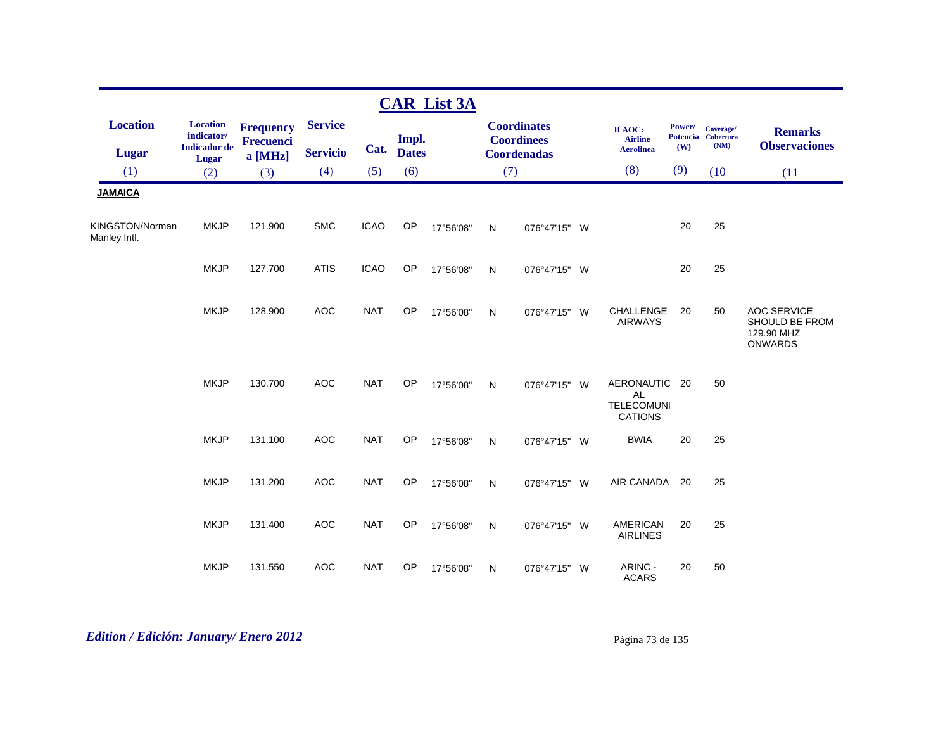|                                 |                                                               |                                          |                                   |             |                       | <b>CAR List 3A</b> |           |                                                               |                                                            |               |                                         |                                                                      |
|---------------------------------|---------------------------------------------------------------|------------------------------------------|-----------------------------------|-------------|-----------------------|--------------------|-----------|---------------------------------------------------------------|------------------------------------------------------------|---------------|-----------------------------------------|----------------------------------------------------------------------|
| <b>Location</b><br><b>Lugar</b> | <b>Location</b><br>indicator/<br><b>Indicador</b> de<br>Lugar | <b>Frequency</b><br>Frecuenci<br>a [MHz] | <b>Service</b><br><b>Servicio</b> | Cat.        | Impl.<br><b>Dates</b> |                    |           | <b>Coordinates</b><br><b>Coordinees</b><br><b>Coordenadas</b> | If AOC:<br><b>Airline</b><br><b>Aerolinea</b>              | Power/<br>(W) | Coverage/<br>Potencia Cobertura<br>(NM) | <b>Remarks</b><br><b>Observaciones</b>                               |
| (1)                             | (2)                                                           | (3)                                      | (4)                               | (5)         | (6)                   |                    | (7)       |                                                               | (8)                                                        | (9)           | (10)                                    | (11)                                                                 |
| <b>JAMAICA</b>                  |                                                               |                                          |                                   |             |                       |                    |           |                                                               |                                                            |               |                                         |                                                                      |
| KINGSTON/Norman<br>Manley Intl. | <b>MKJP</b>                                                   | 121.900                                  | <b>SMC</b>                        | <b>ICAO</b> | OP                    | 17°56'08"          | N         | 076°47'15" W                                                  |                                                            | 20            | 25                                      |                                                                      |
|                                 | <b>MKJP</b>                                                   | 127.700                                  | <b>ATIS</b>                       | <b>ICAO</b> | OP                    | 17°56'08"          | N         | 076°47'15" W                                                  |                                                            | 20            | 25                                      |                                                                      |
|                                 | <b>MKJP</b>                                                   | 128.900                                  | <b>AOC</b>                        | <b>NAT</b>  | OP                    | 17°56'08"          | N         | 076°47'15" W                                                  | CHALLENGE<br><b>AIRWAYS</b>                                | 20            | 50                                      | <b>AOC SERVICE</b><br>SHOULD BE FROM<br>129.90 MHZ<br><b>ONWARDS</b> |
|                                 | <b>MKJP</b>                                                   | 130.700                                  | <b>AOC</b>                        | <b>NAT</b>  | <b>OP</b>             | 17°56'08"          | N         | 076°47'15" W                                                  | AERONAUTIC 20<br>AL<br><b>TELECOMUNI</b><br><b>CATIONS</b> |               | 50                                      |                                                                      |
|                                 | <b>MKJP</b>                                                   | 131.100                                  | <b>AOC</b>                        | <b>NAT</b>  | <b>OP</b>             | 17°56'08"          | N         | 076°47'15" W                                                  | <b>BWIA</b>                                                | 20            | 25                                      |                                                                      |
|                                 | <b>MKJP</b>                                                   | 131.200                                  | <b>AOC</b>                        | <b>NAT</b>  | OP                    | 17°56'08"          | ${\sf N}$ | 076°47'15" W                                                  | AIR CANADA                                                 | 20            | 25                                      |                                                                      |
|                                 | <b>MKJP</b>                                                   | 131.400                                  | <b>AOC</b>                        | <b>NAT</b>  | <b>OP</b>             | 17°56'08"          | N         | 076°47'15" W                                                  | <b>AMERICAN</b><br><b>AIRLINES</b>                         | 20            | 25                                      |                                                                      |
|                                 | <b>MKJP</b>                                                   | 131.550                                  | <b>AOC</b>                        | <b>NAT</b>  | OP                    | 17°56'08"          | N         | 076°47'15" W                                                  | ARINC -<br><b>ACARS</b>                                    | 20            | 50                                      |                                                                      |

# *Edition / Edición: January/ Enero 2012* Página 73 de 135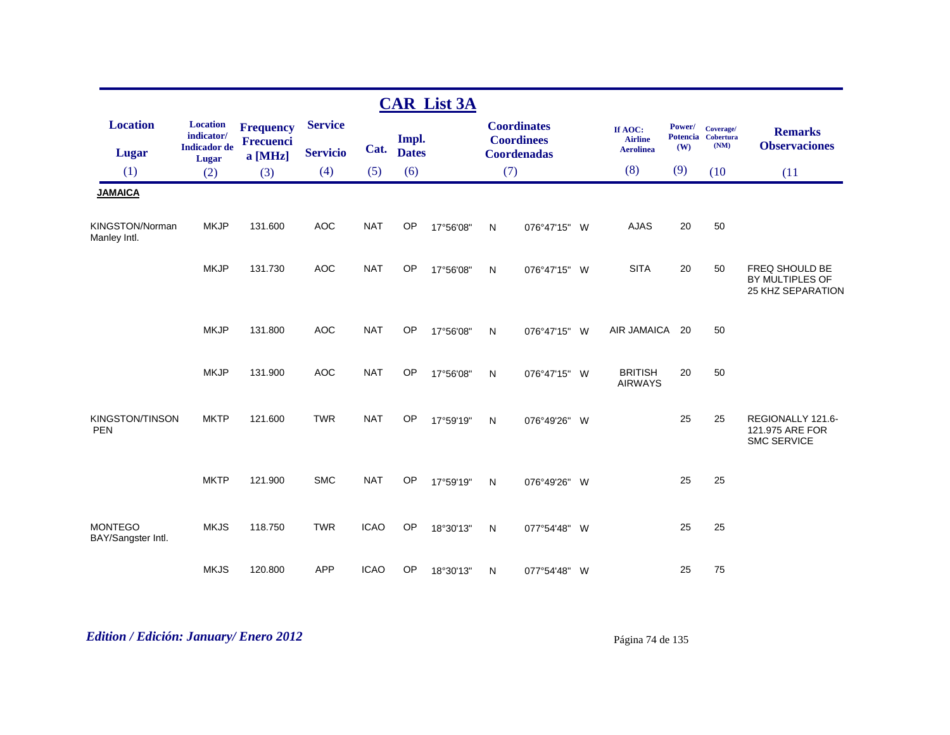|                                      |                               |                                      |                 |             |              | <b>CAR List 3A</b> |              |                                         |          |                                  |        |                                 |                                                            |
|--------------------------------------|-------------------------------|--------------------------------------|-----------------|-------------|--------------|--------------------|--------------|-----------------------------------------|----------|----------------------------------|--------|---------------------------------|------------------------------------------------------------|
| <b>Location</b>                      | <b>Location</b><br>indicator/ | <b>Frequency</b><br><b>Frecuenci</b> | <b>Service</b>  |             | Impl.        |                    |              | <b>Coordinates</b><br><b>Coordinees</b> |          | If AOC:<br><b>Airline</b>        | Power/ | Coverage/<br>Potencia Cobertura | <b>Remarks</b>                                             |
| Lugar                                | <b>Indicador</b> de<br>Lugar  | a [MHz]                              | <b>Servicio</b> | Cat.        | <b>Dates</b> |                    |              | <b>Coordenadas</b>                      |          | <b>Aerolinea</b>                 | (W)    | (NM)                            | <b>Observaciones</b>                                       |
| (1)                                  | (2)                           | (3)                                  | (4)             | (5)         | (6)          |                    |              | (7)                                     |          | (8)                              | (9)    | (10)                            | (11)                                                       |
| <b>JAMAICA</b>                       |                               |                                      |                 |             |              |                    |              |                                         |          |                                  |        |                                 |                                                            |
| KINGSTON/Norman<br>Manley Intl.      | <b>MKJP</b>                   | 131.600                              | <b>AOC</b>      | <b>NAT</b>  | OP           | 17°56'08"          | $\mathsf{N}$ | 076°47'15" W                            |          | <b>AJAS</b>                      | 20     | 50                              |                                                            |
|                                      | <b>MKJP</b>                   | 131.730                              | <b>AOC</b>      | <b>NAT</b>  | OP           | 17°56'08"          | N            | 076°47'15"                              | W        | <b>SITA</b>                      | 20     | 50                              | FREQ SHOULD BE<br>BY MULTIPLES OF<br>25 KHZ SEPARATION     |
|                                      | <b>MKJP</b>                   | 131.800                              | <b>AOC</b>      | <b>NAT</b>  | OP           | 17°56'08"          | N            | 076°47'15" W                            |          | <b>AIR JAMAICA</b>               | 20     | 50                              |                                                            |
|                                      | <b>MKJP</b>                   | 131.900                              | <b>AOC</b>      | <b>NAT</b>  | <b>OP</b>    | 17°56'08"          | N            | 076°47'15"                              | <b>W</b> | <b>BRITISH</b><br><b>AIRWAYS</b> | 20     | 50                              |                                                            |
| <b>KINGSTON/TINSON</b><br><b>PEN</b> | <b>MKTP</b>                   | 121.600                              | <b>TWR</b>      | <b>NAT</b>  | OP           | 17°59'19"          | N            | 076°49'26"                              | W        |                                  | 25     | 25                              | REGIONALLY 121.6-<br>121.975 ARE FOR<br><b>SMC SERVICE</b> |
|                                      | <b>MKTP</b>                   | 121.900                              | <b>SMC</b>      | <b>NAT</b>  | OP           | 17°59'19"          | N            | 076°49'26" W                            |          |                                  | 25     | 25                              |                                                            |
| <b>MONTEGO</b><br>BAY/Sangster Intl. | <b>MKJS</b>                   | 118.750                              | <b>TWR</b>      | <b>ICAO</b> | OP           | 18°30'13"          | N            | 077°54'48" W                            |          |                                  | 25     | 25                              |                                                            |
|                                      | <b>MKJS</b>                   | 120.800                              | <b>APP</b>      | <b>ICAO</b> | OP           | 18°30'13"          | N            | 077°54'48" W                            |          |                                  | 25     | 75                              |                                                            |

# *Edition / Edición: January/ Enero 2012* Página 74 de 135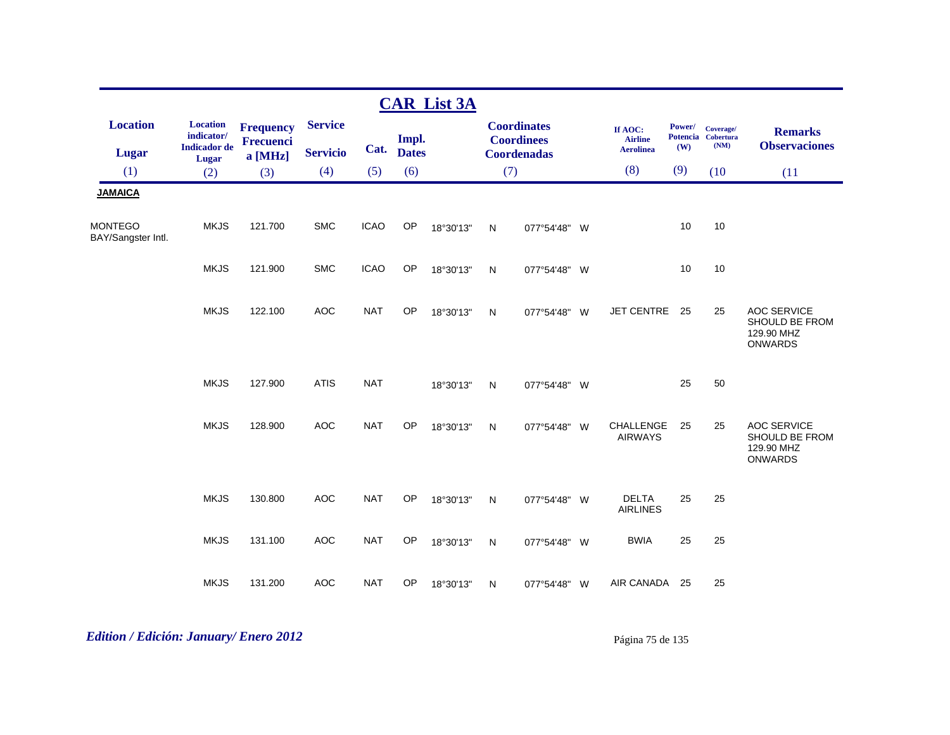|                                      |                                                               |                                                   |                                   |             |                       | <b>CAR List 3A</b> |              |                                                               |                                               |                                  |                                       |                                                                      |
|--------------------------------------|---------------------------------------------------------------|---------------------------------------------------|-----------------------------------|-------------|-----------------------|--------------------|--------------|---------------------------------------------------------------|-----------------------------------------------|----------------------------------|---------------------------------------|----------------------------------------------------------------------|
| <b>Location</b><br><b>Lugar</b>      | <b>Location</b><br>indicator/<br><b>Indicador</b> de<br>Lugar | <b>Frequency</b><br><b>Frecuenci</b><br>$a$ [MHz] | <b>Service</b><br><b>Servicio</b> | Cat.        | Impl.<br><b>Dates</b> |                    |              | <b>Coordinates</b><br><b>Coordinees</b><br><b>Coordenadas</b> | If AOC:<br><b>Airline</b><br><b>Aerolinea</b> | Power/<br><b>Potencia</b><br>(W) | Coverage/<br><b>Cobertura</b><br>(NM) | <b>Remarks</b><br><b>Observaciones</b>                               |
| (1)                                  | (2)                                                           | (3)                                               | (4)                               | (5)         | (6)                   |                    |              | (7)                                                           | (8)                                           | (9)                              | (10)                                  | (11)                                                                 |
| <b>JAMAICA</b>                       |                                                               |                                                   |                                   |             |                       |                    |              |                                                               |                                               |                                  |                                       |                                                                      |
| <b>MONTEGO</b><br>BAY/Sangster Intl. | <b>MKJS</b>                                                   | 121.700                                           | <b>SMC</b>                        | <b>ICAO</b> | OP                    | 18°30'13"          | $\mathsf{N}$ | 077°54'48" W                                                  |                                               | 10                               | 10                                    |                                                                      |
|                                      | <b>MKJS</b>                                                   | 121.900                                           | <b>SMC</b>                        | <b>ICAO</b> | OP                    | 18°30'13"          | ${\sf N}$    | 077°54'48" W                                                  |                                               | 10                               | 10                                    |                                                                      |
|                                      | <b>MKJS</b>                                                   | 122.100                                           | <b>AOC</b>                        | <b>NAT</b>  | OP                    | 18°30'13"          | $\mathsf{N}$ | 077°54'48" W                                                  | <b>JET CENTRE</b>                             | 25                               | 25                                    | <b>AOC SERVICE</b><br>SHOULD BE FROM<br>129.90 MHZ<br><b>ONWARDS</b> |
|                                      | <b>MKJS</b>                                                   | 127.900                                           | <b>ATIS</b>                       | <b>NAT</b>  |                       | 18°30'13"          | $\mathsf{N}$ | 077°54'48" W                                                  |                                               | 25                               | 50                                    |                                                                      |
|                                      | <b>MKJS</b>                                                   | 128.900                                           | <b>AOC</b>                        | <b>NAT</b>  | OP                    | 18°30'13"          | $\mathsf{N}$ | 077°54'48" W                                                  | CHALLENGE<br><b>AIRWAYS</b>                   | 25                               | 25                                    | <b>AOC SERVICE</b><br>SHOULD BE FROM<br>129.90 MHZ<br>ONWARDS        |
|                                      | <b>MKJS</b>                                                   | 130.800                                           | <b>AOC</b>                        | <b>NAT</b>  | OP                    | 18°30'13"          | $\mathsf{N}$ | 077°54'48" W                                                  | <b>DELTA</b><br><b>AIRLINES</b>               | 25                               | 25                                    |                                                                      |
|                                      | <b>MKJS</b>                                                   | 131.100                                           | <b>AOC</b>                        | <b>NAT</b>  | OP                    | 18°30'13"          | $\mathsf{N}$ | 077°54'48" W                                                  | <b>BWIA</b>                                   | 25                               | 25                                    |                                                                      |
|                                      | <b>MKJS</b>                                                   | 131.200                                           | <b>AOC</b>                        | <b>NAT</b>  | OP                    | 18°30'13"          | $\mathsf{N}$ | 077°54'48" W                                                  | AIR CANADA                                    | 25                               | 25                                    |                                                                      |

*Edition / Edición: January/ Enero 2012* Página 75 de 135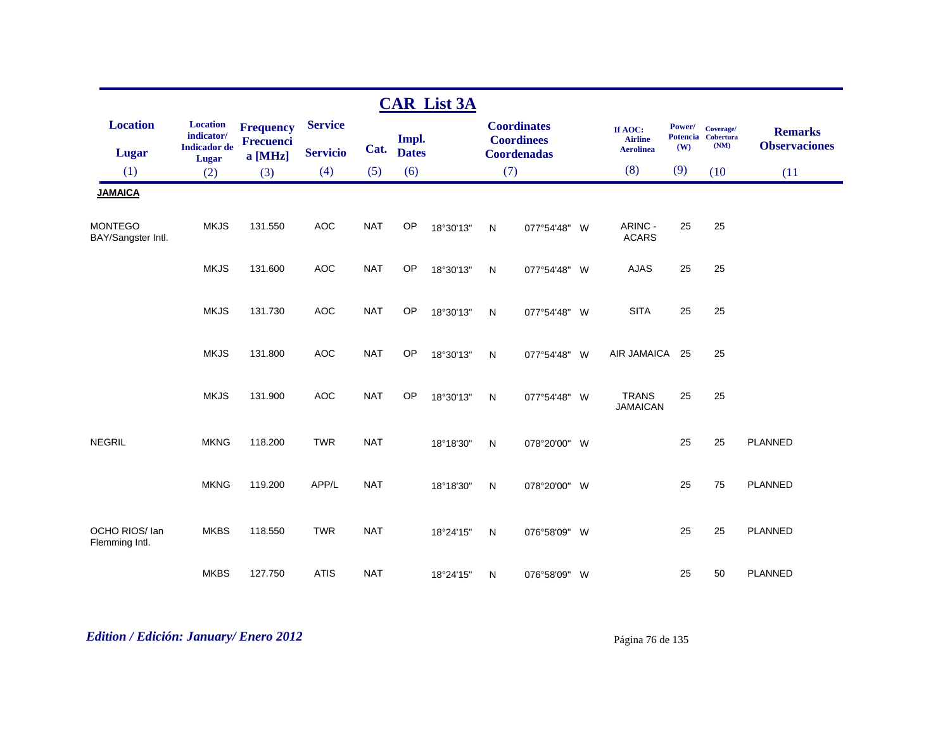|                                      |                                                      |                                                 |                                   |            |                       | <b>CAR List 3A</b> |              |                                                               |                                               |               |                                         |                                        |
|--------------------------------------|------------------------------------------------------|-------------------------------------------------|-----------------------------------|------------|-----------------------|--------------------|--------------|---------------------------------------------------------------|-----------------------------------------------|---------------|-----------------------------------------|----------------------------------------|
| <b>Location</b><br><b>Lugar</b>      | <b>Location</b><br>indicator/<br><b>Indicador</b> de | <b>Frequency</b><br><b>Frecuenci</b><br>a [MHz] | <b>Service</b><br><b>Servicio</b> | Cat.       | Impl.<br><b>Dates</b> |                    |              | <b>Coordinates</b><br><b>Coordinees</b><br><b>Coordenadas</b> | If AOC:<br><b>Airline</b><br><b>Aerolinea</b> | Power/<br>(W) | Coverage/<br>Potencia Cobertura<br>(NM) | <b>Remarks</b><br><b>Observaciones</b> |
| (1)                                  | Lugar<br>(2)                                         | (3)                                             | (4)                               | (5)        | (6)                   |                    | (7)          |                                                               | (8)                                           | (9)           | (10)                                    | (11)                                   |
| <b>JAMAICA</b>                       |                                                      |                                                 |                                   |            |                       |                    |              |                                                               |                                               |               |                                         |                                        |
| <b>MONTEGO</b><br>BAY/Sangster Intl. | <b>MKJS</b>                                          | 131.550                                         | <b>AOC</b>                        | <b>NAT</b> | OP                    | 18°30'13"          | N            | 077°54'48" W                                                  | ARINC -<br><b>ACARS</b>                       | 25            | 25                                      |                                        |
|                                      | <b>MKJS</b>                                          | 131.600                                         | <b>AOC</b>                        | <b>NAT</b> | OP                    | 18°30'13"          | ${\sf N}$    | 077°54'48" W                                                  | <b>AJAS</b>                                   | 25            | 25                                      |                                        |
|                                      | <b>MKJS</b>                                          | 131.730                                         | <b>AOC</b>                        | <b>NAT</b> | OP                    | 18°30'13"          | $\mathsf{N}$ | 077°54'48" W                                                  | <b>SITA</b>                                   | 25            | 25                                      |                                        |
|                                      | <b>MKJS</b>                                          | 131.800                                         | <b>AOC</b>                        | <b>NAT</b> | OP                    | 18°30'13"          | N            | 077°54'48" W                                                  | AIR JAMAICA                                   | 25            | 25                                      |                                        |
|                                      | <b>MKJS</b>                                          | 131.900                                         | <b>AOC</b>                        | <b>NAT</b> | OP                    | 18°30'13"          | N            | 077°54'48" W                                                  | <b>TRANS</b><br><b>JAMAICAN</b>               | 25            | 25                                      |                                        |
| <b>NEGRIL</b>                        | <b>MKNG</b>                                          | 118.200                                         | <b>TWR</b>                        | <b>NAT</b> |                       | 18°18'30"          | $\mathsf{N}$ | 078°20'00" W                                                  |                                               | 25            | 25                                      | <b>PLANNED</b>                         |
|                                      | <b>MKNG</b>                                          | 119.200                                         | APP/L                             | <b>NAT</b> |                       | 18°18'30"          | $\mathsf{N}$ | 078°20'00" W                                                  |                                               | 25            | 75                                      | <b>PLANNED</b>                         |
| OCHO RIOS/ lan<br>Flemming Intl.     | <b>MKBS</b>                                          | 118.550                                         | <b>TWR</b>                        | <b>NAT</b> |                       | 18°24'15"          | N            | 076°58'09" W                                                  |                                               | 25            | 25                                      | <b>PLANNED</b>                         |
|                                      | <b>MKBS</b>                                          | 127.750                                         | <b>ATIS</b>                       | <b>NAT</b> |                       | 18°24'15"          | N            | 076°58'09" W                                                  |                                               | 25            | 50                                      | <b>PLANNED</b>                         |

# *Edition / Edición: January/ Enero 2012* Página 76 de 135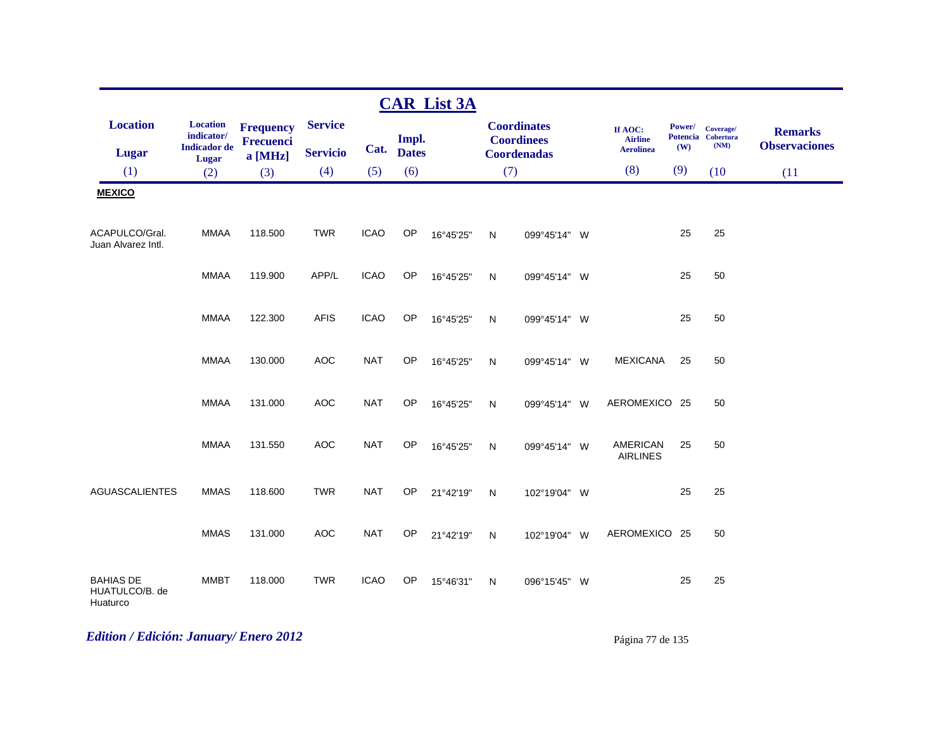|                                                |                                                               |                                                 |                                   |             |                       | <b>CAR List 3A</b> |              |                                                               |                                               |                                  |                                       |                                        |
|------------------------------------------------|---------------------------------------------------------------|-------------------------------------------------|-----------------------------------|-------------|-----------------------|--------------------|--------------|---------------------------------------------------------------|-----------------------------------------------|----------------------------------|---------------------------------------|----------------------------------------|
| <b>Location</b><br><b>Lugar</b>                | <b>Location</b><br>indicator/<br><b>Indicador</b> de<br>Lugar | <b>Frequency</b><br><b>Frecuenci</b><br>a [MHz] | <b>Service</b><br><b>Servicio</b> | Cat.        | Impl.<br><b>Dates</b> |                    |              | <b>Coordinates</b><br><b>Coordinees</b><br><b>Coordenadas</b> | If AOC:<br><b>Airline</b><br><b>Aerolinea</b> | Power/<br><b>Potencia</b><br>(W) | Coverage/<br><b>Cobertura</b><br>(NM) | <b>Remarks</b><br><b>Observaciones</b> |
| (1)                                            | (2)                                                           | (3)                                             | (4)                               | (5)         | (6)                   |                    | (7)          |                                                               | (8)                                           | (9)                              | (10)                                  | (11)                                   |
| <b>MEXICO</b>                                  |                                                               |                                                 |                                   |             |                       |                    |              |                                                               |                                               |                                  |                                       |                                        |
| ACAPULCO/Gral.<br>Juan Alvarez Intl.           | <b>MMAA</b>                                                   | 118.500                                         | <b>TWR</b>                        | <b>ICAO</b> | OP                    | 16°45'25"          | $\mathsf{N}$ | 099°45'14" W                                                  |                                               | 25                               | 25                                    |                                        |
|                                                | <b>MMAA</b>                                                   | 119.900                                         | APP/L                             | <b>ICAO</b> | OP                    | 16°45'25"          | $\mathsf{N}$ | 099°45'14" W                                                  |                                               | 25                               | 50                                    |                                        |
|                                                | <b>MMAA</b>                                                   | 122.300                                         | <b>AFIS</b>                       | <b>ICAO</b> | OP                    | 16°45'25"          | N            | 099°45'14" W                                                  |                                               | 25                               | 50                                    |                                        |
|                                                | <b>MMAA</b>                                                   | 130.000                                         | <b>AOC</b>                        | <b>NAT</b>  | <b>OP</b>             | 16°45'25"          | N            | 099°45'14" W                                                  | <b>MEXICANA</b>                               | 25                               | 50                                    |                                        |
|                                                | <b>MMAA</b>                                                   | 131.000                                         | <b>AOC</b>                        | <b>NAT</b>  | OP                    | 16°45'25"          | N            | 099°45'14" W                                                  | AEROMEXICO 25                                 |                                  | 50                                    |                                        |
|                                                | <b>MMAA</b>                                                   | 131.550                                         | <b>AOC</b>                        | <b>NAT</b>  | OP                    | 16°45'25"          | $\mathsf{N}$ | 099°45'14" W                                                  | <b>AMERICAN</b><br><b>AIRLINES</b>            | 25                               | 50                                    |                                        |
| <b>AGUASCALIENTES</b>                          | <b>MMAS</b>                                                   | 118.600                                         | <b>TWR</b>                        | <b>NAT</b>  | OP                    | 21°42'19"          | $\mathsf{N}$ | 102°19'04" W                                                  |                                               | 25                               | 25                                    |                                        |
|                                                | <b>MMAS</b>                                                   | 131.000                                         | <b>AOC</b>                        | <b>NAT</b>  | OP                    | 21°42'19"          | N            | 102°19'04" W                                                  | AEROMEXICO 25                                 |                                  | 50                                    |                                        |
| <b>BAHIAS DE</b><br>HUATULCO/B. de<br>Huaturco | <b>MMBT</b>                                                   | 118.000                                         | <b>TWR</b>                        | <b>ICAO</b> | OP                    | 15°46'31"          | N            | 096°15'45" W                                                  |                                               | 25                               | 25                                    |                                        |

# *Edition / Edición: January/ Enero 2012* Página 77 de 135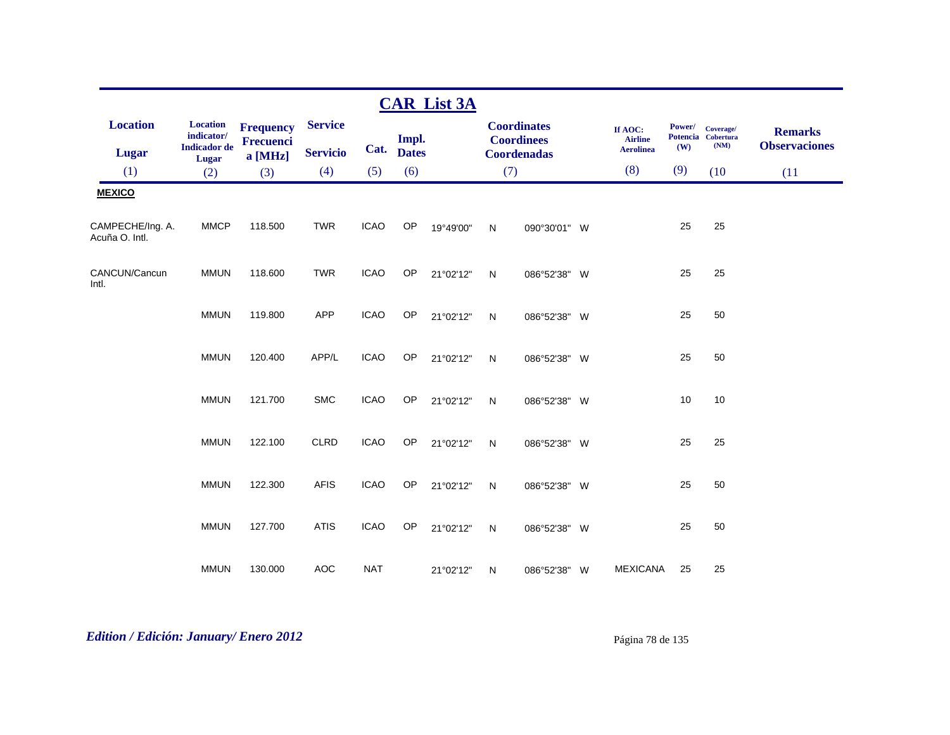|                                    |                                                      |                                                   |                                   |             |                       | <b>CAR List 3A</b> |           |                                                               |                                               |               |                                         |                                        |
|------------------------------------|------------------------------------------------------|---------------------------------------------------|-----------------------------------|-------------|-----------------------|--------------------|-----------|---------------------------------------------------------------|-----------------------------------------------|---------------|-----------------------------------------|----------------------------------------|
| <b>Location</b><br><b>Lugar</b>    | <b>Location</b><br>indicator/<br><b>Indicador</b> de | <b>Frequency</b><br><b>Frecuenci</b><br>$a$ [MHz] | <b>Service</b><br><b>Servicio</b> | Cat.        | Impl.<br><b>Dates</b> |                    |           | <b>Coordinates</b><br><b>Coordinees</b><br><b>Coordenadas</b> | If AOC:<br><b>Airline</b><br><b>Aerolinea</b> | Power/<br>(W) | Coverage/<br>Potencia Cobertura<br>(NM) | <b>Remarks</b><br><b>Observaciones</b> |
| (1)                                | Lugar<br>(2)                                         | (3)                                               | (4)                               | (5)         | (6)                   |                    | (7)       |                                                               | (8)                                           | (9)           | (10)                                    | (11)                                   |
| <b>MEXICO</b>                      |                                                      |                                                   |                                   |             |                       |                    |           |                                                               |                                               |               |                                         |                                        |
| CAMPECHE/Ing. A.<br>Acuña O. Intl. | <b>MMCP</b>                                          | 118.500                                           | <b>TWR</b>                        | <b>ICAO</b> | OP                    | 19°49'00"          | N         | 090°30'01" W                                                  |                                               | 25            | 25                                      |                                        |
| CANCUN/Cancun<br>Intl.             | <b>MMUN</b>                                          | 118.600                                           | <b>TWR</b>                        | <b>ICAO</b> | OP                    | 21°02'12"          | N         | 086°52'38" W                                                  |                                               | 25            | 25                                      |                                        |
|                                    | <b>MMUN</b>                                          | 119.800                                           | <b>APP</b>                        | <b>ICAO</b> | OP                    | 21°02'12"          | N         | 086°52'38" W                                                  |                                               | 25            | 50                                      |                                        |
|                                    | <b>MMUN</b>                                          | 120.400                                           | APP/L                             | <b>ICAO</b> | OP                    | 21°02'12"          | N         | 086°52'38" W                                                  |                                               | 25            | 50                                      |                                        |
|                                    | <b>MMUN</b>                                          | 121.700                                           | <b>SMC</b>                        | <b>ICAO</b> | OP                    | 21°02'12"          | N         | 086°52'38" W                                                  |                                               | 10            | 10                                      |                                        |
|                                    | <b>MMUN</b>                                          | 122.100                                           | <b>CLRD</b>                       | <b>ICAO</b> | OP                    | 21°02'12"          | N         | 086°52'38" W                                                  |                                               | 25            | 25                                      |                                        |
|                                    | <b>MMUN</b>                                          | 122.300                                           | <b>AFIS</b>                       | <b>ICAO</b> | OP                    | 21°02'12"          | ${\sf N}$ | 086°52'38" W                                                  |                                               | 25            | 50                                      |                                        |
|                                    | <b>MMUN</b>                                          | 127.700                                           | <b>ATIS</b>                       | <b>ICAO</b> | OP                    | 21°02'12"          | N         | 086°52'38" W                                                  |                                               | 25            | 50                                      |                                        |
|                                    | <b>MMUN</b>                                          | 130.000                                           | <b>AOC</b>                        | <b>NAT</b>  |                       | 21°02'12"          | N         | 086°52'38" W                                                  | <b>MEXICANA</b>                               | 25            | 25                                      |                                        |

# *Edition / Edición: January/ Enero 2012* Página 78 de 135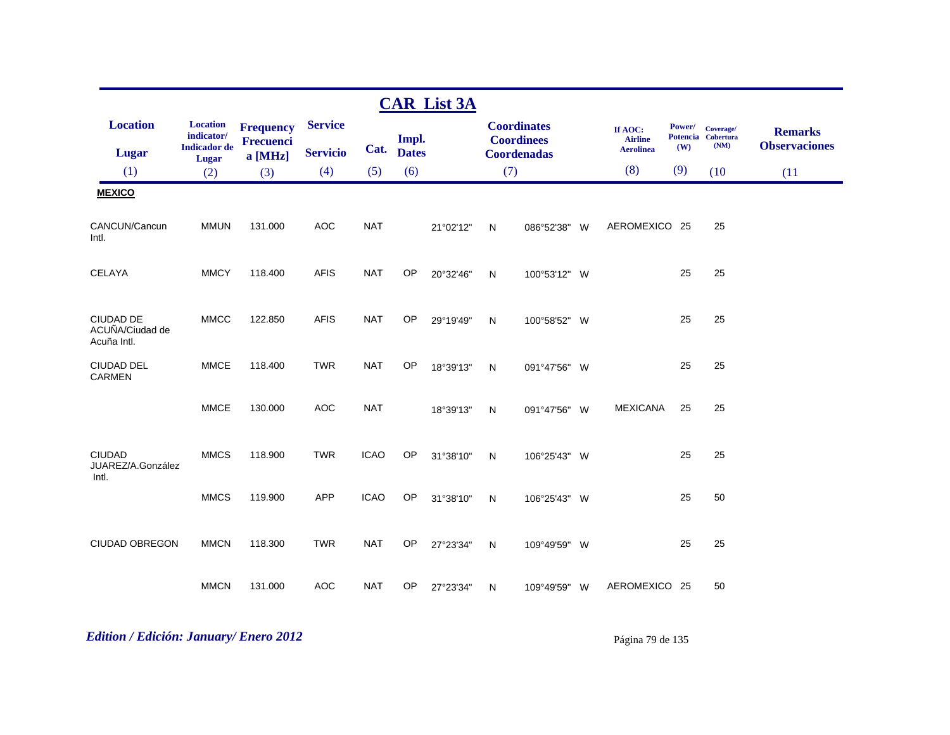|                                                    |                                                               |                                                 |                                   |             |                       | <b>CAR List 3A</b> |     |                                                               |          |                                               |               |                                         |                                        |
|----------------------------------------------------|---------------------------------------------------------------|-------------------------------------------------|-----------------------------------|-------------|-----------------------|--------------------|-----|---------------------------------------------------------------|----------|-----------------------------------------------|---------------|-----------------------------------------|----------------------------------------|
| <b>Location</b><br><b>Lugar</b>                    | <b>Location</b><br>indicator/<br><b>Indicador</b> de<br>Lugar | <b>Frequency</b><br><b>Frecuenci</b><br>a [MHz] | <b>Service</b><br><b>Servicio</b> | Cat.        | Impl.<br><b>Dates</b> |                    |     | <b>Coordinates</b><br><b>Coordinees</b><br><b>Coordenadas</b> |          | If AOC:<br><b>Airline</b><br><b>Aerolinea</b> | Power/<br>(W) | Coverage/<br>Potencia Cobertura<br>(NM) | <b>Remarks</b><br><b>Observaciones</b> |
| (1)                                                | (2)                                                           | (3)                                             | (4)                               | (5)         | (6)                   |                    | (7) |                                                               |          | (8)                                           | (9)           | (10)                                    | (11)                                   |
| <b>MEXICO</b>                                      |                                                               |                                                 |                                   |             |                       |                    |     |                                                               |          |                                               |               |                                         |                                        |
| CANCUN/Cancun<br>Intl.                             | <b>MMUN</b>                                                   | 131.000                                         | <b>AOC</b>                        | <b>NAT</b>  |                       | 21°02'12"          | N   | 086°52'38"                                                    | <b>W</b> | AEROMEXICO 25                                 |               | 25                                      |                                        |
| <b>CELAYA</b>                                      | <b>MMCY</b>                                                   | 118.400                                         | <b>AFIS</b>                       | <b>NAT</b>  | OP                    | 20°32'46"          | N   | 100°53'12" W                                                  |          |                                               | 25            | 25                                      |                                        |
| <b>CIUDAD DE</b><br>ACUÑA/Ciudad de<br>Acuña Intl. | <b>MMCC</b>                                                   | 122.850                                         | <b>AFIS</b>                       | <b>NAT</b>  | OP                    | 29°19'49"          | N   | 100°58'52" W                                                  |          |                                               | 25            | 25                                      |                                        |
| <b>CIUDAD DEL</b><br><b>CARMEN</b>                 | <b>MMCE</b>                                                   | 118.400                                         | <b>TWR</b>                        | <b>NAT</b>  | OP                    | 18°39'13"          | N   | 091°47'56" W                                                  |          |                                               | 25            | 25                                      |                                        |
|                                                    | <b>MMCE</b>                                                   | 130.000                                         | <b>AOC</b>                        | <b>NAT</b>  |                       | 18°39'13"          | N   | 091°47'56"                                                    | - W      | <b>MEXICANA</b>                               | 25            | 25                                      |                                        |
| <b>CIUDAD</b><br>JUAREZ/A.González<br>Intl.        | <b>MMCS</b>                                                   | 118.900                                         | <b>TWR</b>                        | <b>ICAO</b> | OP                    | 31°38'10"          | N   | 106°25'43" W                                                  |          |                                               | 25            | 25                                      |                                        |
|                                                    | <b>MMCS</b>                                                   | 119.900                                         | <b>APP</b>                        | <b>ICAO</b> | OP                    | 31°38'10"          | N   | 106°25'43" W                                                  |          |                                               | 25            | 50                                      |                                        |
| CIUDAD OBREGON                                     | <b>MMCN</b>                                                   | 118.300                                         | <b>TWR</b>                        | <b>NAT</b>  | <b>OP</b>             | 27°23'34"          | N   | 109°49'59" W                                                  |          |                                               | 25            | 25                                      |                                        |
|                                                    | <b>MMCN</b>                                                   | 131.000                                         | <b>AOC</b>                        | <b>NAT</b>  | <b>OP</b>             | 27°23'34"          | N   | 109°49'59" W                                                  |          | AEROMEXICO 25                                 |               | 50                                      |                                        |

*Edition / Edición: January/ Enero 2012* Página 79 de 135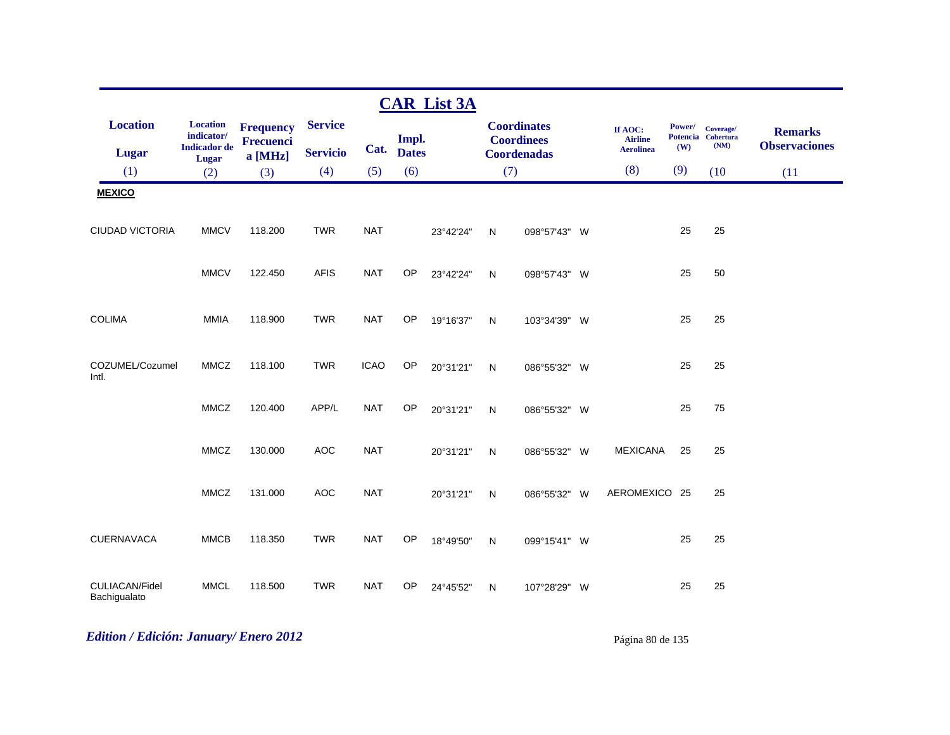|                                 |                                                               |                                                 |                                   |             |                       | <b>CAR List 3A</b> |              |                                                               |                                               |                      |                                         |                                        |
|---------------------------------|---------------------------------------------------------------|-------------------------------------------------|-----------------------------------|-------------|-----------------------|--------------------|--------------|---------------------------------------------------------------|-----------------------------------------------|----------------------|-----------------------------------------|----------------------------------------|
| <b>Location</b><br><b>Lugar</b> | <b>Location</b><br>indicator/<br><b>Indicador</b> de<br>Lugar | <b>Frequency</b><br><b>Frecuenci</b><br>a [MHz] | <b>Service</b><br><b>Servicio</b> | Cat.        | Impl.<br><b>Dates</b> |                    |              | <b>Coordinates</b><br><b>Coordinees</b><br><b>Coordenadas</b> | If AOC:<br><b>Airline</b><br><b>Aerolinea</b> | <b>Power/</b><br>(W) | Coverage/<br>Potencia Cobertura<br>(NM) | <b>Remarks</b><br><b>Observaciones</b> |
| (1)                             | (2)                                                           | (3)                                             | (4)                               | (5)         | (6)                   |                    | (7)          |                                                               | (8)                                           | (9)                  | (10)                                    | (11)                                   |
| <b>MEXICO</b>                   |                                                               |                                                 |                                   |             |                       |                    |              |                                                               |                                               |                      |                                         |                                        |
| CIUDAD VICTORIA                 | <b>MMCV</b>                                                   | 118.200                                         | <b>TWR</b>                        | <b>NAT</b>  |                       | 23°42'24"          | N            | 098°57'43" W                                                  |                                               | 25                   | 25                                      |                                        |
|                                 | <b>MMCV</b>                                                   | 122.450                                         | <b>AFIS</b>                       | <b>NAT</b>  | <b>OP</b>             | 23°42'24"          | ${\sf N}$    | 098°57'43" W                                                  |                                               | 25                   | 50                                      |                                        |
| <b>COLIMA</b>                   | <b>MMIA</b>                                                   | 118.900                                         | <b>TWR</b>                        | <b>NAT</b>  | OP                    | 19°16'37"          | ${\sf N}$    | 103°34'39" W                                                  |                                               | 25                   | 25                                      |                                        |
| COZUMEL/Cozumel<br>Intl.        | <b>MMCZ</b>                                                   | 118.100                                         | <b>TWR</b>                        | <b>ICAO</b> | OP                    | 20°31'21"          | ${\sf N}$    | 086°55'32" W                                                  |                                               | 25                   | 25                                      |                                        |
|                                 | <b>MMCZ</b>                                                   | 120.400                                         | APP/L                             | <b>NAT</b>  | <b>OP</b>             | 20°31'21"          | $\mathsf{N}$ | 086°55'32" W                                                  |                                               | 25                   | 75                                      |                                        |
|                                 | <b>MMCZ</b>                                                   | 130.000                                         | <b>AOC</b>                        | <b>NAT</b>  |                       | 20°31'21"          | $\mathsf{N}$ | 086°55'32" W                                                  | <b>MEXICANA</b>                               | 25                   | 25                                      |                                        |
|                                 | <b>MMCZ</b>                                                   | 131.000                                         | <b>AOC</b>                        | <b>NAT</b>  |                       | 20°31'21"          | ${\sf N}$    | 086°55'32" W                                                  | AEROMEXICO 25                                 |                      | 25                                      |                                        |
| CUERNAVACA                      | <b>MMCB</b>                                                   | 118.350                                         | <b>TWR</b>                        | <b>NAT</b>  | OP                    | 18°49'50"          | $\mathsf{N}$ | 099°15'41" W                                                  |                                               | 25                   | 25                                      |                                        |
| CULIACAN/Fidel<br>Bachigualato  | <b>MMCL</b>                                                   | 118.500                                         | <b>TWR</b>                        | <b>NAT</b>  | OP                    | 24°45'52"          | N            | 107°28'29" W                                                  |                                               | 25                   | 25                                      |                                        |

# *Edition / Edición: January/ Enero 2012* Página 80 de 135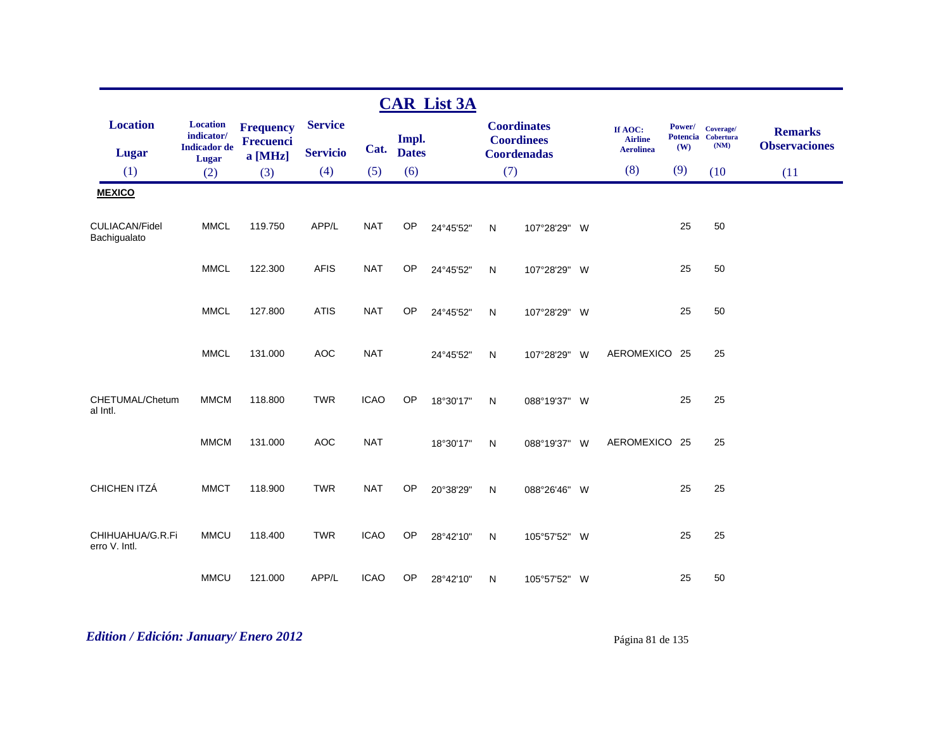|                                       |                                                                      |                                                   |                                   |             |                       | <b>CAR List 3A</b> |              |                                                               |          |                                               |                                  |                                       |                                        |
|---------------------------------------|----------------------------------------------------------------------|---------------------------------------------------|-----------------------------------|-------------|-----------------------|--------------------|--------------|---------------------------------------------------------------|----------|-----------------------------------------------|----------------------------------|---------------------------------------|----------------------------------------|
| <b>Location</b><br><b>Lugar</b>       | <b>Location</b><br>indicator/<br><b>Indicador</b> de<br><b>Lugar</b> | <b>Frequency</b><br><b>Frecuenci</b><br>$a$ [MHz] | <b>Service</b><br><b>Servicio</b> | Cat.        | Impl.<br><b>Dates</b> |                    |              | <b>Coordinates</b><br><b>Coordinees</b><br><b>Coordenadas</b> |          | If AOC:<br><b>Airline</b><br><b>Aerolinea</b> | Power/<br><b>Potencia</b><br>(W) | Coverage/<br><b>Cobertura</b><br>(NM) | <b>Remarks</b><br><b>Observaciones</b> |
| (1)                                   | (2)                                                                  | (3)                                               | (4)                               | (5)         | (6)                   |                    | (7)          |                                                               |          | (8)                                           | (9)                              | (10)                                  | (11)                                   |
| <b>MEXICO</b>                         |                                                                      |                                                   |                                   |             |                       |                    |              |                                                               |          |                                               |                                  |                                       |                                        |
| <b>CULIACAN/Fidel</b><br>Bachigualato | <b>MMCL</b>                                                          | 119.750                                           | APP/L                             | <b>NAT</b>  | <b>OP</b>             | 24°45'52"          | N            | 107°28'29" W                                                  |          |                                               | 25                               | 50                                    |                                        |
|                                       | <b>MMCL</b>                                                          | 122.300                                           | <b>AFIS</b>                       | <b>NAT</b>  | OP                    | 24°45'52"          | N            | 107°28'29" W                                                  |          |                                               | 25                               | 50                                    |                                        |
|                                       | <b>MMCL</b>                                                          | 127.800                                           | <b>ATIS</b>                       | <b>NAT</b>  | OP                    | 24°45'52"          | N            | 107°28'29" W                                                  |          |                                               | 25                               | 50                                    |                                        |
|                                       | <b>MMCL</b>                                                          | 131.000                                           | <b>AOC</b>                        | <b>NAT</b>  |                       | 24°45'52"          | N            | 107°28'29" W                                                  |          | AEROMEXICO 25                                 |                                  | 25                                    |                                        |
| CHETUMAL/Chetum<br>al Intl.           | <b>MMCM</b>                                                          | 118.800                                           | <b>TWR</b>                        | <b>ICAO</b> | OP                    | 18°30'17"          | N            | 088°19'37" W                                                  |          |                                               | 25                               | 25                                    |                                        |
|                                       | <b>MMCM</b>                                                          | 131.000                                           | <b>AOC</b>                        | <b>NAT</b>  |                       | 18°30'17"          | N            | 088°19'37" W                                                  |          | AEROMEXICO 25                                 |                                  | 25                                    |                                        |
| CHICHEN ITZÁ                          | <b>MMCT</b>                                                          | 118.900                                           | <b>TWR</b>                        | <b>NAT</b>  | OP                    | 20°38'29"          | $\mathsf{N}$ | 088°26'46"                                                    | <b>W</b> |                                               | 25                               | 25                                    |                                        |
| CHIHUAHUA/G.R.Fi<br>erro V. Intl.     | <b>MMCU</b>                                                          | 118.400                                           | <b>TWR</b>                        | <b>ICAO</b> | OP                    | 28°42'10"          | N            | 105°57'52" W                                                  |          |                                               | 25                               | 25                                    |                                        |
|                                       | <b>MMCU</b>                                                          | 121.000                                           | APP/L                             | <b>ICAO</b> | <b>OP</b>             | 28°42'10"          | N            | 105°57'52" W                                                  |          |                                               | 25                               | 50                                    |                                        |

# *Edition / Edición: January/ Enero 2012* Página 81 de 135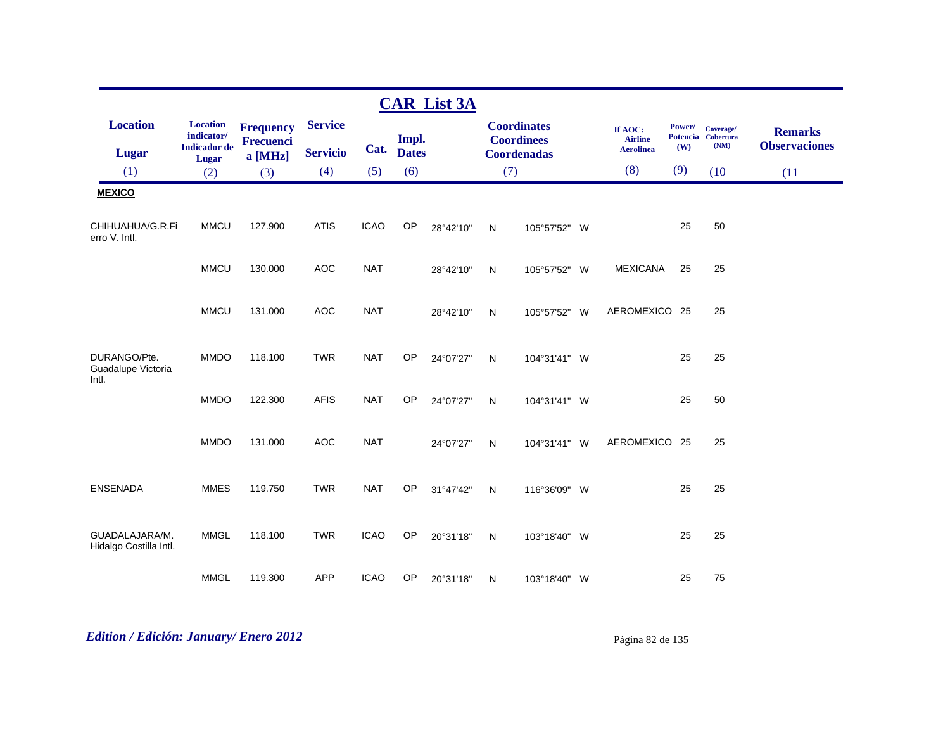|                                          |                                                                      |                                                 |                                   |             |                       | <b>CAR List 3A</b> |              |                                                               |     |                                               |                                  |                                       |                                        |
|------------------------------------------|----------------------------------------------------------------------|-------------------------------------------------|-----------------------------------|-------------|-----------------------|--------------------|--------------|---------------------------------------------------------------|-----|-----------------------------------------------|----------------------------------|---------------------------------------|----------------------------------------|
| <b>Location</b><br><b>Lugar</b>          | <b>Location</b><br>indicator/<br><b>Indicador</b> de<br><b>Lugar</b> | <b>Frequency</b><br><b>Frecuenci</b><br>a [MHz] | <b>Service</b><br><b>Servicio</b> | Cat.        | Impl.<br><b>Dates</b> |                    |              | <b>Coordinates</b><br><b>Coordinees</b><br><b>Coordenadas</b> |     | If AOC:<br><b>Airline</b><br><b>Aerolinea</b> | Power/<br><b>Potencia</b><br>(W) | Coverage/<br><b>Cobertura</b><br>(NM) | <b>Remarks</b><br><b>Observaciones</b> |
| (1)                                      | (2)                                                                  | (3)                                             | (4)                               | (5)         | (6)                   |                    | (7)          |                                                               |     | (8)                                           | (9)                              | (10)                                  | (11)                                   |
| <b>MEXICO</b>                            |                                                                      |                                                 |                                   |             |                       |                    |              |                                                               |     |                                               |                                  |                                       |                                        |
| CHIHUAHUA/G.R.Fi<br>erro V. Intl.        | <b>MMCU</b>                                                          | 127.900                                         | <b>ATIS</b>                       | <b>ICAO</b> | OP                    | 28°42'10"          | N            | 105°57'52" W                                                  |     |                                               | 25                               | 50                                    |                                        |
|                                          | <b>MMCU</b>                                                          | 130.000                                         | <b>AOC</b>                        | <b>NAT</b>  |                       | 28°42'10"          | N            | 105°57'52"                                                    | - W | <b>MEXICANA</b>                               | 25                               | 25                                    |                                        |
|                                          | <b>MMCU</b>                                                          | 131.000                                         | <b>AOC</b>                        | <b>NAT</b>  |                       | 28°42'10"          | N            | 105°57'52" W                                                  |     | AEROMEXICO 25                                 |                                  | 25                                    |                                        |
| DURANGO/Pte.<br>Guadalupe Victoria       | <b>MMDO</b>                                                          | 118.100                                         | <b>TWR</b>                        | <b>NAT</b>  | OP                    | 24°07'27"          | N            | 104°31'41" W                                                  |     |                                               | 25                               | 25                                    |                                        |
| Intl.                                    | <b>MMDO</b>                                                          | 122.300                                         | <b>AFIS</b>                       | <b>NAT</b>  | OP                    | 24°07'27"          | N            | 104°31'41" W                                                  |     |                                               | 25                               | 50                                    |                                        |
|                                          | <b>MMDO</b>                                                          | 131.000                                         | <b>AOC</b>                        | <b>NAT</b>  |                       | 24°07'27"          | N            | 104°31'41" W                                                  |     | AEROMEXICO 25                                 |                                  | 25                                    |                                        |
| <b>ENSENADA</b>                          | <b>MMES</b>                                                          | 119.750                                         | <b>TWR</b>                        | <b>NAT</b>  | OP                    | 31°47'42"          | $\mathsf{N}$ | 116°36'09" W                                                  |     |                                               | 25                               | 25                                    |                                        |
| GUADALAJARA/M.<br>Hidalgo Costilla Intl. | <b>MMGL</b>                                                          | 118.100                                         | <b>TWR</b>                        | <b>ICAO</b> | OP                    | 20°31'18"          | N            | 103°18'40" W                                                  |     |                                               | 25                               | 25                                    |                                        |
|                                          | <b>MMGL</b>                                                          | 119.300                                         | <b>APP</b>                        | <b>ICAO</b> | OP                    | 20°31'18"          | N            | 103°18'40" W                                                  |     |                                               | 25                               | 75                                    |                                        |

# *Edition / Edición: January/ Enero 2012* Página 82 de 135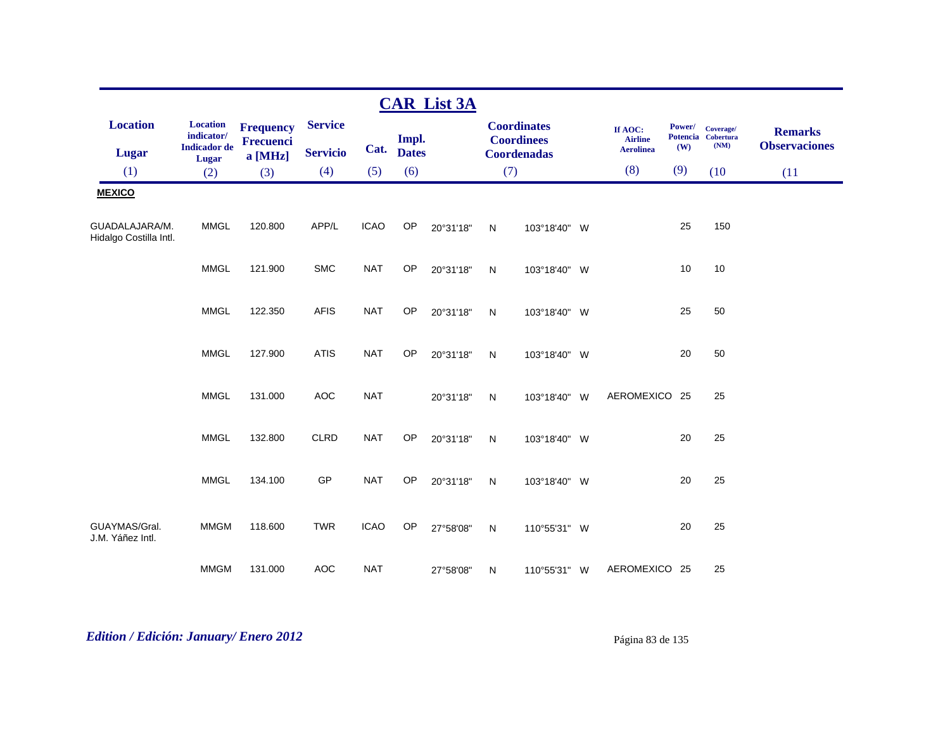|                                          |                                                      |                                      |                 |             |              | <b>CAR List 3A</b> |              |                                         |                                               |               |                                         |                                        |
|------------------------------------------|------------------------------------------------------|--------------------------------------|-----------------|-------------|--------------|--------------------|--------------|-----------------------------------------|-----------------------------------------------|---------------|-----------------------------------------|----------------------------------------|
| <b>Location</b>                          | <b>Location</b><br>indicator/<br><b>Indicador</b> de | <b>Frequency</b><br><b>Frecuenci</b> | <b>Service</b>  | Cat.        | Impl.        |                    |              | <b>Coordinates</b><br><b>Coordinees</b> | If AOC:<br><b>Airline</b><br><b>Aerolinea</b> | Power/<br>(W) | Coverage/<br>Potencia Cobertura<br>(NM) | <b>Remarks</b><br><b>Observaciones</b> |
| <b>Lugar</b>                             | Lugar                                                | a [MHz]                              | <b>Servicio</b> |             | <b>Dates</b> |                    |              | <b>Coordenadas</b>                      |                                               |               |                                         |                                        |
| (1)                                      | (2)                                                  | (3)                                  | (4)             | (5)         | (6)          |                    | (7)          |                                         | (8)                                           | (9)           | (10)                                    | (11)                                   |
| <b>MEXICO</b>                            |                                                      |                                      |                 |             |              |                    |              |                                         |                                               |               |                                         |                                        |
| GUADALAJARA/M.<br>Hidalgo Costilla Intl. | <b>MMGL</b>                                          | 120.800                              | APP/L           | <b>ICAO</b> | OP           | 20°31'18"          | N            | 103°18'40" W                            |                                               | 25            | 150                                     |                                        |
|                                          | <b>MMGL</b>                                          | 121.900                              | <b>SMC</b>      | <b>NAT</b>  | OP           | 20°31'18"          | $\mathsf{N}$ | 103°18'40" W                            |                                               | 10            | 10                                      |                                        |
|                                          | <b>MMGL</b>                                          | 122.350                              | <b>AFIS</b>     | <b>NAT</b>  | <b>OP</b>    | 20°31'18"          | N            | 103°18'40" W                            |                                               | 25            | 50                                      |                                        |
|                                          | <b>MMGL</b>                                          | 127.900                              | <b>ATIS</b>     | <b>NAT</b>  | OP           | 20°31'18"          | N            | 103°18'40" W                            |                                               | 20            | 50                                      |                                        |
|                                          | <b>MMGL</b>                                          | 131.000                              | <b>AOC</b>      | <b>NAT</b>  |              | 20°31'18"          | N            | 103°18'40" W                            | AEROMEXICO 25                                 |               | 25                                      |                                        |
|                                          | <b>MMGL</b>                                          | 132.800                              | <b>CLRD</b>     | <b>NAT</b>  | OP           | 20°31'18"          | N            | 103°18'40" W                            |                                               | 20            | 25                                      |                                        |
|                                          | <b>MMGL</b>                                          | 134.100                              | GP              | <b>NAT</b>  | <b>OP</b>    | 20°31'18"          | $\mathsf{N}$ | 103°18'40" W                            |                                               | 20            | 25                                      |                                        |
| GUAYMAS/Gral.<br>J.M. Yáñez Intl.        | <b>MMGM</b>                                          | 118.600                              | <b>TWR</b>      | <b>ICAO</b> | OP           | 27°58'08"          | N            | 110°55'31" W                            |                                               | 20            | 25                                      |                                        |
|                                          | <b>MMGM</b>                                          | 131.000                              | <b>AOC</b>      | <b>NAT</b>  |              | 27°58'08"          | N            | 110°55'31" W                            | AEROMEXICO 25                                 |               | 25                                      |                                        |

# *Edition / Edición: January/ Enero 2012* Página 83 de 135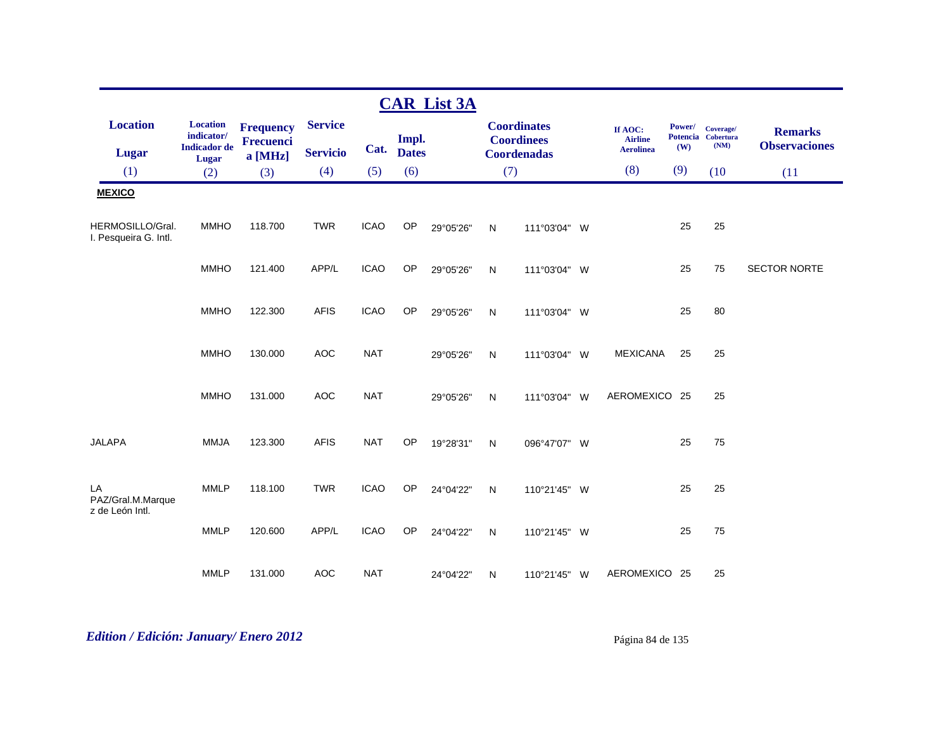|                                           |                                                      |                                      |                                   |             |                       | <b>CAR List 3A</b> |              |                                                               |                                               |               |                                         |                                        |
|-------------------------------------------|------------------------------------------------------|--------------------------------------|-----------------------------------|-------------|-----------------------|--------------------|--------------|---------------------------------------------------------------|-----------------------------------------------|---------------|-----------------------------------------|----------------------------------------|
| <b>Location</b><br>Lugar                  | <b>Location</b><br>indicator/<br><b>Indicador</b> de | <b>Frequency</b><br><b>Frecuenci</b> | <b>Service</b><br><b>Servicio</b> | Cat.        | Impl.<br><b>Dates</b> |                    |              | <b>Coordinates</b><br><b>Coordinees</b><br><b>Coordenadas</b> | If AOC:<br><b>Airline</b><br><b>Aerolinea</b> | Power/<br>(W) | Coverage/<br>Potencia Cobertura<br>(NM) | <b>Remarks</b><br><b>Observaciones</b> |
| (1)                                       | Lugar                                                | a [MHz]                              | (4)                               | (5)         | (6)                   |                    | (7)          |                                                               | (8)                                           | (9)           | (10)                                    |                                        |
|                                           | (2)                                                  | (3)                                  |                                   |             |                       |                    |              |                                                               |                                               |               |                                         | (11)                                   |
| <b>MEXICO</b>                             |                                                      |                                      |                                   |             |                       |                    |              |                                                               |                                               |               |                                         |                                        |
| HERMOSILLO/Gral.<br>I. Pesqueira G. Intl. | <b>MMHO</b>                                          | 118.700                              | <b>TWR</b>                        | <b>ICAO</b> | OP                    | 29°05'26"          | N            | 111°03'04" W                                                  |                                               | 25            | 25                                      |                                        |
|                                           | <b>MMHO</b>                                          | 121.400                              | APP/L                             | <b>ICAO</b> | OP                    | 29°05'26"          | N            | 111°03'04" W                                                  |                                               | 25            | 75                                      | <b>SECTOR NORTE</b>                    |
|                                           | <b>MMHO</b>                                          | 122.300                              | <b>AFIS</b>                       | <b>ICAO</b> | OP                    | 29°05'26"          | N            | 111°03'04" W                                                  |                                               | 25            | 80                                      |                                        |
|                                           | <b>MMHO</b>                                          | 130.000                              | <b>AOC</b>                        | <b>NAT</b>  |                       | 29°05'26"          | $\mathsf{N}$ | 111°03'04" W                                                  | <b>MEXICANA</b>                               | 25            | 25                                      |                                        |
|                                           | <b>MMHO</b>                                          | 131.000                              | AOC                               | <b>NAT</b>  |                       | 29°05'26"          | N            | 111°03'04" W                                                  | AEROMEXICO 25                                 |               | 25                                      |                                        |
| <b>JALAPA</b>                             | <b>MMJA</b>                                          | 123.300                              | <b>AFIS</b>                       | <b>NAT</b>  | OP                    | 19°28'31"          | N            | 096°47'07" W                                                  |                                               | 25            | 75                                      |                                        |
| LA<br>PAZ/Gral.M.Marque                   | <b>MMLP</b>                                          | 118.100                              | <b>TWR</b>                        | <b>ICAO</b> | OP                    | 24°04'22"          | N            | 110°21'45" W                                                  |                                               | 25            | 25                                      |                                        |
| z de León Intl.                           | <b>MMLP</b>                                          | 120.600                              | APP/L                             | <b>ICAO</b> | OP                    | 24°04'22"          | N            | 110°21'45" W                                                  |                                               | 25            | 75                                      |                                        |
|                                           | <b>MMLP</b>                                          | 131.000                              | <b>AOC</b>                        | <b>NAT</b>  |                       | 24°04'22"          | N            | 110°21'45" W                                                  | AEROMEXICO 25                                 |               | 25                                      |                                        |

# *Edition / Edición: January/ Enero 2012* Página 84 de 135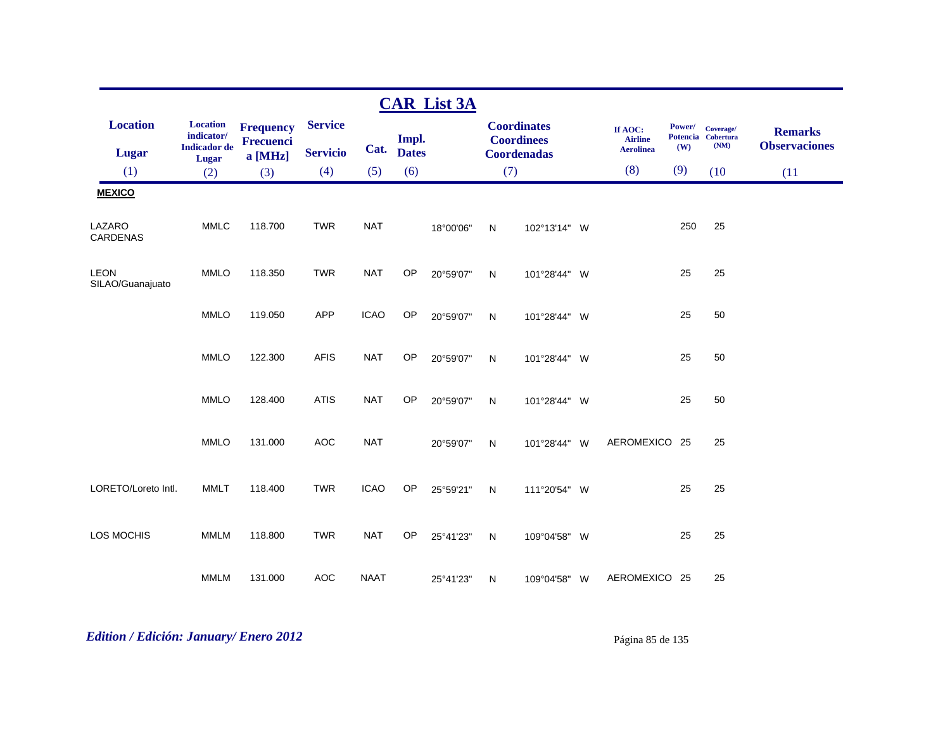|                                 |                                                               |                                                 |                                   |             |                       | <b>CAR List 3A</b> |              |                                                               |                                               |               |                                         |                                        |
|---------------------------------|---------------------------------------------------------------|-------------------------------------------------|-----------------------------------|-------------|-----------------------|--------------------|--------------|---------------------------------------------------------------|-----------------------------------------------|---------------|-----------------------------------------|----------------------------------------|
| <b>Location</b><br>Lugar        | <b>Location</b><br>indicator/<br><b>Indicador</b> de<br>Lugar | <b>Frequency</b><br><b>Frecuenci</b><br>a [MHz] | <b>Service</b><br><b>Servicio</b> | Cat.        | Impl.<br><b>Dates</b> |                    |              | <b>Coordinates</b><br><b>Coordinees</b><br><b>Coordenadas</b> | If AOC:<br><b>Airline</b><br><b>Aerolinea</b> | Power/<br>(W) | Coverage/<br>Potencia Cobertura<br>(NM) | <b>Remarks</b><br><b>Observaciones</b> |
| (1)                             | (2)                                                           | (3)                                             | (4)                               | (5)         | (6)                   |                    | (7)          |                                                               | (8)                                           | (9)           | (10)                                    | (11)                                   |
| <b>MEXICO</b>                   |                                                               |                                                 |                                   |             |                       |                    |              |                                                               |                                               |               |                                         |                                        |
| LAZARO<br><b>CARDENAS</b>       | <b>MMLC</b>                                                   | 118.700                                         | <b>TWR</b>                        | <b>NAT</b>  |                       | 18°00'06"          | N            | 102°13'14" W                                                  |                                               | 250           | 25                                      |                                        |
| <b>LEON</b><br>SILAO/Guanajuato | <b>MMLO</b>                                                   | 118.350                                         | <b>TWR</b>                        | <b>NAT</b>  | OP                    | 20°59'07"          | $\mathsf{N}$ | 101°28'44" W                                                  |                                               | 25            | 25                                      |                                        |
|                                 | <b>MMLO</b>                                                   | 119.050                                         | APP                               | <b>ICAO</b> | OP                    | 20°59'07"          | $\mathsf{N}$ | 101°28'44" W                                                  |                                               | 25            | 50                                      |                                        |
|                                 | <b>MMLO</b>                                                   | 122.300                                         | <b>AFIS</b>                       | <b>NAT</b>  | OP                    | 20°59'07"          | ${\sf N}$    | 101°28'44" W                                                  |                                               | 25            | 50                                      |                                        |
|                                 | <b>MMLO</b>                                                   | 128.400                                         | <b>ATIS</b>                       | <b>NAT</b>  | OP                    | 20°59'07"          | ${\sf N}$    | 101°28'44" W                                                  |                                               | 25            | 50                                      |                                        |
|                                 | <b>MMLO</b>                                                   | 131.000                                         | <b>AOC</b>                        | <b>NAT</b>  |                       | 20°59'07"          | $\mathsf{N}$ | 101°28'44" W                                                  | AEROMEXICO 25                                 |               | 25                                      |                                        |
| LORETO/Loreto Intl.             | <b>MMLT</b>                                                   | 118.400                                         | <b>TWR</b>                        | <b>ICAO</b> | OP                    | 25°59'21"          | $\mathsf{N}$ | 111°20'54" W                                                  |                                               | 25            | 25                                      |                                        |
| <b>LOS MOCHIS</b>               | <b>MMLM</b>                                                   | 118.800                                         | <b>TWR</b>                        | <b>NAT</b>  | <b>OP</b>             | 25°41'23"          | N            | 109°04'58" W                                                  |                                               | 25            | 25                                      |                                        |
|                                 | <b>MMLM</b>                                                   | 131.000                                         | <b>AOC</b>                        | <b>NAAT</b> |                       | 25°41'23"          | N            | 109°04'58" W                                                  | AEROMEXICO 25                                 |               | 25                                      |                                        |

# *Edition / Edición: January/ Enero 2012* Página 85 de 135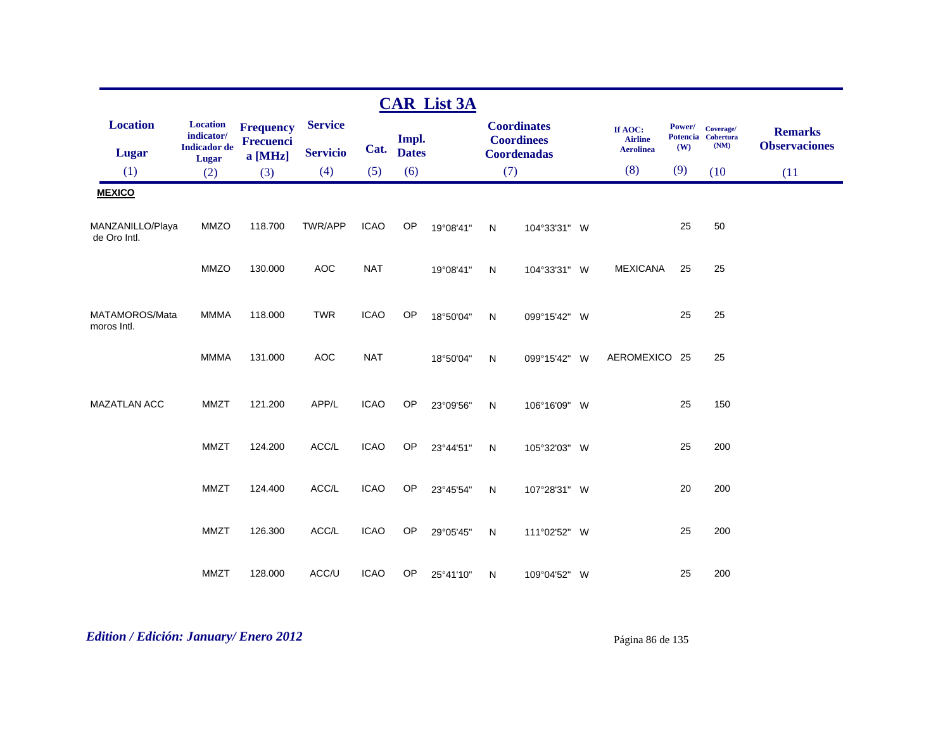|                                  |                                                      |                                          |                                   |             |                       | <b>CAR List 3A</b> |     |                                                               |                                               |               |                                         |                                        |
|----------------------------------|------------------------------------------------------|------------------------------------------|-----------------------------------|-------------|-----------------------|--------------------|-----|---------------------------------------------------------------|-----------------------------------------------|---------------|-----------------------------------------|----------------------------------------|
| <b>Location</b><br><b>Lugar</b>  | <b>Location</b><br>indicator/<br><b>Indicador</b> de | <b>Frequency</b><br>Frecuenci<br>a [MHz] | <b>Service</b><br><b>Servicio</b> | Cat.        | Impl.<br><b>Dates</b> |                    |     | <b>Coordinates</b><br><b>Coordinees</b><br><b>Coordenadas</b> | If AOC:<br><b>Airline</b><br><b>Aerolinea</b> | Power/<br>(W) | Coverage/<br>Potencia Cobertura<br>(NM) | <b>Remarks</b><br><b>Observaciones</b> |
| (1)                              | Lugar<br>(2)                                         | (3)                                      | (4)                               | (5)         | (6)                   |                    | (7) |                                                               | (8)                                           | (9)           | (10)                                    | (11)                                   |
| <b>MEXICO</b>                    |                                                      |                                          |                                   |             |                       |                    |     |                                                               |                                               |               |                                         |                                        |
| MANZANILLO/Playa<br>de Oro Intl. | <b>MMZO</b>                                          | 118.700                                  | <b>TWR/APP</b>                    | <b>ICAO</b> | <b>OP</b>             | 19°08'41"          | N   | 104°33'31" W                                                  |                                               | 25            | 50                                      |                                        |
|                                  | <b>MMZO</b>                                          | 130.000                                  | <b>AOC</b>                        | <b>NAT</b>  |                       | 19°08'41"          | N   | 104°33'31" W                                                  | <b>MEXICANA</b>                               | 25            | 25                                      |                                        |
| MATAMOROS/Mata<br>moros Intl.    | <b>MMMA</b>                                          | 118.000                                  | <b>TWR</b>                        | <b>ICAO</b> | OP                    | 18°50'04"          | N   | 099°15'42" W                                                  |                                               | 25            | 25                                      |                                        |
|                                  | <b>MMMA</b>                                          | 131.000                                  | <b>AOC</b>                        | <b>NAT</b>  |                       | 18°50'04"          | N   | 099°15'42" W                                                  | AEROMEXICO 25                                 |               | 25                                      |                                        |
| <b>MAZATLAN ACC</b>              | <b>MMZT</b>                                          | 121.200                                  | APP/L                             | <b>ICAO</b> | OP                    | 23°09'56"          | N   | 106°16'09" W                                                  |                                               | 25            | 150                                     |                                        |
|                                  | <b>MMZT</b>                                          | 124.200                                  | ACC/L                             | <b>ICAO</b> | OP                    | 23°44'51"          | N   | 105°32'03" W                                                  |                                               | 25            | 200                                     |                                        |
|                                  | <b>MMZT</b>                                          | 124.400                                  | ACC/L                             | <b>ICAO</b> | OP                    | 23°45'54"          | N   | 107°28'31" W                                                  |                                               | 20            | 200                                     |                                        |
|                                  | <b>MMZT</b>                                          | 126.300                                  | ACC/L                             | <b>ICAO</b> | OP                    | 29°05'45"          | N   | 111°02'52" W                                                  |                                               | 25            | 200                                     |                                        |
|                                  | <b>MMZT</b>                                          | 128.000                                  | ACC/U                             | <b>ICAO</b> | <b>OP</b>             | 25°41'10"          | N   | 109°04'52" W                                                  |                                               | 25            | 200                                     |                                        |

# *Edition / Edición: January/ Enero 2012* Página 86 de 135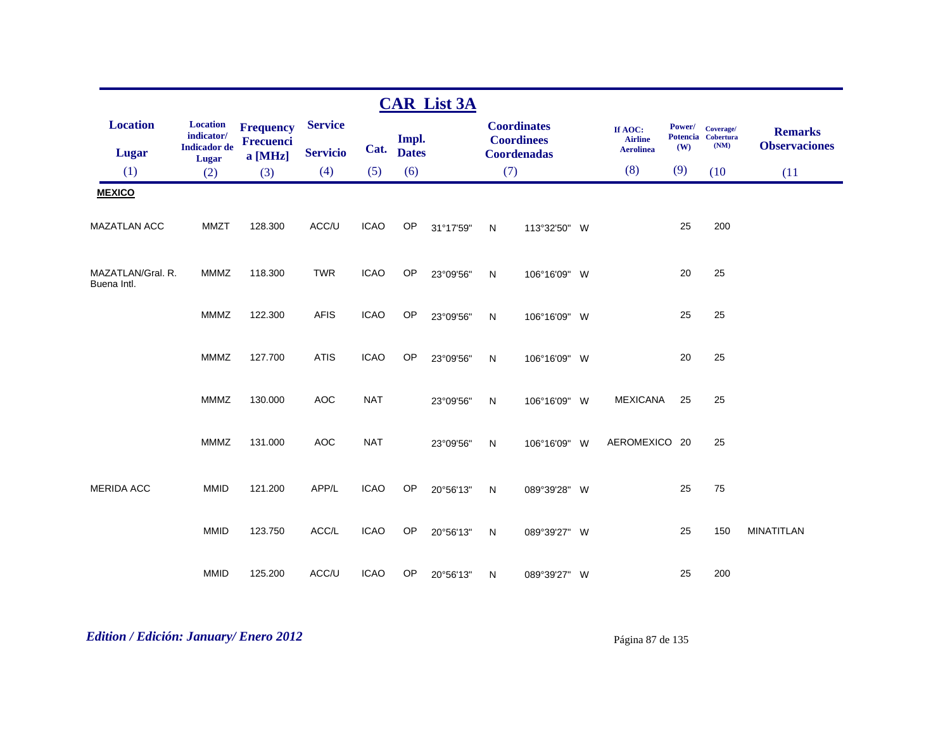|                                  |                                                      |                               |                 |             |              | <b>CAR List 3A</b> |              |                                         |                                               |               |                                         |                                        |
|----------------------------------|------------------------------------------------------|-------------------------------|-----------------|-------------|--------------|--------------------|--------------|-----------------------------------------|-----------------------------------------------|---------------|-----------------------------------------|----------------------------------------|
| <b>Location</b>                  | <b>Location</b><br>indicator/<br><b>Indicador</b> de | <b>Frequency</b><br>Frecuenci | <b>Service</b>  | Cat.        | Impl.        |                    |              | <b>Coordinates</b><br><b>Coordinees</b> | If AOC:<br><b>Airline</b><br><b>Aerolinea</b> | Power/<br>(W) | Coverage/<br>Potencia Cobertura<br>(NM) | <b>Remarks</b><br><b>Observaciones</b> |
| <b>Lugar</b>                     | Lugar                                                | a [MHz]                       | <b>Servicio</b> |             | <b>Dates</b> |                    |              | <b>Coordenadas</b>                      |                                               |               |                                         |                                        |
| (1)                              | (2)                                                  | (3)                           | (4)             | (5)         | (6)          |                    |              | (7)                                     | (8)                                           | (9)           | (10)                                    | (11)                                   |
| <b>MEXICO</b>                    |                                                      |                               |                 |             |              |                    |              |                                         |                                               |               |                                         |                                        |
| <b>MAZATLAN ACC</b>              | <b>MMZT</b>                                          | 128.300                       | ACC/U           | <b>ICAO</b> | OP           | 31°17'59"          | $\mathsf{N}$ | 113°32'50" W                            |                                               | 25            | 200                                     |                                        |
| MAZATLAN/Gral. R.<br>Buena Intl. | <b>MMMZ</b>                                          | 118.300                       | <b>TWR</b>      | <b>ICAO</b> | OP           | 23°09'56"          | ${\sf N}$    | 106°16'09" W                            |                                               | 20            | 25                                      |                                        |
|                                  | <b>MMMZ</b>                                          | 122.300                       | <b>AFIS</b>     | <b>ICAO</b> | <b>OP</b>    | 23°09'56"          | N            | 106°16'09" W                            |                                               | 25            | 25                                      |                                        |
|                                  | <b>MMMZ</b>                                          | 127.700                       | <b>ATIS</b>     | <b>ICAO</b> | OP           | 23°09'56"          | $\mathsf{N}$ | 106°16'09" W                            |                                               | 20            | 25                                      |                                        |
|                                  | MMMZ                                                 | 130.000                       | <b>AOC</b>      | <b>NAT</b>  |              | 23°09'56"          | $\mathsf{N}$ | 106°16'09" W                            | <b>MEXICANA</b>                               | 25            | 25                                      |                                        |
|                                  | <b>MMMZ</b>                                          | 131.000                       | <b>AOC</b>      | <b>NAT</b>  |              | 23°09'56"          | $\mathsf{N}$ | 106°16'09" W                            | AEROMEXICO 20                                 |               | 25                                      |                                        |
| <b>MERIDA ACC</b>                | <b>MMID</b>                                          | 121.200                       | APP/L           | <b>ICAO</b> | OP           | 20°56'13"          | N            | 089°39'28" W                            |                                               | 25            | 75                                      |                                        |
|                                  | <b>MMID</b>                                          | 123.750                       | ACC/L           | <b>ICAO</b> | OP           | 20°56'13"          | $\mathsf{N}$ | 089°39'27" W                            |                                               | 25            | 150                                     | <b>MINATITLAN</b>                      |
|                                  | <b>MMID</b>                                          | 125.200                       | ACC/U           | <b>ICAO</b> | <b>OP</b>    | 20°56'13"          | N            | 089°39'27" W                            |                                               | 25            | 200                                     |                                        |

# *Edition / Edición: January/ Enero 2012* Página 87 de 135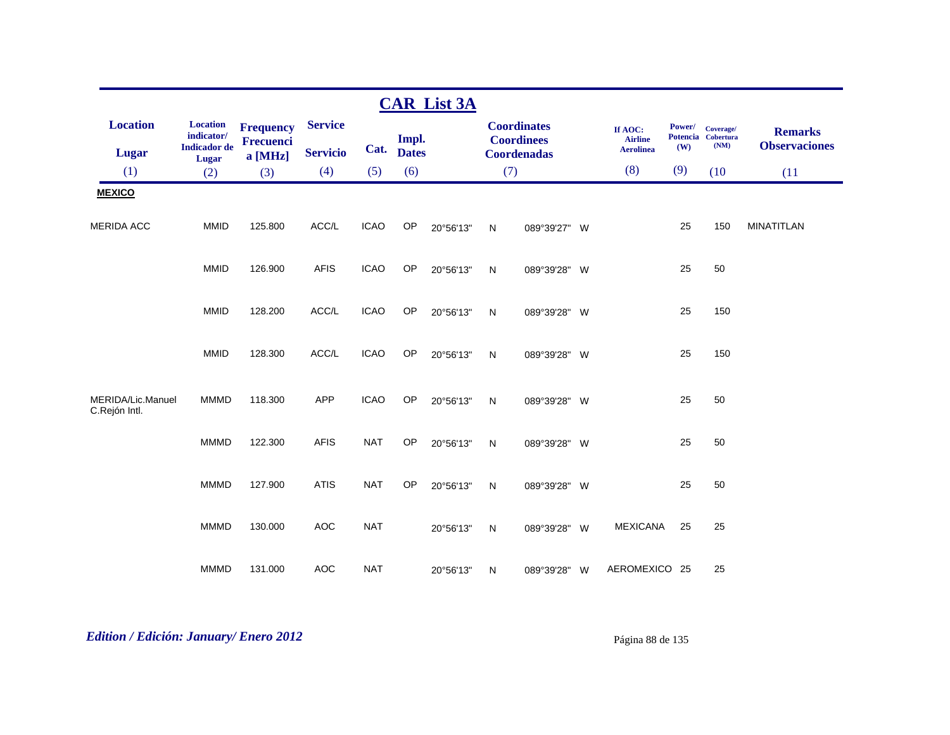|                                    |                                                      |                                      |                 |             |              | <b>CAR List 3A</b> |     |                                         |                                               |               |                                         |                                        |
|------------------------------------|------------------------------------------------------|--------------------------------------|-----------------|-------------|--------------|--------------------|-----|-----------------------------------------|-----------------------------------------------|---------------|-----------------------------------------|----------------------------------------|
| <b>Location</b>                    | <b>Location</b><br>indicator/<br><b>Indicador</b> de | <b>Frequency</b><br><b>Frecuenci</b> | <b>Service</b>  | Cat.        | Impl.        |                    |     | <b>Coordinates</b><br><b>Coordinees</b> | If AOC:<br><b>Airline</b><br><b>Aerolinea</b> | Power/<br>(W) | Coverage/<br>Potencia Cobertura<br>(NM) | <b>Remarks</b><br><b>Observaciones</b> |
| <b>Lugar</b>                       | <b>Lugar</b>                                         | a [MHz]                              | <b>Servicio</b> |             | <b>Dates</b> |                    |     | <b>Coordenadas</b>                      |                                               |               |                                         |                                        |
| (1)                                | (2)                                                  | (3)                                  | (4)             | (5)         | (6)          |                    | (7) |                                         | (8)                                           | (9)           | (10)                                    | (11)                                   |
| <b>MEXICO</b>                      |                                                      |                                      |                 |             |              |                    |     |                                         |                                               |               |                                         |                                        |
| <b>MERIDA ACC</b>                  | <b>MMID</b>                                          | 125.800                              | ACC/L           | <b>ICAO</b> | OP           | 20°56'13"          | N   | 089°39'27" W                            |                                               | 25            | 150                                     | <b>MINATITLAN</b>                      |
|                                    | <b>MMID</b>                                          | 126.900                              | <b>AFIS</b>     | <b>ICAO</b> | OP           | 20°56'13"          | N   | 089°39'28" W                            |                                               | 25            | 50                                      |                                        |
|                                    | <b>MMID</b>                                          | 128.200                              | ACC/L           | <b>ICAO</b> | OP           | 20°56'13"          | N   | 089°39'28" W                            |                                               | 25            | 150                                     |                                        |
|                                    | <b>MMID</b>                                          | 128.300                              | ACC/L           | <b>ICAO</b> | OP           | 20°56'13"          | N   | 089°39'28" W                            |                                               | 25            | 150                                     |                                        |
| MERIDA/Lic.Manuel<br>C.Rejón Intl. | <b>MMMD</b>                                          | 118.300                              | <b>APP</b>      | <b>ICAO</b> | OP           | 20°56'13"          | N   | 089°39'28" W                            |                                               | 25            | 50                                      |                                        |
|                                    | <b>MMMD</b>                                          | 122.300                              | <b>AFIS</b>     | <b>NAT</b>  | OP           | 20°56'13"          | N   | 089°39'28" W                            |                                               | 25            | 50                                      |                                        |
|                                    | <b>MMMD</b>                                          | 127.900                              | <b>ATIS</b>     | <b>NAT</b>  | OP           | 20°56'13"          | N   | 089°39'28" W                            |                                               | 25            | 50                                      |                                        |
|                                    | <b>MMMD</b>                                          | 130.000                              | <b>AOC</b>      | <b>NAT</b>  |              | 20°56'13"          | N   | 089°39'28" W                            | <b>MEXICANA</b>                               | 25            | 25                                      |                                        |
|                                    | <b>MMMD</b>                                          | 131.000                              | <b>AOC</b>      | <b>NAT</b>  |              | 20°56'13"          | N   | 089°39'28" W                            | AEROMEXICO 25                                 |               | 25                                      |                                        |

# *Edition / Edición: January/ Enero 2012* Página 88 de 135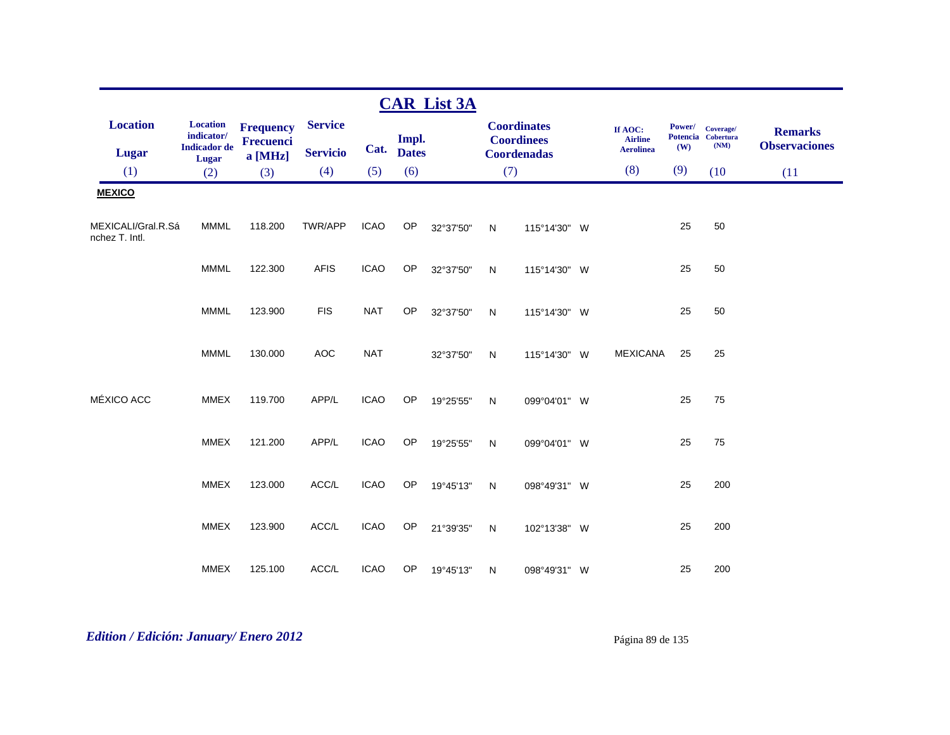|                                      |                                                      |                                                 |                                   |             |                       | <b>CAR List 3A</b> |              |                                                               |                                               |               |                                         |                                        |
|--------------------------------------|------------------------------------------------------|-------------------------------------------------|-----------------------------------|-------------|-----------------------|--------------------|--------------|---------------------------------------------------------------|-----------------------------------------------|---------------|-----------------------------------------|----------------------------------------|
| <b>Location</b><br><b>Lugar</b>      | <b>Location</b><br>indicator/<br><b>Indicador</b> de | <b>Frequency</b><br><b>Frecuenci</b><br>a [MHz] | <b>Service</b><br><b>Servicio</b> | Cat.        | Impl.<br><b>Dates</b> |                    |              | <b>Coordinates</b><br><b>Coordinees</b><br><b>Coordenadas</b> | If AOC:<br><b>Airline</b><br><b>Aerolinea</b> | Power/<br>(W) | Coverage/<br>Potencia Cobertura<br>(NM) | <b>Remarks</b><br><b>Observaciones</b> |
| (1)                                  | Lugar<br>(2)                                         | (3)                                             | (4)                               | (5)         | (6)                   |                    | (7)          |                                                               | (8)                                           | (9)           | (10)                                    | (11)                                   |
| <b>MEXICO</b>                        |                                                      |                                                 |                                   |             |                       |                    |              |                                                               |                                               |               |                                         |                                        |
| MEXICALI/Gral.R.Sá<br>nchez T. Intl. | <b>MMML</b>                                          | 118.200                                         | TWR/APP                           | <b>ICAO</b> | OP                    | 32°37'50"          | N            | 115°14'30" W                                                  |                                               | 25            | 50                                      |                                        |
|                                      | <b>MMML</b>                                          | 122.300                                         | <b>AFIS</b>                       | <b>ICAO</b> | OP                    | 32°37'50"          | ${\sf N}$    | 115°14'30" W                                                  |                                               | 25            | 50                                      |                                        |
|                                      | <b>MMML</b>                                          | 123.900                                         | <b>FIS</b>                        | <b>NAT</b>  | <b>OP</b>             | 32°37'50"          | N            | 115°14'30" W                                                  |                                               | 25            | 50                                      |                                        |
|                                      | <b>MMML</b>                                          | 130.000                                         | <b>AOC</b>                        | <b>NAT</b>  |                       | 32°37'50"          | N            | 115°14'30" W                                                  | <b>MEXICANA</b>                               | 25            | 25                                      |                                        |
| MÉXICO ACC                           | <b>MMEX</b>                                          | 119.700                                         | APP/L                             | <b>ICAO</b> | OP                    | 19°25'55"          | $\mathsf{N}$ | 099°04'01" W                                                  |                                               | 25            | 75                                      |                                        |
|                                      | <b>MMEX</b>                                          | 121.200                                         | APP/L                             | <b>ICAO</b> | OP                    | 19°25'55"          | $\mathsf{N}$ | 099°04'01" W                                                  |                                               | 25            | 75                                      |                                        |
|                                      | <b>MMEX</b>                                          | 123.000                                         | ACC/L                             | <b>ICAO</b> | OP                    | 19°45'13"          | $\mathsf{N}$ | 098°49'31" W                                                  |                                               | 25            | 200                                     |                                        |
|                                      | <b>MMEX</b>                                          | 123.900                                         | ACC/L                             | <b>ICAO</b> | OP                    | 21°39'35"          | N            | 102°13'38" W                                                  |                                               | 25            | 200                                     |                                        |
|                                      | <b>MMEX</b>                                          | 125.100                                         | ACC/L                             | <b>ICAO</b> | OP                    | 19°45'13"          | N            | 098°49'31" W                                                  |                                               | 25            | 200                                     |                                        |

# *Edition / Edición: January/ Enero 2012* Página 89 de 135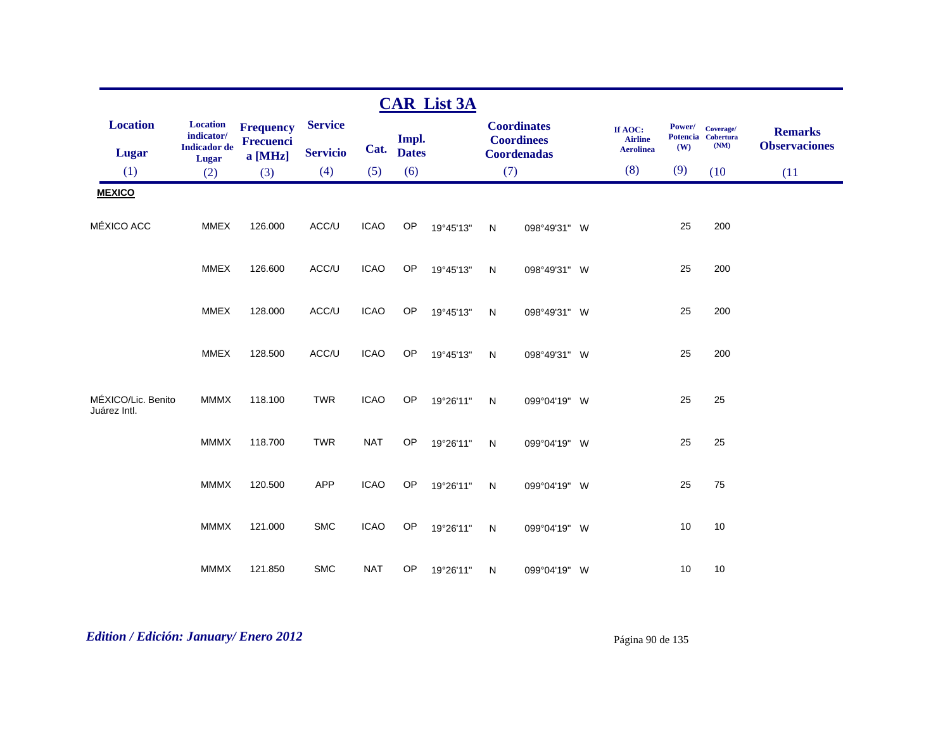|                                    |                                     |                                      |                 |             |              | <b>CAR List 3A</b> |              |                                         |                           |        |                                 |                                        |
|------------------------------------|-------------------------------------|--------------------------------------|-----------------|-------------|--------------|--------------------|--------------|-----------------------------------------|---------------------------|--------|---------------------------------|----------------------------------------|
| <b>Location</b>                    | <b>Location</b><br>indicator/       | <b>Frequency</b><br><b>Frecuenci</b> | <b>Service</b>  |             | Impl.        |                    |              | <b>Coordinates</b><br><b>Coordinees</b> | If AOC:<br><b>Airline</b> | Power/ | Coverage/<br>Potencia Cobertura | <b>Remarks</b><br><b>Observaciones</b> |
| <b>Lugar</b>                       | <b>Indicador</b> de<br><b>Lugar</b> | a [MHz]                              | <b>Servicio</b> | Cat.        | <b>Dates</b> |                    |              | <b>Coordenadas</b>                      | <b>Aerolinea</b>          | (W)    | (NM)                            |                                        |
| (1)                                | (2)                                 | (3)                                  | (4)             | (5)         | (6)          |                    | (7)          |                                         | (8)                       | (9)    | (10)                            | (11)                                   |
| <b>MEXICO</b>                      |                                     |                                      |                 |             |              |                    |              |                                         |                           |        |                                 |                                        |
| MÉXICO ACC                         | <b>MMEX</b>                         | 126.000                              | ACC/U           | <b>ICAO</b> | OP           | 19°45'13"          | N            | 098°49'31" W                            |                           | 25     | 200                             |                                        |
|                                    | <b>MMEX</b>                         | 126.600                              | ACC/U           | <b>ICAO</b> | <b>OP</b>    | 19°45'13"          | N            | 098°49'31" W                            |                           | 25     | 200                             |                                        |
|                                    | <b>MMEX</b>                         | 128.000                              | ACC/U           | <b>ICAO</b> | <b>OP</b>    | 19°45'13"          | ${\sf N}$    | 098°49'31" W                            |                           | 25     | 200                             |                                        |
|                                    | <b>MMEX</b>                         | 128.500                              | ACC/U           | <b>ICAO</b> | OP           | 19°45'13"          | $\mathsf{N}$ | 098°49'31" W                            |                           | 25     | 200                             |                                        |
| MÉXICO/Lic. Benito<br>Juárez Intl. | <b>MMMX</b>                         | 118.100                              | <b>TWR</b>      | <b>ICAO</b> | OP           | 19°26'11"          | N            | 099°04'19" W                            |                           | 25     | 25                              |                                        |
|                                    | <b>MMMX</b>                         | 118.700                              | <b>TWR</b>      | <b>NAT</b>  | <b>OP</b>    | 19°26'11"          | ${\sf N}$    | 099°04'19" W                            |                           | 25     | 25                              |                                        |
|                                    | <b>MMMX</b>                         | 120.500                              | <b>APP</b>      | <b>ICAO</b> | OP           | 19°26'11"          | N            | 099°04'19" W                            |                           | 25     | 75                              |                                        |
|                                    | <b>MMMX</b>                         | 121.000                              | <b>SMC</b>      | <b>ICAO</b> | <b>OP</b>    | 19°26'11"          | N            | 099°04'19" W                            |                           | 10     | 10                              |                                        |
|                                    | <b>MMMX</b>                         | 121.850                              | <b>SMC</b>      | <b>NAT</b>  | OP           | 19°26'11"          | N            | 099°04'19" W                            |                           | 10     | 10                              |                                        |

# *Edition / Edición: January/ Enero 2012* Página 90 de 135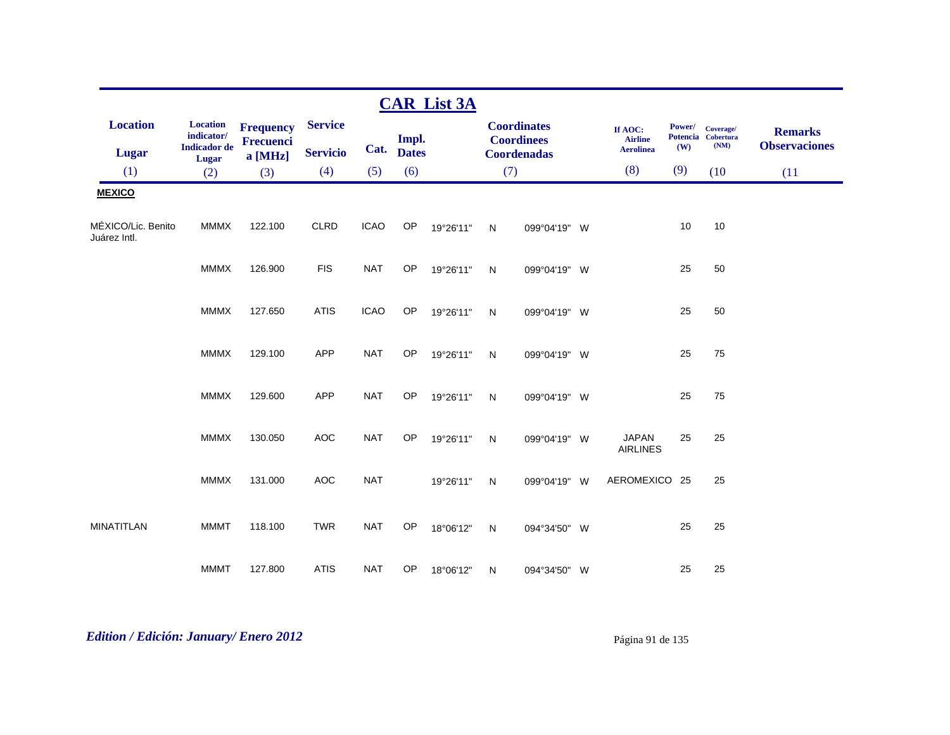|                                    |                                                      |                                                 |                                   |             |                       | <b>CAR List 3A</b> |              |                                                               |                                               |               |                                         |                                        |
|------------------------------------|------------------------------------------------------|-------------------------------------------------|-----------------------------------|-------------|-----------------------|--------------------|--------------|---------------------------------------------------------------|-----------------------------------------------|---------------|-----------------------------------------|----------------------------------------|
| <b>Location</b><br><b>Lugar</b>    | <b>Location</b><br>indicator/<br><b>Indicador</b> de | <b>Frequency</b><br><b>Frecuenci</b><br>a [MHz] | <b>Service</b><br><b>Servicio</b> | Cat.        | Impl.<br><b>Dates</b> |                    |              | <b>Coordinates</b><br><b>Coordinees</b><br><b>Coordenadas</b> | If AOC:<br><b>Airline</b><br><b>Aerolinea</b> | Power/<br>(W) | Coverage/<br>Potencia Cobertura<br>(NM) | <b>Remarks</b><br><b>Observaciones</b> |
| (1)                                | <b>Lugar</b><br>(2)                                  | (3)                                             | (4)                               | (5)         | (6)                   |                    | (7)          |                                                               | (8)                                           | (9)           | (10)                                    | (11)                                   |
| <b>MEXICO</b>                      |                                                      |                                                 |                                   |             |                       |                    |              |                                                               |                                               |               |                                         |                                        |
| MÉXICO/Lic. Benito<br>Juárez Intl. | <b>MMMX</b>                                          | 122.100                                         | <b>CLRD</b>                       | <b>ICAO</b> | OP                    | 19°26'11"          | N            | 099°04'19" W                                                  |                                               | 10            | 10                                      |                                        |
|                                    | <b>MMMX</b>                                          | 126.900                                         | <b>FIS</b>                        | <b>NAT</b>  | OP                    | 19°26'11"          | $\mathsf{N}$ | 099°04'19" W                                                  |                                               | 25            | 50                                      |                                        |
|                                    | <b>MMMX</b>                                          | 127.650                                         | <b>ATIS</b>                       | <b>ICAO</b> | OP                    | 19°26'11"          | $\mathsf{N}$ | 099°04'19" W                                                  |                                               | 25            | 50                                      |                                        |
|                                    | <b>MMMX</b>                                          | 129.100                                         | <b>APP</b>                        | <b>NAT</b>  | OP                    | 19°26'11"          | $\mathsf{N}$ | 099°04'19" W                                                  |                                               | 25            | 75                                      |                                        |
|                                    | <b>MMMX</b>                                          | 129.600                                         | <b>APP</b>                        | <b>NAT</b>  | OP                    | 19°26'11"          | N            | 099°04'19" W                                                  |                                               | 25            | 75                                      |                                        |
|                                    | <b>MMMX</b>                                          | 130.050                                         | <b>AOC</b>                        | <b>NAT</b>  | OP                    | 19°26'11"          | N            | 099°04'19" W                                                  | <b>JAPAN</b><br><b>AIRLINES</b>               | 25            | 25                                      |                                        |
|                                    | <b>MMMX</b>                                          | 131.000                                         | <b>AOC</b>                        | <b>NAT</b>  |                       | 19°26'11"          | N            | 099°04'19" W                                                  | AEROMEXICO 25                                 |               | 25                                      |                                        |
| <b>MINATITLAN</b>                  | <b>MMMT</b>                                          | 118.100                                         | <b>TWR</b>                        | <b>NAT</b>  | <b>OP</b>             | 18°06'12"          | N            | 094°34'50" W                                                  |                                               | 25            | 25                                      |                                        |
|                                    | <b>MMMT</b>                                          | 127.800                                         | <b>ATIS</b>                       | <b>NAT</b>  | OP                    | 18°06'12"          | N            | 094°34'50" W                                                  |                                               | 25            | 25                                      |                                        |

# *Edition / Edición: January/ Enero 2012* Página 91 de 135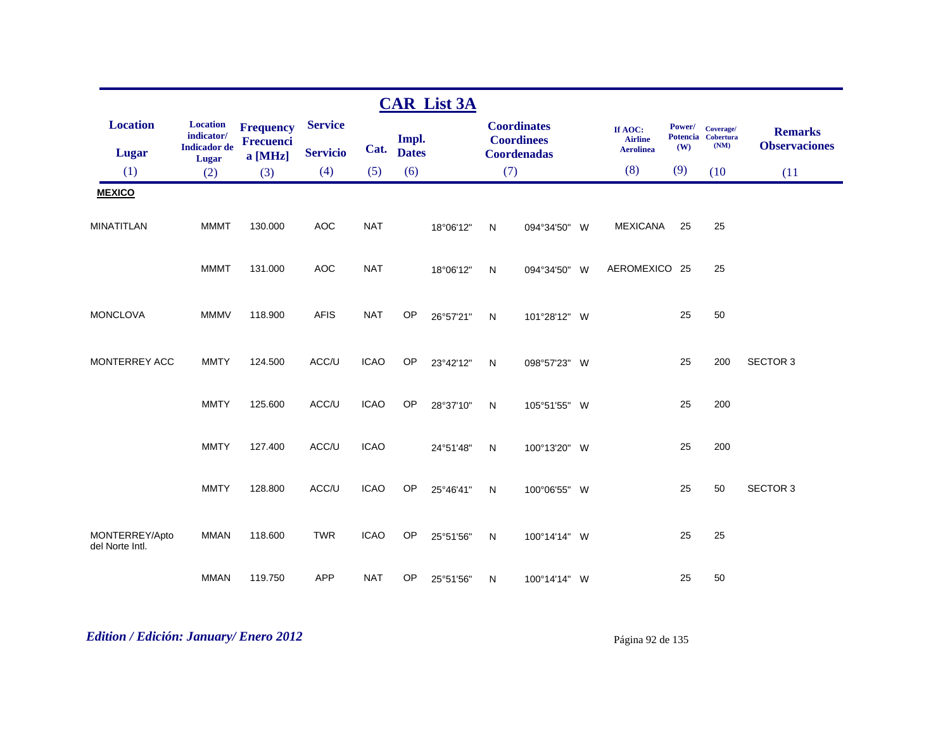|                                   |                                                      |                               |                                   |             |                       | <b>CAR List 3A</b> |              |                                                               |                                               |               |                                         |                                        |
|-----------------------------------|------------------------------------------------------|-------------------------------|-----------------------------------|-------------|-----------------------|--------------------|--------------|---------------------------------------------------------------|-----------------------------------------------|---------------|-----------------------------------------|----------------------------------------|
| <b>Location</b><br>Lugar          | <b>Location</b><br>indicator/<br><b>Indicador</b> de | <b>Frequency</b><br>Frecuenci | <b>Service</b><br><b>Servicio</b> | Cat.        | Impl.<br><b>Dates</b> |                    |              | <b>Coordinates</b><br><b>Coordinees</b><br><b>Coordenadas</b> | If AOC:<br><b>Airline</b><br><b>Aerolinea</b> | Power/<br>(W) | Coverage/<br>Potencia Cobertura<br>(NM) | <b>Remarks</b><br><b>Observaciones</b> |
| (1)                               | Lugar<br>(2)                                         | a [MHz]<br>(3)                | (4)                               | (5)         | (6)                   |                    | (7)          |                                                               | (8)                                           | (9)           | (10)                                    | (11)                                   |
| <b>MEXICO</b>                     |                                                      |                               |                                   |             |                       |                    |              |                                                               |                                               |               |                                         |                                        |
|                                   |                                                      |                               |                                   |             |                       |                    |              |                                                               |                                               |               |                                         |                                        |
| <b>MINATITLAN</b>                 | <b>MMMT</b>                                          | 130.000                       | <b>AOC</b>                        | <b>NAT</b>  |                       | 18°06'12"          | $\mathsf{N}$ | 094°34'50" W                                                  | <b>MEXICANA</b>                               | 25            | 25                                      |                                        |
|                                   | <b>MMMT</b>                                          | 131.000                       | <b>AOC</b>                        | <b>NAT</b>  |                       | 18°06'12"          | N            | 094°34'50" W                                                  | AEROMEXICO 25                                 |               | 25                                      |                                        |
| <b>MONCLOVA</b>                   | <b>MMMV</b>                                          | 118.900                       | <b>AFIS</b>                       | <b>NAT</b>  | OP                    | 26°57'21"          | $\mathsf{N}$ | 101°28'12" W                                                  |                                               | 25            | 50                                      |                                        |
| MONTERREY ACC                     | <b>MMTY</b>                                          | 124.500                       | ACC/U                             | <b>ICAO</b> | OP                    | 23°42'12"          | N            | 098°57'23" W                                                  |                                               | 25            | 200                                     | <b>SECTOR 3</b>                        |
|                                   | <b>MMTY</b>                                          | 125.600                       | ACC/U                             | <b>ICAO</b> | OP                    | 28°37'10"          | $\mathsf{N}$ | 105°51'55" W                                                  |                                               | 25            | 200                                     |                                        |
|                                   | <b>MMTY</b>                                          | 127.400                       | ACC/U                             | <b>ICAO</b> |                       | 24°51'48"          | $\mathsf{N}$ | 100°13'20" W                                                  |                                               | 25            | 200                                     |                                        |
|                                   | <b>MMTY</b>                                          | 128.800                       | ACC/U                             | <b>ICAO</b> | OP                    | 25°46'41"          | $\mathsf{N}$ | 100°06'55" W                                                  |                                               | 25            | 50                                      | <b>SECTOR 3</b>                        |
| MONTERREY/Apto<br>del Norte Intl. | <b>MMAN</b>                                          | 118.600                       | <b>TWR</b>                        | <b>ICAO</b> | OP                    | 25°51'56"          | $\mathsf{N}$ | 100°14'14" W                                                  |                                               | 25            | 25                                      |                                        |
|                                   | <b>MMAN</b>                                          | 119.750                       | <b>APP</b>                        | <b>NAT</b>  | OP                    | 25°51'56"          | N            | 100°14'14" W                                                  |                                               | 25            | 50                                      |                                        |

# *Edition / Edición: January/ Enero 2012* Página 92 de 135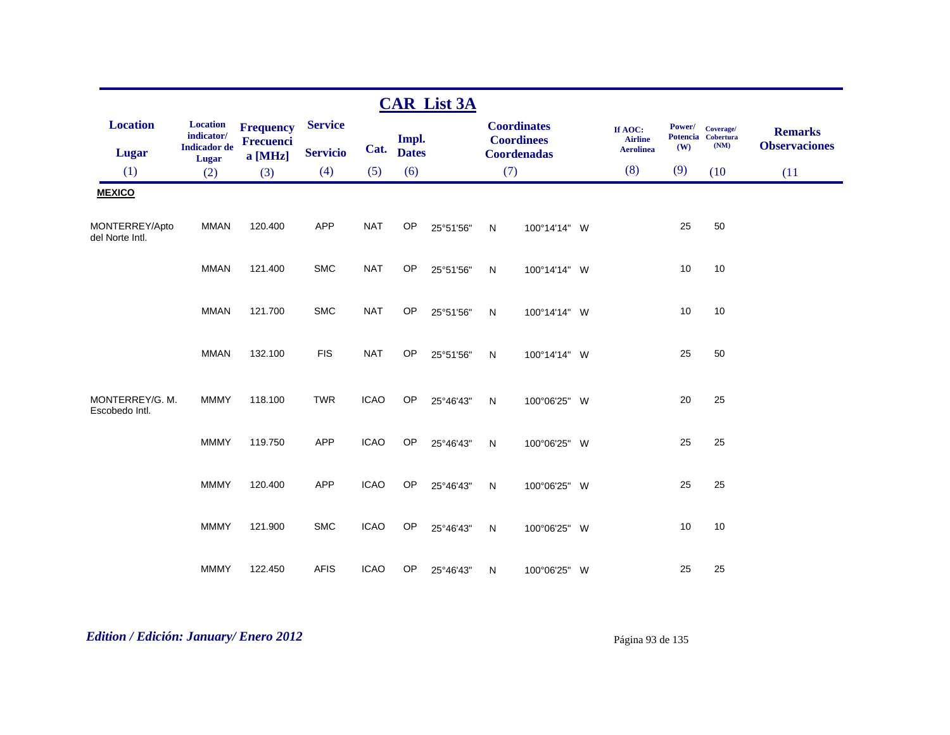|                                   |                                                                        |                                      |                 |             |                       | <b>CAR List 3A</b> |              |                                         |                                               |               |                                         |                                        |
|-----------------------------------|------------------------------------------------------------------------|--------------------------------------|-----------------|-------------|-----------------------|--------------------|--------------|-----------------------------------------|-----------------------------------------------|---------------|-----------------------------------------|----------------------------------------|
| <b>Location</b>                   | <b>Location</b><br>$\textbf{indicator}/\text{}$<br><b>Indicador</b> de | <b>Frequency</b><br><b>Frecuenci</b> | <b>Service</b>  | Cat.        | Impl.<br><b>Dates</b> |                    |              | <b>Coordinates</b><br><b>Coordinees</b> | If AOC:<br><b>Airline</b><br><b>Aerolinea</b> | Power/<br>(W) | Coverage/<br>Potencia Cobertura<br>(NM) | <b>Remarks</b><br><b>Observaciones</b> |
| <b>Lugar</b>                      | Lugar                                                                  | a [MHz]                              | <b>Servicio</b> |             |                       |                    |              | <b>Coordenadas</b>                      |                                               |               |                                         |                                        |
| (1)                               | (2)                                                                    | (3)                                  | (4)             | (5)         | (6)                   |                    | (7)          |                                         | (8)                                           | (9)           | (10)                                    | (11)                                   |
| <b>MEXICO</b>                     |                                                                        |                                      |                 |             |                       |                    |              |                                         |                                               |               |                                         |                                        |
| MONTERREY/Apto<br>del Norte Intl. | <b>MMAN</b>                                                            | 120.400                              | <b>APP</b>      | <b>NAT</b>  | OP                    | 25°51'56"          | N            | 100°14'14" W                            |                                               | 25            | 50                                      |                                        |
|                                   | <b>MMAN</b>                                                            | 121.400                              | <b>SMC</b>      | <b>NAT</b>  | OP                    | 25°51'56"          | $\mathsf{N}$ | 100°14'14" W                            |                                               | 10            | 10                                      |                                        |
|                                   | <b>MMAN</b>                                                            | 121.700                              | <b>SMC</b>      | <b>NAT</b>  | OP                    | 25°51'56"          | $\mathsf{N}$ | 100°14'14" W                            |                                               | 10            | 10                                      |                                        |
|                                   | <b>MMAN</b>                                                            | 132.100                              | <b>FIS</b>      | <b>NAT</b>  | OP                    | 25°51'56"          | N            | 100°14'14" W                            |                                               | 25            | 50                                      |                                        |
| MONTERREY/G. M.<br>Escobedo Intl. | <b>MMMY</b>                                                            | 118.100                              | <b>TWR</b>      | <b>ICAO</b> | OP                    | 25°46'43"          | $\mathsf{N}$ | 100°06'25" W                            |                                               | 20            | 25                                      |                                        |
|                                   | <b>MMMY</b>                                                            | 119.750                              | <b>APP</b>      | <b>ICAO</b> | OP                    | 25°46'43"          | ${\sf N}$    | 100°06'25" W                            |                                               | 25            | 25                                      |                                        |
|                                   | <b>MMMY</b>                                                            | 120.400                              | <b>APP</b>      | <b>ICAO</b> | OP                    | 25°46'43"          | N            | 100°06'25" W                            |                                               | 25            | 25                                      |                                        |
|                                   | <b>MMMY</b>                                                            | 121.900                              | <b>SMC</b>      | <b>ICAO</b> | OP                    | 25°46'43"          | N            | 100°06'25" W                            |                                               | 10            | 10                                      |                                        |
|                                   | <b>MMMY</b>                                                            | 122.450                              | <b>AFIS</b>     | <b>ICAO</b> | OP                    | 25°46'43"          | N            | 100°06'25" W                            |                                               | 25            | 25                                      |                                        |

# *Edition / Edición: January/ Enero 2012* Página 93 de 135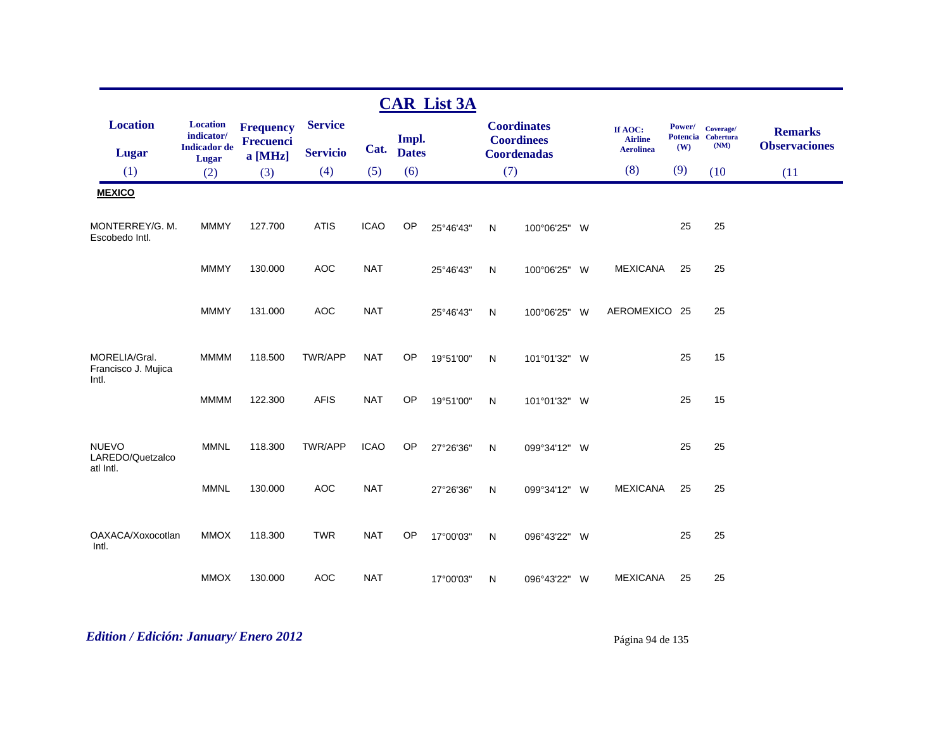|                                               |                                                               |                                                 |                                   |             |                       | <b>CAR List 3A</b> |              |                                                               |                                               |               |                                         |                                        |
|-----------------------------------------------|---------------------------------------------------------------|-------------------------------------------------|-----------------------------------|-------------|-----------------------|--------------------|--------------|---------------------------------------------------------------|-----------------------------------------------|---------------|-----------------------------------------|----------------------------------------|
| <b>Location</b><br><b>Lugar</b>               | <b>Location</b><br>indicator/<br><b>Indicador</b> de<br>Lugar | <b>Frequency</b><br><b>Frecuenci</b><br>a [MHz] | <b>Service</b><br><b>Servicio</b> | Cat.        | Impl.<br><b>Dates</b> |                    |              | <b>Coordinates</b><br><b>Coordinees</b><br><b>Coordenadas</b> | If AOC:<br><b>Airline</b><br><b>Aerolinea</b> | Power/<br>(W) | Coverage/<br>Potencia Cobertura<br>(NM) | <b>Remarks</b><br><b>Observaciones</b> |
| (1)                                           | (2)                                                           | (3)                                             | (4)                               | (5)         | (6)                   |                    | (7)          |                                                               | (8)                                           | (9)           | (10)                                    | (11)                                   |
| <b>MEXICO</b>                                 |                                                               |                                                 |                                   |             |                       |                    |              |                                                               |                                               |               |                                         |                                        |
| MONTERREY/G. M.<br>Escobedo Intl.             | <b>MMMY</b>                                                   | 127.700                                         | <b>ATIS</b>                       | <b>ICAO</b> | OP                    | 25°46'43"          | $\mathsf{N}$ | 100°06'25" W                                                  |                                               | 25            | 25                                      |                                        |
|                                               | <b>MMMY</b>                                                   | 130.000                                         | <b>AOC</b>                        | <b>NAT</b>  |                       | 25°46'43"          | $\mathsf{N}$ | 100°06'25" W                                                  | <b>MEXICANA</b>                               | 25            | 25                                      |                                        |
|                                               | <b>MMMY</b>                                                   | 131.000                                         | <b>AOC</b>                        | <b>NAT</b>  |                       | 25°46'43"          | N            | 100°06'25" W                                                  | AEROMEXICO 25                                 |               | 25                                      |                                        |
| MORELIA/Gral.<br>Francisco J. Mujica<br>Intl. | <b>MMMM</b>                                                   | 118.500                                         | TWR/APP                           | <b>NAT</b>  | OP                    | 19°51'00"          | $\mathsf{N}$ | 101°01'32" W                                                  |                                               | 25            | 15                                      |                                        |
|                                               | <b>MMMM</b>                                                   | 122.300                                         | <b>AFIS</b>                       | <b>NAT</b>  | OP                    | 19°51'00"          | $\mathsf{N}$ | 101°01'32" W                                                  |                                               | 25            | 15                                      |                                        |
| <b>NUEVO</b><br>LAREDO/Quetzalco<br>atl Intl. | <b>MMNL</b>                                                   | 118.300                                         | TWR/APP                           | <b>ICAO</b> | <b>OP</b>             | 27°26'36"          | N            | 099°34'12" W                                                  |                                               | 25            | 25                                      |                                        |
|                                               | <b>MMNL</b>                                                   | 130.000                                         | <b>AOC</b>                        | <b>NAT</b>  |                       | 27°26'36"          | $\mathsf{N}$ | 099°34'12" W                                                  | <b>MEXICANA</b>                               | 25            | 25                                      |                                        |
| OAXACA/Xoxocotlan<br>Intl.                    | <b>MMOX</b>                                                   | 118.300                                         | <b>TWR</b>                        | <b>NAT</b>  | <b>OP</b>             | 17°00'03"          | $\mathsf{N}$ | 096°43'22" W                                                  |                                               | 25            | 25                                      |                                        |
|                                               | <b>MMOX</b>                                                   | 130.000                                         | <b>AOC</b>                        | <b>NAT</b>  |                       | 17°00'03"          | N            | 096°43'22" W                                                  | <b>MEXICANA</b>                               | 25            | 25                                      |                                        |

# *Edition / Edición: January/ Enero 2012* Página 94 de 135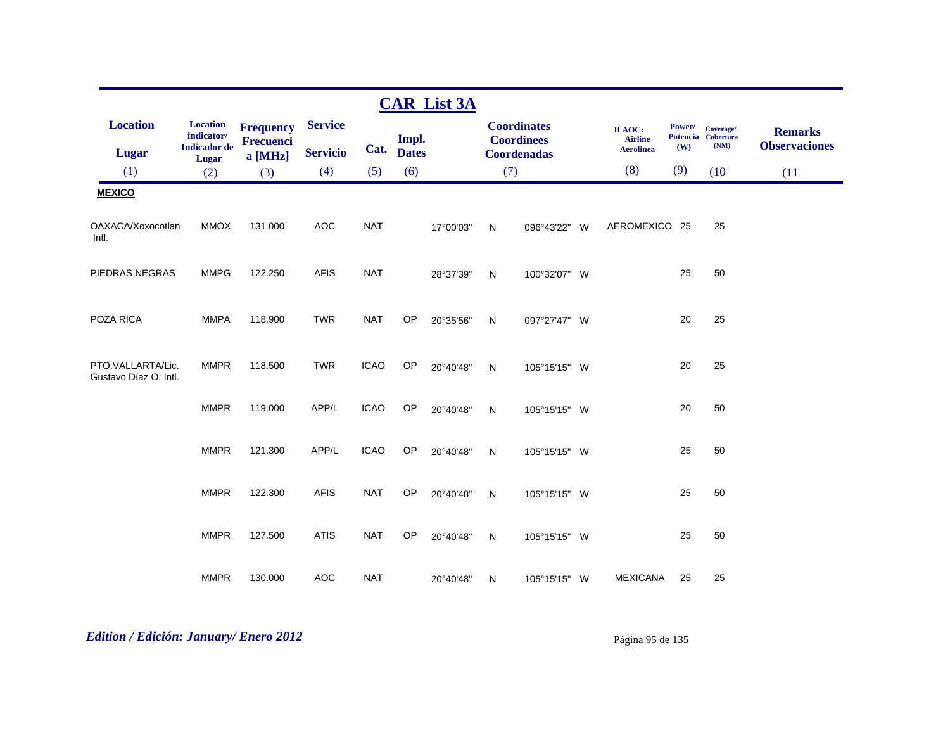|                                            |                                                               |                                            |                                   |             |                       | <b>CAR List 3A</b> |     |                                                               |                                               |               |                                         |                                        |
|--------------------------------------------|---------------------------------------------------------------|--------------------------------------------|-----------------------------------|-------------|-----------------------|--------------------|-----|---------------------------------------------------------------|-----------------------------------------------|---------------|-----------------------------------------|----------------------------------------|
| <b>Location</b><br><b>Lugar</b>            | <b>Location</b><br>indicator/<br><b>Indicador</b> de<br>Lugar | <b>Frequency</b><br>Frecuenci<br>$a$ [MHz] | <b>Service</b><br><b>Servicio</b> | Cat.        | Impl.<br><b>Dates</b> |                    |     | <b>Coordinates</b><br><b>Coordinees</b><br><b>Coordenadas</b> | If AOC:<br><b>Airline</b><br><b>Aerolinea</b> | Power/<br>(W) | Coverage/<br>Potencia Cobertura<br>(NM) | <b>Remarks</b><br><b>Observaciones</b> |
| (1)                                        | (2)                                                           | (3)                                        | (4)                               | (5)         | (6)                   |                    | (7) |                                                               | (8)                                           | (9)           | (10)                                    | (11)                                   |
| <b>MEXICO</b>                              |                                                               |                                            |                                   |             |                       |                    |     |                                                               |                                               |               |                                         |                                        |
| OAXACA/Xoxocotlan<br>Intl.                 | <b>MMOX</b>                                                   | 131.000                                    | <b>AOC</b>                        | <b>NAT</b>  |                       | 17°00'03"          | N   | 096°43'22" W                                                  | AEROMEXICO 25                                 |               | 25                                      |                                        |
| PIEDRAS NEGRAS                             | <b>MMPG</b>                                                   | 122.250                                    | <b>AFIS</b>                       | <b>NAT</b>  |                       | 28°37'39"          | N   | 100°32'07" W                                                  |                                               | 25            | 50                                      |                                        |
| POZA RICA                                  | <b>MMPA</b>                                                   | 118.900                                    | <b>TWR</b>                        | <b>NAT</b>  | OP                    | 20°35'56"          | N   | 097°27'47" W                                                  |                                               | 20            | 25                                      |                                        |
| PTO.VALLARTA/Lic.<br>Gustavo Díaz O. Intl. | <b>MMPR</b>                                                   | 118.500                                    | <b>TWR</b>                        | <b>ICAO</b> | OP                    | 20°40'48"          | N   | 105°15'15" W                                                  |                                               | 20            | 25                                      |                                        |
|                                            | <b>MMPR</b>                                                   | 119.000                                    | APP/L                             | <b>ICAO</b> | <b>OP</b>             | 20°40'48"          | N   | 105°15'15" W                                                  |                                               | 20            | 50                                      |                                        |
|                                            | <b>MMPR</b>                                                   | 121.300                                    | APP/L                             | <b>ICAO</b> | OP                    | 20°40'48"          | N   | 105°15'15" W                                                  |                                               | 25            | 50                                      |                                        |
|                                            | <b>MMPR</b>                                                   | 122.300                                    | <b>AFIS</b>                       | <b>NAT</b>  | OP                    | 20°40'48"          | N   | 105°15'15" W                                                  |                                               | 25            | 50                                      |                                        |
|                                            | <b>MMPR</b>                                                   | 127.500                                    | <b>ATIS</b>                       | <b>NAT</b>  | OP                    | 20°40'48"          | N   | 105°15'15" W                                                  |                                               | 25            | 50                                      |                                        |
|                                            | <b>MMPR</b>                                                   | 130.000                                    | <b>AOC</b>                        | <b>NAT</b>  |                       | 20°40'48"          | N   | 105°15'15" W                                                  | <b>MEXICANA</b>                               | 25            | 25                                      |                                        |

# *Edition / Edición: January/ Enero 2012* Página 95 de 135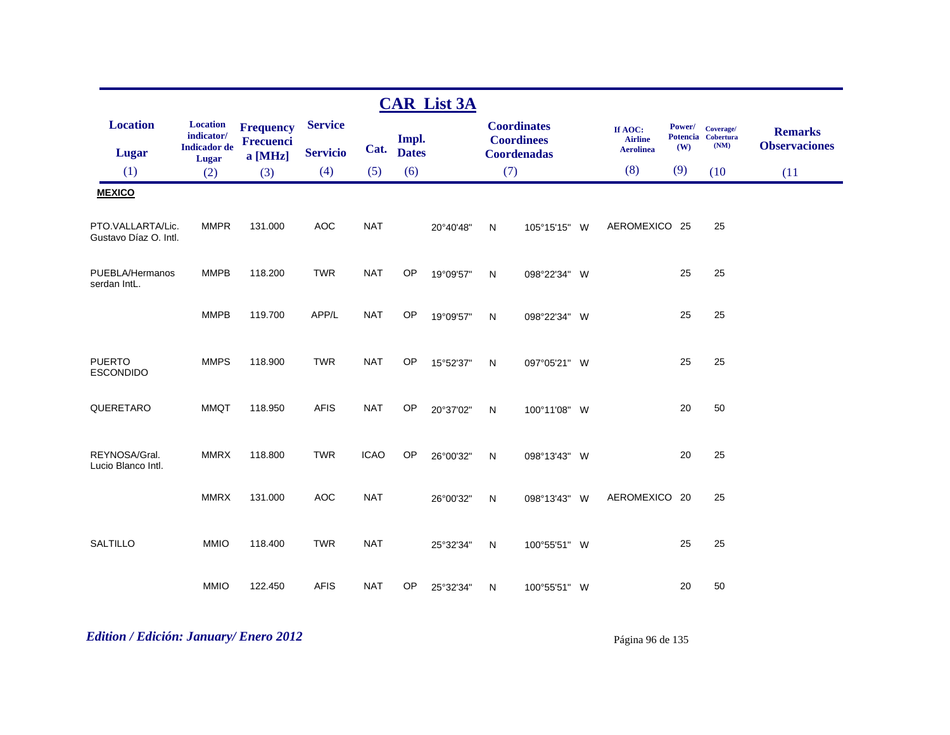|                                            |                                                               |                                                   |                                          |             |                              | <b>CAR List 3A</b> |              |                                                               |                                                      |                                         |                                               |                                                |
|--------------------------------------------|---------------------------------------------------------------|---------------------------------------------------|------------------------------------------|-------------|------------------------------|--------------------|--------------|---------------------------------------------------------------|------------------------------------------------------|-----------------------------------------|-----------------------------------------------|------------------------------------------------|
| <b>Location</b><br><b>Lugar</b><br>(1)     | <b>Location</b><br>indicator/<br><b>Indicador</b> de<br>Lugar | <b>Frequency</b><br><b>Frecuenci</b><br>$a$ [MHz] | <b>Service</b><br><b>Servicio</b><br>(4) | Cat.<br>(5) | Impl.<br><b>Dates</b><br>(6) |                    | (7)          | <b>Coordinates</b><br><b>Coordinees</b><br><b>Coordenadas</b> | If AOC:<br><b>Airline</b><br><b>Aerolinea</b><br>(8) | Power/<br><b>Potencia</b><br>(W)<br>(9) | Coverage/<br><b>Cobertura</b><br>(NM)<br>(10) | <b>Remarks</b><br><b>Observaciones</b><br>(11) |
| <b>MEXICO</b>                              | (2)                                                           | (3)                                               |                                          |             |                              |                    |              |                                                               |                                                      |                                         |                                               |                                                |
|                                            |                                                               |                                                   |                                          |             |                              |                    |              |                                                               |                                                      |                                         |                                               |                                                |
| PTO.VALLARTA/Lic.<br>Gustavo Díaz O. Intl. | <b>MMPR</b>                                                   | 131.000                                           | <b>AOC</b>                               | <b>NAT</b>  |                              | 20°40'48"          | N            | 105°15'15" W                                                  | AEROMEXICO 25                                        |                                         | 25                                            |                                                |
| PUEBLA/Hermanos<br>serdan IntL.            | <b>MMPB</b>                                                   | 118.200                                           | <b>TWR</b>                               | <b>NAT</b>  | OP                           | 19°09'57"          | N            | 098°22'34" W                                                  |                                                      | 25                                      | 25                                            |                                                |
|                                            | <b>MMPB</b>                                                   | 119.700                                           | APP/L                                    | <b>NAT</b>  | OP                           | 19°09'57"          | N            | 098°22'34" W                                                  |                                                      | 25                                      | 25                                            |                                                |
| <b>PUERTO</b><br><b>ESCONDIDO</b>          | <b>MMPS</b>                                                   | 118.900                                           | <b>TWR</b>                               | <b>NAT</b>  | OP                           | 15°52'37"          | $\mathsf{N}$ | 097°05'21" W                                                  |                                                      | 25                                      | 25                                            |                                                |
| QUERETARO                                  | <b>MMQT</b>                                                   | 118.950                                           | <b>AFIS</b>                              | <b>NAT</b>  | OP                           | 20°37'02"          | N            | 100°11'08" W                                                  |                                                      | 20                                      | 50                                            |                                                |
| REYNOSA/Gral.<br>Lucio Blanco Intl.        | <b>MMRX</b>                                                   | 118.800                                           | <b>TWR</b>                               | <b>ICAO</b> | OP                           | 26°00'32"          | N            | 098°13'43" W                                                  |                                                      | 20                                      | 25                                            |                                                |
|                                            | <b>MMRX</b>                                                   | 131.000                                           | <b>AOC</b>                               | <b>NAT</b>  |                              | 26°00'32"          | N            | 098°13'43" W                                                  | AEROMEXICO 20                                        |                                         | 25                                            |                                                |
| <b>SALTILLO</b>                            | <b>MMIO</b>                                                   | 118.400                                           | <b>TWR</b>                               | <b>NAT</b>  |                              | 25°32'34"          | N            | 100°55'51" W                                                  |                                                      | 25                                      | 25                                            |                                                |
|                                            | <b>MMIO</b>                                                   | 122.450                                           | <b>AFIS</b>                              | <b>NAT</b>  | OP                           | 25°32'34"          | N            | 100°55'51" W                                                  |                                                      | 20                                      | 50                                            |                                                |

# *Edition / Edición: January/ Enero 2012* Página 96 de 135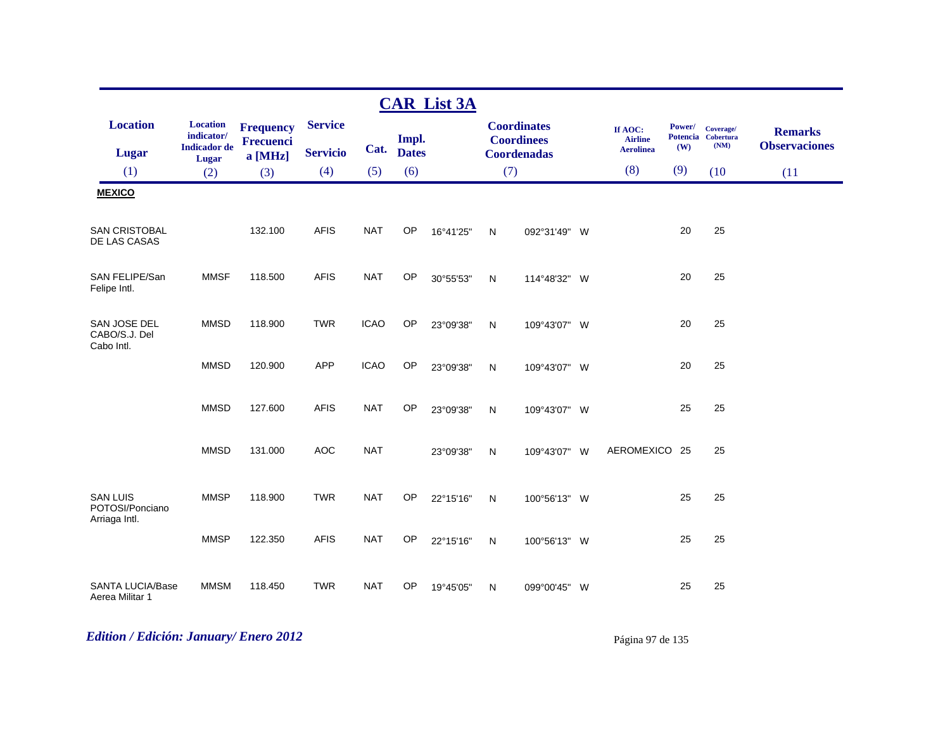|                                                     |                                                               |                                          |                                   |             |                       | <b>CAR List 3A</b> |              |                                                               |     |                                               |                      |                                         |                                        |
|-----------------------------------------------------|---------------------------------------------------------------|------------------------------------------|-----------------------------------|-------------|-----------------------|--------------------|--------------|---------------------------------------------------------------|-----|-----------------------------------------------|----------------------|-----------------------------------------|----------------------------------------|
| <b>Location</b><br><b>Lugar</b>                     | <b>Location</b><br>indicator/<br><b>Indicador</b> de<br>Lugar | <b>Frequency</b><br>Frecuenci<br>a [MHz] | <b>Service</b><br><b>Servicio</b> | Cat.        | Impl.<br><b>Dates</b> |                    |              | <b>Coordinates</b><br><b>Coordinees</b><br><b>Coordenadas</b> |     | If AOC:<br><b>Airline</b><br><b>Aerolinea</b> | <b>Power/</b><br>(W) | Coverage/<br>Potencia Cobertura<br>(NM) | <b>Remarks</b><br><b>Observaciones</b> |
| (1)                                                 | (2)                                                           | (3)                                      | (4)                               | (5)         | (6)                   |                    | (7)          |                                                               |     | (8)                                           | (9)                  | (10)                                    | (11)                                   |
| <b>MEXICO</b>                                       |                                                               |                                          |                                   |             |                       |                    |              |                                                               |     |                                               |                      |                                         |                                        |
| <b>SAN CRISTOBAL</b><br>DE LAS CASAS                |                                                               | 132.100                                  | <b>AFIS</b>                       | <b>NAT</b>  | OP                    | 16°41'25"          | N            | 092°31'49" W                                                  |     |                                               | 20                   | 25                                      |                                        |
| SAN FELIPE/San<br>Felipe Intl.                      | <b>MMSF</b>                                                   | 118.500                                  | <b>AFIS</b>                       | <b>NAT</b>  | OP                    | 30°55'53"          | N            | 114°48'32" W                                                  |     |                                               | 20                   | 25                                      |                                        |
| SAN JOSE DEL<br>CABO/S.J. Del<br>Cabo Intl.         | <b>MMSD</b>                                                   | 118.900                                  | <b>TWR</b>                        | <b>ICAO</b> | OP                    | 23°09'38"          | $\mathsf{N}$ | 109°43'07" W                                                  |     |                                               | 20                   | 25                                      |                                        |
|                                                     | <b>MMSD</b>                                                   | 120.900                                  | <b>APP</b>                        | <b>ICAO</b> | OP                    | 23°09'38"          | N            | 109°43'07" W                                                  |     |                                               | 20                   | 25                                      |                                        |
|                                                     | <b>MMSD</b>                                                   | 127.600                                  | <b>AFIS</b>                       | <b>NAT</b>  | <b>OP</b>             | 23°09'38"          | $\mathsf{N}$ | 109°43'07" W                                                  |     |                                               | 25                   | 25                                      |                                        |
|                                                     | <b>MMSD</b>                                                   | 131.000                                  | <b>AOC</b>                        | <b>NAT</b>  |                       | 23°09'38"          | N            | 109°43'07" W                                                  |     | AEROMEXICO 25                                 |                      | 25                                      |                                        |
| <b>SAN LUIS</b><br>POTOSI/Ponciano<br>Arriaga Intl. | <b>MMSP</b>                                                   | 118.900                                  | <b>TWR</b>                        | <b>NAT</b>  | OP                    | 22°15'16"          | N            | 100°56'13" W                                                  |     |                                               | 25                   | 25                                      |                                        |
|                                                     | <b>MMSP</b>                                                   | 122.350                                  | <b>AFIS</b>                       | <b>NAT</b>  | OP                    | 22°15'16"          | N            | 100°56'13" W                                                  |     |                                               | 25                   | 25                                      |                                        |
| <b>SANTA LUCIA/Base</b><br>Aerea Militar 1          | <b>MMSM</b>                                                   | 118.450                                  | <b>TWR</b>                        | <b>NAT</b>  | OP                    | 19°45'05"          | N            | 099°00'45"                                                    | - W |                                               | 25                   | 25                                      |                                        |

# *Edition / Edición: January/ Enero 2012* Página 97 de 135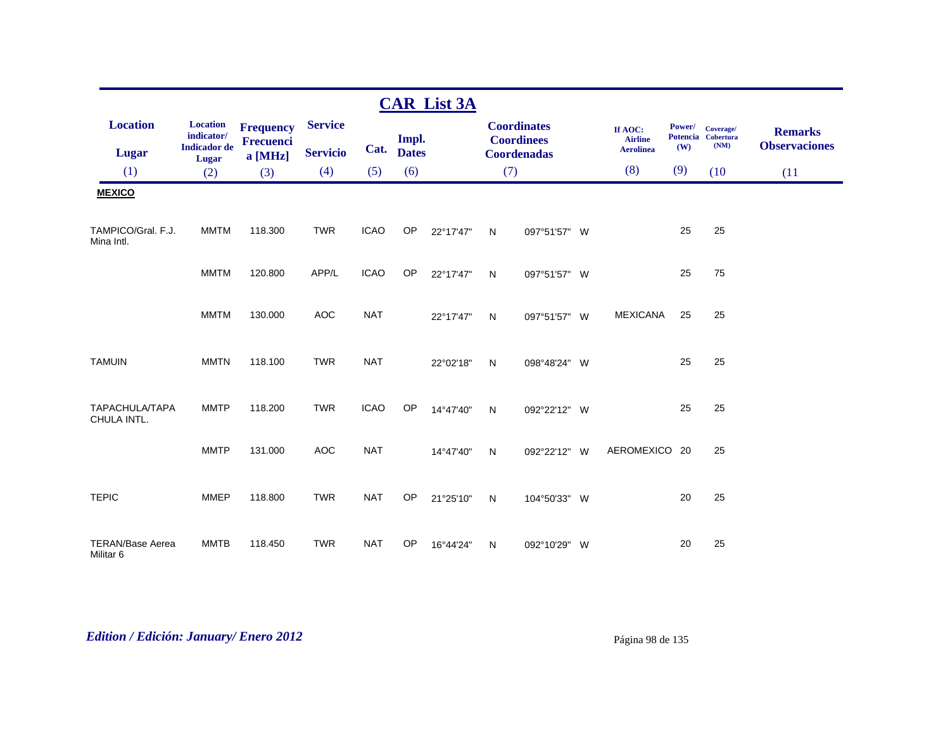|                                      |                                                                                 |                                                 |                                   |             |                       | <b>CAR List 3A</b> |              |                                                               |                                               |               |                                         |                                        |
|--------------------------------------|---------------------------------------------------------------------------------|-------------------------------------------------|-----------------------------------|-------------|-----------------------|--------------------|--------------|---------------------------------------------------------------|-----------------------------------------------|---------------|-----------------------------------------|----------------------------------------|
| <b>Location</b><br><b>Lugar</b>      | <b>Location</b><br>$\textbf{indicator}/\text{}$<br><b>Indicador</b> de<br>Lugar | <b>Frequency</b><br><b>Frecuenci</b><br>a [MHz] | <b>Service</b><br><b>Servicio</b> | Cat.        | Impl.<br><b>Dates</b> |                    |              | <b>Coordinates</b><br><b>Coordinees</b><br><b>Coordenadas</b> | If AOC:<br><b>Airline</b><br><b>Aerolinea</b> | Power/<br>(W) | Coverage/<br>Potencia Cobertura<br>(NM) | <b>Remarks</b><br><b>Observaciones</b> |
| (1)                                  | (2)                                                                             | (3)                                             | (4)                               | (5)         | (6)                   |                    | (7)          |                                                               | (8)                                           | (9)           | (10)                                    | (11)                                   |
| <b>MEXICO</b>                        |                                                                                 |                                                 |                                   |             |                       |                    |              |                                                               |                                               |               |                                         |                                        |
| TAMPICO/Gral, F.J.<br>Mina Intl.     | <b>MMTM</b>                                                                     | 118.300                                         | <b>TWR</b>                        | <b>ICAO</b> | OP                    | 22°17'47"          | N            | 097°51'57" W                                                  |                                               | 25            | 25                                      |                                        |
|                                      | <b>MMTM</b>                                                                     | 120.800                                         | APP/L                             | <b>ICAO</b> | OP                    | 22°17'47"          | N            | 097°51'57" W                                                  |                                               | 25            | 75                                      |                                        |
|                                      | <b>MMTM</b>                                                                     | 130.000                                         | <b>AOC</b>                        | <b>NAT</b>  |                       | 22°17'47"          | $\mathsf{N}$ | 097°51'57" W                                                  | <b>MEXICANA</b>                               | 25            | 25                                      |                                        |
| <b>TAMUIN</b>                        | <b>MMTN</b>                                                                     | 118.100                                         | <b>TWR</b>                        | <b>NAT</b>  |                       | 22°02'18"          | N            | 098°48'24" W                                                  |                                               | 25            | 25                                      |                                        |
| TAPACHULA/TAPA<br>CHULA INTL.        | <b>MMTP</b>                                                                     | 118.200                                         | <b>TWR</b>                        | <b>ICAO</b> | OP                    | 14°47'40"          | N            | 092°22'12" W                                                  |                                               | 25            | 25                                      |                                        |
|                                      | <b>MMTP</b>                                                                     | 131.000                                         | <b>AOC</b>                        | <b>NAT</b>  |                       | 14°47'40"          | N            | 092°22'12" W                                                  | AEROMEXICO 20                                 |               | 25                                      |                                        |
| <b>TEPIC</b>                         | <b>MMEP</b>                                                                     | 118.800                                         | <b>TWR</b>                        | <b>NAT</b>  | OP                    | 21°25'10"          | ${\sf N}$    | 104°50'33" W                                                  |                                               | 20            | 25                                      |                                        |
| <b>TERAN/Base Aerea</b><br>Militar 6 | <b>MMTB</b>                                                                     | 118.450                                         | <b>TWR</b>                        | <b>NAT</b>  | OP                    | 16°44'24"          | N            | 092°10'29" W                                                  |                                               | 20            | 25                                      |                                        |

# *Edition / Edición: January/ Enero 2012* Página 98 de 135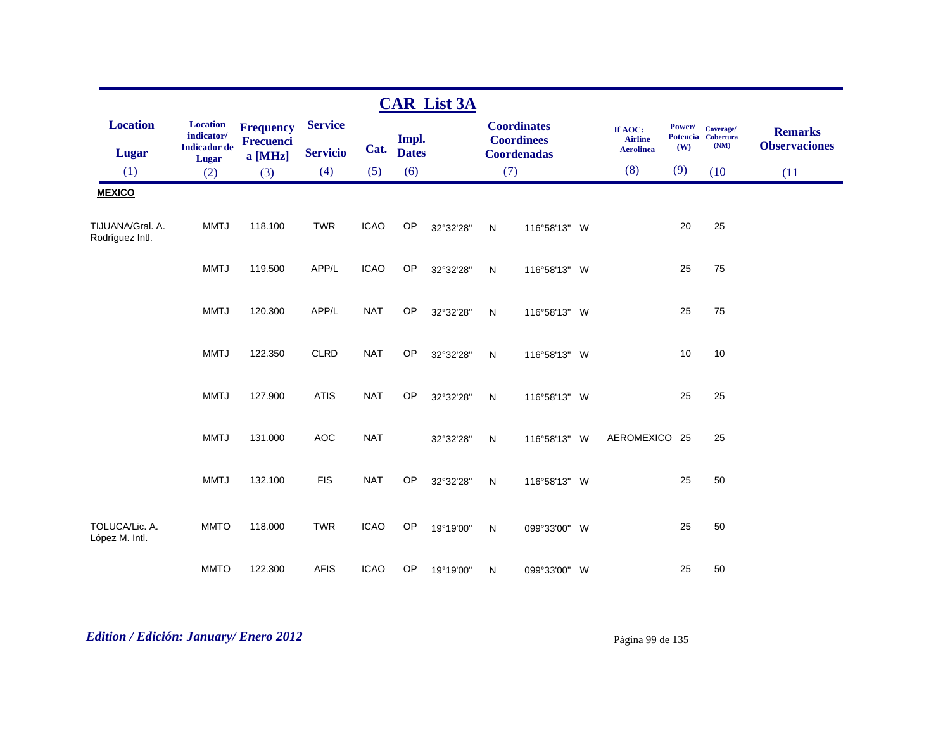|                                     |                               |                                      |                 |             |              | <b>CAR List 3A</b> |              |                                         |                           |        |                                 |                      |
|-------------------------------------|-------------------------------|--------------------------------------|-----------------|-------------|--------------|--------------------|--------------|-----------------------------------------|---------------------------|--------|---------------------------------|----------------------|
| <b>Location</b>                     | <b>Location</b><br>indicator/ | <b>Frequency</b><br><b>Frecuenci</b> | <b>Service</b>  |             | Impl.        |                    |              | <b>Coordinates</b><br><b>Coordinees</b> | If AOC:<br><b>Airline</b> | Power/ | Coverage/<br>Potencia Cobertura | <b>Remarks</b>       |
| Lugar                               | <b>Indicador</b> de<br>Lugar  | a [MHz]                              | <b>Servicio</b> | Cat.        | <b>Dates</b> |                    |              | <b>Coordenadas</b>                      | <b>Aerolinea</b>          | (W)    | (NM)                            | <b>Observaciones</b> |
| (1)                                 | (2)                           | (3)                                  | (4)             | (5)         | (6)          |                    | (7)          |                                         | (8)                       | (9)    | (10)                            | (11)                 |
| <b>MEXICO</b>                       |                               |                                      |                 |             |              |                    |              |                                         |                           |        |                                 |                      |
| TIJUANA/Gral. A.<br>Rodríguez Intl. | <b>MMTJ</b>                   | 118.100                              | <b>TWR</b>      | <b>ICAO</b> | OP           | 32°32'28"          | N            | 116°58'13" W                            |                           | 20     | 25                              |                      |
|                                     | <b>MMTJ</b>                   | 119.500                              | APP/L           | <b>ICAO</b> | OP           | 32°32'28"          | N            | 116°58'13" W                            |                           | 25     | 75                              |                      |
|                                     | <b>MMTJ</b>                   | 120.300                              | APP/L           | <b>NAT</b>  | OP           | 32°32'28"          | ${\sf N}$    | 116°58'13" W                            |                           | 25     | 75                              |                      |
|                                     | <b>MMTJ</b>                   | 122.350                              | <b>CLRD</b>     | <b>NAT</b>  | OP           | 32°32'28"          | N            | 116°58'13" W                            |                           | 10     | 10                              |                      |
|                                     | <b>MMTJ</b>                   | 127.900                              | <b>ATIS</b>     | <b>NAT</b>  | OP           | 32°32'28"          | N            | 116°58'13" W                            |                           | 25     | 25                              |                      |
|                                     | <b>MMTJ</b>                   | 131.000                              | <b>AOC</b>      | <b>NAT</b>  |              | 32°32'28"          | N            | 116°58'13" W                            | AEROMEXICO 25             |        | 25                              |                      |
|                                     | <b>MMTJ</b>                   | 132.100                              | <b>FIS</b>      | <b>NAT</b>  | OP           | 32°32'28"          | $\mathsf{N}$ | 116°58'13" W                            |                           | 25     | 50                              |                      |
| TOLUCA/Lic. A.<br>López M. Intl.    | <b>MMTO</b>                   | 118.000                              | <b>TWR</b>      | <b>ICAO</b> | OP           | 19°19'00"          | N            | 099°33'00" W                            |                           | 25     | 50                              |                      |
|                                     | <b>MMTO</b>                   | 122.300                              | <b>AFIS</b>     | <b>ICAO</b> | OP           | 19°19'00"          | N            | 099°33'00" W                            |                           | 25     | 50                              |                      |

# *Edition / Edición: January/ Enero 2012* Página 99 de 135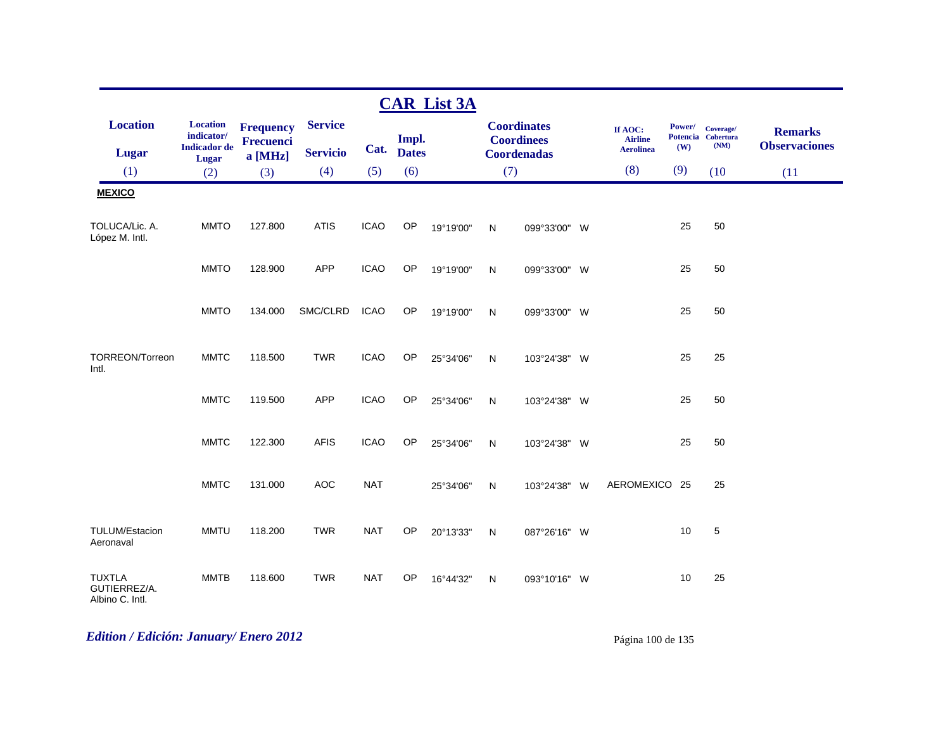|                                                  |                                                               |                                                 |                                   |             |                       | <b>CAR List 3A</b> |              |                                                               |                                               |                      |                                         |                                        |
|--------------------------------------------------|---------------------------------------------------------------|-------------------------------------------------|-----------------------------------|-------------|-----------------------|--------------------|--------------|---------------------------------------------------------------|-----------------------------------------------|----------------------|-----------------------------------------|----------------------------------------|
| <b>Location</b><br><b>Lugar</b>                  | <b>Location</b><br>indicator/<br><b>Indicador</b> de<br>Lugar | <b>Frequency</b><br><b>Frecuenci</b><br>a [MHz] | <b>Service</b><br><b>Servicio</b> | Cat.        | Impl.<br><b>Dates</b> |                    |              | <b>Coordinates</b><br><b>Coordinees</b><br><b>Coordenadas</b> | If AOC:<br><b>Airline</b><br><b>Aerolinea</b> | <b>Power/</b><br>(W) | Coverage/<br>Potencia Cobertura<br>(NM) | <b>Remarks</b><br><b>Observaciones</b> |
| (1)                                              | (2)                                                           | (3)                                             | (4)                               | (5)         | (6)                   |                    | (7)          |                                                               | (8)                                           | (9)                  | (10)                                    | (11)                                   |
| <b>MEXICO</b>                                    |                                                               |                                                 |                                   |             |                       |                    |              |                                                               |                                               |                      |                                         |                                        |
| TOLUCA/Lic. A.<br>López M. Intl.                 | <b>MMTO</b>                                                   | 127.800                                         | <b>ATIS</b>                       | <b>ICAO</b> | OP                    | 19°19'00"          | N            | 099°33'00" W                                                  |                                               | 25                   | 50                                      |                                        |
|                                                  | <b>MMTO</b>                                                   | 128.900                                         | <b>APP</b>                        | <b>ICAO</b> | OP                    | 19°19'00"          | N            | 099°33'00" W                                                  |                                               | 25                   | 50                                      |                                        |
|                                                  | <b>MMTO</b>                                                   | 134.000                                         | SMC/CLRD                          | <b>ICAO</b> | OP                    | 19°19'00"          | N            | 099°33'00" W                                                  |                                               | 25                   | 50                                      |                                        |
| TORREON/Torreon<br>Intl.                         | <b>MMTC</b>                                                   | 118.500                                         | <b>TWR</b>                        | <b>ICAO</b> | OP                    | 25°34'06"          | ${\sf N}$    | 103°24'38" W                                                  |                                               | 25                   | 25                                      |                                        |
|                                                  | <b>MMTC</b>                                                   | 119.500                                         | <b>APP</b>                        | <b>ICAO</b> | OP                    | 25°34'06"          | N            | 103°24'38" W                                                  |                                               | 25                   | 50                                      |                                        |
|                                                  | <b>MMTC</b>                                                   | 122.300                                         | <b>AFIS</b>                       | <b>ICAO</b> | OP                    | 25°34'06"          | N            | 103°24'38" W                                                  |                                               | 25                   | 50                                      |                                        |
|                                                  | <b>MMTC</b>                                                   | 131.000                                         | <b>AOC</b>                        | <b>NAT</b>  |                       | 25°34'06"          | N            | 103°24'38" W                                                  | AEROMEXICO 25                                 |                      | 25                                      |                                        |
| TULUM/Estacion<br>Aeronaval                      | <b>MMTU</b>                                                   | 118.200                                         | <b>TWR</b>                        | <b>NAT</b>  | OP                    | 20°13'33"          | N            | 087°26'16" W                                                  |                                               | 10                   | $\sqrt{5}$                              |                                        |
| <b>TUXTLA</b><br>GUTIERREZ/A.<br>Albino C. Intl. | <b>MMTB</b>                                                   | 118.600                                         | <b>TWR</b>                        | <b>NAT</b>  | <b>OP</b>             | 16°44'32"          | $\mathsf{N}$ | 093°10'16" W                                                  |                                               | 10                   | 25                                      |                                        |

# *Edition / Edición: January/ Enero 2012* Página 100 de 135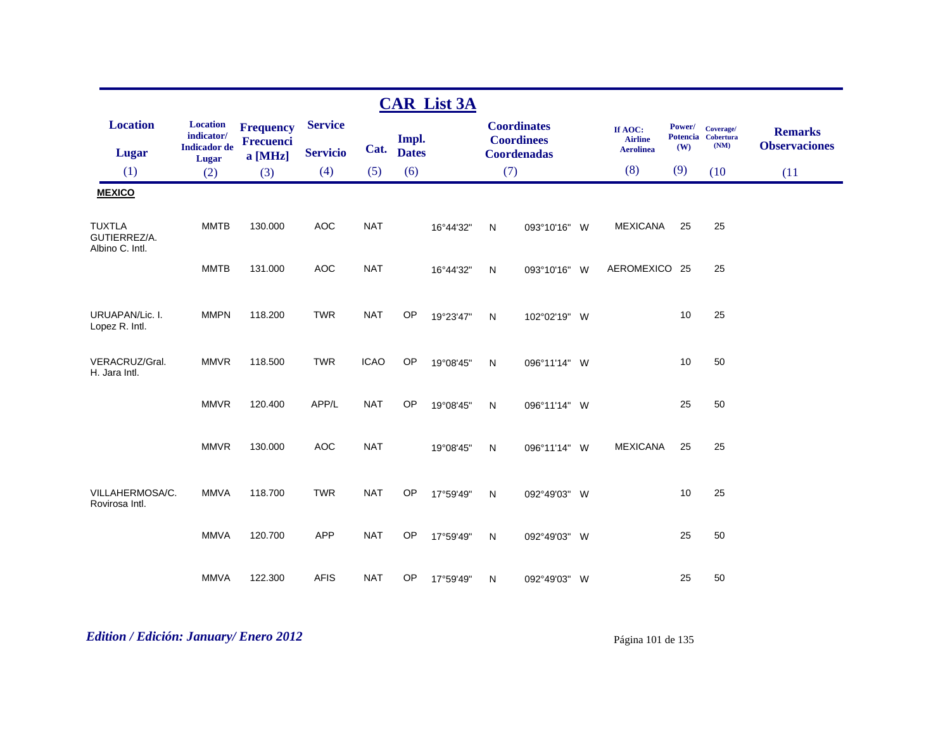|                                                  |                                                               |                                                 |                                   |             |                       | <b>CAR List 3A</b> |              |                                                               |                                               |               |                                         |                                        |
|--------------------------------------------------|---------------------------------------------------------------|-------------------------------------------------|-----------------------------------|-------------|-----------------------|--------------------|--------------|---------------------------------------------------------------|-----------------------------------------------|---------------|-----------------------------------------|----------------------------------------|
| <b>Location</b><br><b>Lugar</b>                  | <b>Location</b><br>indicator/<br><b>Indicador</b> de<br>Lugar | <b>Frequency</b><br><b>Frecuenci</b><br>a [MHz] | <b>Service</b><br><b>Servicio</b> | Cat.        | Impl.<br><b>Dates</b> |                    |              | <b>Coordinates</b><br><b>Coordinees</b><br><b>Coordenadas</b> | If AOC:<br><b>Airline</b><br><b>Aerolinea</b> | Power/<br>(W) | Coverage/<br>Potencia Cobertura<br>(NM) | <b>Remarks</b><br><b>Observaciones</b> |
| (1)                                              | (2)                                                           | (3)                                             | (4)                               | (5)         | (6)                   |                    | (7)          |                                                               | (8)                                           | (9)           | (10)                                    | (11)                                   |
| <b>MEXICO</b>                                    |                                                               |                                                 |                                   |             |                       |                    |              |                                                               |                                               |               |                                         |                                        |
| <b>TUXTLA</b><br>GUTIERREZ/A.<br>Albino C. Intl. | <b>MMTB</b>                                                   | 130.000                                         | <b>AOC</b>                        | <b>NAT</b>  |                       | 16°44'32"          | $\mathsf{N}$ | 093°10'16" W                                                  | <b>MEXICANA</b>                               | 25            | 25                                      |                                        |
|                                                  | <b>MMTB</b>                                                   | 131.000                                         | <b>AOC</b>                        | <b>NAT</b>  |                       | 16°44'32"          | N            | 093°10'16" W                                                  | AEROMEXICO 25                                 |               | 25                                      |                                        |
| URUAPAN/Lic. I.<br>Lopez R. Intl.                | <b>MMPN</b>                                                   | 118.200                                         | <b>TWR</b>                        | <b>NAT</b>  | <b>OP</b>             | 19°23'47"          | $\mathsf{N}$ | 102°02'19" W                                                  |                                               | 10            | 25                                      |                                        |
| VERACRUZ/Gral.<br>H. Jara Intl.                  | <b>MMVR</b>                                                   | 118.500                                         | <b>TWR</b>                        | <b>ICAO</b> | OP                    | 19°08'45"          | $\mathsf{N}$ | 096°11'14" W                                                  |                                               | 10            | 50                                      |                                        |
|                                                  | <b>MMVR</b>                                                   | 120.400                                         | APP/L                             | <b>NAT</b>  | OP                    | 19°08'45"          | $\mathsf{N}$ | 096°11'14" W                                                  |                                               | 25            | 50                                      |                                        |
|                                                  | <b>MMVR</b>                                                   | 130.000                                         | <b>AOC</b>                        | <b>NAT</b>  |                       | 19°08'45"          | N            | 096°11'14" W                                                  | <b>MEXICANA</b>                               | 25            | 25                                      |                                        |
| VILLAHERMOSA/C.<br>Rovirosa Intl.                | <b>MMVA</b>                                                   | 118.700                                         | <b>TWR</b>                        | <b>NAT</b>  | OP                    | 17°59'49"          | N            | 092°49'03" W                                                  |                                               | 10            | 25                                      |                                        |
|                                                  | <b>MMVA</b>                                                   | 120.700                                         | <b>APP</b>                        | <b>NAT</b>  | <b>OP</b>             | 17°59'49"          | $\mathsf{N}$ | 092°49'03" W                                                  |                                               | 25            | 50                                      |                                        |
|                                                  | <b>MMVA</b>                                                   | 122.300                                         | <b>AFIS</b>                       | <b>NAT</b>  | OP                    | 17°59'49"          | N            | 092°49'03" W                                                  |                                               | 25            | 50                                      |                                        |

# *Edition / Edición: January/ Enero 2012* Página 101 de 135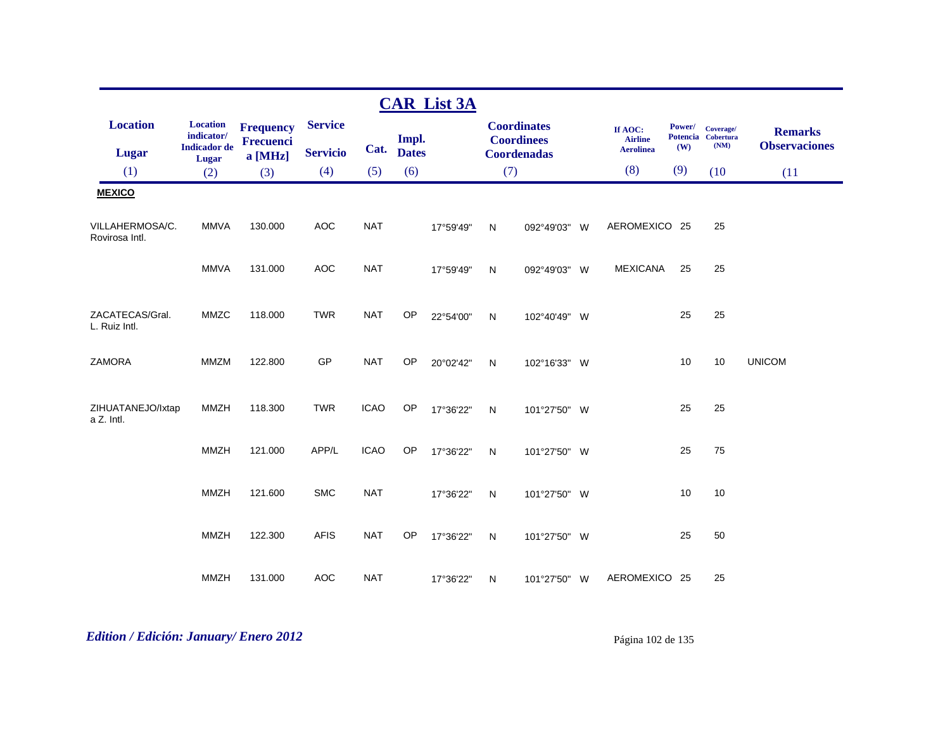|                                   |                                                               |                                                 |                                   |             |                       | <b>CAR List 3A</b> |              |                                                               |                                               |               |                                         |                                        |
|-----------------------------------|---------------------------------------------------------------|-------------------------------------------------|-----------------------------------|-------------|-----------------------|--------------------|--------------|---------------------------------------------------------------|-----------------------------------------------|---------------|-----------------------------------------|----------------------------------------|
| <b>Location</b><br>Lugar          | <b>Location</b><br>indicator/<br><b>Indicador</b> de<br>Lugar | <b>Frequency</b><br><b>Frecuenci</b><br>a [MHz] | <b>Service</b><br><b>Servicio</b> | Cat.        | Impl.<br><b>Dates</b> |                    |              | <b>Coordinates</b><br><b>Coordinees</b><br><b>Coordenadas</b> | If AOC:<br><b>Airline</b><br><b>Aerolinea</b> | Power/<br>(W) | Coverage/<br>Potencia Cobertura<br>(NM) | <b>Remarks</b><br><b>Observaciones</b> |
| (1)                               | (2)                                                           | (3)                                             | (4)                               | (5)         | (6)                   |                    | (7)          |                                                               | (8)                                           | (9)           | (10)                                    | (11)                                   |
| <b>MEXICO</b>                     |                                                               |                                                 |                                   |             |                       |                    |              |                                                               |                                               |               |                                         |                                        |
| VILLAHERMOSA/C.<br>Rovirosa Intl. | <b>MMVA</b>                                                   | 130.000                                         | <b>AOC</b>                        | <b>NAT</b>  |                       | 17°59'49"          | $\mathsf{N}$ | 092°49'03" W                                                  | AEROMEXICO 25                                 |               | 25                                      |                                        |
|                                   | <b>MMVA</b>                                                   | 131.000                                         | <b>AOC</b>                        | <b>NAT</b>  |                       | 17°59'49"          | $\mathsf{N}$ | 092°49'03" W                                                  | <b>MEXICANA</b>                               | 25            | 25                                      |                                        |
| ZACATECAS/Gral.<br>L. Ruiz Intl.  | MMZC                                                          | 118.000                                         | <b>TWR</b>                        | <b>NAT</b>  | OP                    | 22°54'00"          | $\mathsf{N}$ | 102°40'49" W                                                  |                                               | 25            | 25                                      |                                        |
| <b>ZAMORA</b>                     | <b>MMZM</b>                                                   | 122.800                                         | GP                                | <b>NAT</b>  | OP                    | 20°02'42"          | $\mathsf{N}$ | 102°16'33" W                                                  |                                               | 10            | 10                                      | <b>UNICOM</b>                          |
| ZIHUATANEJO/Ixtap<br>a Z. Intl.   | <b>MMZH</b>                                                   | 118.300                                         | <b>TWR</b>                        | <b>ICAO</b> | OP                    | 17°36'22"          | $\mathsf{N}$ | 101°27'50" W                                                  |                                               | 25            | 25                                      |                                        |
|                                   | <b>MMZH</b>                                                   | 121.000                                         | APP/L                             | <b>ICAO</b> | OP                    | 17°36'22"          | $\mathsf{N}$ | 101°27'50" W                                                  |                                               | 25            | 75                                      |                                        |
|                                   | <b>MMZH</b>                                                   | 121.600                                         | <b>SMC</b>                        | <b>NAT</b>  |                       | 17°36'22"          | ${\sf N}$    | 101°27'50" W                                                  |                                               | 10            | 10                                      |                                        |
|                                   | <b>MMZH</b>                                                   | 122.300                                         | <b>AFIS</b>                       | <b>NAT</b>  | OP                    | 17°36'22"          | $\mathsf{N}$ | 101°27'50" W                                                  |                                               | 25            | 50                                      |                                        |
|                                   | <b>MMZH</b>                                                   | 131.000                                         | <b>AOC</b>                        | <b>NAT</b>  |                       | 17°36'22"          | N            | 101°27'50" W                                                  | AEROMEXICO 25                                 |               | 25                                      |                                        |

# *Edition / Edición: January/ Enero 2012* Página 102 de 135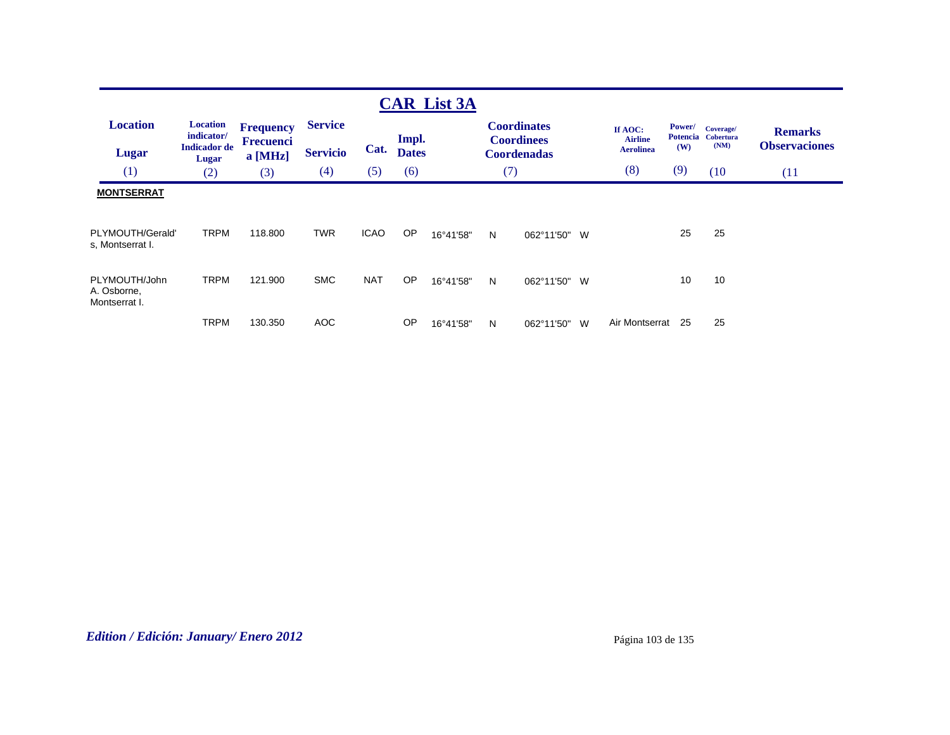| <b>Location</b><br><b>Lugar</b>               | <b>Location</b><br>indicator/<br><b>Indicador</b> de<br>Lugar | <b>Frequency</b><br>Frecuenci<br>$a$ [MHz] | <b>Service</b><br><b>Servicio</b> | Cat.        | Impl.<br><b>Dates</b> |           |     | <b>Coordinates</b><br><b>Coordinees</b><br><b>Coordenadas</b> | If AOC:<br><b>Airline</b><br><b>Aerolinea</b> | Power/<br><b>Potencia</b><br>(W) | Coverage/<br><b>Cobertura</b><br>(NM) | <b>Remarks</b><br><b>Observaciones</b> |
|-----------------------------------------------|---------------------------------------------------------------|--------------------------------------------|-----------------------------------|-------------|-----------------------|-----------|-----|---------------------------------------------------------------|-----------------------------------------------|----------------------------------|---------------------------------------|----------------------------------------|
| (1)                                           | (2)                                                           | (3)                                        | (4)                               | (5)         | (6)                   |           | (7) |                                                               | (8)                                           | (9)                              | (10)                                  | (11)                                   |
| <b>MONTSERRAT</b><br>PLYMOUTH/Gerald'         | <b>TRPM</b>                                                   | 118,800                                    | <b>TWR</b>                        | <b>ICAO</b> | OP                    | 16°41'58" | N   | 062°11'50" W                                                  |                                               | 25                               | 25                                    |                                        |
| s, Montserrat I.                              |                                                               |                                            |                                   |             |                       |           |     |                                                               |                                               |                                  |                                       |                                        |
| PLYMOUTH/John<br>A. Osborne,<br>Montserrat I. | <b>TRPM</b>                                                   | 121.900                                    | <b>SMC</b>                        | <b>NAT</b>  | <b>OP</b>             | 16°41'58" | N   | 062°11'50" W                                                  |                                               | 10                               | 10                                    |                                        |
|                                               | <b>TRPM</b>                                                   | 130.350                                    | AOC                               |             | <b>OP</b>             | 16°41'58" | N   | 062°11'50"<br>W                                               | Air Montserrat                                | 25                               | 25                                    |                                        |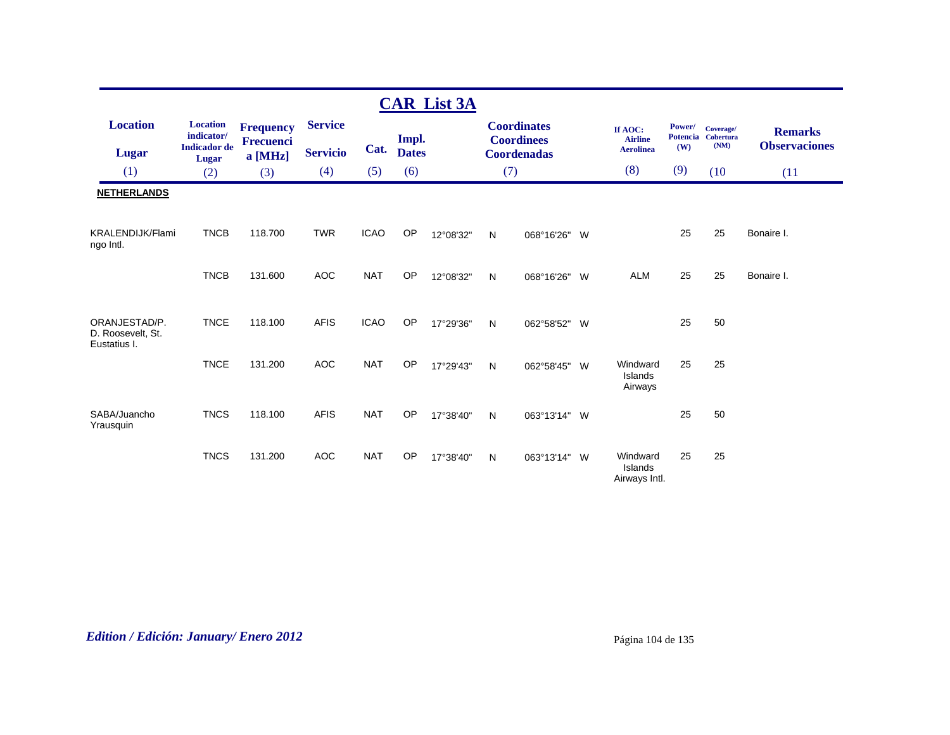|                                                    |                               |                                      |                 |             |              | <b>CAR List 3A</b> |     |                                         |          |                                      |                           |                               |                      |
|----------------------------------------------------|-------------------------------|--------------------------------------|-----------------|-------------|--------------|--------------------|-----|-----------------------------------------|----------|--------------------------------------|---------------------------|-------------------------------|----------------------|
| <b>Location</b>                                    | <b>Location</b><br>indicator/ | <b>Frequency</b><br><b>Frecuenci</b> | <b>Service</b>  |             | Impl.        |                    |     | <b>Coordinates</b><br><b>Coordinees</b> |          | If AOC:<br><b>Airline</b>            | Power/<br><b>Potencia</b> | Coverage/<br><b>Cobertura</b> | <b>Remarks</b>       |
| <b>Lugar</b>                                       | <b>Indicador</b> de<br>Lugar  | a [MHz]                              | <b>Servicio</b> | Cat.        | <b>Dates</b> |                    |     | <b>Coordenadas</b>                      |          | <b>Aerolinea</b>                     | (W)                       | (NM)                          | <b>Observaciones</b> |
| (1)                                                | (2)                           | (3)                                  | (4)             | (5)         | (6)          |                    | (7) |                                         |          | (8)                                  | (9)                       | (10)                          | (11)                 |
| <b>NETHERLANDS</b>                                 |                               |                                      |                 |             |              |                    |     |                                         |          |                                      |                           |                               |                      |
| <b>KRALENDIJK/Flami</b><br>ngo Intl.               | <b>TNCB</b>                   | 118.700                              | <b>TWR</b>      | <b>ICAO</b> | OP           | 12°08'32"          | N   | 068°16'26"                              | - W      |                                      | 25                        | 25                            | Bonaire I.           |
|                                                    | <b>TNCB</b>                   | 131.600                              | <b>AOC</b>      | <b>NAT</b>  | <b>OP</b>    | 12°08'32"          | N   | 068°16'26"                              | <b>W</b> | <b>ALM</b>                           | 25                        | 25                            | Bonaire I.           |
| ORANJESTAD/P.<br>D. Roosevelt, St.<br>Eustatius I. | <b>TNCE</b>                   | 118.100                              | <b>AFIS</b>     | <b>ICAO</b> | <b>OP</b>    | 17°29'36"          | N   | 062°58'52" W                            |          |                                      | 25                        | 50                            |                      |
|                                                    | <b>TNCE</b>                   | 131.200                              | <b>AOC</b>      | <b>NAT</b>  | <b>OP</b>    | 17°29'43"          | N   | 062°58'45"                              | - W      | Windward<br>Islands<br>Airways       | 25                        | 25                            |                      |
| SABA/Juancho<br>Yrausquin                          | <b>TNCS</b>                   | 118.100                              | <b>AFIS</b>     | <b>NAT</b>  | <b>OP</b>    | 17°38'40"          | N   | 063°13'14"                              | <b>W</b> |                                      | 25                        | 50                            |                      |
|                                                    | <b>TNCS</b>                   | 131.200                              | <b>AOC</b>      | <b>NAT</b>  | <b>OP</b>    | 17°38'40"          | N   | 063°13'14"                              | <b>W</b> | Windward<br>Islands<br>Airways Intl. | 25                        | 25                            |                      |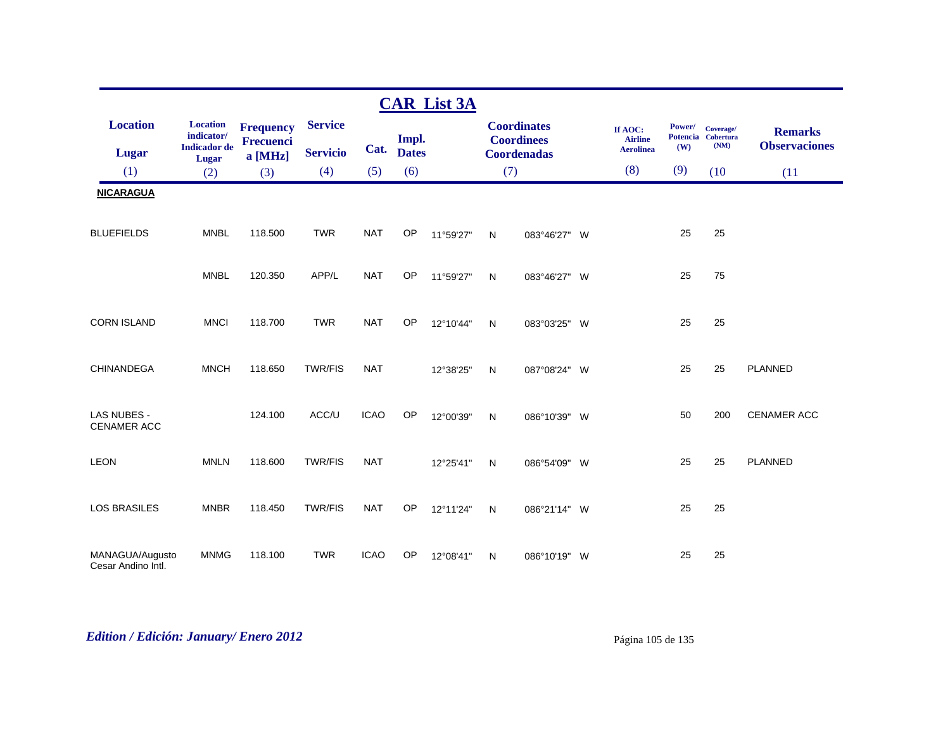|                                       |                               |                      |                 |             |              | <b>CAR List 3A</b> |           |                                         |                           |        |                                 |                      |
|---------------------------------------|-------------------------------|----------------------|-----------------|-------------|--------------|--------------------|-----------|-----------------------------------------|---------------------------|--------|---------------------------------|----------------------|
| <b>Location</b>                       | <b>Location</b><br>indicator/ | <b>Frequency</b>     | <b>Service</b>  |             | Impl.        |                    |           | <b>Coordinates</b><br><b>Coordinees</b> | If AOC:<br><b>Airline</b> | Power/ | Coverage/<br>Potencia Cobertura | <b>Remarks</b>       |
| <b>Lugar</b>                          | <b>Indicador</b> de<br>Lugar  | Frecuenci<br>a [MHz] | <b>Servicio</b> | Cat.        | <b>Dates</b> |                    |           | <b>Coordenadas</b>                      | <b>Aerolinea</b>          | (W)    | (NM)                            | <b>Observaciones</b> |
| (1)                                   | (2)                           | (3)                  | (4)             | (5)         | (6)          |                    | (7)       |                                         | (8)                       | (9)    | (10)                            | (11)                 |
| <b>NICARAGUA</b>                      |                               |                      |                 |             |              |                    |           |                                         |                           |        |                                 |                      |
| <b>BLUEFIELDS</b>                     | <b>MNBL</b>                   | 118.500              | <b>TWR</b>      | <b>NAT</b>  | OP           | 11°59'27"          | ${\sf N}$ | 083°46'27" W                            |                           | 25     | 25                              |                      |
|                                       | <b>MNBL</b>                   | 120.350              | APP/L           | <b>NAT</b>  | OP           | 11°59'27"          | N         | 083°46'27" W                            |                           | 25     | 75                              |                      |
| <b>CORN ISLAND</b>                    | <b>MNCI</b>                   | 118.700              | <b>TWR</b>      | <b>NAT</b>  | <b>OP</b>    | 12°10'44"          | ${\sf N}$ | 083°03'25" W                            |                           | 25     | 25                              |                      |
| CHINANDEGA                            | <b>MNCH</b>                   | 118.650              | <b>TWR/FIS</b>  | <b>NAT</b>  |              | 12°38'25"          | N         | 087°08'24" W                            |                           | 25     | 25                              | PLANNED              |
| <b>LAS NUBES -</b><br>CENAMER ACC     |                               | 124.100              | ACC/U           | <b>ICAO</b> | OP           | 12°00'39"          | N         | 086°10'39" W                            |                           | 50     | 200                             | <b>CENAMER ACC</b>   |
| <b>LEON</b>                           | <b>MNLN</b>                   | 118.600              | <b>TWR/FIS</b>  | <b>NAT</b>  |              | 12°25'41"          | N         | 086°54'09" W                            |                           | 25     | 25                              | PLANNED              |
| <b>LOS BRASILES</b>                   | <b>MNBR</b>                   | 118.450              | <b>TWR/FIS</b>  | <b>NAT</b>  | <b>OP</b>    | 12°11'24"          | N         | 086°21'14" W                            |                           | 25     | 25                              |                      |
| MANAGUA/Augusto<br>Cesar Andino Intl. | <b>MNMG</b>                   | 118.100              | <b>TWR</b>      | <b>ICAO</b> | OP           | 12°08'41"          | N         | 086°10'19" W                            |                           | 25     | 25                              |                      |

# *Edition / Edición: January/ Enero 2012* Página 105 de 135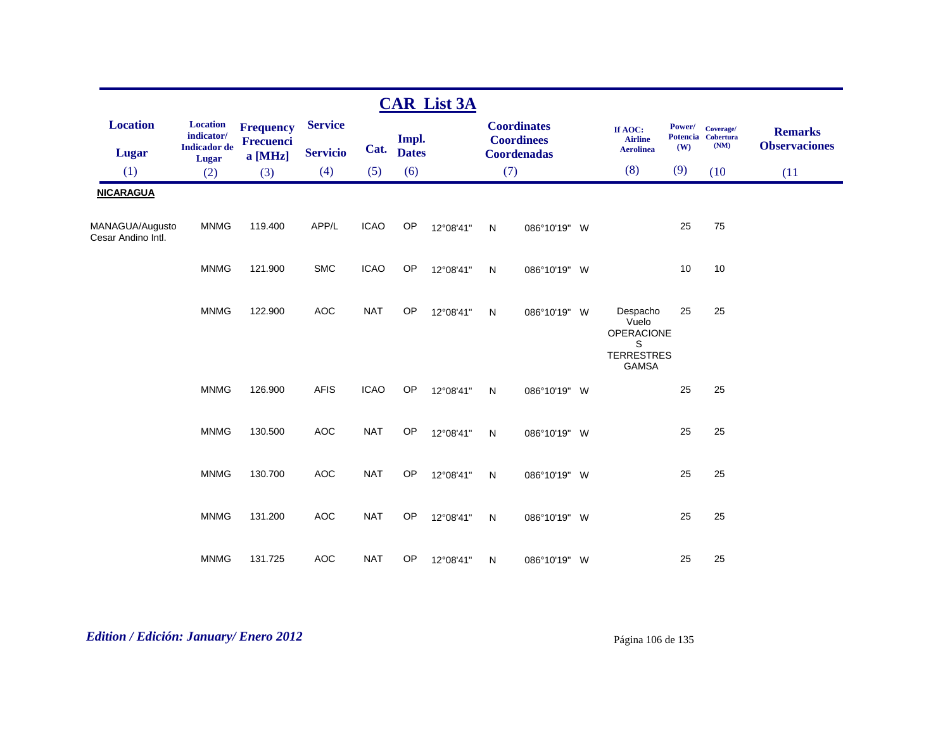|                                       |                                                      |                               |                                   |             |                       | <b>CAR List 3A</b> |     |                                                               |                                                                           |               |                                         |                                        |
|---------------------------------------|------------------------------------------------------|-------------------------------|-----------------------------------|-------------|-----------------------|--------------------|-----|---------------------------------------------------------------|---------------------------------------------------------------------------|---------------|-----------------------------------------|----------------------------------------|
| <b>Location</b><br><b>Lugar</b>       | <b>Location</b><br>indicator/<br><b>Indicador</b> de | <b>Frequency</b><br>Frecuenci | <b>Service</b><br><b>Servicio</b> | Cat.        | Impl.<br><b>Dates</b> |                    |     | <b>Coordinates</b><br><b>Coordinees</b><br><b>Coordenadas</b> | If AOC:<br><b>Airline</b><br><b>Aerolinea</b>                             | Power/<br>(W) | Coverage/<br>Potencia Cobertura<br>(NM) | <b>Remarks</b><br><b>Observaciones</b> |
| (1)                                   | <b>Lugar</b><br>(2)                                  | a [MHz]<br>(3)                | (4)                               | (5)         | (6)                   |                    | (7) |                                                               | (8)                                                                       | (9)           | (10)                                    | (11)                                   |
| <b>NICARAGUA</b>                      |                                                      |                               |                                   |             |                       |                    |     |                                                               |                                                                           |               |                                         |                                        |
|                                       |                                                      |                               |                                   |             |                       |                    |     |                                                               |                                                                           |               |                                         |                                        |
| MANAGUA/Augusto<br>Cesar Andino Intl. | <b>MNMG</b>                                          | 119.400                       | APP/L                             | <b>ICAO</b> | OP                    | 12°08'41"          | N   | 086°10'19" W                                                  |                                                                           | 25            | 75                                      |                                        |
|                                       | <b>MNMG</b>                                          | 121.900                       | <b>SMC</b>                        | <b>ICAO</b> | OP                    | 12°08'41"          | N   | 086°10'19" W                                                  |                                                                           | 10            | 10                                      |                                        |
|                                       | <b>MNMG</b>                                          | 122.900                       | <b>AOC</b>                        | <b>NAT</b>  | OP                    | 12°08'41"          | N   | 086°10'19" W                                                  | Despacho<br>Vuelo<br>OPERACIONE<br>S<br><b>TERRESTRES</b><br><b>GAMSA</b> | 25            | 25                                      |                                        |
|                                       | <b>MNMG</b>                                          | 126.900                       | <b>AFIS</b>                       | <b>ICAO</b> | OP                    | 12°08'41"          | N   | 086°10'19" W                                                  |                                                                           | 25            | 25                                      |                                        |
|                                       | <b>MNMG</b>                                          | 130.500                       | <b>AOC</b>                        | <b>NAT</b>  | OP                    | 12°08'41"          | N   | 086°10'19" W                                                  |                                                                           | 25            | 25                                      |                                        |
|                                       | <b>MNMG</b>                                          | 130.700                       | <b>AOC</b>                        | <b>NAT</b>  | OP                    | 12°08'41"          | N   | 086°10'19" W                                                  |                                                                           | 25            | 25                                      |                                        |
|                                       | <b>MNMG</b>                                          | 131.200                       | <b>AOC</b>                        | <b>NAT</b>  | OP                    | 12°08'41"          | N   | 086°10'19" W                                                  |                                                                           | 25            | 25                                      |                                        |
|                                       | <b>MNMG</b>                                          | 131.725                       | <b>AOC</b>                        | <b>NAT</b>  | <b>OP</b>             | 12°08'41"          | N   | 086°10'19" W                                                  |                                                                           | 25            | 25                                      |                                        |

# *Edition / Edición: January/ Enero 2012* Página 106 de 135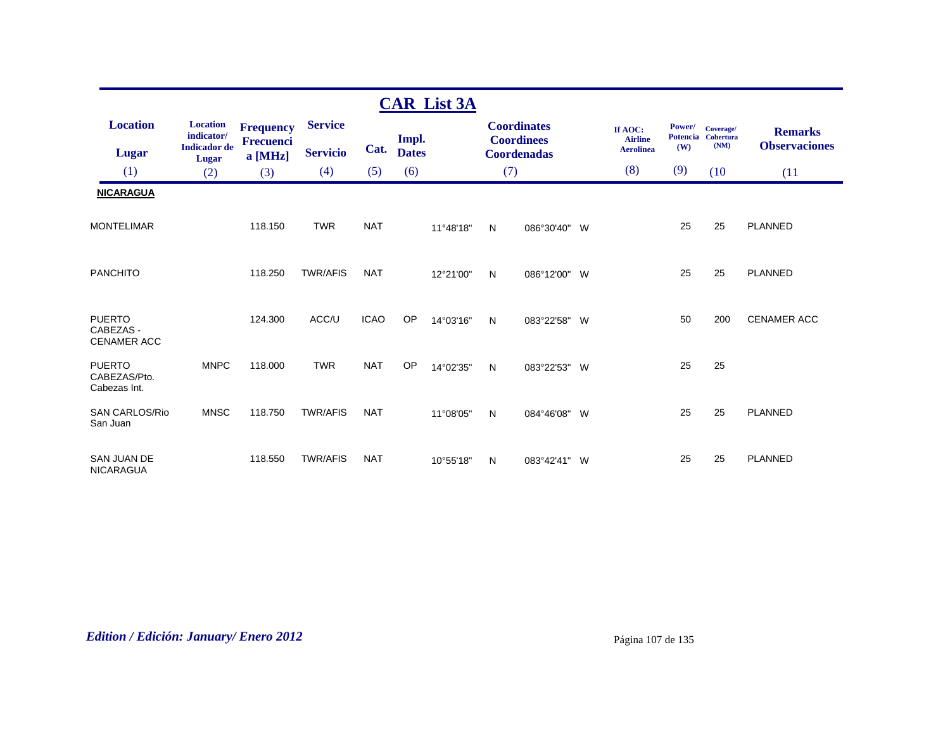|                                                  |                               |                             |                 |             |                       | <b>CAR List 3A</b> |     |                                         |   |                                    |               |                                 |                      |
|--------------------------------------------------|-------------------------------|-----------------------------|-----------------|-------------|-----------------------|--------------------|-----|-----------------------------------------|---|------------------------------------|---------------|---------------------------------|----------------------|
| <b>Location</b>                                  | <b>Location</b><br>indicator/ | <b>Frequency</b>            | <b>Service</b>  |             |                       |                    |     | <b>Coordinates</b>                      |   | If AOC:                            | <b>Power/</b> | Coverage/<br>Potencia Cobertura | <b>Remarks</b>       |
| <b>Lugar</b>                                     | <b>Indicador</b> de<br>Lugar  | <b>Frecuenci</b><br>a [MHz] | <b>Servicio</b> | Cat.        | Impl.<br><b>Dates</b> |                    |     | <b>Coordinees</b><br><b>Coordenadas</b> |   | <b>Airline</b><br><b>Aerolinea</b> | (W)           | (NM)                            | <b>Observaciones</b> |
| (1)                                              | (2)                           | (3)                         | (4)             | (5)         | (6)                   |                    | (7) |                                         |   | (8)                                | (9)           | (10)                            | (11)                 |
| <b>NICARAGUA</b>                                 |                               |                             |                 |             |                       |                    |     |                                         |   |                                    |               |                                 |                      |
| <b>MONTELIMAR</b>                                |                               | 118.150                     | <b>TWR</b>      | <b>NAT</b>  |                       | 11°48'18"          | N   | 086°30'40"                              | W |                                    | 25            | 25                              | <b>PLANNED</b>       |
| <b>PANCHITO</b>                                  |                               | 118.250                     | <b>TWR/AFIS</b> | <b>NAT</b>  |                       | 12°21'00"          | N   | 086°12'00" W                            |   |                                    | 25            | 25                              | <b>PLANNED</b>       |
| <b>PUERTO</b><br>CABEZAS -<br><b>CENAMER ACC</b> |                               | 124.300                     | ACC/U           | <b>ICAO</b> | OP                    | 14°03'16"          | N   | 083°22'58"                              | W |                                    | 50            | 200                             | <b>CENAMER ACC</b>   |
| <b>PUERTO</b><br>CABEZAS/Pto.<br>Cabezas Int.    | <b>MNPC</b>                   | 118.000                     | <b>TWR</b>      | <b>NAT</b>  | OP                    | 14°02'35"          | N   | 083°22'53" W                            |   |                                    | 25            | 25                              |                      |
| <b>SAN CARLOS/Rio</b><br>San Juan                | <b>MNSC</b>                   | 118.750                     | <b>TWR/AFIS</b> | <b>NAT</b>  |                       | 11°08'05"          | N   | 084°46'08" W                            |   |                                    | 25            | 25                              | <b>PLANNED</b>       |
| SAN JUAN DE<br>NICARAGUA                         |                               | 118.550                     | <b>TWR/AFIS</b> | <b>NAT</b>  |                       | 10°55'18"          | N   | 083°42'41" W                            |   |                                    | 25            | 25                              | <b>PLANNED</b>       |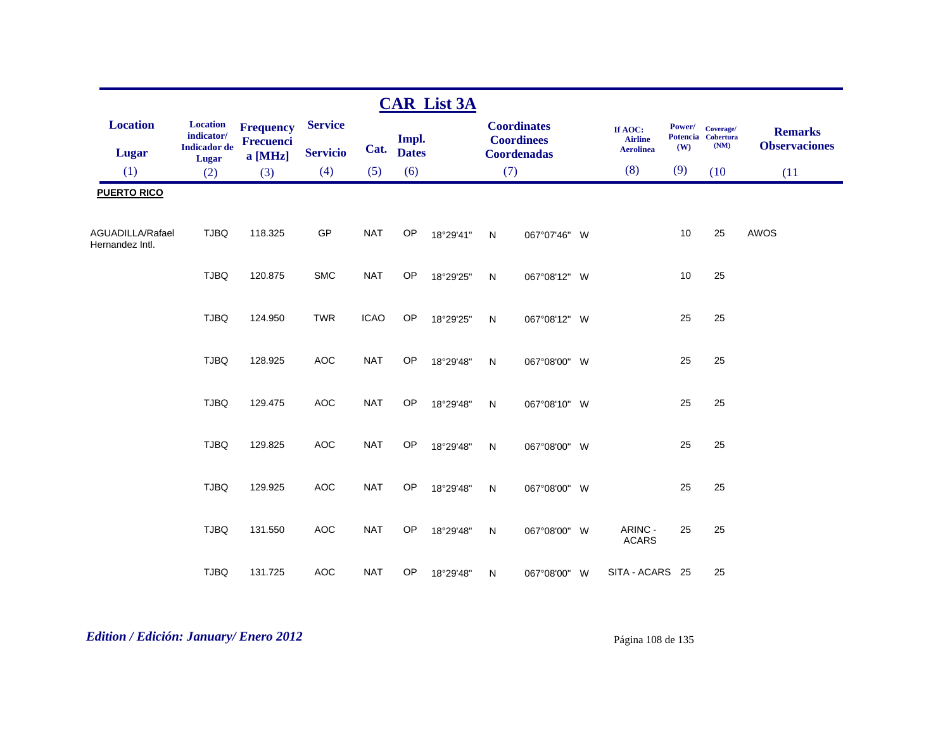|                                     |                                                      |                                                 |                                   |             |                       | <b>CAR List 3A</b> |              |                                                               |                                               |                      |                                         |                                        |
|-------------------------------------|------------------------------------------------------|-------------------------------------------------|-----------------------------------|-------------|-----------------------|--------------------|--------------|---------------------------------------------------------------|-----------------------------------------------|----------------------|-----------------------------------------|----------------------------------------|
| <b>Location</b><br>Lugar            | <b>Location</b><br>indicator/<br><b>Indicador</b> de | <b>Frequency</b><br><b>Frecuenci</b><br>a [MHz] | <b>Service</b><br><b>Servicio</b> | Cat.        | Impl.<br><b>Dates</b> |                    |              | <b>Coordinates</b><br><b>Coordinees</b><br><b>Coordenadas</b> | If AOC:<br><b>Airline</b><br><b>Aerolinea</b> | <b>Power/</b><br>(W) | Coverage/<br>Potencia Cobertura<br>(NM) | <b>Remarks</b><br><b>Observaciones</b> |
| (1)                                 | Lugar<br>(2)                                         | (3)                                             | (4)                               | (5)         | (6)                   |                    | (7)          |                                                               | (8)                                           | (9)                  | (10)                                    | (11)                                   |
| <b>PUERTO RICO</b>                  |                                                      |                                                 |                                   |             |                       |                    |              |                                                               |                                               |                      |                                         |                                        |
|                                     |                                                      |                                                 |                                   |             |                       |                    |              |                                                               |                                               |                      |                                         |                                        |
| AGUADILLA/Rafael<br>Hernandez Intl. | <b>TJBQ</b>                                          | 118.325                                         | GP                                | <b>NAT</b>  | OP                    | 18°29'41"          | N            | 067°07'46" W                                                  |                                               | 10                   | 25                                      | AWOS                                   |
|                                     | <b>TJBQ</b>                                          | 120.875                                         | <b>SMC</b>                        | <b>NAT</b>  | OP                    | 18°29'25"          | N            | 067°08'12" W                                                  |                                               | 10                   | 25                                      |                                        |
|                                     | <b>TJBQ</b>                                          | 124.950                                         | <b>TWR</b>                        | <b>ICAO</b> | OP                    | 18°29'25"          | N            | 067°08'12" W                                                  |                                               | 25                   | 25                                      |                                        |
|                                     | <b>TJBQ</b>                                          | 128.925                                         | <b>AOC</b>                        | <b>NAT</b>  | OP                    | 18°29'48"          | N            | 067°08'00" W                                                  |                                               | 25                   | 25                                      |                                        |
|                                     | <b>TJBQ</b>                                          | 129.475                                         | AOC                               | <b>NAT</b>  | OP                    | 18°29'48"          | $\mathsf{N}$ | 067°08'10" W                                                  |                                               | 25                   | 25                                      |                                        |
|                                     | <b>TJBQ</b>                                          | 129.825                                         | <b>AOC</b>                        | <b>NAT</b>  | OP                    | 18°29'48"          | N            | 067°08'00" W                                                  |                                               | 25                   | 25                                      |                                        |
|                                     | <b>TJBQ</b>                                          | 129.925                                         | AOC                               | <b>NAT</b>  | OP                    | 18°29'48"          | ${\sf N}$    | 067°08'00" W                                                  |                                               | 25                   | 25                                      |                                        |
|                                     | <b>TJBQ</b>                                          | 131.550                                         | AOC                               | <b>NAT</b>  | OP                    | 18°29'48"          | N            | 067°08'00" W                                                  | ARINC -<br><b>ACARS</b>                       | 25                   | 25                                      |                                        |
|                                     | <b>TJBQ</b>                                          | 131.725                                         | <b>AOC</b>                        | <b>NAT</b>  | OP                    | 18°29'48"          | N            | 067°08'00" W                                                  | SITA - ACARS 25                               |                      | 25                                      |                                        |

# *Edition / Edición: January/ Enero 2012* Página 108 de 135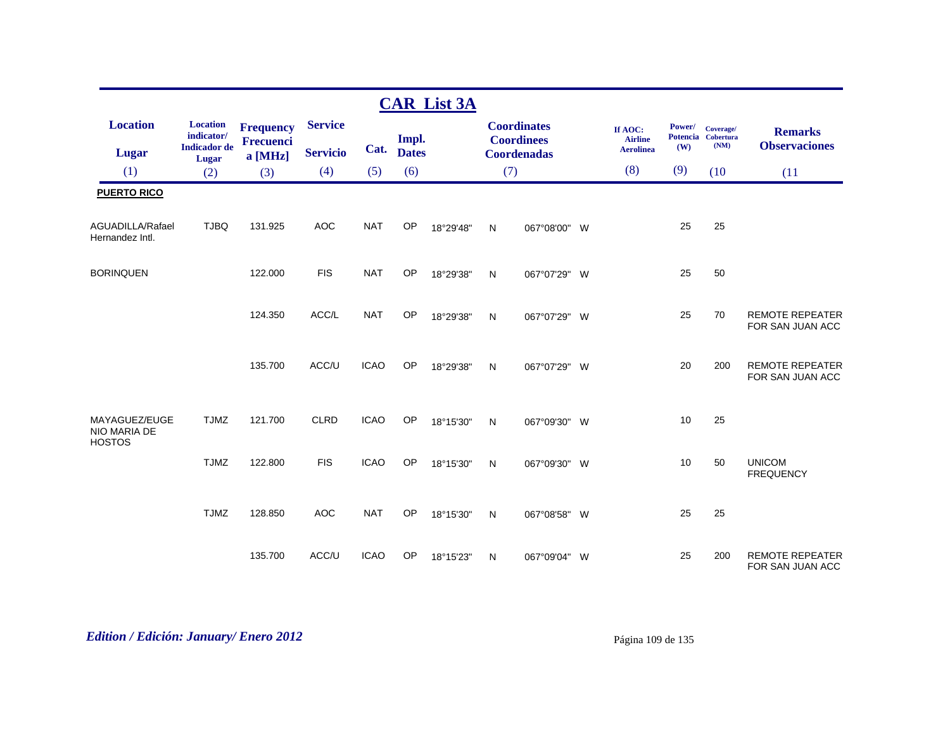|                                                |                               |                             |                 |             |              | <b>CAR List 3A</b> |              |                                         |                           |        |                                 |                                            |
|------------------------------------------------|-------------------------------|-----------------------------|-----------------|-------------|--------------|--------------------|--------------|-----------------------------------------|---------------------------|--------|---------------------------------|--------------------------------------------|
| <b>Location</b>                                | <b>Location</b><br>indicator/ | <b>Frequency</b>            | <b>Service</b>  |             | Impl.        |                    |              | <b>Coordinates</b><br><b>Coordinees</b> | If AOC:<br><b>Airline</b> | Power/ | Coverage/<br>Potencia Cobertura | <b>Remarks</b>                             |
| <b>Lugar</b>                                   | <b>Indicador</b> de<br>Lugar  | <b>Frecuenci</b><br>a [MHz] | <b>Servicio</b> | Cat.        | <b>Dates</b> |                    |              | <b>Coordenadas</b>                      | <b>Aerolinea</b>          | (W)    | (NM)                            | <b>Observaciones</b>                       |
| (1)                                            | (2)                           | (3)                         | (4)             | (5)         | (6)          |                    | (7)          |                                         | (8)                       | (9)    | (10)                            | (11)                                       |
| <b>PUERTO RICO</b>                             |                               |                             |                 |             |              |                    |              |                                         |                           |        |                                 |                                            |
| AGUADILLA/Rafael<br>Hernandez Intl.            | <b>TJBQ</b>                   | 131.925                     | <b>AOC</b>      | <b>NAT</b>  | OP           | 18°29'48"          | N            | 067°08'00" W                            |                           | 25     | 25                              |                                            |
| <b>BORINQUEN</b>                               |                               | 122.000                     | <b>FIS</b>      | <b>NAT</b>  | OP           | 18°29'38"          | $\mathsf{N}$ | 067°07'29" W                            |                           | 25     | 50                              |                                            |
|                                                |                               | 124.350                     | ACC/L           | <b>NAT</b>  | OP           | 18°29'38"          | N            | 067°07'29" W                            |                           | 25     | 70                              | <b>REMOTE REPEATER</b><br>FOR SAN JUAN ACC |
|                                                |                               | 135.700                     | ACC/U           | <b>ICAO</b> | OP           | 18°29'38"          | N            | 067°07'29" W                            |                           | 20     | 200                             | <b>REMOTE REPEATER</b><br>FOR SAN JUAN ACC |
| MAYAGUEZ/EUGE<br>NIO MARIA DE<br><b>HOSTOS</b> | <b>TJMZ</b>                   | 121.700                     | <b>CLRD</b>     | <b>ICAO</b> | OP           | 18°15'30"          | N            | 067°09'30" W                            |                           | 10     | 25                              |                                            |
|                                                | <b>TJMZ</b>                   | 122.800                     | <b>FIS</b>      | <b>ICAO</b> | OP           | 18°15'30"          | N            | 067°09'30" W                            |                           | 10     | 50                              | <b>UNICOM</b><br><b>FREQUENCY</b>          |
|                                                | <b>TJMZ</b>                   | 128.850                     | <b>AOC</b>      | <b>NAT</b>  | OP           | 18°15'30"          | $\mathsf{N}$ | 067°08'58" W                            |                           | 25     | 25                              |                                            |
|                                                |                               | 135.700                     | ACC/U           | <b>ICAO</b> | OP           | 18°15'23"          | N            | 067°09'04" W                            |                           | 25     | 200                             | <b>REMOTE REPEATER</b><br>FOR SAN JUAN ACC |

# *Edition / Edición: January/ Enero 2012* Página 109 de 135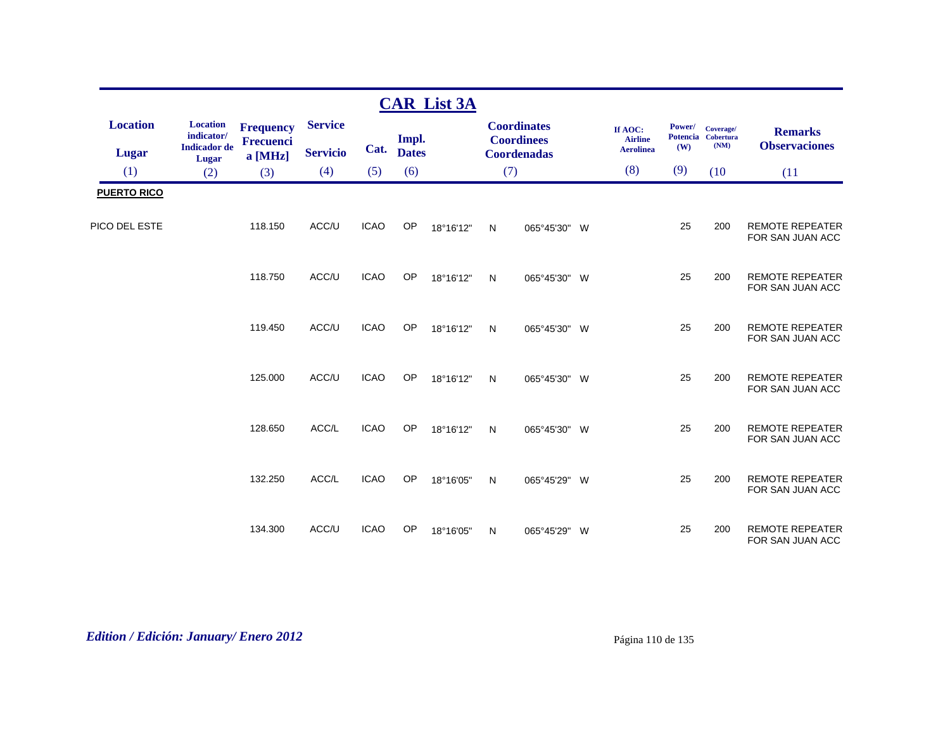|                                 |                                                      |                                      |                                   |             |                     | <b>CAR List 3A</b> |              |                                                               |                                               |               |                                         |                                            |
|---------------------------------|------------------------------------------------------|--------------------------------------|-----------------------------------|-------------|---------------------|--------------------|--------------|---------------------------------------------------------------|-----------------------------------------------|---------------|-----------------------------------------|--------------------------------------------|
| <b>Location</b><br><b>Lugar</b> | <b>Location</b><br>indicator/<br><b>Indicador</b> de | <b>Frequency</b><br><b>Frecuenci</b> | <b>Service</b><br><b>Servicio</b> |             | Impl.<br>Cat. Dates |                    |              | <b>Coordinates</b><br><b>Coordinees</b><br><b>Coordenadas</b> | If AOC:<br><b>Airline</b><br><b>Aerolinea</b> | Power/<br>(W) | Coverage/<br>Potencia Cobertura<br>(NM) | <b>Remarks</b><br><b>Observaciones</b>     |
| (1)                             | Lugar                                                | a [MHz]                              | (4)                               | (5)         | (6)                 |                    | (7)          |                                                               | (8)                                           | (9)           | (10)                                    |                                            |
|                                 | (2)                                                  | (3)                                  |                                   |             |                     |                    |              |                                                               |                                               |               |                                         | (11)                                       |
| <b>PUERTO RICO</b>              |                                                      |                                      |                                   |             |                     |                    |              |                                                               |                                               |               |                                         |                                            |
| PICO DEL ESTE                   |                                                      | 118.150                              | ACC/U                             | <b>ICAO</b> | OP                  | 18°16'12"          | $\mathsf{N}$ | 065°45'30" W                                                  |                                               | 25            | 200                                     | <b>REMOTE REPEATER</b><br>FOR SAN JUAN ACC |
|                                 |                                                      | 118.750                              | ACC/U                             | <b>ICAO</b> | OP                  | 18°16'12"          | N            | 065°45'30" W                                                  |                                               | 25            | 200                                     | <b>REMOTE REPEATER</b><br>FOR SAN JUAN ACC |
|                                 |                                                      | 119.450                              | ACC/U                             | <b>ICAO</b> | OP                  | 18°16'12"          | $\mathsf{N}$ | 065°45'30" W                                                  |                                               | 25            | 200                                     | <b>REMOTE REPEATER</b><br>FOR SAN JUAN ACC |
|                                 |                                                      | 125.000                              | ACC/U                             | <b>ICAO</b> | OP                  | 18°16'12"          | N            | 065°45'30" W                                                  |                                               | 25            | 200                                     | <b>REMOTE REPEATER</b><br>FOR SAN JUAN ACC |
|                                 |                                                      | 128.650                              | ACC/L                             | <b>ICAO</b> | OP                  | 18°16'12"          | N            | 065°45'30" W                                                  |                                               | 25            | 200                                     | <b>REMOTE REPEATER</b><br>FOR SAN JUAN ACC |
|                                 |                                                      | 132.250                              | ACC/L                             | <b>ICAO</b> | OP                  | 18°16'05"          | N            | 065°45'29" W                                                  |                                               | 25            | 200                                     | <b>REMOTE REPEATER</b><br>FOR SAN JUAN ACC |
|                                 |                                                      | 134.300                              | ACC/U                             | <b>ICAO</b> | OP                  | 18°16'05"          | N            | 065°45'29" W                                                  |                                               | 25            | 200                                     | <b>REMOTE REPEATER</b><br>FOR SAN JUAN ACC |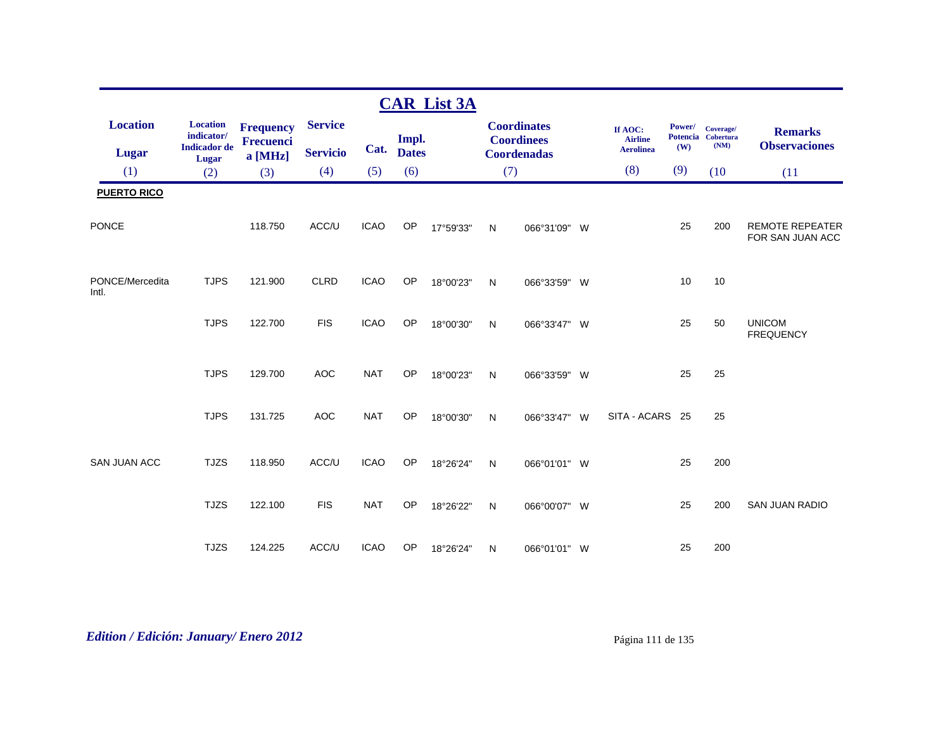|                          |                                                      |                                      |                 |             |                     | <b>CAR List 3A</b> |              |                                         |                                               |                                  |                                       |                                            |
|--------------------------|------------------------------------------------------|--------------------------------------|-----------------|-------------|---------------------|--------------------|--------------|-----------------------------------------|-----------------------------------------------|----------------------------------|---------------------------------------|--------------------------------------------|
| <b>Location</b>          | <b>Location</b><br>indicator/<br><b>Indicador</b> de | <b>Frequency</b><br><b>Frecuenci</b> | <b>Service</b>  |             | Impl.<br>Cat. Dates |                    |              | <b>Coordinates</b><br><b>Coordinees</b> | If AOC:<br><b>Airline</b><br><b>Aerolinea</b> | Power/<br><b>Potencia</b><br>(W) | Coverage/<br><b>Cobertura</b><br>(NM) | <b>Remarks</b><br><b>Observaciones</b>     |
| <b>Lugar</b>             | Lugar                                                | a [MHz]                              | <b>Servicio</b> |             |                     |                    |              | <b>Coordenadas</b>                      | (8)                                           | (9)                              |                                       |                                            |
| (1)                      | (2)                                                  | (3)                                  | (4)             | (5)         | (6)                 |                    | (7)          |                                         |                                               |                                  | (10)                                  | (11)                                       |
| <b>PUERTO RICO</b>       |                                                      |                                      |                 |             |                     |                    |              |                                         |                                               |                                  |                                       |                                            |
| <b>PONCE</b>             |                                                      | 118.750                              | ACC/U           | <b>ICAO</b> | OP                  | 17°59'33"          | $\mathsf{N}$ | 066°31'09" W                            |                                               | 25                               | 200                                   | <b>REMOTE REPEATER</b><br>FOR SAN JUAN ACC |
| PONCE/Mercedita<br>Intl. | <b>TJPS</b>                                          | 121.900                              | <b>CLRD</b>     | <b>ICAO</b> | OP                  | 18°00'23"          | N            | 066°33'59" W                            |                                               | 10                               | 10                                    |                                            |
|                          | <b>TJPS</b>                                          | 122.700                              | <b>FIS</b>      | <b>ICAO</b> | OP                  | 18°00'30"          | $\mathsf{N}$ | 066°33'47" W                            |                                               | 25                               | 50                                    | <b>UNICOM</b><br><b>FREQUENCY</b>          |
|                          | <b>TJPS</b>                                          | 129.700                              | <b>AOC</b>      | <b>NAT</b>  | OP                  | 18°00'23"          | N            | 066°33'59" W                            |                                               | 25                               | 25                                    |                                            |
|                          | <b>TJPS</b>                                          | 131.725                              | <b>AOC</b>      | <b>NAT</b>  | <b>OP</b>           | 18°00'30"          | $\mathsf{N}$ | 066°33'47" W                            | SITA - ACARS 25                               |                                  | 25                                    |                                            |
| <b>SAN JUAN ACC</b>      | <b>TJZS</b>                                          | 118.950                              | ACC/U           | <b>ICAO</b> | OP                  | 18°26'24"          | $\mathsf{N}$ | 066°01'01" W                            |                                               | 25                               | 200                                   |                                            |
|                          | <b>TJZS</b>                                          | 122.100                              | <b>FIS</b>      | <b>NAT</b>  | <b>OP</b>           | 18°26'22"          | N            | 066°00'07" W                            |                                               | 25                               | 200                                   | <b>SAN JUAN RADIO</b>                      |
|                          | <b>TJZS</b>                                          | 124.225                              | ACC/U           | <b>ICAO</b> | OP                  | 18°26'24"          | N            | 066°01'01" W                            |                                               | 25                               | 200                                   |                                            |

*Edition / Edición: January/ Enero 2012* Página 111 de 135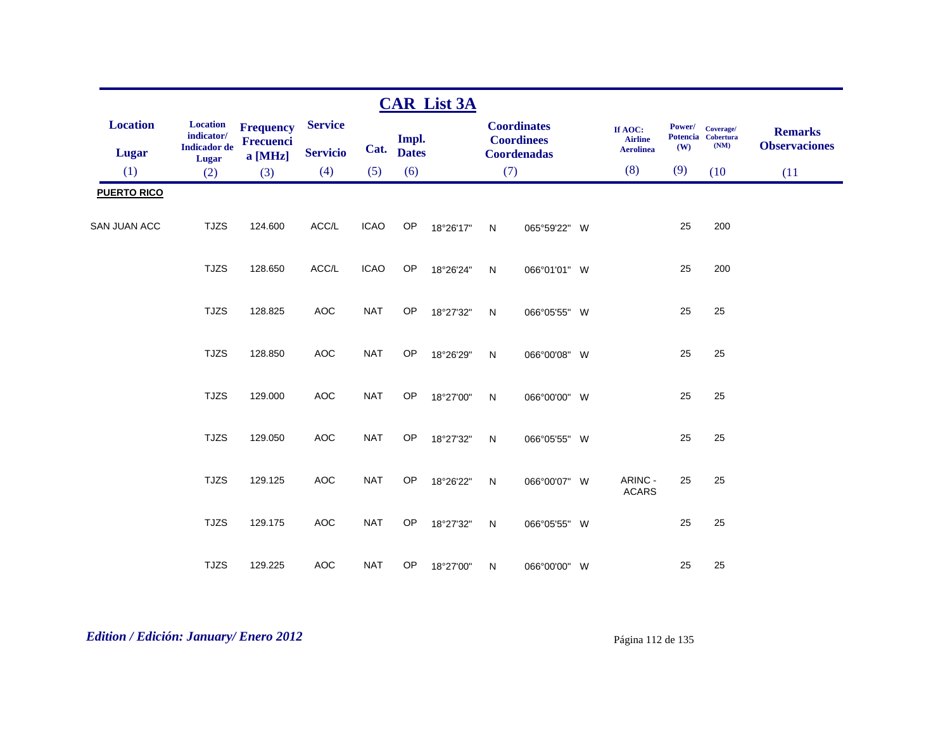|                                 |                                                      |                               |                                   |             |                       | <b>CAR List 3A</b> |              |                                                               |                                               |               |                                         |                                        |
|---------------------------------|------------------------------------------------------|-------------------------------|-----------------------------------|-------------|-----------------------|--------------------|--------------|---------------------------------------------------------------|-----------------------------------------------|---------------|-----------------------------------------|----------------------------------------|
| <b>Location</b><br><b>Lugar</b> | <b>Location</b><br>indicator/<br><b>Indicador</b> de | <b>Frequency</b><br>Frecuenci | <b>Service</b><br><b>Servicio</b> | Cat.        | Impl.<br><b>Dates</b> |                    |              | <b>Coordinates</b><br><b>Coordinees</b><br><b>Coordenadas</b> | If AOC:<br><b>Airline</b><br><b>Aerolinea</b> | Power/<br>(W) | Coverage/<br>Potencia Cobertura<br>(NM) | <b>Remarks</b><br><b>Observaciones</b> |
| (1)                             | Lugar<br>(2)                                         | a [MHz]<br>(3)                | (4)                               | (5)         | (6)                   |                    | (7)          |                                                               | (8)                                           | (9)           | (10)                                    | (11)                                   |
| <b>PUERTO RICO</b>              |                                                      |                               |                                   |             |                       |                    |              |                                                               |                                               |               |                                         |                                        |
| <b>SAN JUAN ACC</b>             | <b>TJZS</b>                                          | 124.600                       | ACC/L                             | <b>ICAO</b> | OP                    | 18°26'17"          | $\mathsf{N}$ | 065°59'22" W                                                  |                                               | 25            | 200                                     |                                        |
|                                 | <b>TJZS</b>                                          | 128.650                       | ACC/L                             | <b>ICAO</b> | OP                    | 18°26'24"          | $\mathsf{N}$ | 066°01'01" W                                                  |                                               | 25            | 200                                     |                                        |
|                                 | <b>TJZS</b>                                          | 128.825                       | <b>AOC</b>                        | <b>NAT</b>  | OP                    | 18°27'32"          | $\mathsf{N}$ | 066°05'55" W                                                  |                                               | 25            | 25                                      |                                        |
|                                 | <b>TJZS</b>                                          | 128.850                       | <b>AOC</b>                        | <b>NAT</b>  | OP                    | 18°26'29"          | $\mathsf{N}$ | 066°00'08" W                                                  |                                               | 25            | 25                                      |                                        |
|                                 | <b>TJZS</b>                                          | 129.000                       | <b>AOC</b>                        | <b>NAT</b>  | OP                    | 18°27'00"          | N            | 066°00'00" W                                                  |                                               | 25            | 25                                      |                                        |
|                                 | <b>TJZS</b>                                          | 129.050                       | <b>AOC</b>                        | <b>NAT</b>  | OP                    | 18°27'32"          | N            | 066°05'55" W                                                  |                                               | 25            | 25                                      |                                        |
|                                 | <b>TJZS</b>                                          | 129.125                       | <b>AOC</b>                        | <b>NAT</b>  | OP                    | 18°26'22"          | ${\sf N}$    | 066°00'07" W                                                  | ARINC -<br><b>ACARS</b>                       | 25            | 25                                      |                                        |
|                                 | <b>TJZS</b>                                          | 129.175                       | <b>AOC</b>                        | <b>NAT</b>  | <b>OP</b>             | 18°27'32"          | $\mathsf{N}$ | 066°05'55" W                                                  |                                               | 25            | 25                                      |                                        |
|                                 | <b>TJZS</b>                                          | 129.225                       | <b>AOC</b>                        | <b>NAT</b>  | OP                    | 18°27'00"          | N            | 066°00'00" W                                                  |                                               | 25            | 25                                      |                                        |

# *Edition / Edición: January/ Enero 2012* Página 112 de 135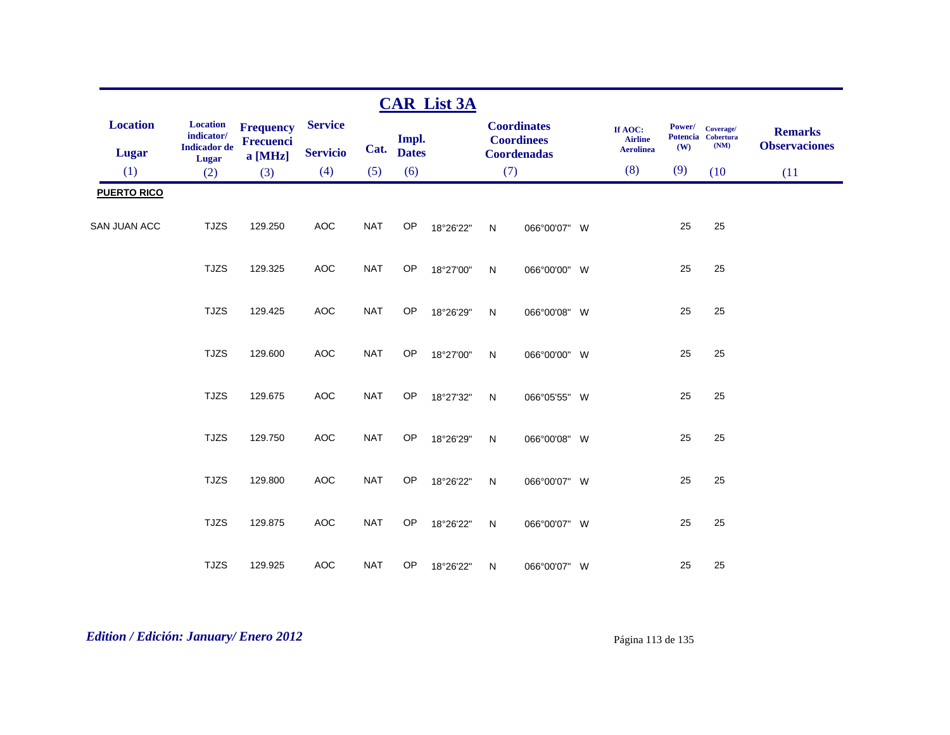|                                 |                                                                      |                                                 |                                   |            |                       | <b>CAR List 3A</b> |              |                                                               |                                               |               |                                         |                                        |
|---------------------------------|----------------------------------------------------------------------|-------------------------------------------------|-----------------------------------|------------|-----------------------|--------------------|--------------|---------------------------------------------------------------|-----------------------------------------------|---------------|-----------------------------------------|----------------------------------------|
| <b>Location</b><br><b>Lugar</b> | <b>Location</b><br>indicator/<br><b>Indicador</b> de<br><b>Lugar</b> | <b>Frequency</b><br><b>Frecuenci</b><br>a [MHz] | <b>Service</b><br><b>Servicio</b> | Cat.       | Impl.<br><b>Dates</b> |                    |              | <b>Coordinates</b><br><b>Coordinees</b><br><b>Coordenadas</b> | If AOC:<br><b>Airline</b><br><b>Aerolinea</b> | Power/<br>(W) | Coverage/<br>Potencia Cobertura<br>(NM) | <b>Remarks</b><br><b>Observaciones</b> |
| (1)                             | (2)                                                                  | (3)                                             | (4)                               | (5)        | (6)                   |                    | (7)          |                                                               | (8)                                           | (9)           | (10)                                    | (11)                                   |
| <b>PUERTO RICO</b>              |                                                                      |                                                 |                                   |            |                       |                    |              |                                                               |                                               |               |                                         |                                        |
| <b>SAN JUAN ACC</b>             | <b>TJZS</b>                                                          | 129.250                                         | AOC                               | <b>NAT</b> | OP                    | 18°26'22"          | $\mathsf{N}$ | 066°00'07" W                                                  |                                               | 25            | 25                                      |                                        |
|                                 | <b>TJZS</b>                                                          | 129.325                                         | <b>AOC</b>                        | <b>NAT</b> | OP                    | 18°27'00"          | $\mathsf{N}$ | 066°00'00" W                                                  |                                               | 25            | 25                                      |                                        |
|                                 | <b>TJZS</b>                                                          | 129.425                                         | AOC                               | <b>NAT</b> | OP                    | 18°26'29"          | ${\sf N}$    | 066°00'08" W                                                  |                                               | 25            | 25                                      |                                        |
|                                 | <b>TJZS</b>                                                          | 129.600                                         | <b>AOC</b>                        | <b>NAT</b> | OP                    | 18°27'00"          | ${\sf N}$    | 066°00'00" W                                                  |                                               | 25            | 25                                      |                                        |
|                                 | <b>TJZS</b>                                                          | 129.675                                         | AOC                               | <b>NAT</b> | OP                    | 18°27'32"          | ${\sf N}$    | 066°05'55" W                                                  |                                               | 25            | 25                                      |                                        |
|                                 | <b>TJZS</b>                                                          | 129.750                                         | AOC                               | <b>NAT</b> | OP                    | 18°26'29"          | $\mathsf{N}$ | 066°00'08" W                                                  |                                               | 25            | 25                                      |                                        |
|                                 | <b>TJZS</b>                                                          | 129.800                                         | <b>AOC</b>                        | <b>NAT</b> | OP                    | 18°26'22"          | $\mathsf{N}$ | 066°00'07" W                                                  |                                               | 25            | 25                                      |                                        |
|                                 | <b>TJZS</b>                                                          | 129.875                                         | <b>AOC</b>                        | <b>NAT</b> | OP                    | 18°26'22"          | $\mathsf{N}$ | 066°00'07" W                                                  |                                               | 25            | 25                                      |                                        |
|                                 | <b>TJZS</b>                                                          | 129.925                                         | <b>AOC</b>                        | <b>NAT</b> | OP                    | 18°26'22"          | $\mathsf{N}$ | 066°00'07" W                                                  |                                               | 25            | 25                                      |                                        |

# *Edition / Edición: January/ Enero 2012* Página 113 de 135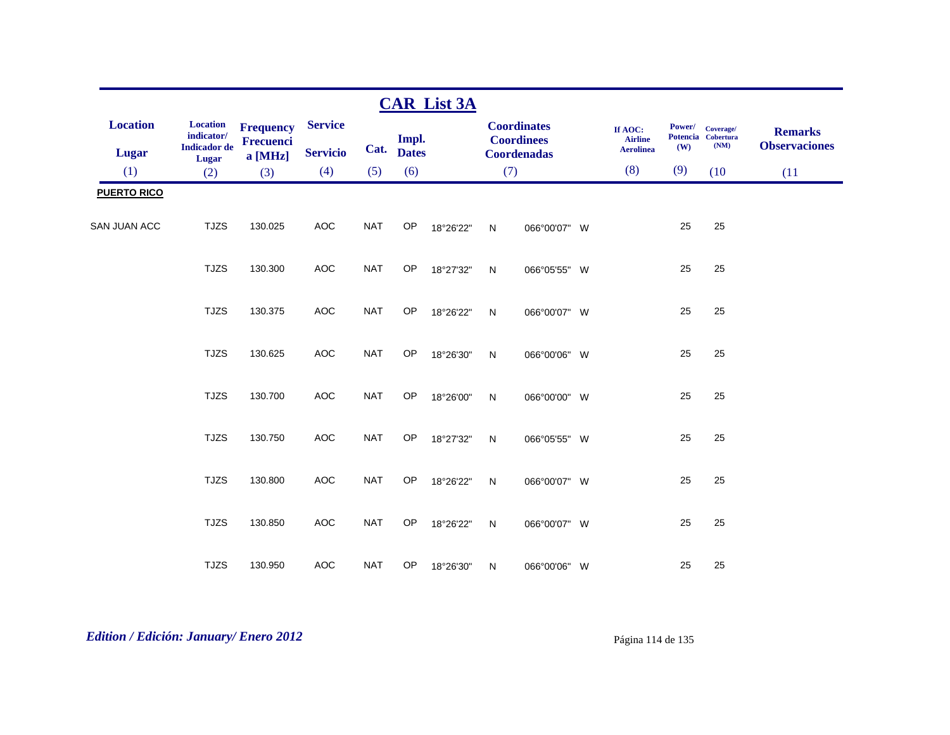|                                 |                                                               |                                                 |                                   |            |                       | <b>CAR List 3A</b> |     |                                                               |         |                                    |               |                                         |                                        |
|---------------------------------|---------------------------------------------------------------|-------------------------------------------------|-----------------------------------|------------|-----------------------|--------------------|-----|---------------------------------------------------------------|---------|------------------------------------|---------------|-----------------------------------------|----------------------------------------|
| <b>Location</b><br><b>Lugar</b> | <b>Location</b><br>indicator/<br><b>Indicador</b> de<br>Lugar | <b>Frequency</b><br><b>Frecuenci</b><br>a [MHz] | <b>Service</b><br><b>Servicio</b> | Cat.       | Impl.<br><b>Dates</b> |                    |     | <b>Coordinates</b><br><b>Coordinees</b><br><b>Coordenadas</b> | If AOC: | <b>Airline</b><br><b>Aerolinea</b> | Power/<br>(W) | Coverage/<br>Potencia Cobertura<br>(NM) | <b>Remarks</b><br><b>Observaciones</b> |
| (1)                             | (2)                                                           | (3)                                             | (4)                               | (5)        | (6)                   |                    | (7) |                                                               |         | (8)                                | (9)           | (10)                                    | (11)                                   |
| <b>PUERTO RICO</b>              |                                                               |                                                 |                                   |            |                       |                    |     |                                                               |         |                                    |               |                                         |                                        |
| <b>SAN JUAN ACC</b>             | <b>TJZS</b>                                                   | 130.025                                         | AOC                               | <b>NAT</b> | OP                    | 18°26'22"          | N   | 066°00'07" W                                                  |         |                                    | 25            | 25                                      |                                        |
|                                 | <b>TJZS</b>                                                   | 130.300                                         | AOC                               | <b>NAT</b> | OP                    | 18°27'32"          | N   | 066°05'55" W                                                  |         |                                    | 25            | 25                                      |                                        |
|                                 | <b>TJZS</b>                                                   | 130.375                                         | AOC                               | <b>NAT</b> | OP                    | 18°26'22"          | N   | 066°00'07" W                                                  |         |                                    | 25            | 25                                      |                                        |
|                                 | <b>TJZS</b>                                                   | 130.625                                         | <b>AOC</b>                        | <b>NAT</b> | OP                    | 18°26'30"          | N   | 066°00'06" W                                                  |         |                                    | 25            | 25                                      |                                        |
|                                 | <b>TJZS</b>                                                   | 130.700                                         | <b>AOC</b>                        | <b>NAT</b> | OP                    | 18°26'00"          | N   | 066°00'00" W                                                  |         |                                    | 25            | 25                                      |                                        |
|                                 | <b>TJZS</b>                                                   | 130.750                                         | <b>AOC</b>                        | <b>NAT</b> | OP                    | 18°27'32"          | N   | 066°05'55" W                                                  |         |                                    | 25            | 25                                      |                                        |
|                                 | <b>TJZS</b>                                                   | 130.800                                         | AOC                               | <b>NAT</b> | OP                    | 18°26'22"          | N   | 066°00'07" W                                                  |         |                                    | 25            | 25                                      |                                        |
|                                 | <b>TJZS</b>                                                   | 130.850                                         | <b>AOC</b>                        | <b>NAT</b> | OP                    | 18°26'22"          | N   | 066°00'07" W                                                  |         |                                    | 25            | 25                                      |                                        |
|                                 | <b>TJZS</b>                                                   | 130.950                                         | <b>AOC</b>                        | <b>NAT</b> | OP                    | 18°26'30"          | N   | 066°00'06" W                                                  |         |                                    | 25            | 25                                      |                                        |

# *Edition / Edición: January/ Enero 2012* Página 114 de 135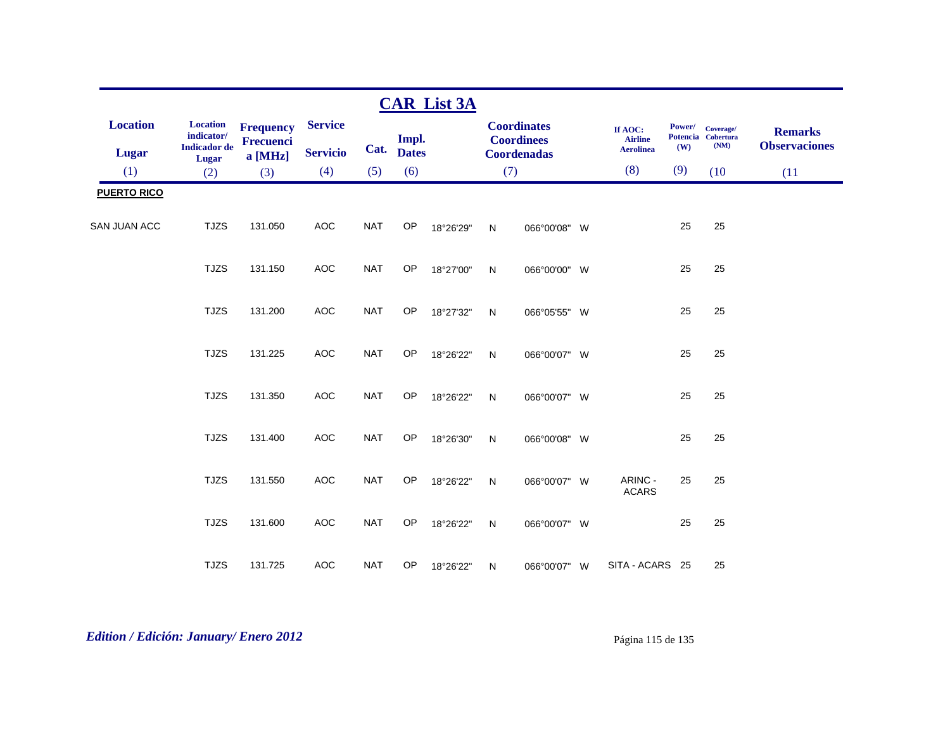|                                 |                                                               |                                          |                                   |            |                       | <b>CAR List 3A</b> |              |                                                               |                                               |               |                                         |                                        |
|---------------------------------|---------------------------------------------------------------|------------------------------------------|-----------------------------------|------------|-----------------------|--------------------|--------------|---------------------------------------------------------------|-----------------------------------------------|---------------|-----------------------------------------|----------------------------------------|
| <b>Location</b><br><b>Lugar</b> | <b>Location</b><br>indicator/<br><b>Indicador</b> de<br>Lugar | <b>Frequency</b><br>Frecuenci<br>a [MHz] | <b>Service</b><br><b>Servicio</b> | Cat.       | Impl.<br><b>Dates</b> |                    |              | <b>Coordinates</b><br><b>Coordinees</b><br><b>Coordenadas</b> | If AOC:<br><b>Airline</b><br><b>Aerolinea</b> | Power/<br>(W) | Coverage/<br>Potencia Cobertura<br>(NM) | <b>Remarks</b><br><b>Observaciones</b> |
| (1)                             | (2)                                                           | (3)                                      | (4)                               | (5)        | (6)                   |                    | (7)          |                                                               | (8)                                           | (9)           | (10)                                    | (11)                                   |
| <b>PUERTO RICO</b>              |                                                               |                                          |                                   |            |                       |                    |              |                                                               |                                               |               |                                         |                                        |
| <b>SAN JUAN ACC</b>             | <b>TJZS</b>                                                   | 131.050                                  | <b>AOC</b>                        | <b>NAT</b> | OP                    | 18°26'29"          | $\mathsf{N}$ | 066°00'08" W                                                  |                                               | 25            | 25                                      |                                        |
|                                 | <b>TJZS</b>                                                   | 131.150                                  | <b>AOC</b>                        | <b>NAT</b> | OP                    | 18°27'00"          | $\mathsf{N}$ | 066°00'00" W                                                  |                                               | 25            | 25                                      |                                        |
|                                 | <b>TJZS</b>                                                   | 131.200                                  | <b>AOC</b>                        | <b>NAT</b> | OP                    | 18°27'32"          | $\mathsf{N}$ | 066°05'55" W                                                  |                                               | 25            | 25                                      |                                        |
|                                 | <b>TJZS</b>                                                   | 131.225                                  | <b>AOC</b>                        | <b>NAT</b> | OP                    | 18°26'22"          | $\mathsf{N}$ | 066°00'07" W                                                  |                                               | 25            | 25                                      |                                        |
|                                 | <b>TJZS</b>                                                   | 131.350                                  | <b>AOC</b>                        | <b>NAT</b> | OP                    | 18°26'22"          | N            | 066°00'07" W                                                  |                                               | 25            | 25                                      |                                        |
|                                 | <b>TJZS</b>                                                   | 131.400                                  | <b>AOC</b>                        | <b>NAT</b> | OP                    | 18°26'30"          | N            | 066°00'08" W                                                  |                                               | 25            | 25                                      |                                        |
|                                 | <b>TJZS</b>                                                   | 131.550                                  | <b>AOC</b>                        | <b>NAT</b> | OP                    | 18°26'22"          | ${\sf N}$    | 066°00'07" W                                                  | ARINC -<br><b>ACARS</b>                       | 25            | 25                                      |                                        |
|                                 | <b>TJZS</b>                                                   | 131.600                                  | <b>AOC</b>                        | <b>NAT</b> | <b>OP</b>             | 18°26'22"          | $\mathsf{N}$ | 066°00'07" W                                                  |                                               | 25            | 25                                      |                                        |
|                                 | <b>TJZS</b>                                                   | 131.725                                  | <b>AOC</b>                        | <b>NAT</b> | OP                    | 18°26'22"          | $\mathsf{N}$ | 066°00'07" W                                                  | SITA - ACARS 25                               |               | 25                                      |                                        |

# *Edition / Edición: January/ Enero 2012* Página 115 de 135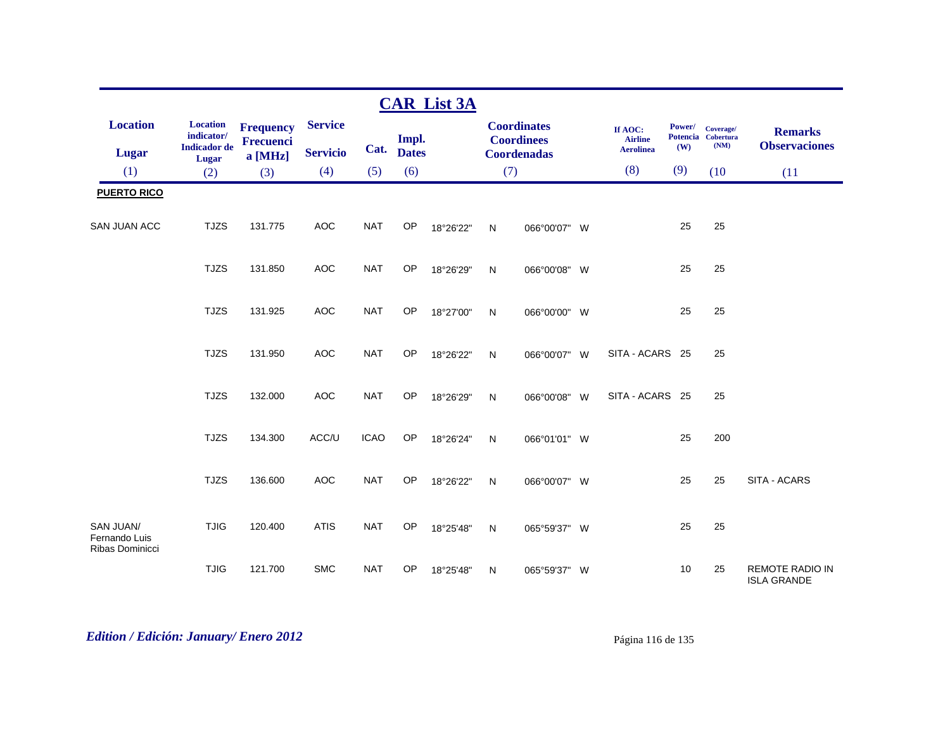|                                                             |                                                               |                                          |                                   |             |                       | <b>CAR List 3A</b> |              |                                                               |                                               |               |                                         |                                              |
|-------------------------------------------------------------|---------------------------------------------------------------|------------------------------------------|-----------------------------------|-------------|-----------------------|--------------------|--------------|---------------------------------------------------------------|-----------------------------------------------|---------------|-----------------------------------------|----------------------------------------------|
| <b>Location</b><br>Lugar                                    | Location<br>indicator/<br><b>Indicador</b> de<br><b>Lugar</b> | <b>Frequency</b><br>Frecuenci<br>a [MHz] | <b>Service</b><br><b>Servicio</b> | Cat.        | Impl.<br><b>Dates</b> |                    |              | <b>Coordinates</b><br><b>Coordinees</b><br><b>Coordenadas</b> | If AOC:<br><b>Airline</b><br><b>Aerolinea</b> | Power/<br>(W) | Coverage/<br>Potencia Cobertura<br>(NM) | <b>Remarks</b><br><b>Observaciones</b>       |
| (1)                                                         | (2)                                                           | (3)                                      | (4)                               | (5)         | (6)                   |                    | (7)          |                                                               | (8)                                           | (9)           | (10)                                    | (11)                                         |
| <b>PUERTO RICO</b>                                          |                                                               |                                          |                                   |             |                       |                    |              |                                                               |                                               |               |                                         |                                              |
| SAN JUAN ACC                                                | <b>TJZS</b>                                                   | 131.775                                  | <b>AOC</b>                        | <b>NAT</b>  | OP                    | 18°26'22"          | $\mathsf{N}$ | 066°00'07" W                                                  |                                               | 25            | 25                                      |                                              |
|                                                             | <b>TJZS</b>                                                   | 131.850                                  | <b>AOC</b>                        | <b>NAT</b>  | OP                    | 18°26'29"          | ${\sf N}$    | 066°00'08" W                                                  |                                               | 25            | 25                                      |                                              |
|                                                             | <b>TJZS</b>                                                   | 131.925                                  | <b>AOC</b>                        | <b>NAT</b>  | OP                    | 18°27'00"          | N            | 066°00'00" W                                                  |                                               | 25            | 25                                      |                                              |
|                                                             | <b>TJZS</b>                                                   | 131.950                                  | <b>AOC</b>                        | <b>NAT</b>  | <b>OP</b>             | 18°26'22"          | $\mathsf{N}$ | 066°00'07" W                                                  | SITA - ACARS 25                               |               | 25                                      |                                              |
|                                                             | <b>TJZS</b>                                                   | 132.000                                  | <b>AOC</b>                        | <b>NAT</b>  | OP                    | 18°26'29"          | $\mathsf{N}$ | 066°00'08" W                                                  | SITA - ACARS 25                               |               | 25                                      |                                              |
|                                                             | <b>TJZS</b>                                                   | 134.300                                  | ACC/U                             | <b>ICAO</b> | OP                    | 18°26'24"          | N            | 066°01'01" W                                                  |                                               | 25            | 200                                     |                                              |
|                                                             | <b>TJZS</b>                                                   | 136.600                                  | <b>AOC</b>                        | <b>NAT</b>  | OP                    | 18°26'22"          | N            | 066°00'07" W                                                  |                                               | 25            | 25                                      | SITA - ACARS                                 |
| <b>SAN JUAN/</b><br>Fernando Luis<br><b>Ribas Dominicci</b> | <b>TJIG</b>                                                   | 120.400                                  | <b>ATIS</b>                       | <b>NAT</b>  | <b>OP</b>             | 18°25'48"          | $\mathsf{N}$ | 065°59'37" W                                                  |                                               | 25            | 25                                      |                                              |
|                                                             | <b>TJIG</b>                                                   | 121.700                                  | <b>SMC</b>                        | <b>NAT</b>  | OP                    | 18°25'48"          | N            | 065°59'37" W                                                  |                                               | 10            | 25                                      | <b>REMOTE RADIO IN</b><br><b>ISLA GRANDE</b> |

# *Edition / Edición: January/ Enero 2012* Página 116 de 135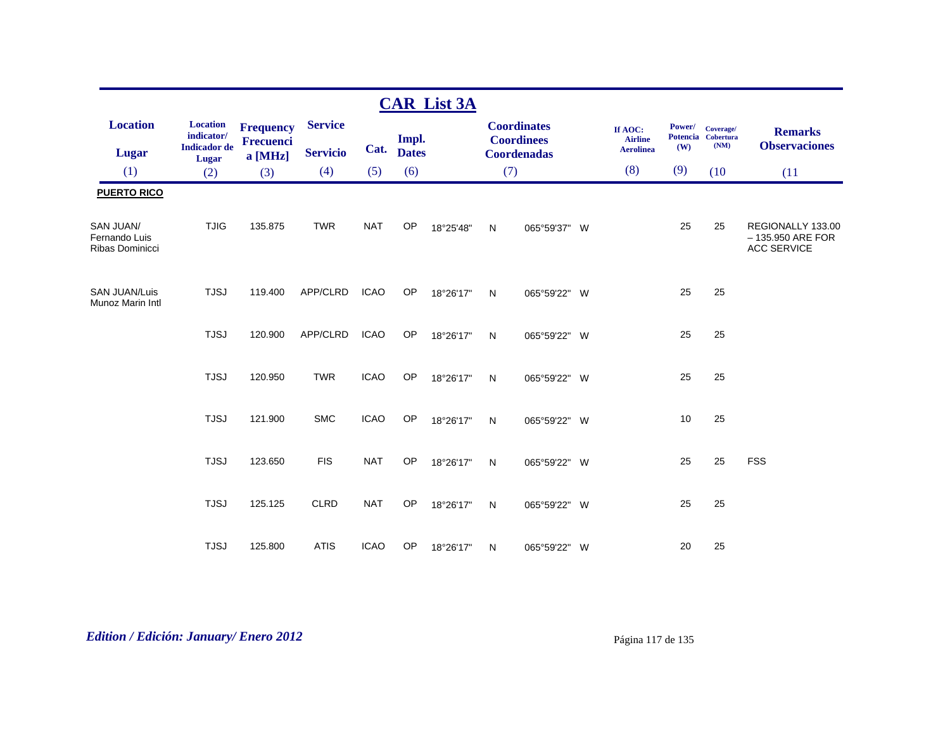|                                                      |                                                      |                                          |                                   |             |                       | <b>CAR List 3A</b> |              |                                                               |                                               |               |                                         |                                                               |
|------------------------------------------------------|------------------------------------------------------|------------------------------------------|-----------------------------------|-------------|-----------------------|--------------------|--------------|---------------------------------------------------------------|-----------------------------------------------|---------------|-----------------------------------------|---------------------------------------------------------------|
| <b>Location</b><br><b>Lugar</b>                      | <b>Location</b><br>indicator/<br><b>Indicador</b> de | <b>Frequency</b><br>Frecuenci<br>a [MHz] | <b>Service</b><br><b>Servicio</b> | Cat.        | Impl.<br><b>Dates</b> |                    |              | <b>Coordinates</b><br><b>Coordinees</b><br><b>Coordenadas</b> | If AOC:<br><b>Airline</b><br><b>Aerolinea</b> | Power/<br>(W) | Coverage/<br>Potencia Cobertura<br>(NM) | <b>Remarks</b><br><b>Observaciones</b>                        |
| (1)                                                  | <b>Lugar</b><br>(2)                                  | (3)                                      | (4)                               | (5)         | (6)                   |                    | (7)          |                                                               | (8)                                           | (9)           | (10)                                    | (11)                                                          |
| <b>PUERTO RICO</b>                                   |                                                      |                                          |                                   |             |                       |                    |              |                                                               |                                               |               |                                         |                                                               |
| <b>SAN JUAN/</b><br>Fernando Luis<br>Ribas Dominicci | <b>TJIG</b>                                          | 135.875                                  | <b>TWR</b>                        | <b>NAT</b>  | <b>OP</b>             | 18°25'48"          | $\mathsf{N}$ | 065°59'37" W                                                  |                                               | 25            | 25                                      | REGIONALLY 133.00<br>$-135.950$ ARE FOR<br><b>ACC SERVICE</b> |
| <b>SAN JUAN/Luis</b><br>Munoz Marin Intl             | <b>TJSJ</b>                                          | 119.400                                  | APP/CLRD                          | <b>ICAO</b> | OP                    | 18°26'17"          | N            | 065°59'22" W                                                  |                                               | 25            | 25                                      |                                                               |
|                                                      | <b>TJSJ</b>                                          | 120.900                                  | APP/CLRD                          | <b>ICAO</b> | OP                    | 18°26'17"          | N            | 065°59'22" W                                                  |                                               | 25            | 25                                      |                                                               |
|                                                      | <b>TJSJ</b>                                          | 120.950                                  | <b>TWR</b>                        | <b>ICAO</b> | <b>OP</b>             | 18°26'17"          | $\mathsf{N}$ | 065°59'22" W                                                  |                                               | 25            | 25                                      |                                                               |
|                                                      | <b>TJSJ</b>                                          | 121.900                                  | <b>SMC</b>                        | <b>ICAO</b> | <b>OP</b>             | 18°26'17"          | $\mathsf{N}$ | 065°59'22" W                                                  |                                               | 10            | 25                                      |                                                               |
|                                                      | <b>TJSJ</b>                                          | 123.650                                  | <b>FIS</b>                        | <b>NAT</b>  | OP                    | 18°26'17"          | N            | 065°59'22" W                                                  |                                               | 25            | 25                                      | <b>FSS</b>                                                    |
|                                                      | <b>TJSJ</b>                                          | 125.125                                  | <b>CLRD</b>                       | <b>NAT</b>  | OP                    | 18°26'17"          | $\mathsf{N}$ | 065°59'22" W                                                  |                                               | 25            | 25                                      |                                                               |
|                                                      | <b>TJSJ</b>                                          | 125.800                                  | <b>ATIS</b>                       | <b>ICAO</b> | OP                    | 18°26'17"          | N            | 065°59'22" W                                                  |                                               | 20            | 25                                      |                                                               |

# *Edition / Edición: January/ Enero 2012* Página 117 de 135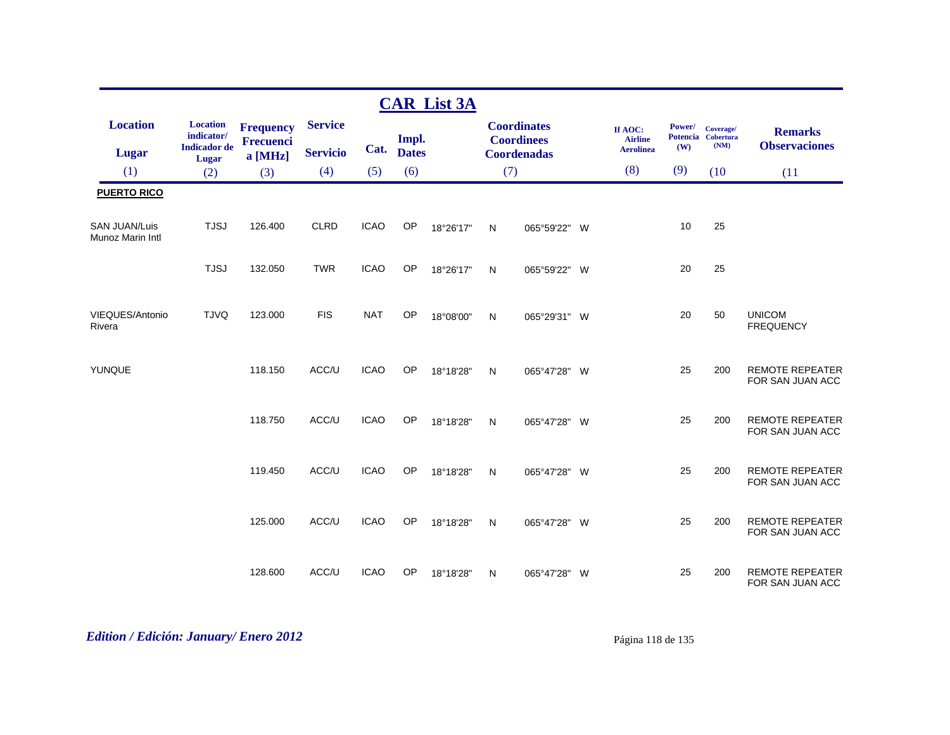|                                          |                                                                      |                                          |                                   |             |                       | <b>CAR List 3A</b> |              |                                                               |   |                                               |                                  |                                       |                                            |
|------------------------------------------|----------------------------------------------------------------------|------------------------------------------|-----------------------------------|-------------|-----------------------|--------------------|--------------|---------------------------------------------------------------|---|-----------------------------------------------|----------------------------------|---------------------------------------|--------------------------------------------|
| <b>Location</b><br><b>Lugar</b>          | <b>Location</b><br>indicator/<br><b>Indicador</b> de<br><b>Lugar</b> | <b>Frequency</b><br>Frecuenci<br>a [MHz] | <b>Service</b><br><b>Servicio</b> | Cat.        | Impl.<br><b>Dates</b> |                    |              | <b>Coordinates</b><br><b>Coordinees</b><br><b>Coordenadas</b> |   | If AOC:<br><b>Airline</b><br><b>Aerolinea</b> | Power/<br><b>Potencia</b><br>(W) | Coverage/<br><b>Cobertura</b><br>(NM) | <b>Remarks</b><br><b>Observaciones</b>     |
| (1)                                      | (2)                                                                  | (3)                                      | (4)                               | (5)         | (6)                   |                    | (7)          |                                                               |   | (8)                                           | (9)                              | (10)                                  | (11)                                       |
| <b>PUERTO RICO</b>                       |                                                                      |                                          |                                   |             |                       |                    |              |                                                               |   |                                               |                                  |                                       |                                            |
| <b>SAN JUAN/Luis</b><br>Munoz Marin Intl | <b>TJSJ</b>                                                          | 126.400                                  | CLRD                              | <b>ICAO</b> | OP                    | 18°26'17"          | $\mathsf{N}$ | 065°59'22" W                                                  |   |                                               | 10                               | 25                                    |                                            |
|                                          | <b>TJSJ</b>                                                          | 132.050                                  | <b>TWR</b>                        | <b>ICAO</b> | OP                    | 18°26'17"          | $\mathsf{N}$ | 065°59'22" W                                                  |   |                                               | 20                               | 25                                    |                                            |
| VIEQUES/Antonio<br>Rivera                | <b>TJVQ</b>                                                          | 123.000                                  | <b>FIS</b>                        | <b>NAT</b>  | OP                    | 18°08'00"          | $\mathsf{N}$ | 065°29'31" W                                                  |   |                                               | 20                               | 50                                    | <b>UNICOM</b><br><b>FREQUENCY</b>          |
| YUNQUE                                   |                                                                      | 118.150                                  | ACC/U                             | <b>ICAO</b> | <b>OP</b>             | 18°18'28"          | $\mathsf{N}$ | 065°47'28" W                                                  |   |                                               | 25                               | 200                                   | <b>REMOTE REPEATER</b><br>FOR SAN JUAN ACC |
|                                          |                                                                      | 118.750                                  | ACC/U                             | <b>ICAO</b> | <b>OP</b>             | 18°18'28"          | $\mathsf{N}$ | 065°47'28" W                                                  |   |                                               | 25                               | 200                                   | <b>REMOTE REPEATER</b><br>FOR SAN JUAN ACC |
|                                          |                                                                      | 119.450                                  | ACC/U                             | <b>ICAO</b> | <b>OP</b>             | 18°18'28"          | $\mathsf{N}$ | 065°47'28" W                                                  |   |                                               | 25                               | 200                                   | <b>REMOTE REPEATER</b><br>FOR SAN JUAN ACC |
|                                          |                                                                      | 125.000                                  | ACC/U                             | <b>ICAO</b> | OP                    | 18°18'28"          | $\mathsf{N}$ | 065°47'28" W                                                  |   |                                               | 25                               | 200                                   | <b>REMOTE REPEATER</b><br>FOR SAN JUAN ACC |
|                                          |                                                                      | 128.600                                  | ACC/U                             | <b>ICAO</b> | OP                    | 18°18'28"          | N            | 065°47'28"                                                    | W |                                               | 25                               | 200                                   | <b>REMOTE REPEATER</b><br>FOR SAN JUAN ACC |

# *Edition / Edición: January/ Enero 2012* Página 118 de 135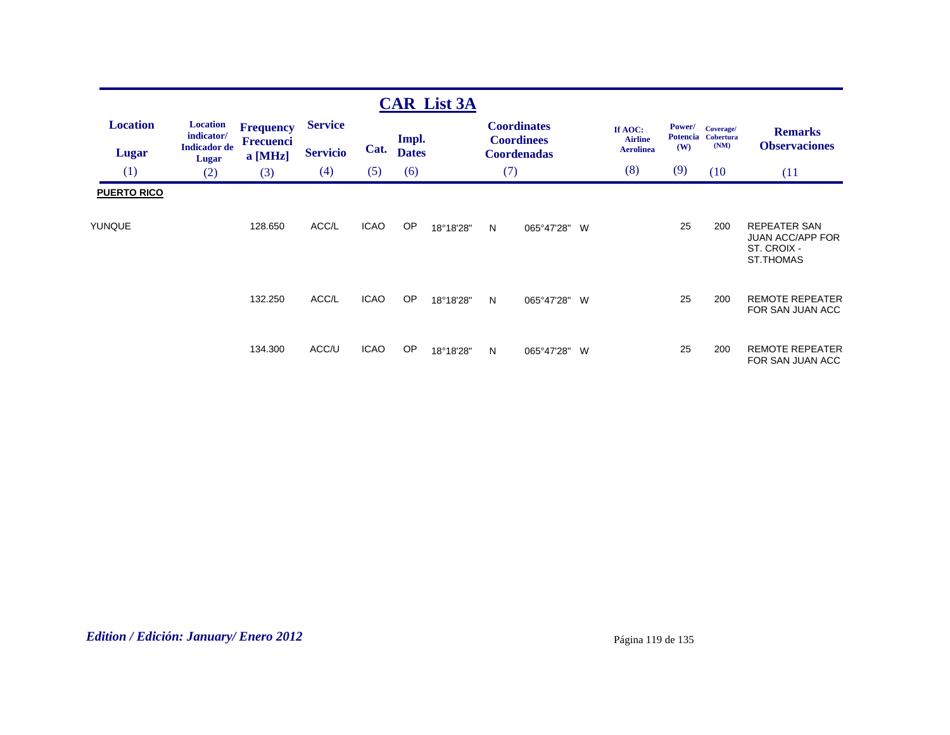|                                     |                                     |                             |                 |             |              | <b>CAR List 3A</b> |     |                                         |   |                           |               |                                 |                                                                                   |
|-------------------------------------|-------------------------------------|-----------------------------|-----------------|-------------|--------------|--------------------|-----|-----------------------------------------|---|---------------------------|---------------|---------------------------------|-----------------------------------------------------------------------------------|
| <b>Location</b>                     | <b>Location</b><br>indicator/       | <b>Frequency</b>            | <b>Service</b>  |             | Impl.        |                    |     | <b>Coordinates</b><br><b>Coordinees</b> |   | If AOC:<br><b>Airline</b> | <b>Power/</b> | Coverage/<br>Potencia Cobertura | <b>Remarks</b>                                                                    |
| <b>Lugar</b>                        | <b>Indicador</b> de<br><b>Lugar</b> | <b>Frecuenci</b><br>a [MHz] | <b>Servicio</b> | Cat.        | <b>Dates</b> |                    |     | <b>Coordenadas</b>                      |   | <b>Aerolinea</b>          | (W)           | (NM)                            | <b>Observaciones</b>                                                              |
| (1)                                 | (2)                                 | (3)                         | (4)             | (5)         | (6)          |                    | (7) |                                         |   | (8)                       | (9)           | (10)                            | (11)                                                                              |
| <b>PUERTO RICO</b><br><b>YUNQUE</b> |                                     | 128.650                     | ACC/L           | <b>ICAO</b> | <b>OP</b>    | 18°18'28"          | N   | 065°47'28"                              | W |                           | 25            | 200                             | <b>REPEATER SAN</b><br><b>JUAN ACC/APP FOR</b><br>ST. CROIX -<br><b>ST.THOMAS</b> |
|                                     |                                     | 132.250                     | ACC/L           | <b>ICAO</b> | <b>OP</b>    | 18°18'28"          | N   | 065°47'28"                              | W |                           | 25            | 200                             | <b>REMOTE REPEATER</b><br>FOR SAN JUAN ACC                                        |
|                                     |                                     | 134.300                     | ACC/U           | <b>ICAO</b> | <b>OP</b>    | 18°18'28"          | N   | 065°47'28"                              | W |                           | 25            | 200                             | <b>REMOTE REPEATER</b><br>FOR SAN JUAN ACC                                        |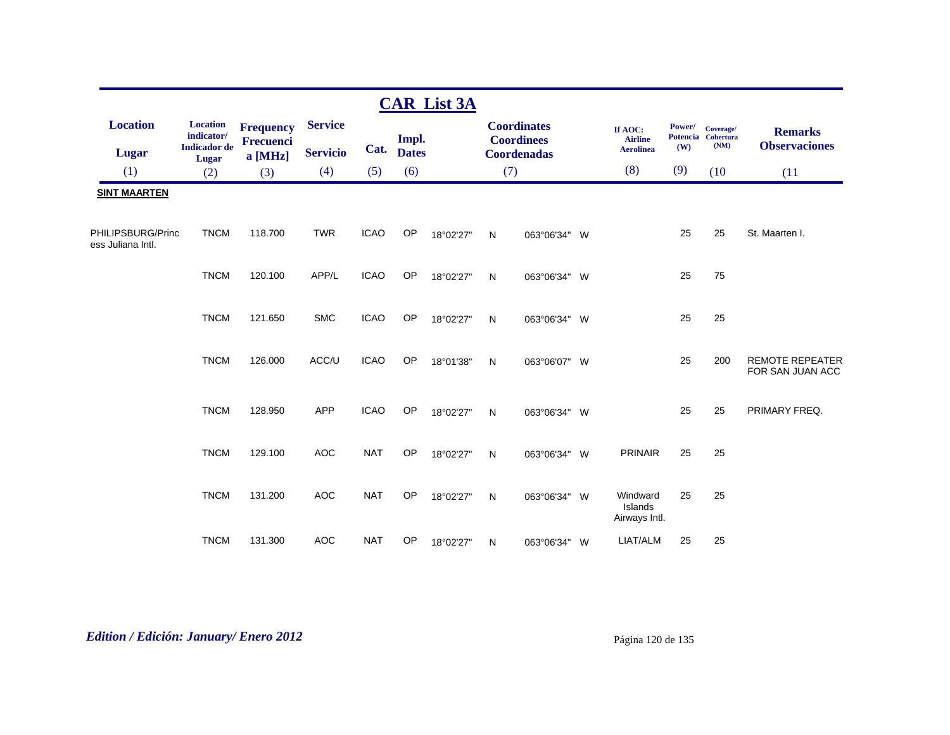|                                        |                                                                        |                                      |                                   |             |                       | <b>CAR List 3A</b> |              |                                         |                                               |               |                                         |                                            |
|----------------------------------------|------------------------------------------------------------------------|--------------------------------------|-----------------------------------|-------------|-----------------------|--------------------|--------------|-----------------------------------------|-----------------------------------------------|---------------|-----------------------------------------|--------------------------------------------|
| <b>Location</b>                        | <b>Location</b><br>$\textbf{indicator}/\text{}$<br><b>Indicador</b> de | <b>Frequency</b><br><b>Frecuenci</b> | <b>Service</b><br><b>Servicio</b> | Cat.        | Impl.<br><b>Dates</b> |                    |              | <b>Coordinates</b><br><b>Coordinees</b> | If AOC:<br><b>Airline</b><br><b>Aerolinea</b> | Power/<br>(W) | Coverage/<br>Potencia Cobertura<br>(NM) | <b>Remarks</b><br><b>Observaciones</b>     |
| <b>Lugar</b><br>(1)                    | Lugar                                                                  | a [MHz]                              | (4)                               | (5)         | (6)                   |                    | (7)          | <b>Coordenadas</b>                      | (8)                                           | (9)           | (10)                                    |                                            |
| <b>SINT MAARTEN</b>                    | (2)                                                                    | (3)                                  |                                   |             |                       |                    |              |                                         |                                               |               |                                         | (11)                                       |
|                                        |                                                                        |                                      |                                   |             |                       |                    |              |                                         |                                               |               |                                         |                                            |
| PHILIPSBURG/Princ<br>ess Juliana Intl. | <b>TNCM</b>                                                            | 118.700                              | <b>TWR</b>                        | <b>ICAO</b> | OP                    | 18°02'27"          | $\mathsf{N}$ | 063°06'34" W                            |                                               | 25            | 25                                      | St. Maarten I.                             |
|                                        | <b>TNCM</b>                                                            | 120.100                              | APP/L                             | <b>ICAO</b> | OP                    | 18°02'27"          | N            | 063°06'34" W                            |                                               | 25            | 75                                      |                                            |
|                                        | <b>TNCM</b>                                                            | 121.650                              | <b>SMC</b>                        | <b>ICAO</b> | OP                    | 18°02'27"          | N            | 063°06'34" W                            |                                               | 25            | 25                                      |                                            |
|                                        | <b>TNCM</b>                                                            | 126.000                              | ACC/U                             | <b>ICAO</b> | OP                    | 18°01'38"          | $\mathsf{N}$ | 063°06'07" W                            |                                               | 25            | 200                                     | <b>REMOTE REPEATER</b><br>FOR SAN JUAN ACC |
|                                        | <b>TNCM</b>                                                            | 128.950                              | <b>APP</b>                        | <b>ICAO</b> | OP                    | 18°02'27"          | N            | 063°06'34" W                            |                                               | 25            | 25                                      | PRIMARY FREQ.                              |
|                                        | <b>TNCM</b>                                                            | 129.100                              | <b>AOC</b>                        | <b>NAT</b>  | OP                    | 18°02'27"          | N            | 063°06'34" W                            | <b>PRINAIR</b>                                | 25            | 25                                      |                                            |
|                                        | <b>TNCM</b>                                                            | 131.200                              | <b>AOC</b>                        | <b>NAT</b>  | OP                    | 18°02'27"          | N            | 063°06'34" W                            | Windward<br>Islands<br>Airways Intl.          | 25            | 25                                      |                                            |
|                                        | <b>TNCM</b>                                                            | 131.300                              | <b>AOC</b>                        | <b>NAT</b>  | OP                    | 18°02'27"          | N            | 063°06'34" W                            | LIAT/ALM                                      | 25            | 25                                      |                                            |

*Edition / Edición: January/ Enero 2012* Página 120 de 135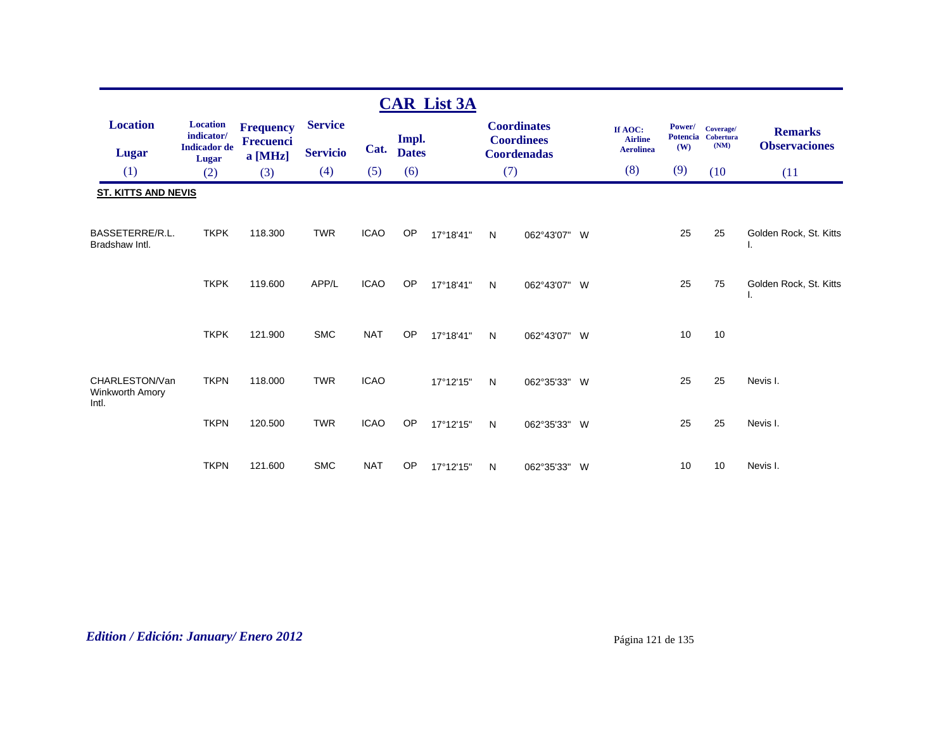|                                            |                               |                      |                 |             |                       | <b>CAR List 3A</b> |     |                                         |                           |        |                                 |                              |
|--------------------------------------------|-------------------------------|----------------------|-----------------|-------------|-----------------------|--------------------|-----|-----------------------------------------|---------------------------|--------|---------------------------------|------------------------------|
| <b>Location</b>                            | <b>Location</b><br>indicator/ | <b>Frequency</b>     | <b>Service</b>  |             |                       |                    |     | <b>Coordinates</b>                      | If AOC:<br><b>Airline</b> | Power/ | Coverage/<br>Potencia Cobertura | <b>Remarks</b>               |
| <b>Lugar</b>                               | <b>Indicador</b> de<br>Lugar  | Frecuenci<br>a [MHz] | <b>Servicio</b> | Cat.        | Impl.<br><b>Dates</b> |                    |     | <b>Coordinees</b><br><b>Coordenadas</b> | <b>Aerolinea</b>          | (W)    | (NM)                            | <b>Observaciones</b>         |
| (1)                                        | (2)                           | (3)                  | (4)             | (5)         | (6)                   |                    | (7) |                                         | (8)                       | (9)    | (10)                            | (11)                         |
| <b>ST. KITTS AND NEVIS</b>                 |                               |                      |                 |             |                       |                    |     |                                         |                           |        |                                 |                              |
| BASSETERRE/R.L.<br>Bradshaw Intl.          | <b>TKPK</b>                   | 118,300              | <b>TWR</b>      | <b>ICAO</b> | OP                    | 17°18'41"          | N   | 062°43'07" W                            |                           | 25     | 25                              | Golden Rock, St. Kitts<br>ι. |
|                                            | <b>TKPK</b>                   | 119,600              | APP/L           | <b>ICAO</b> | OP                    | 17°18'41"          | N   | 062°43'07" W                            |                           | 25     | 75                              | Golden Rock, St. Kitts<br>ъ. |
|                                            | <b>TKPK</b>                   | 121.900              | <b>SMC</b>      | <b>NAT</b>  | OP                    | 17°18'41"          | N   | 062°43'07" W                            |                           | 10     | 10                              |                              |
| CHARLESTON/Van<br>Winkworth Amory<br>Intl. | <b>TKPN</b>                   | 118.000              | <b>TWR</b>      | <b>ICAO</b> |                       | 17°12'15"          | N   | 062°35'33" W                            |                           | 25     | 25                              | Nevis I.                     |
|                                            | <b>TKPN</b>                   | 120.500              | <b>TWR</b>      | <b>ICAO</b> | OP                    | 17°12'15"          | N   | 062°35'33" W                            |                           | 25     | 25                              | Nevis I.                     |
|                                            | <b>TKPN</b>                   | 121.600              | <b>SMC</b>      | <b>NAT</b>  | OP                    | 17°12'15"          | N   | 062°35'33" W                            |                           | 10     | 10                              | Nevis I.                     |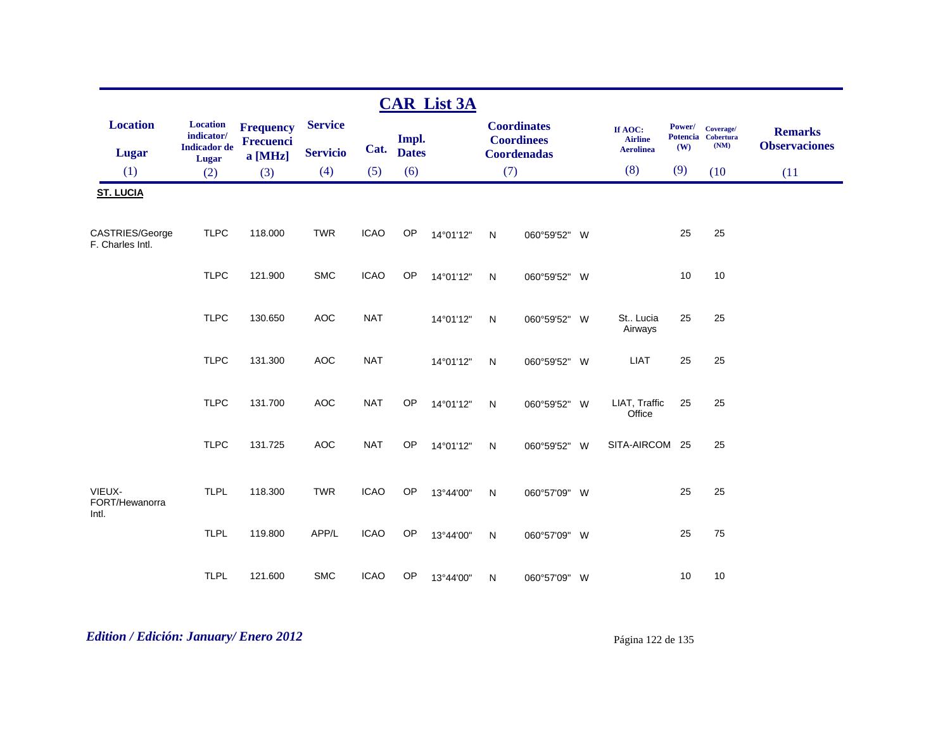|                                     |                                                               |                                                 |                                   |             |                       | <b>CAR List 3A</b> |              |                                                               |                                               |               |                                         |                                        |
|-------------------------------------|---------------------------------------------------------------|-------------------------------------------------|-----------------------------------|-------------|-----------------------|--------------------|--------------|---------------------------------------------------------------|-----------------------------------------------|---------------|-----------------------------------------|----------------------------------------|
| <b>Location</b><br>Lugar            | <b>Location</b><br>indicator/<br><b>Indicador</b> de<br>Lugar | <b>Frequency</b><br><b>Frecuenci</b><br>a [MHz] | <b>Service</b><br><b>Servicio</b> | Cat.        | Impl.<br><b>Dates</b> |                    |              | <b>Coordinates</b><br><b>Coordinees</b><br><b>Coordenadas</b> | If AOC:<br><b>Airline</b><br><b>Aerolinea</b> | Power/<br>(W) | Coverage/<br>Potencia Cobertura<br>(NM) | <b>Remarks</b><br><b>Observaciones</b> |
| (1)                                 | (2)                                                           | (3)                                             | (4)                               | (5)         | (6)                   |                    | (7)          |                                                               | (8)                                           | (9)           | (10)                                    | (11)                                   |
| <b>ST. LUCIA</b>                    |                                                               |                                                 |                                   |             |                       |                    |              |                                                               |                                               |               |                                         |                                        |
| CASTRIES/George<br>F. Charles Intl. | <b>TLPC</b>                                                   | 118.000                                         | <b>TWR</b>                        | <b>ICAO</b> | OP                    | 14°01'12"          | $\mathsf{N}$ | 060°59'52" W                                                  |                                               | 25            | 25                                      |                                        |
|                                     | <b>TLPC</b>                                                   | 121.900                                         | <b>SMC</b>                        | <b>ICAO</b> | OP                    | 14°01'12"          | N            | 060°59'52" W                                                  |                                               | 10            | 10                                      |                                        |
|                                     | <b>TLPC</b>                                                   | 130.650                                         | <b>AOC</b>                        | <b>NAT</b>  |                       | 14°01'12"          | N            | 060°59'52" W                                                  | St Lucia<br>Airways                           | 25            | 25                                      |                                        |
|                                     | <b>TLPC</b>                                                   | 131.300                                         | <b>AOC</b>                        | <b>NAT</b>  |                       | 14°01'12"          | N            | 060°59'52" W                                                  | <b>LIAT</b>                                   | 25            | 25                                      |                                        |
|                                     | <b>TLPC</b>                                                   | 131.700                                         | <b>AOC</b>                        | <b>NAT</b>  | OP                    | 14°01'12"          | N            | 060°59'52" W                                                  | LIAT, Traffic<br>Office                       | 25            | 25                                      |                                        |
|                                     | <b>TLPC</b>                                                   | 131.725                                         | <b>AOC</b>                        | <b>NAT</b>  | OP                    | 14°01'12"          | N            | 060°59'52" W                                                  | SITA-AIRCOM 25                                |               | 25                                      |                                        |
| VIEUX-<br>FORT/Hewanorra            | <b>TLPL</b>                                                   | 118.300                                         | <b>TWR</b>                        | <b>ICAO</b> | OP                    | 13°44'00"          | N            | 060°57'09" W                                                  |                                               | 25            | 25                                      |                                        |
| Intl.                               | <b>TLPL</b>                                                   | 119.800                                         | APP/L                             | <b>ICAO</b> | OP                    | 13°44'00"          | N            | 060°57'09" W                                                  |                                               | 25            | 75                                      |                                        |
|                                     | <b>TLPL</b>                                                   | 121.600                                         | <b>SMC</b>                        | <b>ICAO</b> | OP                    | 13°44'00"          | N            | 060°57'09" W                                                  |                                               | 10            | 10                                      |                                        |

# *Edition / Edición: January/ Enero 2012* Página 122 de 135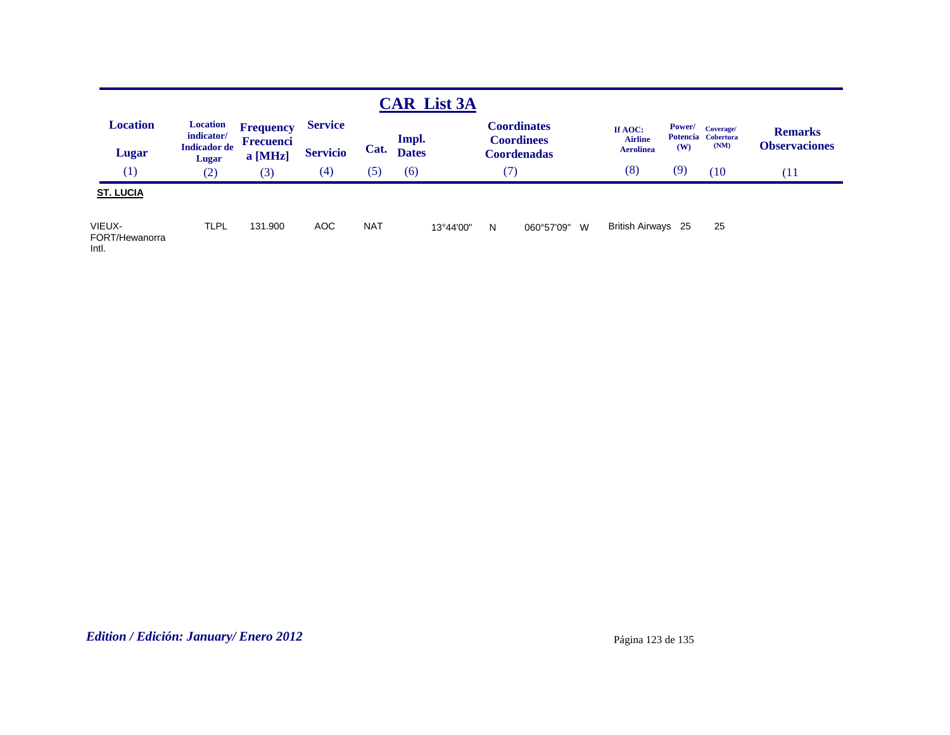|                                   |                                                               |                                          |                                   |            |                       | <b>CAR List 3A</b> |        |                                                               |                                               |                      |                                         |                                        |
|-----------------------------------|---------------------------------------------------------------|------------------------------------------|-----------------------------------|------------|-----------------------|--------------------|--------|---------------------------------------------------------------|-----------------------------------------------|----------------------|-----------------------------------------|----------------------------------------|
| <b>Location</b><br>Lugar          | <b>Location</b><br>indicator/<br><b>Indicador</b> de<br>Lugar | <b>Frequency</b><br>Frecuenci<br>a [MHz] | <b>Service</b><br><b>Servicio</b> | Cat.       | Impl.<br><b>Dates</b> |                    |        | <b>Coordinates</b><br><b>Coordinees</b><br><b>Coordenadas</b> | If AOC:<br><b>Airline</b><br><b>Aerolinea</b> | <b>Power/</b><br>(W) | Coverage/<br>Potencia Cobertura<br>(NM) | <b>Remarks</b><br><b>Observaciones</b> |
| (1)                               | (2)                                                           | (3)                                      | (4)                               | (5)        | (6)                   |                    | $\tau$ |                                                               | (8)                                           | (9)                  | (10)                                    | (11                                    |
| <b>ST. LUCIA</b>                  |                                                               |                                          |                                   |            |                       |                    |        |                                                               |                                               |                      |                                         |                                        |
| VIEUX-<br>FORT/Hewanorra<br>Intl. | <b>TLPL</b>                                                   | 131.900                                  | AOC                               | <b>NAT</b> |                       | 13°44'00"          | N      | 060°57'09"<br>W                                               | British Airways 25                            |                      | 25                                      |                                        |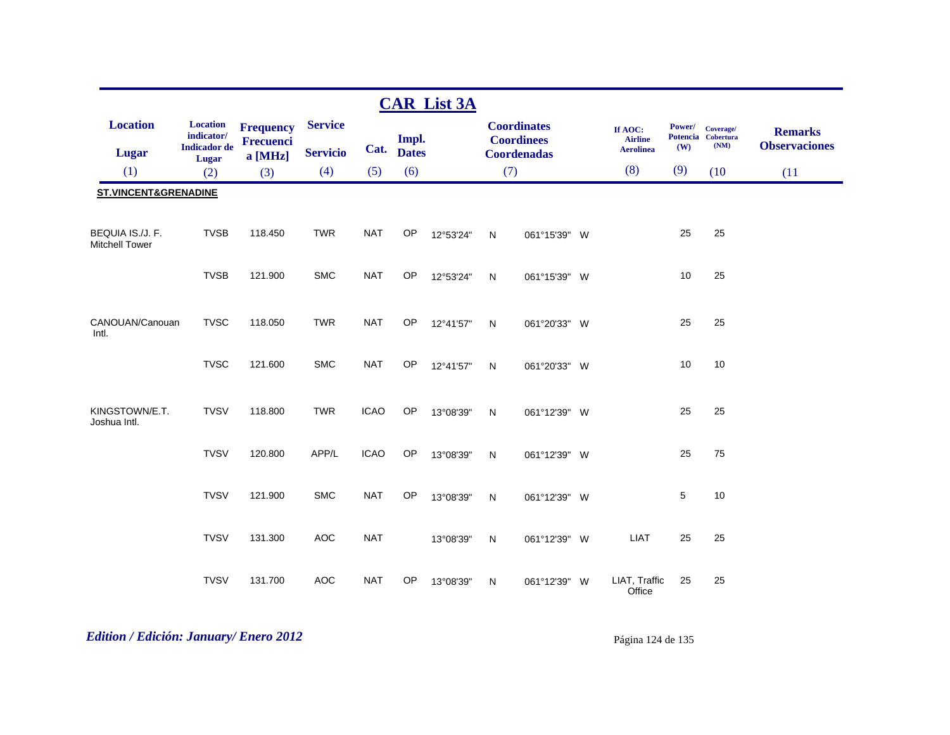|                                           |                                                               |                                          |                                   |             |                       | <b>CAR List 3A</b> |              |                                                               |                                               |               |                                         |                                        |
|-------------------------------------------|---------------------------------------------------------------|------------------------------------------|-----------------------------------|-------------|-----------------------|--------------------|--------------|---------------------------------------------------------------|-----------------------------------------------|---------------|-----------------------------------------|----------------------------------------|
| <b>Location</b><br><b>Lugar</b>           | <b>Location</b><br>indicator/<br><b>Indicador</b> de<br>Lugar | <b>Frequency</b><br>Frecuenci<br>a [MHz] | <b>Service</b><br><b>Servicio</b> | Cat.        | Impl.<br><b>Dates</b> |                    |              | <b>Coordinates</b><br><b>Coordinees</b><br><b>Coordenadas</b> | If AOC:<br><b>Airline</b><br><b>Aerolinea</b> | Power/<br>(W) | Coverage/<br>Potencia Cobertura<br>(NM) | <b>Remarks</b><br><b>Observaciones</b> |
| (1)                                       | (2)                                                           | (3)                                      | (4)                               | (5)         | (6)                   |                    | (7)          |                                                               | (8)                                           | (9)           | (10)                                    | (11)                                   |
| <b>ST.VINCENT&amp;GRENADINE</b>           |                                                               |                                          |                                   |             |                       |                    |              |                                                               |                                               |               |                                         |                                        |
| BEQUIA IS./J. F.<br><b>Mitchell Tower</b> | <b>TVSB</b>                                                   | 118.450                                  | <b>TWR</b>                        | <b>NAT</b>  | OP                    | 12°53'24"          | $\mathsf{N}$ | 061°15'39" W                                                  |                                               | 25            | 25                                      |                                        |
|                                           | <b>TVSB</b>                                                   | 121.900                                  | <b>SMC</b>                        | <b>NAT</b>  | OP                    | 12°53'24"          | N            | 061°15'39" W                                                  |                                               | 10            | 25                                      |                                        |
| CANOUAN/Canouan<br>Intl.                  | <b>TVSC</b>                                                   | 118.050                                  | <b>TWR</b>                        | <b>NAT</b>  | OP                    | 12°41'57"          | N            | 061°20'33" W                                                  |                                               | 25            | 25                                      |                                        |
|                                           | <b>TVSC</b>                                                   | 121.600                                  | <b>SMC</b>                        | <b>NAT</b>  | OP                    | 12°41'57"          | N            | 061°20'33" W                                                  |                                               | 10            | 10                                      |                                        |
| KINGSTOWN/E.T.<br>Joshua Intl.            | <b>TVSV</b>                                                   | 118.800                                  | <b>TWR</b>                        | <b>ICAO</b> | OP                    | 13°08'39"          | N            | 061°12'39" W                                                  |                                               | 25            | 25                                      |                                        |
|                                           | <b>TVSV</b>                                                   | 120.800                                  | APP/L                             | <b>ICAO</b> | OP                    | 13°08'39"          | N            | 061°12'39" W                                                  |                                               | 25            | 75                                      |                                        |
|                                           | <b>TVSV</b>                                                   | 121.900                                  | <b>SMC</b>                        | <b>NAT</b>  | OP                    | 13°08'39"          | N            | 061°12'39" W                                                  |                                               | 5             | 10                                      |                                        |
|                                           | <b>TVSV</b>                                                   | 131.300                                  | AOC                               | <b>NAT</b>  |                       | 13°08'39"          | $\mathsf{N}$ | 061°12'39" W                                                  | <b>LIAT</b>                                   | 25            | 25                                      |                                        |
|                                           | <b>TVSV</b>                                                   | 131.700                                  | <b>AOC</b>                        | <b>NAT</b>  | OP                    | 13°08'39"          | N            | 061°12'39" W                                                  | LIAT, Traffic<br>Office                       | 25            | 25                                      |                                        |

# *Edition / Edición: January/ Enero 2012* Página 124 de 135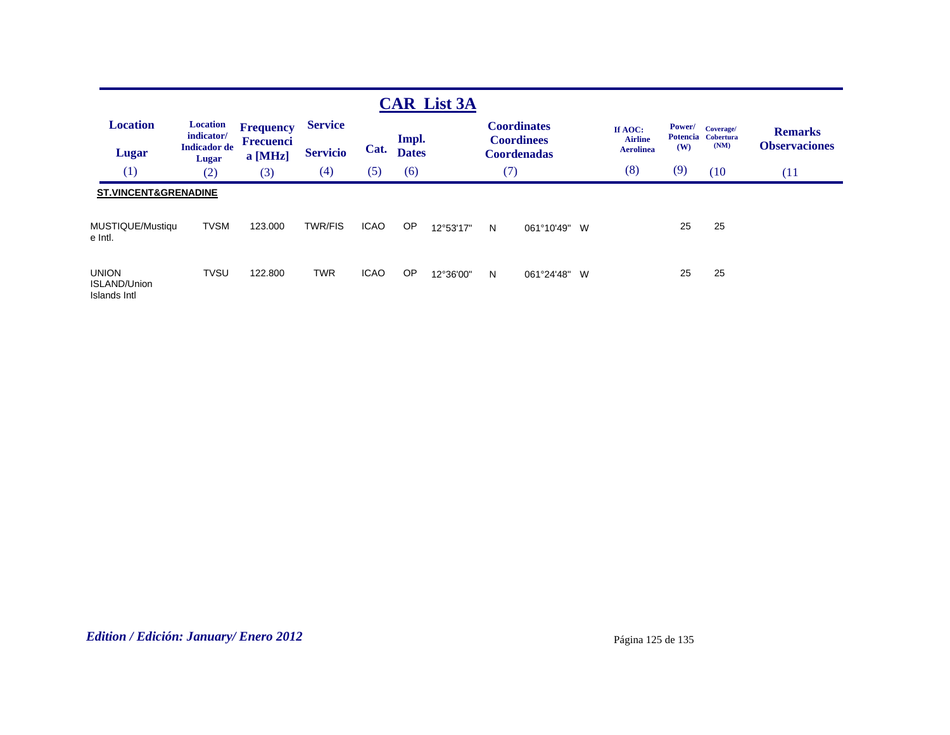|                                                     |                               |                             |                 |             |                       | <b>CAR List 3A</b> |     |                                         |                           |        |                                 |                      |
|-----------------------------------------------------|-------------------------------|-----------------------------|-----------------|-------------|-----------------------|--------------------|-----|-----------------------------------------|---------------------------|--------|---------------------------------|----------------------|
| <b>Location</b>                                     | <b>Location</b><br>indicator/ | <b>Frequency</b>            | <b>Service</b>  |             |                       |                    |     | <b>Coordinates</b>                      | If AOC:<br><b>Airline</b> | Power/ | Coverage/<br>Potencia Cobertura | <b>Remarks</b>       |
| Lugar                                               | <b>Indicador</b> de<br>Lugar  | <b>Frecuenci</b><br>a [MHz] | <b>Servicio</b> | Cat.        | Impl.<br><b>Dates</b> |                    |     | <b>Coordinees</b><br><b>Coordenadas</b> | <b>Aerolinea</b>          | (W)    | (NM)                            | <b>Observaciones</b> |
| (1)                                                 | (2)                           | (3)                         | (4)             | (5)         | (6)                   |                    | (7) |                                         | (8)                       | (9)    | (10)                            | (11)                 |
| <b>ST.VINCENT&amp;GRENADINE</b>                     |                               |                             |                 |             |                       |                    |     |                                         |                           |        |                                 |                      |
| MUSTIQUE/Mustiqu<br>e Intl.                         | <b>TVSM</b>                   | 123,000                     | <b>TWR/FIS</b>  | <b>ICAO</b> | <b>OP</b>             | 12°53'17"          | N   | W<br>061°10'49"                         |                           | 25     | 25                              |                      |
| <b>UNION</b><br><b>ISLAND/Union</b><br>Islands Intl | <b>TVSU</b>                   | 122.800                     | <b>TWR</b>      | <b>ICAO</b> | <b>OP</b>             | 12°36'00"          | N   | 061°24'48"<br>W                         |                           | 25     | 25                              |                      |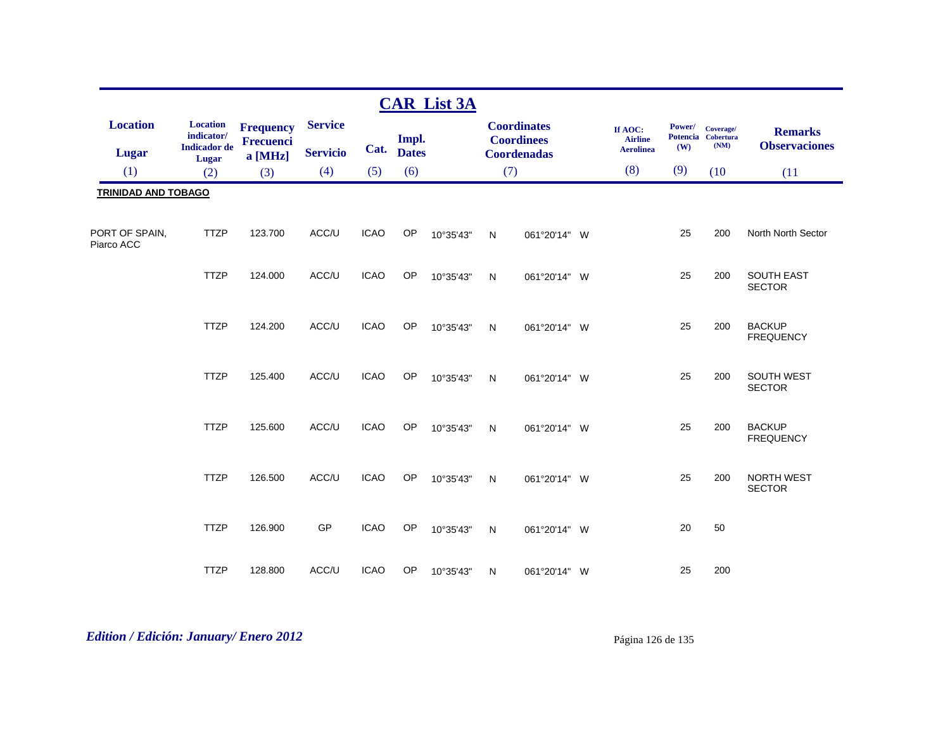|                                 |                                                      |                                                   |                                   |             |                       | <b>CAR List 3A</b> |              |                                                               |                                               |               |                                         |                                        |
|---------------------------------|------------------------------------------------------|---------------------------------------------------|-----------------------------------|-------------|-----------------------|--------------------|--------------|---------------------------------------------------------------|-----------------------------------------------|---------------|-----------------------------------------|----------------------------------------|
| <b>Location</b><br><b>Lugar</b> | <b>Location</b><br>indicator/<br><b>Indicador</b> de | <b>Frequency</b><br><b>Frecuenci</b><br>$a$ [MHz] | <b>Service</b><br><b>Servicio</b> | Cat.        | Impl.<br><b>Dates</b> |                    |              | <b>Coordinates</b><br><b>Coordinees</b><br><b>Coordenadas</b> | If AOC:<br><b>Airline</b><br><b>Aerolinea</b> | Power/<br>(W) | Coverage/<br>Potencia Cobertura<br>(NM) | <b>Remarks</b><br><b>Observaciones</b> |
| (1)                             | Lugar<br>(2)                                         | (3)                                               | (4)                               | (5)         | (6)                   |                    |              | (7)                                                           | (8)                                           | (9)           | (10)                                    | (11)                                   |
| <b>TRINIDAD AND TOBAGO</b>      |                                                      |                                                   |                                   |             |                       |                    |              |                                                               |                                               |               |                                         |                                        |
|                                 |                                                      |                                                   |                                   |             |                       |                    |              |                                                               |                                               |               |                                         |                                        |
| PORT OF SPAIN,<br>Piarco ACC    | <b>TTZP</b>                                          | 123.700                                           | ACC/U                             | <b>ICAO</b> | OP                    | 10°35'43"          | $\mathsf{N}$ | 061°20'14" W                                                  |                                               | 25            | 200                                     | North North Sector                     |
|                                 | <b>TTZP</b>                                          | 124.000                                           | ACC/U                             | <b>ICAO</b> | <b>OP</b>             | 10°35'43"          | $\mathsf{N}$ | 061°20'14" W                                                  |                                               | 25            | 200                                     | <b>SOUTH EAST</b><br><b>SECTOR</b>     |
|                                 | <b>TTZP</b>                                          | 124.200                                           | ACC/U                             | <b>ICAO</b> | OP                    | 10°35'43"          | $\mathsf{N}$ | 061°20'14" W                                                  |                                               | 25            | 200                                     | <b>BACKUP</b><br><b>FREQUENCY</b>      |
|                                 | <b>TTZP</b>                                          | 125.400                                           | ACC/U                             | <b>ICAO</b> | OP                    | 10°35'43"          | ${\sf N}$    | 061°20'14" W                                                  |                                               | 25            | 200                                     | SOUTH WEST<br><b>SECTOR</b>            |
|                                 | <b>TTZP</b>                                          | 125.600                                           | ACC/U                             | <b>ICAO</b> | OP                    | 10°35'43"          | N            | 061°20'14" W                                                  |                                               | 25            | 200                                     | <b>BACKUP</b><br><b>FREQUENCY</b>      |
|                                 | <b>TTZP</b>                                          | 126.500                                           | ACC/U                             | <b>ICAO</b> | <b>OP</b>             | 10°35'43"          | N            | 061°20'14" W                                                  |                                               | 25            | 200                                     | NORTH WEST<br><b>SECTOR</b>            |
|                                 | <b>TTZP</b>                                          | 126.900                                           | GP                                | <b>ICAO</b> | OP                    | 10°35'43"          | N            | 061°20'14" W                                                  |                                               | 20            | 50                                      |                                        |
|                                 | <b>TTZP</b>                                          | 128.800                                           | ACC/U                             | <b>ICAO</b> | OP                    | 10°35'43"          | $\mathsf{N}$ | 061°20'14" W                                                  |                                               | 25            | 200                                     |                                        |

# *Edition / Edición: January/ Enero 2012* Página 126 de 135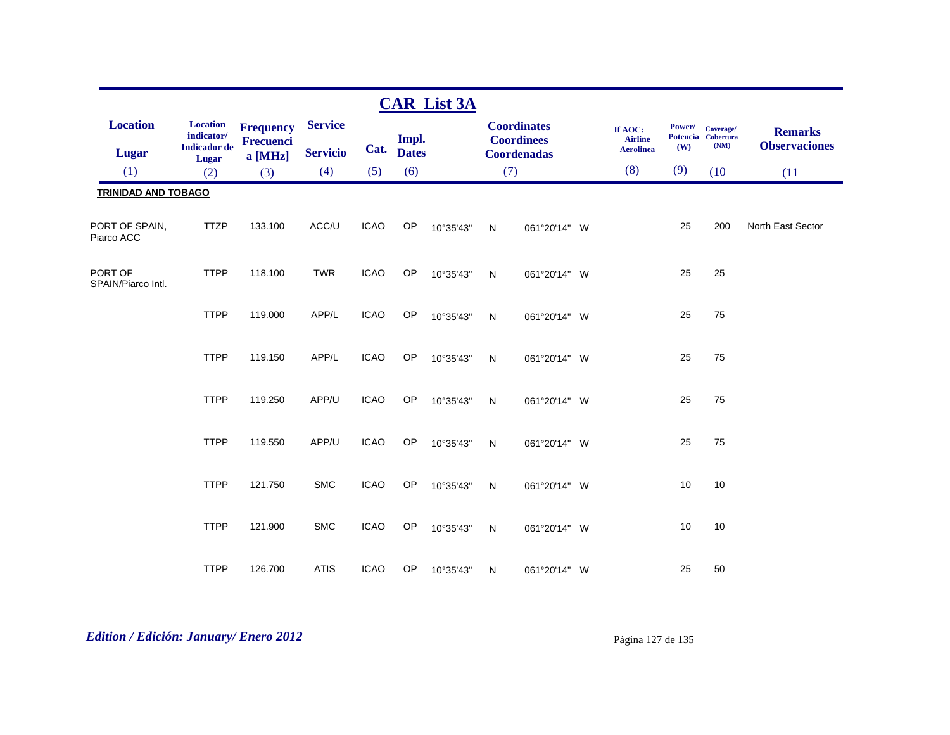|                               |                                                      |                                      |                 |             |                       | <b>CAR List 3A</b> |              |                                         |                                               |               |                                         |                                        |
|-------------------------------|------------------------------------------------------|--------------------------------------|-----------------|-------------|-----------------------|--------------------|--------------|-----------------------------------------|-----------------------------------------------|---------------|-----------------------------------------|----------------------------------------|
| <b>Location</b>               | <b>Location</b><br>indicator/<br><b>Indicador</b> de | <b>Frequency</b><br><b>Frecuenci</b> | <b>Service</b>  | Cat.        | Impl.<br><b>Dates</b> |                    |              | <b>Coordinates</b><br><b>Coordinees</b> | If AOC:<br><b>Airline</b><br><b>Aerolinea</b> | Power/<br>(W) | Coverage/<br>Potencia Cobertura<br>(NM) | <b>Remarks</b><br><b>Observaciones</b> |
| Lugar                         | Lugar                                                | $a$ [MHz]                            | <b>Servicio</b> |             |                       |                    |              | <b>Coordenadas</b>                      | (8)                                           | (9)           |                                         |                                        |
| (1)                           | (2)                                                  | (3)                                  | (4)             | (5)         | (6)                   |                    | (7)          |                                         |                                               |               | (10)                                    | (11)                                   |
| <b>TRINIDAD AND TOBAGO</b>    |                                                      |                                      |                 |             |                       |                    |              |                                         |                                               |               |                                         |                                        |
| PORT OF SPAIN,<br>Piarco ACC  | <b>TTZP</b>                                          | 133.100                              | ACC/U           | <b>ICAO</b> | OP                    | 10°35'43"          | N            | 061°20'14" W                            |                                               | 25            | 200                                     | North East Sector                      |
| PORT OF<br>SPAIN/Piarco Intl. | <b>TTPP</b>                                          | 118.100                              | <b>TWR</b>      | <b>ICAO</b> | OP                    | 10°35'43"          | $\mathsf{N}$ | 061°20'14" W                            |                                               | 25            | 25                                      |                                        |
|                               | <b>TTPP</b>                                          | 119.000                              | APP/L           | <b>ICAO</b> | OP                    | 10°35'43"          | $\mathsf{N}$ | 061°20'14" W                            |                                               | 25            | 75                                      |                                        |
|                               | <b>TTPP</b>                                          | 119.150                              | APP/L           | <b>ICAO</b> | <b>OP</b>             | 10°35'43"          | $\mathsf{N}$ | 061°20'14" W                            |                                               | 25            | 75                                      |                                        |
|                               | <b>TTPP</b>                                          | 119.250                              | APP/U           | <b>ICAO</b> | OP                    | 10°35'43"          | $\mathsf{N}$ | 061°20'14" W                            |                                               | 25            | 75                                      |                                        |
|                               | <b>TTPP</b>                                          | 119.550                              | APP/U           | <b>ICAO</b> | OP                    | 10°35'43"          | N            | 061°20'14" W                            |                                               | 25            | 75                                      |                                        |
|                               | <b>TTPP</b>                                          | 121.750                              | <b>SMC</b>      | <b>ICAO</b> | <b>OP</b>             | 10°35'43"          | ${\sf N}$    | 061°20'14" W                            |                                               | 10            | 10                                      |                                        |
|                               | <b>TTPP</b>                                          | 121.900                              | <b>SMC</b>      | <b>ICAO</b> | OP                    | 10°35'43"          | N            | 061°20'14" W                            |                                               | 10            | 10                                      |                                        |
|                               | <b>TTPP</b>                                          | 126.700                              | <b>ATIS</b>     | <b>ICAO</b> | OP                    | 10°35'43"          | N            | 061°20'14" W                            |                                               | 25            | 50                                      |                                        |

# *Edition / Edición: January/ Enero 2012* Página 127 de 135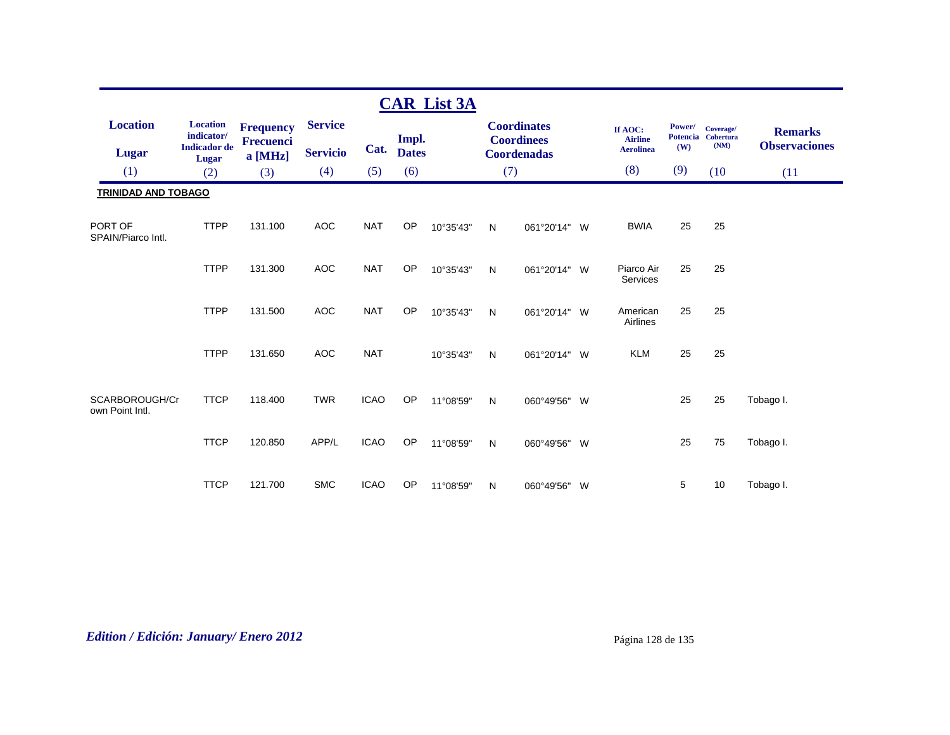|                                   |                               |                               |                 |             |              | <b>CAR List 3A</b> |   |                                         |                           |                           |                        |                      |
|-----------------------------------|-------------------------------|-------------------------------|-----------------|-------------|--------------|--------------------|---|-----------------------------------------|---------------------------|---------------------------|------------------------|----------------------|
| <b>Location</b>                   | <b>Location</b><br>indicator/ | <b>Frequency</b><br>Frecuenci | <b>Service</b>  |             | Impl.        |                    |   | <b>Coordinates</b><br><b>Coordinees</b> | If AOC:<br><b>Airline</b> | Power/<br><b>Potencia</b> | Coverage/<br>Cobertura | <b>Remarks</b>       |
| <b>Lugar</b>                      | <b>Indicador</b> de<br>Lugar  | a [MHz]                       | <b>Servicio</b> | Cat.        | <b>Dates</b> |                    |   | <b>Coordenadas</b>                      | <b>Aerolinea</b>          | (W)                       | (NM)                   | <b>Observaciones</b> |
| (1)                               | (2)                           | (3)                           | (4)             | (5)         | (6)          |                    |   | (7)                                     | (8)                       | (9)                       | (10)                   | (11)                 |
| <b>TRINIDAD AND TOBAGO</b>        |                               |                               |                 |             |              |                    |   |                                         |                           |                           |                        |                      |
| PORT OF<br>SPAIN/Piarco Intl.     | <b>TTPP</b>                   | 131.100                       | <b>AOC</b>      | <b>NAT</b>  | <b>OP</b>    | 10°35'43"          | N | 061°20'14" W                            | <b>BWIA</b>               | 25                        | 25                     |                      |
|                                   | <b>TTPP</b>                   | 131.300                       | <b>AOC</b>      | <b>NAT</b>  | <b>OP</b>    | 10°35'43"          | N | 061°20'14" W                            | Piarco Air<br>Services    | 25                        | 25                     |                      |
|                                   | <b>TTPP</b>                   | 131.500                       | <b>AOC</b>      | <b>NAT</b>  | OP           | 10°35'43"          | N | 061°20'14" W                            | American<br>Airlines      | 25                        | 25                     |                      |
|                                   | <b>TTPP</b>                   | 131.650                       | <b>AOC</b>      | <b>NAT</b>  |              | 10°35'43"          | N | 061°20'14" W                            | <b>KLM</b>                | 25                        | 25                     |                      |
| SCARBOROUGH/Cr<br>own Point Intl. | <b>TTCP</b>                   | 118.400                       | <b>TWR</b>      | <b>ICAO</b> | <b>OP</b>    | 11°08'59"          | N | 060°49'56" W                            |                           | 25                        | 25                     | Tobago I.            |
|                                   | <b>TTCP</b>                   | 120.850                       | APP/L           | <b>ICAO</b> | OP           | 11°08'59"          | N | 060°49'56" W                            |                           | 25                        | 75                     | Tobago I.            |
|                                   | <b>TTCP</b>                   | 121.700                       | <b>SMC</b>      | <b>ICAO</b> | OP           | 11°08'59"          | Ν | 060°49'56" W                            |                           | 5                         | 10                     | Tobago I.            |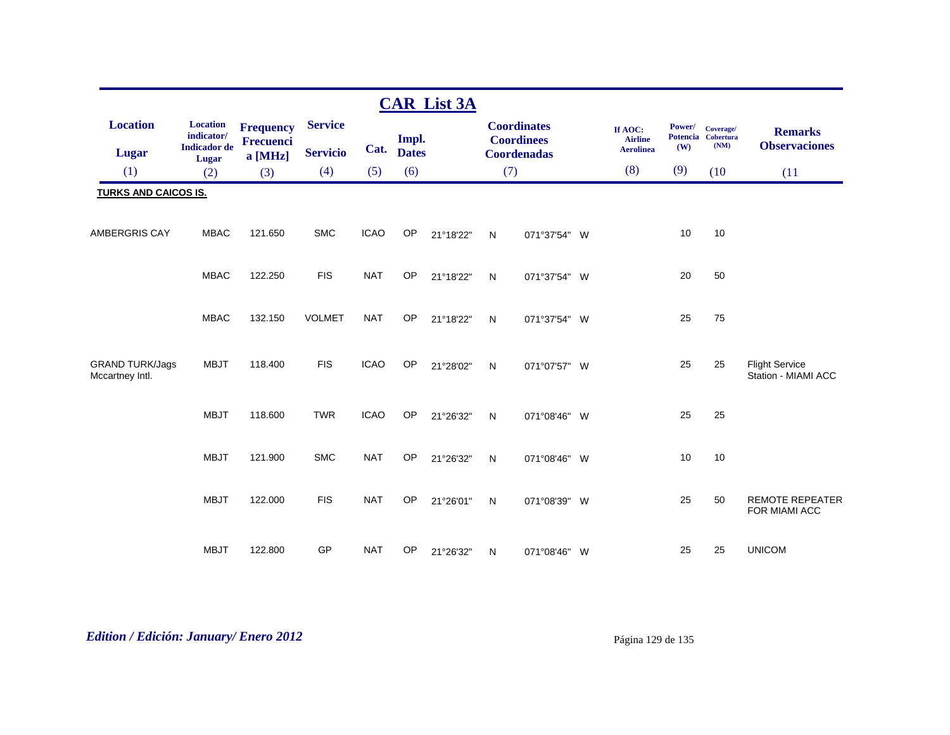|                                           |                                                      |                                      |                 |             |              | <b>CAR List 3A</b> |              |                                         |                                               |                                  |                                       |                                              |
|-------------------------------------------|------------------------------------------------------|--------------------------------------|-----------------|-------------|--------------|--------------------|--------------|-----------------------------------------|-----------------------------------------------|----------------------------------|---------------------------------------|----------------------------------------------|
| <b>Location</b>                           | <b>Location</b><br>indicator/<br><b>Indicador</b> de | <b>Frequency</b><br><b>Frecuenci</b> | <b>Service</b>  | Cat.        | Impl.        |                    |              | <b>Coordinates</b><br><b>Coordinees</b> | If AOC:<br><b>Airline</b><br><b>Aerolinea</b> | Power/<br><b>Potencia</b><br>(W) | Coverage/<br><b>Cobertura</b><br>(NM) | <b>Remarks</b><br><b>Observaciones</b>       |
| <b>Lugar</b>                              | Lugar                                                | a [MHz]                              | <b>Servicio</b> |             | <b>Dates</b> |                    |              | <b>Coordenadas</b>                      |                                               |                                  |                                       |                                              |
| (1)                                       | (2)                                                  | (3)                                  | (4)             | (5)         | (6)          |                    | (7)          |                                         | (8)                                           | (9)                              | (10)                                  | (11)                                         |
| <b>TURKS AND CAICOS IS.</b>               |                                                      |                                      |                 |             |              |                    |              |                                         |                                               |                                  |                                       |                                              |
| <b>AMBERGRIS CAY</b>                      | <b>MBAC</b>                                          | 121.650                              | <b>SMC</b>      | <b>ICAO</b> | OP           | 21°18'22"          | N            | 071°37'54" W                            |                                               | 10                               | 10                                    |                                              |
|                                           | <b>MBAC</b>                                          | 122.250                              | <b>FIS</b>      | <b>NAT</b>  | OP           | 21°18'22"          | N            | 071°37'54" W                            |                                               | 20                               | 50                                    |                                              |
|                                           | <b>MBAC</b>                                          | 132.150                              | <b>VOLMET</b>   | <b>NAT</b>  | OP           | 21°18'22"          | ${\sf N}$    | 071°37'54" W                            |                                               | 25                               | 75                                    |                                              |
| <b>GRAND TURK/Jags</b><br>Mccartney Intl. | <b>MBJT</b>                                          | 118.400                              | <b>FIS</b>      | <b>ICAO</b> | OP           | 21°28'02"          | $\mathsf{N}$ | 071°07'57" W                            |                                               | 25                               | 25                                    | <b>Flight Service</b><br>Station - MIAMI ACC |
|                                           | <b>MBJT</b>                                          | 118.600                              | <b>TWR</b>      | <b>ICAO</b> | OP           | 21°26'32"          | $\mathsf{N}$ | 071°08'46" W                            |                                               | 25                               | 25                                    |                                              |
|                                           | <b>MBJT</b>                                          | 121.900                              | <b>SMC</b>      | <b>NAT</b>  | OP           | 21°26'32"          | ${\sf N}$    | 071°08'46" W                            |                                               | 10                               | 10                                    |                                              |
|                                           | <b>MBJT</b>                                          | 122.000                              | <b>FIS</b>      | <b>NAT</b>  | OP           | 21°26'01"          | N            | 071°08'39" W                            |                                               | 25                               | 50                                    | <b>REMOTE REPEATER</b><br>FOR MIAMI ACC      |
|                                           | <b>MBJT</b>                                          | 122.800                              | GP              | <b>NAT</b>  | OP           | 21°26'32"          | N            | 071°08'46" W                            |                                               | 25                               | 25                                    | <b>UNICOM</b>                                |

# *Edition / Edición: January/ Enero 2012* Página 129 de 135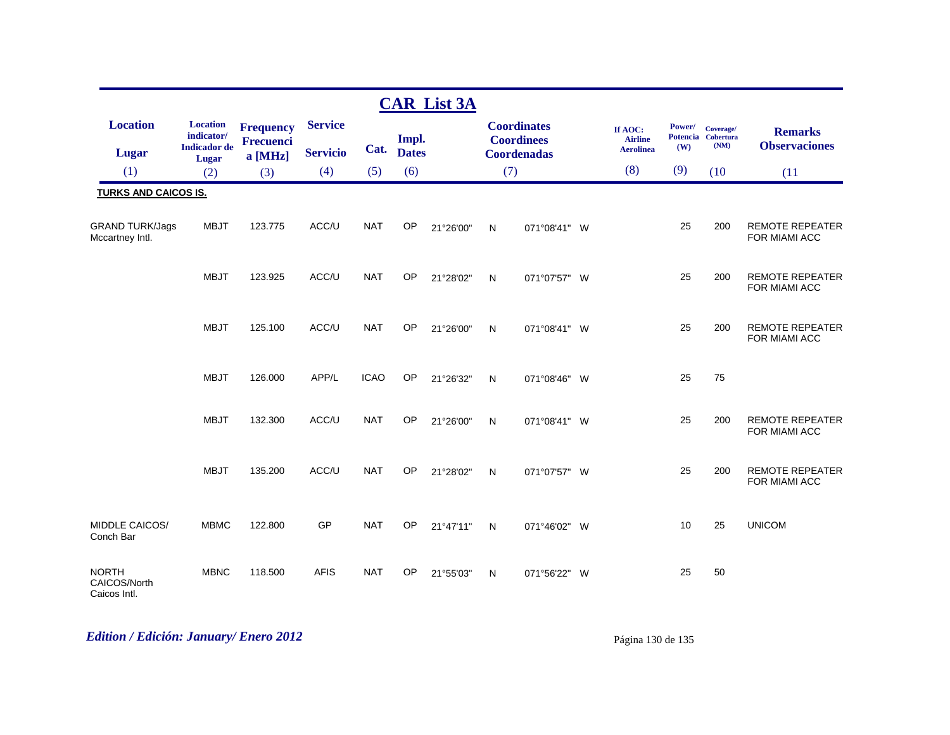|                                              |                                                               |                                          |                                   |             |                       | <b>CAR List 3A</b> |     |                                                               |          |                                               |                                  |                                       |                                         |
|----------------------------------------------|---------------------------------------------------------------|------------------------------------------|-----------------------------------|-------------|-----------------------|--------------------|-----|---------------------------------------------------------------|----------|-----------------------------------------------|----------------------------------|---------------------------------------|-----------------------------------------|
| <b>Location</b><br><b>Lugar</b>              | <b>Location</b><br>indicator/<br><b>Indicador</b> de<br>Lugar | <b>Frequency</b><br>Frecuenci<br>a [MHz] | <b>Service</b><br><b>Servicio</b> | Cat.        | Impl.<br><b>Dates</b> |                    |     | <b>Coordinates</b><br><b>Coordinees</b><br><b>Coordenadas</b> |          | If AOC:<br><b>Airline</b><br><b>Aerolinea</b> | Power/<br><b>Potencia</b><br>(W) | Coverage/<br><b>Cobertura</b><br>(MM) | <b>Remarks</b><br><b>Observaciones</b>  |
| (1)                                          | (2)                                                           | (3)                                      | (4)                               | (5)         | (6)                   |                    | (7) |                                                               |          | (8)                                           | (9)                              | (10)                                  | (11)                                    |
| <b>TURKS AND CAICOS IS.</b>                  |                                                               |                                          |                                   |             |                       |                    |     |                                                               |          |                                               |                                  |                                       |                                         |
| <b>GRAND TURK/Jags</b><br>Mccartney Intl.    | <b>MBJT</b>                                                   | 123.775                                  | ACC/U                             | <b>NAT</b>  | OP                    | 21°26'00"          | N   | 071°08'41" W                                                  |          |                                               | 25                               | 200                                   | <b>REMOTE REPEATER</b><br>FOR MIAMI ACC |
|                                              | <b>MBJT</b>                                                   | 123.925                                  | ACC/U                             | <b>NAT</b>  | <b>OP</b>             | 21°28'02"          | N   | 071°07'57" W                                                  |          |                                               | 25                               | 200                                   | <b>REMOTE REPEATER</b><br>FOR MIAMI ACC |
|                                              | <b>MBJT</b>                                                   | 125.100                                  | ACC/U                             | <b>NAT</b>  | OP                    | 21°26'00"          | N   | 071°08'41" W                                                  |          |                                               | 25                               | 200                                   | <b>REMOTE REPEATER</b><br>FOR MIAMI ACC |
|                                              | <b>MBJT</b>                                                   | 126.000                                  | APP/L                             | <b>ICAO</b> | OP                    | 21°26'32"          | N   | 071°08'46"                                                    | <b>W</b> |                                               | 25                               | 75                                    |                                         |
|                                              | <b>MBJT</b>                                                   | 132.300                                  | ACC/U                             | <b>NAT</b>  | OP                    | 21°26'00"          | N   | 071°08'41" W                                                  |          |                                               | 25                               | 200                                   | <b>REMOTE REPEATER</b><br>FOR MIAMI ACC |
|                                              | <b>MBJT</b>                                                   | 135.200                                  | ACC/U                             | <b>NAT</b>  | OP                    | 21°28'02"          | N   | 071°07'57" W                                                  |          |                                               | 25                               | 200                                   | <b>REMOTE REPEATER</b><br>FOR MIAMI ACC |
| MIDDLE CAICOS/<br>Conch Bar                  | <b>MBMC</b>                                                   | 122.800                                  | GP                                | <b>NAT</b>  | OP                    | 21°47'11"          | N   | 071°46'02"                                                    | W        |                                               | 10                               | 25                                    | <b>UNICOM</b>                           |
| <b>NORTH</b><br>CAICOS/North<br>Caicos Intl. | <b>MBNC</b>                                                   | 118.500                                  | <b>AFIS</b>                       | <b>NAT</b>  | OP                    | 21°55'03"          | N   | 071°56'22"                                                    | W        |                                               | 25                               | 50                                    |                                         |

# *Edition / Edición: January/ Enero 2012* Página 130 de 135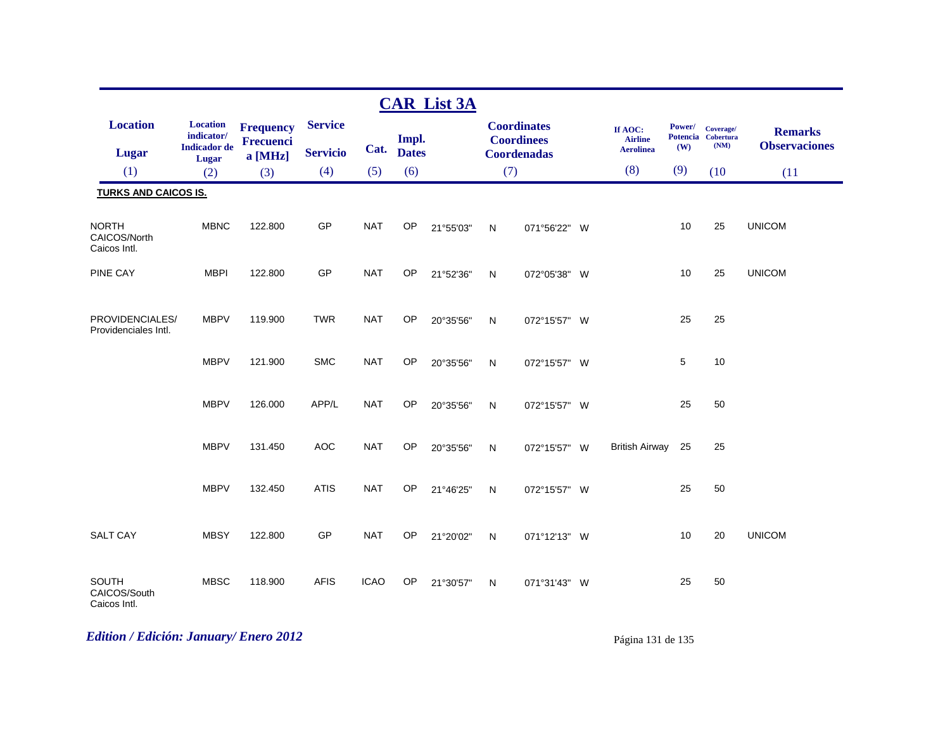|                                              |                                                               |                                                 |                                   |             |                       | <b>CAR List 3A</b> |     |                                                               |                                               |               |                                         |                                        |
|----------------------------------------------|---------------------------------------------------------------|-------------------------------------------------|-----------------------------------|-------------|-----------------------|--------------------|-----|---------------------------------------------------------------|-----------------------------------------------|---------------|-----------------------------------------|----------------------------------------|
| <b>Location</b><br><b>Lugar</b>              | <b>Location</b><br>indicator/<br><b>Indicador</b> de<br>Lugar | <b>Frequency</b><br><b>Frecuenci</b><br>a [MHz] | <b>Service</b><br><b>Servicio</b> | Cat.        | Impl.<br><b>Dates</b> |                    |     | <b>Coordinates</b><br><b>Coordinees</b><br><b>Coordenadas</b> | If AOC:<br><b>Airline</b><br><b>Aerolinea</b> | Power/<br>(W) | Coverage/<br>Potencia Cobertura<br>(NM) | <b>Remarks</b><br><b>Observaciones</b> |
| (1)                                          | (2)                                                           | (3)                                             | (4)                               | (5)         | (6)                   |                    | (7) |                                                               | (8)                                           | (9)           | (10)                                    | (11)                                   |
| <b>TURKS AND CAICOS IS.</b>                  |                                                               |                                                 |                                   |             |                       |                    |     |                                                               |                                               |               |                                         |                                        |
| <b>NORTH</b><br>CAICOS/North<br>Caicos Intl. | <b>MBNC</b>                                                   | 122.800                                         | GP                                | <b>NAT</b>  | <b>OP</b>             | 21°55'03"          | N   | 071°56'22" W                                                  |                                               | 10            | 25                                      | <b>UNICOM</b>                          |
| PINE CAY                                     | <b>MBPI</b>                                                   | 122.800                                         | GP                                | <b>NAT</b>  | OP                    | 21°52'36"          | N   | 072°05'38" W                                                  |                                               | 10            | 25                                      | <b>UNICOM</b>                          |
| PROVIDENCIALES/<br>Providenciales Intl.      | <b>MBPV</b>                                                   | 119.900                                         | <b>TWR</b>                        | <b>NAT</b>  | OP                    | 20°35'56"          | N   | 072°15'57" W                                                  |                                               | 25            | 25                                      |                                        |
|                                              | <b>MBPV</b>                                                   | 121.900                                         | <b>SMC</b>                        | <b>NAT</b>  | OP                    | 20°35'56"          | N   | 072°15'57" W                                                  |                                               | 5             | 10                                      |                                        |
|                                              | <b>MBPV</b>                                                   | 126.000                                         | APP/L                             | <b>NAT</b>  | OP                    | 20°35'56"          | N   | 072°15'57" W                                                  |                                               | 25            | 50                                      |                                        |
|                                              | <b>MBPV</b>                                                   | 131.450                                         | <b>AOC</b>                        | <b>NAT</b>  | <b>OP</b>             | 20°35'56"          | N   | 072°15'57" W                                                  | <b>British Airway</b>                         | 25            | 25                                      |                                        |
|                                              | <b>MBPV</b>                                                   | 132.450                                         | <b>ATIS</b>                       | <b>NAT</b>  | OP                    | 21°46'25"          | N   | 072°15'57" W                                                  |                                               | 25            | 50                                      |                                        |
| <b>SALT CAY</b>                              | <b>MBSY</b>                                                   | 122.800                                         | GP                                | <b>NAT</b>  | <b>OP</b>             | 21°20'02"          | N   | 071°12'13" W                                                  |                                               | 10            | 20                                      | <b>UNICOM</b>                          |
| SOUTH<br>CAICOS/South<br>Caicos Intl.        | <b>MBSC</b>                                                   | 118.900                                         | <b>AFIS</b>                       | <b>ICAO</b> | OP                    | 21°30'57"          | N   | 071°31'43" W                                                  |                                               | 25            | 50                                      |                                        |

# *Edition / Edición: January/ Enero 2012* Página 131 de 135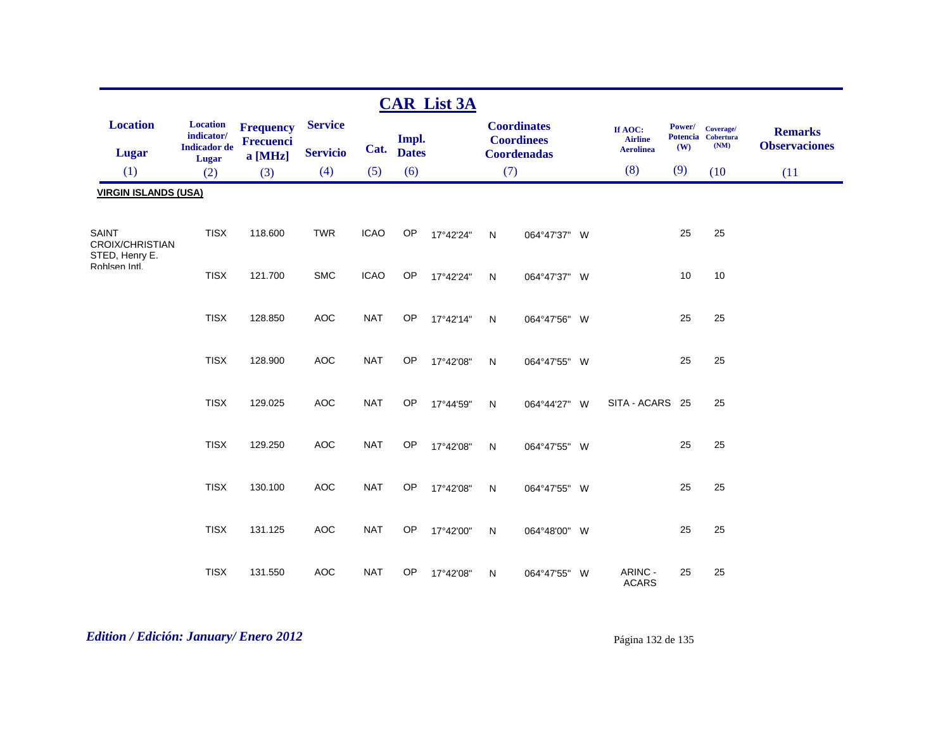|                                                   |                                                                      |                                                 |                                   |             |                       | <b>CAR List 3A</b> |              |                                                               |   |                                               |               |                                         |                                        |
|---------------------------------------------------|----------------------------------------------------------------------|-------------------------------------------------|-----------------------------------|-------------|-----------------------|--------------------|--------------|---------------------------------------------------------------|---|-----------------------------------------------|---------------|-----------------------------------------|----------------------------------------|
| <b>Location</b><br>Lugar                          | <b>Location</b><br>indicator/<br><b>Indicador</b> de<br><b>Lugar</b> | <b>Frequency</b><br><b>Frecuenci</b><br>a [MHz] | <b>Service</b><br><b>Servicio</b> | Cat.        | Impl.<br><b>Dates</b> |                    |              | <b>Coordinates</b><br><b>Coordinees</b><br><b>Coordenadas</b> |   | If AOC:<br><b>Airline</b><br><b>Aerolinea</b> | Power/<br>(W) | Coverage/<br>Potencia Cobertura<br>(NM) | <b>Remarks</b><br><b>Observaciones</b> |
| (1)                                               | (2)                                                                  | (3)                                             | (4)                               | (5)         | (6)                   |                    | (7)          |                                                               |   | (8)                                           | (9)           | (10)                                    | (11)                                   |
| <b>VIRGIN ISLANDS (USA)</b>                       |                                                                      |                                                 |                                   |             |                       |                    |              |                                                               |   |                                               |               |                                         |                                        |
| SAINT<br><b>CROIX/CHRISTIAN</b><br>STED, Henry E. | <b>TISX</b>                                                          | 118.600                                         | <b>TWR</b>                        | <b>ICAO</b> | OP                    | 17°42'24"          | $\mathsf{N}$ | 064°47'37" W                                                  |   |                                               | 25            | 25                                      |                                        |
| Rohlsen Intl.                                     | <b>TISX</b>                                                          | 121.700                                         | <b>SMC</b>                        | <b>ICAO</b> | OP                    | 17°42'24"          | ${\sf N}$    | 064°47'37" W                                                  |   |                                               | 10            | 10                                      |                                        |
|                                                   | <b>TISX</b>                                                          | 128.850                                         | AOC                               | <b>NAT</b>  | OP                    | 17°42'14"          | $\mathsf{N}$ | 064°47'56" W                                                  |   |                                               | 25            | 25                                      |                                        |
|                                                   | <b>TISX</b>                                                          | 128.900                                         | <b>AOC</b>                        | <b>NAT</b>  | OP                    | 17°42'08"          | $\mathsf{N}$ | 064°47'55" W                                                  |   |                                               | 25            | 25                                      |                                        |
|                                                   | <b>TISX</b>                                                          | 129.025                                         | AOC                               | <b>NAT</b>  | OP                    | 17°44'59"          | $\mathsf{N}$ | 064°44'27" W                                                  |   | SITA - ACARS 25                               |               | 25                                      |                                        |
|                                                   | <b>TISX</b>                                                          | 129.250                                         | <b>AOC</b>                        | <b>NAT</b>  | OP                    | 17°42'08"          | $\mathsf{N}$ | 064°47'55" W                                                  |   |                                               | 25            | 25                                      |                                        |
|                                                   | <b>TISX</b>                                                          | 130.100                                         | <b>AOC</b>                        | <b>NAT</b>  | OP                    | 17°42'08"          | ${\sf N}$    | 064°47'55" W                                                  |   |                                               | 25            | 25                                      |                                        |
|                                                   | <b>TISX</b>                                                          | 131.125                                         | <b>AOC</b>                        | <b>NAT</b>  | OP                    | 17°42'00"          | $\mathsf{N}$ | 064°48'00" W                                                  |   |                                               | 25            | 25                                      |                                        |
|                                                   | <b>TISX</b>                                                          | 131.550                                         | <b>AOC</b>                        | <b>NAT</b>  | OP                    | 17°42'08"          | N            | 064°47'55"                                                    | W | ARINC -<br><b>ACARS</b>                       | 25            | 25                                      |                                        |

# *Edition / Edición: January/ Enero 2012* Página 132 de 135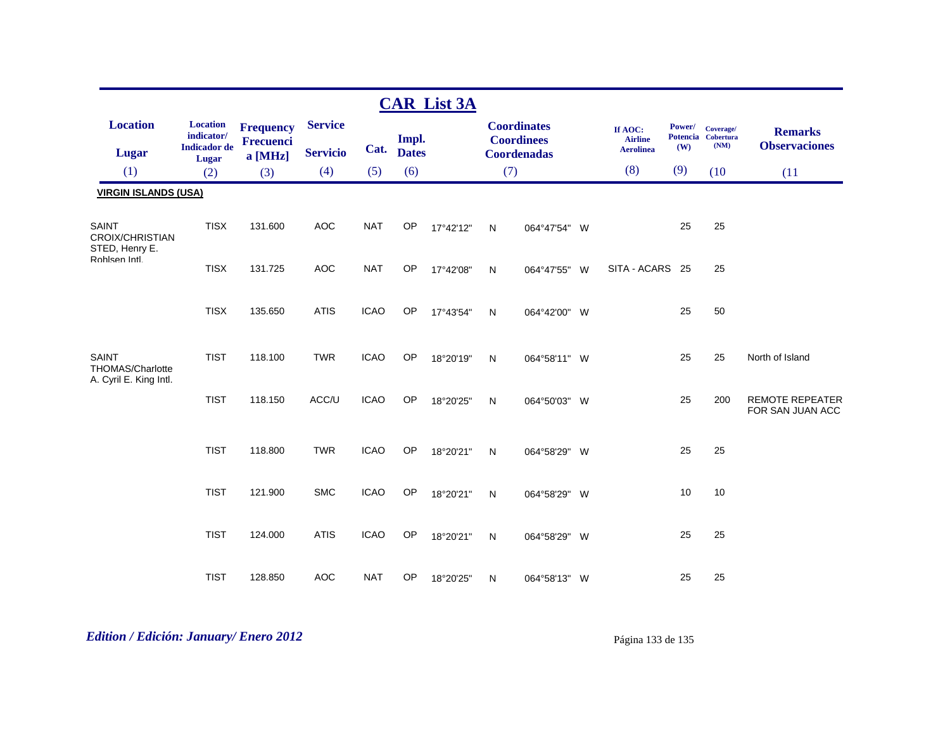|                                                     |                               |                      |                 |             |              | <b>CAR List 3A</b> |                    |                                         |   |                           |        |                                 |                                            |
|-----------------------------------------------------|-------------------------------|----------------------|-----------------|-------------|--------------|--------------------|--------------------|-----------------------------------------|---|---------------------------|--------|---------------------------------|--------------------------------------------|
| <b>Location</b>                                     | <b>Location</b><br>indicator/ | <b>Frequency</b>     | <b>Service</b>  |             | Impl.        |                    |                    | <b>Coordinates</b><br><b>Coordinees</b> |   | If AOC:<br><b>Airline</b> | Power/ | Coverage/<br>Potencia Cobertura | <b>Remarks</b>                             |
| Lugar                                               | <b>Indicador</b> de<br>Lugar  | Frecuenci<br>a [MHz] | <b>Servicio</b> | Cat.        | <b>Dates</b> |                    | <b>Coordenadas</b> |                                         |   | <b>Aerolinea</b>          | (W)    | (NM)                            | <b>Observaciones</b>                       |
| (1)                                                 | (2)                           | (3)                  | (4)             | (5)         | (6)          |                    | (7)                |                                         |   | (8)                       | (9)    | (10)                            | (11)                                       |
| <b>VIRGIN ISLANDS (USA)</b>                         |                               |                      |                 |             |              |                    |                    |                                         |   |                           |        |                                 |                                            |
| SAINT<br><b>CROIX/CHRISTIAN</b>                     | <b>TISX</b>                   | 131.600              | <b>AOC</b>      | <b>NAT</b>  | OP           | 17°42'12"          | N                  | 064°47'54" W                            |   |                           | 25     | 25                              |                                            |
| STED, Henry E.<br>Rohlsen Intl.                     | <b>TISX</b>                   | 131.725              | <b>AOC</b>      | <b>NAT</b>  | OP           | 17°42'08"          | N                  | 064°47'55"                              | W | SITA - ACARS 25           |        | 25                              |                                            |
|                                                     | <b>TISX</b>                   | 135.650              | <b>ATIS</b>     | <b>ICAO</b> | <b>OP</b>    | 17°43'54"          | N                  | 064°42'00" W                            |   |                           | 25     | 50                              |                                            |
| SAINT<br>THOMAS/Charlotte<br>A. Cyril E. King Intl. | <b>TIST</b>                   | 118.100              | <b>TWR</b>      | <b>ICAO</b> | OP           | 18°20'19"          | N                  | 064°58'11" W                            |   |                           | 25     | 25                              | North of Island                            |
|                                                     | <b>TIST</b>                   | 118.150              | ACC/U           | <b>ICAO</b> | OP           | 18°20'25"          | N                  | 064°50'03" W                            |   |                           | 25     | 200                             | <b>REMOTE REPEATER</b><br>FOR SAN JUAN ACC |
|                                                     | <b>TIST</b>                   | 118.800              | <b>TWR</b>      | <b>ICAO</b> | OP           | 18°20'21"          | $\mathsf{N}$       | 064°58'29" W                            |   |                           | 25     | 25                              |                                            |
|                                                     | <b>TIST</b>                   | 121.900              | <b>SMC</b>      | <b>ICAO</b> | OP           | 18°20'21"          | N                  | 064°58'29"                              | W |                           | 10     | 10                              |                                            |
|                                                     | <b>TIST</b>                   | 124.000              | <b>ATIS</b>     | <b>ICAO</b> | OP           | 18°20'21"          | N                  | 064°58'29" W                            |   |                           | 25     | 25                              |                                            |
|                                                     | <b>TIST</b>                   | 128.850              | <b>AOC</b>      | <b>NAT</b>  | OP           | 18°20'25"          | N                  | 064°58'13" W                            |   |                           | 25     | 25                              |                                            |

# *Edition / Edición: January/ Enero 2012* Página 133 de 135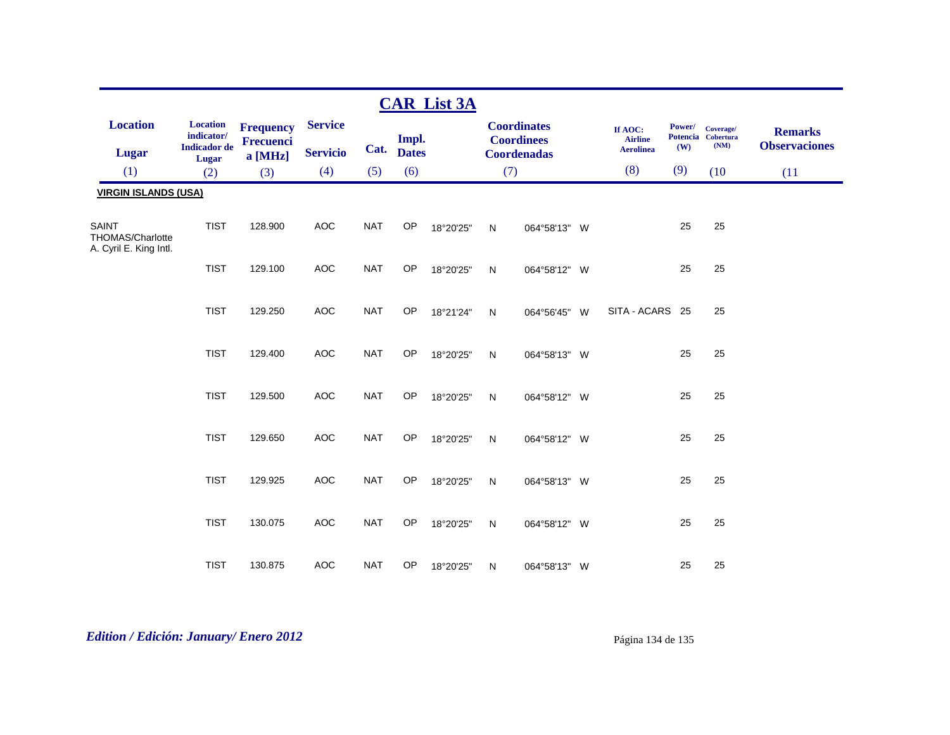| <b>CAR List 3A</b>                                         |                                                               |                                                 |                                   |            |                       |           |              |                                                               |  |                                               |               |                                         |                                        |
|------------------------------------------------------------|---------------------------------------------------------------|-------------------------------------------------|-----------------------------------|------------|-----------------------|-----------|--------------|---------------------------------------------------------------|--|-----------------------------------------------|---------------|-----------------------------------------|----------------------------------------|
| <b>Location</b><br><b>Lugar</b>                            | <b>Location</b><br>indicator/<br><b>Indicador de</b><br>Lugar | <b>Frequency</b><br><b>Frecuenci</b><br>a [MHz] | <b>Service</b><br><b>Servicio</b> | Cat.       | Impl.<br><b>Dates</b> |           |              | <b>Coordinates</b><br><b>Coordinees</b><br><b>Coordenadas</b> |  | If AOC:<br><b>Airline</b><br><b>Aerolinea</b> | Power/<br>(W) | Coverage/<br>Potencia Cobertura<br>(NM) | <b>Remarks</b><br><b>Observaciones</b> |
| (1)                                                        | (2)                                                           | (3)                                             | (4)                               | (5)        | (6)                   |           | (7)          |                                                               |  | (8)                                           | (9)           | (10)                                    | (11)                                   |
| <b>VIRGIN ISLANDS (USA)</b>                                |                                                               |                                                 |                                   |            |                       |           |              |                                                               |  |                                               |               |                                         |                                        |
| <b>SAINT</b><br>THOMAS/Charlotte<br>A. Cyril E. King Intl. | <b>TIST</b>                                                   | 128.900                                         | <b>AOC</b>                        | <b>NAT</b> | <b>OP</b>             | 18°20'25" | $\mathsf{N}$ | 064°58'13" W                                                  |  |                                               | 25            | 25                                      |                                        |
|                                                            | <b>TIST</b>                                                   | 129.100                                         | <b>AOC</b>                        | <b>NAT</b> | <b>OP</b>             | 18°20'25" | $\mathsf{N}$ | 064°58'12" W                                                  |  |                                               | 25            | 25                                      |                                        |
|                                                            | <b>TIST</b>                                                   | 129.250                                         | AOC                               | <b>NAT</b> | <b>OP</b>             | 18°21'24" | ${\sf N}$    | 064°56'45" W                                                  |  | SITA - ACARS 25                               |               | 25                                      |                                        |
|                                                            | <b>TIST</b>                                                   | 129.400                                         | <b>AOC</b>                        | <b>NAT</b> | <b>OP</b>             | 18°20'25" | N            | 064°58'13" W                                                  |  |                                               | 25            | 25                                      |                                        |
|                                                            | <b>TIST</b>                                                   | 129.500                                         | <b>AOC</b>                        | <b>NAT</b> | OP                    | 18°20'25" | ${\sf N}$    | 064°58'12" W                                                  |  |                                               | 25            | 25                                      |                                        |
|                                                            | <b>TIST</b>                                                   | 129.650                                         | AOC                               | <b>NAT</b> | <b>OP</b>             | 18°20'25" | N            | 064°58'12" W                                                  |  |                                               | 25            | 25                                      |                                        |
|                                                            | <b>TIST</b>                                                   | 129.925                                         | <b>AOC</b>                        | <b>NAT</b> | <b>OP</b>             | 18°20'25" | N            | 064°58'13" W                                                  |  |                                               | 25            | 25                                      |                                        |
|                                                            | <b>TIST</b>                                                   | 130.075                                         | <b>AOC</b>                        | <b>NAT</b> | OP                    | 18°20'25" | $\mathsf{N}$ | 064°58'12" W                                                  |  |                                               | 25            | 25                                      |                                        |
|                                                            | <b>TIST</b>                                                   | 130.875                                         | <b>AOC</b>                        | <b>NAT</b> | <b>OP</b>             | 18°20'25" | N            | 064°58'13" W                                                  |  |                                               | 25            | 25                                      |                                        |

# *Edition / Edición: January/ Enero 2012* Página 134 de 135